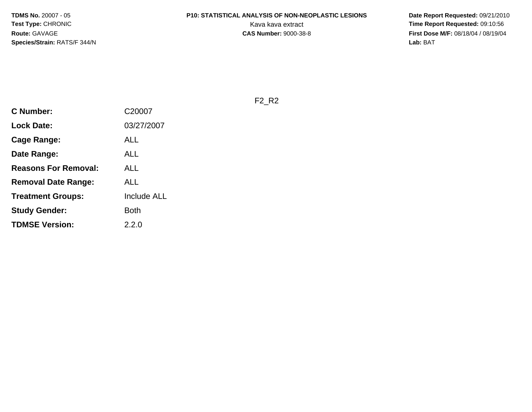# **P10: STATISTICAL ANALYSIS OF NON-NEOPLASTIC LESIONS**

 **Date Report Requested:** 09/21/2010 Kava kava extract **Time Report Requested:** 09:10:56<br>**CAS Number:** 9000-38-8 **CAS Number:** 9000-38-8 **First Dose M/F:** 08/18/04 / 08/19/04 Lab: BAT **Lab:** BAT

F2\_R2

| <b>C</b> Number:            | C20007             |
|-----------------------------|--------------------|
| <b>Lock Date:</b>           | 03/27/2007         |
| <b>Cage Range:</b>          | ALL                |
| Date Range:                 | ALL                |
| <b>Reasons For Removal:</b> | ALL                |
| <b>Removal Date Range:</b>  | ALL                |
| <b>Treatment Groups:</b>    | <b>Include ALL</b> |
| <b>Study Gender:</b>        | Both               |
| <b>TDMSE Version:</b>       | 2.2.0              |
|                             |                    |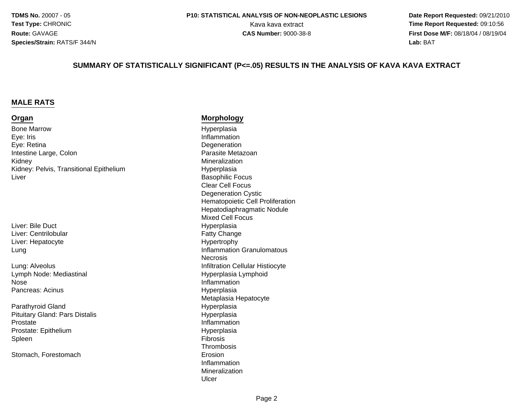**Date Report Requested:** 09/21/2010 Kava kava extract **Time Report Requested:** 09:10:56<br>**CAS Number:** 9000-38-8<br>**Time Report Requested:** 09/19/04 **First Dose M/F:** 08/18/04 / 08/19/04 Lab: BAT **Lab:** BAT

#### **SUMMARY OF STATISTICALLY SIGNIFICANT (P<=.05) RESULTS IN THE ANALYSIS OF KAVA KAVA EXTRACT**

#### **MALE RATS**

#### **Organ**

Bone MarrowEye: Irisa Degeneration Eye: RetinaIntestine Large, ColonKidneyKidney: Pelvis, Transitional EpitheliumLiver

Liver: Bile DuctLiver: CentrilobularLiver: HepatocyteLung

Lung: AlveolusLymph Node: MediastinalNosePancreas: Acinus

Parathyroid GlandPituitary Gland: Pars Distalise Inflammation ProstateProstate: EpitheliumSpleenn Fibrosis<br>The Second Second Second Second Second Second Second Second Second Second Second Second Second Second Second S

Stomach, Forestomach

#### **Morphology**

 Hyperplasia Inflammation Parasite Metazoan Mineralization Hyperplasia Basophilic Focus Clear Cell Focus Degeneration Cystic Hematopoietic Cell ProliferationHepatodiaphragmatic NoduleMixed Cell Focus Hyperplasiar **Fatty Change** e **Hypertrophy**  Inflammation Granulomatous **Necrosis** s **Infiltration Cellular Histiocyte**  Hyperplasia Lymphoid Inflammation Hyperplasia Metaplasia Hepatocyte Hyperplasia HyperplasiaHyperplasia<br>Fibrosis **Thrombosis** h Erosion and the Erosion Inflammation MineralizationUlcer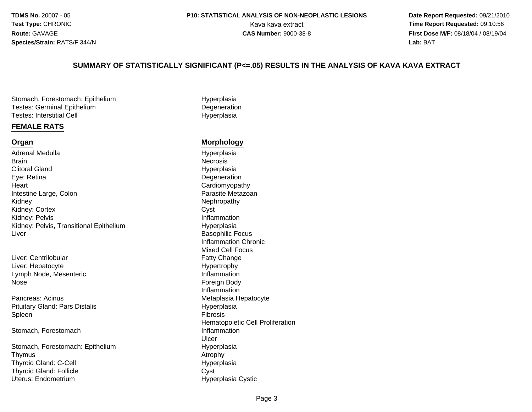#### **P10: STATISTICAL ANALYSIS OF NON-NEOPLASTIC LESIONS**

 **Date Report Requested:** 09/21/2010 Kava kava extract **Time Report Requested:** 09:10:56<br>**CAS Number:** 9000-38-8<br>**Time Report Requested:** 09/19/04 **First Dose M/F:** 08/18/04 / 08/19/04 Lab: BAT **Lab:** BAT

#### **SUMMARY OF STATISTICALLY SIGNIFICANT (P<=.05) RESULTS IN THE ANALYSIS OF KAVA KAVA EXTRACT**

Stomach, Forestomach: EpitheliumTestes: Germinal EpitheliumTestes: Interstitial Cell

#### **FEMALE RATS**

#### **Organ**

Adrenal Medulla**Brain** n Necrosis Clitoral GlandEye: Retina**Heart** Intestine Large, ColonKidneyKidney: Cortexx Cyst Kidney: PelvisKidney: Pelvis, Transitional EpitheliumLiver

Liver: CentrilobularLiver: HepatocyteLymph Node, Mesenteric Foreign Body Nose

Pancreas: AcinusPituitary Gland: Pars DistalisSpleenn Fibrosis and the Second Second Second Second Second Second Second Second Second Second Second Second Second S

Stomach, Forestomach

Stomach, Forestomach: Epithelium**Thymus** s Atrophy Thyroid Gland: C-CellThyroid Gland: Folliclee Cyst Uterus: Endometrium

 Hyperplasia **Degeneration** Hyperplasia

#### **Morphology**

Hyperplasia<br>Necrosis Hyperplasia **Degeneration**  Cardiomyopathyn **Parasite Metazoan** Nephropathy<br>Cyst Inflammation Hyperplasia Basophilic Focus Inflammation ChronicMixed Cell Focus Fatty Changee Hypertrophy InflammationInflammations and the contract of the Metaplasia Hepatocyte Hyperplasia<br>Fibrosis Hematopoietic Cell Proliferation Inflammation Ulcerm Hyperplasia<br>Atrophy HyperplasiaHyperplasia Cystic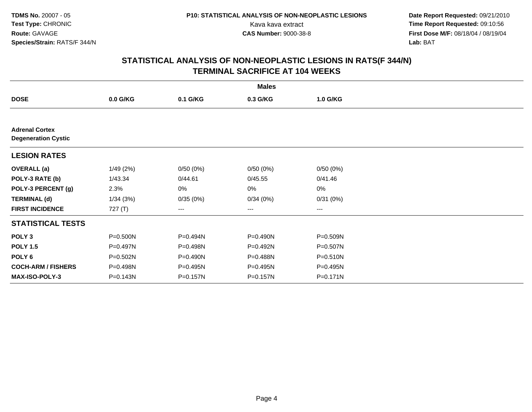**Date Report Requested:** 09/21/2010 Kava kava extract **Time Report Requested:** 09:10:56<br>**CAS Number:** 9000-38-8<br>**Tirst Dose M/F:** 08/18/04 / 08/19/04 **First Dose M/F:** 08/18/04 / 08/19/04 Lab: BAT **Lab:** BAT

|                                                     |          |          | <b>Males</b> |          |  |
|-----------------------------------------------------|----------|----------|--------------|----------|--|
| <b>DOSE</b>                                         | 0.0 G/KG | 0.1 G/KG | 0.3 G/KG     | 1.0 G/KG |  |
|                                                     |          |          |              |          |  |
| <b>Adrenal Cortex</b><br><b>Degeneration Cystic</b> |          |          |              |          |  |
| <b>LESION RATES</b>                                 |          |          |              |          |  |
| <b>OVERALL</b> (a)                                  | 1/49(2%) | 0/50(0%) | 0/50(0%)     | 0/50(0%) |  |
| POLY-3 RATE (b)                                     | 1/43.34  | 0/44.61  | 0/45.55      | 0/41.46  |  |
| POLY-3 PERCENT (g)                                  | 2.3%     | 0%       | 0%           | 0%       |  |
| <b>TERMINAL (d)</b>                                 | 1/34(3%) | 0/35(0%) | 0/34(0%)     | 0/31(0%) |  |
| <b>FIRST INCIDENCE</b>                              | 727 (T)  | ---      | $---$        | $---$    |  |
| <b>STATISTICAL TESTS</b>                            |          |          |              |          |  |
| POLY <sub>3</sub>                                   | P=0.500N | P=0.494N | P=0.490N     | P=0.509N |  |
| <b>POLY 1.5</b>                                     | P=0.497N | P=0.498N | P=0.492N     | P=0.507N |  |
| POLY 6                                              | P=0.502N | P=0.490N | P=0.488N     | P=0.510N |  |
| <b>COCH-ARM / FISHERS</b>                           | P=0.498N | P=0.495N | P=0.495N     | P=0.495N |  |
| <b>MAX-ISO-POLY-3</b>                               | P=0.143N | P=0.157N | P=0.157N     | P=0.171N |  |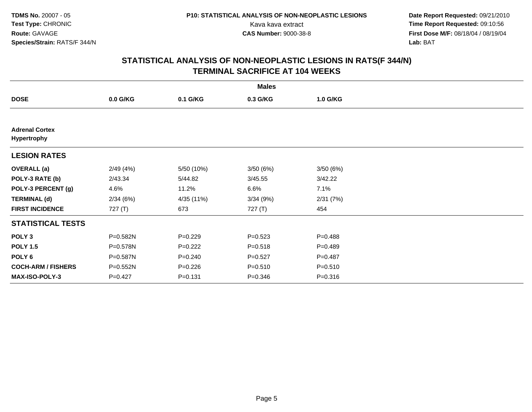**Date Report Requested:** 09/21/2010 Kava kava extract **Time Report Requested:** 09:10:56<br>**CAS Number:** 9000-38-8<br>**Tirst Dose M/F:** 08/18/04 / 08/19/04 **First Dose M/F:** 08/18/04 / 08/19/04 Lab: BAT **Lab:** BAT

|                                      | <b>Males</b> |             |             |             |  |  |  |  |
|--------------------------------------|--------------|-------------|-------------|-------------|--|--|--|--|
| <b>DOSE</b>                          | $0.0$ G/KG   | 0.1 G/KG    | 0.3 G/KG    | 1.0 G/KG    |  |  |  |  |
|                                      |              |             |             |             |  |  |  |  |
| <b>Adrenal Cortex</b><br>Hypertrophy |              |             |             |             |  |  |  |  |
| <b>LESION RATES</b>                  |              |             |             |             |  |  |  |  |
| <b>OVERALL</b> (a)                   | 2/49(4%)     | 5/50 (10%)  | 3/50(6%)    | 3/50(6%)    |  |  |  |  |
| POLY-3 RATE (b)                      | 2/43.34      | 5/44.82     | 3/45.55     | 3/42.22     |  |  |  |  |
| POLY-3 PERCENT (g)                   | 4.6%         | 11.2%       | 6.6%        | 7.1%        |  |  |  |  |
| <b>TERMINAL (d)</b>                  | 2/34(6%)     | 4/35 (11%)  | 3/34(9%)    | 2/31(7%)    |  |  |  |  |
| <b>FIRST INCIDENCE</b>               | 727 (T)      | 673         | 727 (T)     | 454         |  |  |  |  |
| <b>STATISTICAL TESTS</b>             |              |             |             |             |  |  |  |  |
| POLY <sub>3</sub>                    | P=0.582N     | $P=0.229$   | $P = 0.523$ | $P = 0.488$ |  |  |  |  |
| <b>POLY 1.5</b>                      | P=0.578N     | $P=0.222$   | $P = 0.518$ | $P = 0.489$ |  |  |  |  |
| POLY 6                               | P=0.587N     | $P = 0.240$ | $P=0.527$   | $P=0.487$   |  |  |  |  |
| <b>COCH-ARM / FISHERS</b>            | P=0.552N     | $P = 0.226$ | $P = 0.510$ | $P = 0.510$ |  |  |  |  |
| <b>MAX-ISO-POLY-3</b>                | $P=0.427$    | $P = 0.131$ | $P = 0.346$ | $P = 0.316$ |  |  |  |  |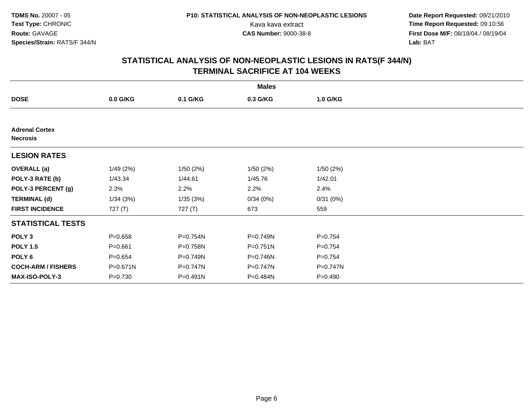**Date Report Requested:** 09/21/2010 Kava kava extract **Time Report Requested:** 09:10:56<br>**CAS Number:** 9000-38-8<br>**Tirst Dose M/F:** 08/18/04 / 08/19/04 **First Dose M/F:** 08/18/04 / 08/19/04 Lab: BAT **Lab:** BAT

|                                          | <b>Males</b> |          |              |             |  |  |  |
|------------------------------------------|--------------|----------|--------------|-------------|--|--|--|
| <b>DOSE</b>                              | $0.0$ G/KG   | 0.1 G/KG | 0.3 G/KG     | 1.0 G/KG    |  |  |  |
|                                          |              |          |              |             |  |  |  |
| <b>Adrenal Cortex</b><br><b>Necrosis</b> |              |          |              |             |  |  |  |
| <b>LESION RATES</b>                      |              |          |              |             |  |  |  |
| <b>OVERALL</b> (a)                       | 1/49(2%)     | 1/50(2%) | 1/50(2%)     | 1/50(2%)    |  |  |  |
| POLY-3 RATE (b)                          | 1/43.34      | 1/44.61  | 1/45.76      | 1/42.01     |  |  |  |
| POLY-3 PERCENT (g)                       | 2.3%         | 2.2%     | 2.2%         | 2.4%        |  |  |  |
| <b>TERMINAL (d)</b>                      | 1/34(3%)     | 1/35(3%) | 0/34(0%)     | 0/31(0%)    |  |  |  |
| <b>FIRST INCIDENCE</b>                   | 727 (T)      | 727 (T)  | 673          | 559         |  |  |  |
| <b>STATISTICAL TESTS</b>                 |              |          |              |             |  |  |  |
| POLY <sub>3</sub>                        | $P = 0.658$  | P=0.754N | P=0.749N     | $P=0.754$   |  |  |  |
| <b>POLY 1.5</b>                          | $P = 0.661$  | P=0.758N | P=0.751N     | $P=0.754$   |  |  |  |
| POLY 6                                   | $P = 0.654$  | P=0.749N | $P = 0.746N$ | $P = 0.754$ |  |  |  |
| <b>COCH-ARM / FISHERS</b>                | P=0.671N     | P=0.747N | P=0.747N     | P=0.747N    |  |  |  |
| <b>MAX-ISO-POLY-3</b>                    | P=0.730      | P=0.491N | P=0.484N     | $P = 0.490$ |  |  |  |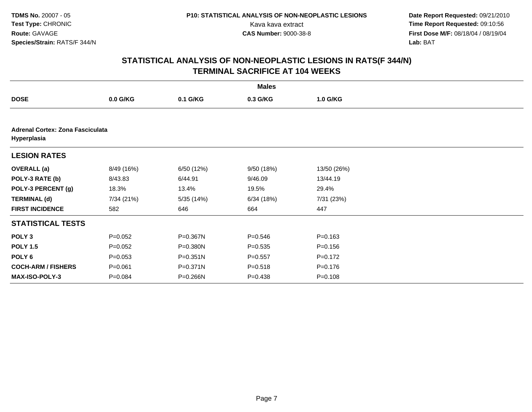**Date Report Requested:** 09/21/2010 Kava kava extract **Time Report Requested:** 09:10:56<br>**CAS Number:** 9000-38-8<br>**Tirst Dose M/F:** 08/18/04 / 08/19/04 **First Dose M/F:** 08/18/04 / 08/19/04 Lab: BAT **Lab:** BAT

|                                                        |             |              | <b>Males</b> |             |  |  |  |  |
|--------------------------------------------------------|-------------|--------------|--------------|-------------|--|--|--|--|
| <b>DOSE</b>                                            | $0.0$ G/KG  | 0.1 G/KG     | 0.3 G/KG     | 1.0 G/KG    |  |  |  |  |
|                                                        |             |              |              |             |  |  |  |  |
| <b>Adrenal Cortex: Zona Fasciculata</b><br>Hyperplasia |             |              |              |             |  |  |  |  |
| <b>LESION RATES</b>                                    |             |              |              |             |  |  |  |  |
| <b>OVERALL</b> (a)                                     | 8/49 (16%)  | 6/50 (12%)   | 9/50 (18%)   | 13/50 (26%) |  |  |  |  |
| POLY-3 RATE (b)                                        | 8/43.83     | 6/44.91      | 9/46.09      | 13/44.19    |  |  |  |  |
| POLY-3 PERCENT (g)                                     | 18.3%       | 13.4%        | 19.5%        | 29.4%       |  |  |  |  |
| <b>TERMINAL (d)</b>                                    | 7/34 (21%)  | 5/35 (14%)   | 6/34(18%)    | 7/31 (23%)  |  |  |  |  |
| <b>FIRST INCIDENCE</b>                                 | 582         | 646          | 664          | 447         |  |  |  |  |
| <b>STATISTICAL TESTS</b>                               |             |              |              |             |  |  |  |  |
| POLY <sub>3</sub>                                      | $P=0.052$   | P=0.367N     | $P = 0.546$  | $P = 0.163$ |  |  |  |  |
| <b>POLY 1.5</b>                                        | $P=0.052$   | P=0.380N     | $P = 0.535$  | $P = 0.156$ |  |  |  |  |
| POLY <sub>6</sub>                                      | $P = 0.053$ | $P = 0.351N$ | $P = 0.557$  | $P = 0.172$ |  |  |  |  |
| <b>COCH-ARM / FISHERS</b>                              | $P = 0.061$ | P=0.371N     | $P = 0.518$  | $P = 0.176$ |  |  |  |  |
| <b>MAX-ISO-POLY-3</b>                                  | $P = 0.084$ | P=0.266N     | $P = 0.438$  | $P = 0.108$ |  |  |  |  |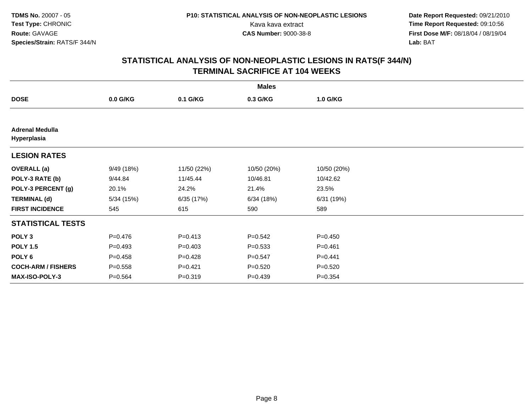**Date Report Requested:** 09/21/2010 Kava kava extract **Time Report Requested:** 09:10:56<br>**CAS Number:** 9000-38-8<br>**Tirst Dose M/F:** 08/18/04 / 08/19/04 **First Dose M/F:** 08/18/04 / 08/19/04 Lab: BAT **Lab:** BAT

| <b>Males</b>                          |             |             |             |             |  |  |
|---------------------------------------|-------------|-------------|-------------|-------------|--|--|
| <b>DOSE</b>                           | $0.0$ G/KG  | 0.1 G/KG    | 0.3 G/KG    | 1.0 G/KG    |  |  |
|                                       |             |             |             |             |  |  |
| <b>Adrenal Medulla</b><br>Hyperplasia |             |             |             |             |  |  |
| <b>LESION RATES</b>                   |             |             |             |             |  |  |
| <b>OVERALL</b> (a)                    | 9/49 (18%)  | 11/50 (22%) | 10/50 (20%) | 10/50 (20%) |  |  |
| POLY-3 RATE (b)                       | 9/44.84     | 11/45.44    | 10/46.81    | 10/42.62    |  |  |
| POLY-3 PERCENT (g)                    | 20.1%       | 24.2%       | 21.4%       | 23.5%       |  |  |
| <b>TERMINAL (d)</b>                   | 5/34 (15%)  | 6/35(17%)   | 6/34(18%)   | 6/31 (19%)  |  |  |
| <b>FIRST INCIDENCE</b>                | 545         | 615         | 590         | 589         |  |  |
| <b>STATISTICAL TESTS</b>              |             |             |             |             |  |  |
| POLY <sub>3</sub>                     | $P=0.476$   | $P = 0.413$ | $P = 0.542$ | $P = 0.450$ |  |  |
| <b>POLY 1.5</b>                       | $P=0.493$   | $P=0.403$   | $P = 0.533$ | $P = 0.461$ |  |  |
| POLY <sub>6</sub>                     | $P=0.458$   | $P=0.428$   | $P = 0.547$ | $P=0.441$   |  |  |
| <b>COCH-ARM / FISHERS</b>             | $P = 0.558$ | $P = 0.421$ | $P = 0.520$ | $P = 0.520$ |  |  |
| <b>MAX-ISO-POLY-3</b>                 | $P = 0.564$ | $P = 0.319$ | $P=0.439$   | $P = 0.354$ |  |  |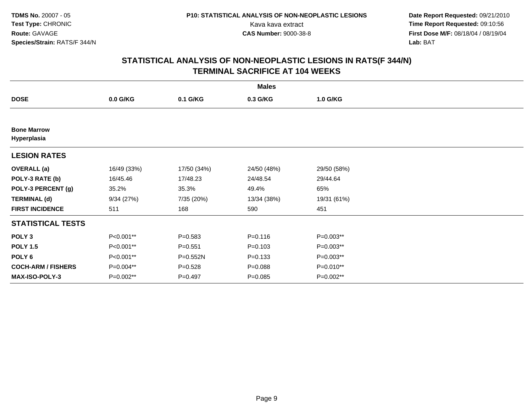**Date Report Requested:** 09/21/2010 Kava kava extract **Time Report Requested:** 09:10:56<br>**CAS Number:** 9000-38-8<br>**Tirst Dose M/F:** 08/18/04 / 08/19/04 **First Dose M/F:** 08/18/04 / 08/19/04 Lab: BAT **Lab:** BAT

| <b>Males</b>                      |             |             |             |             |  |  |
|-----------------------------------|-------------|-------------|-------------|-------------|--|--|
| <b>DOSE</b>                       | $0.0$ G/KG  | 0.1 G/KG    | 0.3 G/KG    | 1.0 G/KG    |  |  |
|                                   |             |             |             |             |  |  |
| <b>Bone Marrow</b><br>Hyperplasia |             |             |             |             |  |  |
| <b>LESION RATES</b>               |             |             |             |             |  |  |
| <b>OVERALL</b> (a)                | 16/49 (33%) | 17/50 (34%) | 24/50 (48%) | 29/50 (58%) |  |  |
| POLY-3 RATE (b)                   | 16/45.46    | 17/48.23    | 24/48.54    | 29/44.64    |  |  |
| POLY-3 PERCENT (g)                | 35.2%       | 35.3%       | 49.4%       | 65%         |  |  |
| <b>TERMINAL (d)</b>               | 9/34(27%)   | 7/35 (20%)  | 13/34 (38%) | 19/31 (61%) |  |  |
| <b>FIRST INCIDENCE</b>            | 511         | 168         | 590         | 451         |  |  |
| <b>STATISTICAL TESTS</b>          |             |             |             |             |  |  |
| POLY <sub>3</sub>                 | P<0.001**   | $P = 0.583$ | $P = 0.116$ | $P=0.003**$ |  |  |
| <b>POLY 1.5</b>                   | P<0.001**   | $P = 0.551$ | $P = 0.103$ | P=0.003**   |  |  |
| POLY <sub>6</sub>                 | P<0.001**   | P=0.552N    | $P = 0.133$ | P=0.003**   |  |  |
| <b>COCH-ARM / FISHERS</b>         | P=0.004**   | $P = 0.528$ | $P = 0.088$ | P=0.010**   |  |  |
| <b>MAX-ISO-POLY-3</b>             | P=0.002**   | $P = 0.497$ | $P = 0.085$ | P=0.002**   |  |  |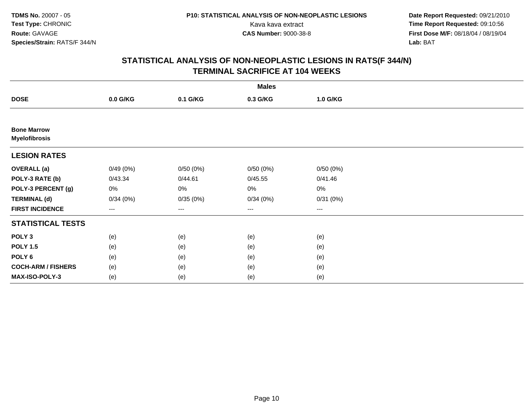**Date Report Requested:** 09/21/2010 Kava kava extract **Time Report Requested:** 09:10:56<br>**CAS Number:** 9000-38-8<br>**Tirst Dose M/F:** 08/18/04 / 08/19/04 **First Dose M/F:** 08/18/04 / 08/19/04 Lab: BAT **Lab:** BAT

|                                            | <b>Males</b> |          |                        |                        |  |  |  |
|--------------------------------------------|--------------|----------|------------------------|------------------------|--|--|--|
| <b>DOSE</b>                                | 0.0 G/KG     | 0.1 G/KG | 0.3 G/KG               | 1.0 G/KG               |  |  |  |
|                                            |              |          |                        |                        |  |  |  |
| <b>Bone Marrow</b><br><b>Myelofibrosis</b> |              |          |                        |                        |  |  |  |
| <b>LESION RATES</b>                        |              |          |                        |                        |  |  |  |
| <b>OVERALL</b> (a)                         | 0/49(0%)     | 0/50(0%) | 0/50(0%)               | 0/50(0%)               |  |  |  |
| POLY-3 RATE (b)                            | 0/43.34      | 0/44.61  | 0/45.55                | 0/41.46                |  |  |  |
| POLY-3 PERCENT (g)                         | 0%           | 0%       | 0%                     | $0\%$                  |  |  |  |
| <b>TERMINAL (d)</b>                        | 0/34(0%)     | 0/35(0%) | 0/34(0%)               | 0/31(0%)               |  |  |  |
| <b>FIRST INCIDENCE</b>                     | ---          | $--$     | $\qquad \qquad \cdots$ | $\qquad \qquad \cdots$ |  |  |  |
| <b>STATISTICAL TESTS</b>                   |              |          |                        |                        |  |  |  |
| POLY <sub>3</sub>                          | (e)          | (e)      | (e)                    | (e)                    |  |  |  |
| <b>POLY 1.5</b>                            | (e)          | (e)      | (e)                    | (e)                    |  |  |  |
| POLY <sub>6</sub>                          | (e)          | (e)      | (e)                    | (e)                    |  |  |  |
| <b>COCH-ARM / FISHERS</b>                  | (e)          | (e)      | (e)                    | (e)                    |  |  |  |
| MAX-ISO-POLY-3                             | (e)          | (e)      | (e)                    | (e)                    |  |  |  |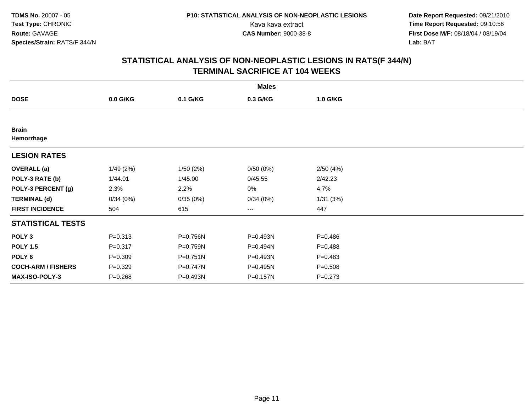**Date Report Requested:** 09/21/2010 Kava kava extract **Time Report Requested:** 09:10:56<br>**CAS Number:** 9000-38-8<br>**Tirst Dose M/F:** 08/18/04 / 08/19/04 **First Dose M/F:** 08/18/04 / 08/19/04 Lab: BAT **Lab:** BAT

|                            |             |              | <b>Males</b> |             |  |
|----------------------------|-------------|--------------|--------------|-------------|--|
| <b>DOSE</b>                | $0.0$ G/KG  | 0.1 G/KG     | 0.3 G/KG     | 1.0 G/KG    |  |
|                            |             |              |              |             |  |
| <b>Brain</b><br>Hemorrhage |             |              |              |             |  |
| <b>LESION RATES</b>        |             |              |              |             |  |
| <b>OVERALL</b> (a)         | 1/49(2%)    | 1/50(2%)     | 0/50(0%)     | 2/50(4%)    |  |
| POLY-3 RATE (b)            | 1/44.01     | 1/45.00      | 0/45.55      | 2/42.23     |  |
| POLY-3 PERCENT (g)         | 2.3%        | 2.2%         | 0%           | 4.7%        |  |
| <b>TERMINAL (d)</b>        | 0/34(0%)    | 0/35(0%)     | 0/34(0%)     | 1/31 (3%)   |  |
| <b>FIRST INCIDENCE</b>     | 504         | 615          | ---          | 447         |  |
| <b>STATISTICAL TESTS</b>   |             |              |              |             |  |
| POLY <sub>3</sub>          | $P = 0.313$ | P=0.756N     | P=0.493N     | $P = 0.486$ |  |
| <b>POLY 1.5</b>            | $P = 0.317$ | P=0.759N     | P=0.494N     | $P = 0.488$ |  |
| POLY <sub>6</sub>          | $P = 0.309$ | $P = 0.751N$ | P=0.493N     | $P = 0.483$ |  |
| <b>COCH-ARM / FISHERS</b>  | $P = 0.329$ | P=0.747N     | P=0.495N     | $P = 0.508$ |  |
| MAX-ISO-POLY-3             | $P = 0.268$ | P=0.493N     | P=0.157N     | $P = 0.273$ |  |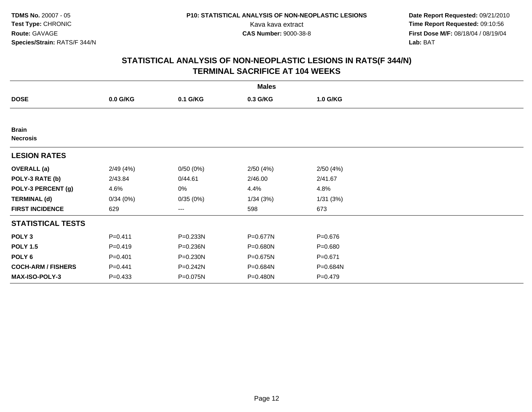**Date Report Requested:** 09/21/2010 Kava kava extract **Time Report Requested:** 09:10:56<br>**CAS Number:** 9000-38-8<br>**Tirst Dose M/F:** 08/18/04 / 08/19/04 **First Dose M/F:** 08/18/04 / 08/19/04 Lab: BAT **Lab:** BAT

|                                 | <b>Males</b> |          |          |             |  |  |  |
|---------------------------------|--------------|----------|----------|-------------|--|--|--|
| <b>DOSE</b>                     | $0.0$ G/KG   | 0.1 G/KG | 0.3 G/KG | 1.0 G/KG    |  |  |  |
|                                 |              |          |          |             |  |  |  |
| <b>Brain</b><br><b>Necrosis</b> |              |          |          |             |  |  |  |
| <b>LESION RATES</b>             |              |          |          |             |  |  |  |
| <b>OVERALL</b> (a)              | 2/49(4%)     | 0/50(0%) | 2/50(4%) | 2/50(4%)    |  |  |  |
| POLY-3 RATE (b)                 | 2/43.84      | 0/44.61  | 2/46.00  | 2/41.67     |  |  |  |
| POLY-3 PERCENT (g)              | 4.6%         | 0%       | 4.4%     | 4.8%        |  |  |  |
| <b>TERMINAL (d)</b>             | 0/34(0%)     | 0/35(0%) | 1/34(3%) | 1/31(3%)    |  |  |  |
| <b>FIRST INCIDENCE</b>          | 629          | ---      | 598      | 673         |  |  |  |
| <b>STATISTICAL TESTS</b>        |              |          |          |             |  |  |  |
| POLY <sub>3</sub>               | $P = 0.411$  | P=0.233N | P=0.677N | $P = 0.676$ |  |  |  |
| <b>POLY 1.5</b>                 | $P=0.419$    | P=0.236N | P=0.680N | $P = 0.680$ |  |  |  |
| POLY 6                          | $P = 0.401$  | P=0.230N | P=0.675N | $P = 0.671$ |  |  |  |
| <b>COCH-ARM / FISHERS</b>       | $P=0.441$    | P=0.242N | P=0.684N | P=0.684N    |  |  |  |
| <b>MAX-ISO-POLY-3</b>           | $P = 0.433$  | P=0.075N | P=0.480N | $P = 0.479$ |  |  |  |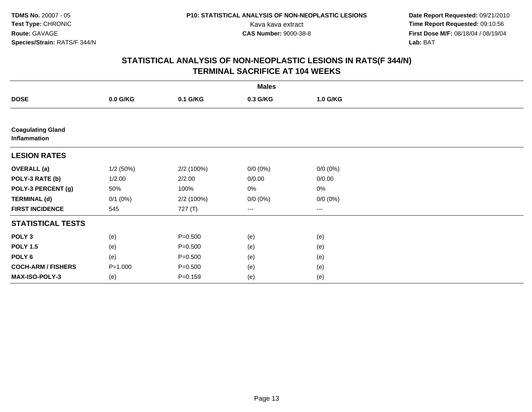**Date Report Requested:** 09/21/2010 Kava kava extract **Time Report Requested:** 09:10:56<br>**CAS Number:** 9000-38-8<br>**Tirst Dose M/F:** 08/18/04 / 08/19/04 **First Dose M/F:** 08/18/04 / 08/19/04 Lab: BAT **Lab:** BAT

|                                          | <b>Males</b> |             |             |             |  |  |  |  |
|------------------------------------------|--------------|-------------|-------------|-------------|--|--|--|--|
| <b>DOSE</b>                              | 0.0 G/KG     | 0.1 G/KG    | 0.3 G/KG    | 1.0 G/KG    |  |  |  |  |
|                                          |              |             |             |             |  |  |  |  |
| <b>Coagulating Gland</b><br>Inflammation |              |             |             |             |  |  |  |  |
| <b>LESION RATES</b>                      |              |             |             |             |  |  |  |  |
| <b>OVERALL (a)</b>                       | 1/2(50%)     | 2/2 (100%)  | $0/0 (0\%)$ | $0/0 (0\%)$ |  |  |  |  |
| POLY-3 RATE (b)                          | 1/2.00       | 2/2.00      | 0/0.00      | 0/0.00      |  |  |  |  |
| POLY-3 PERCENT (g)                       | 50%          | 100%        | 0%          | 0%          |  |  |  |  |
| <b>TERMINAL (d)</b>                      | $0/1$ $(0%)$ | 2/2 (100%)  | $0/0 (0\%)$ | $0/0 (0\%)$ |  |  |  |  |
| <b>FIRST INCIDENCE</b>                   | 545          | 727 (T)     | $---$       | ---         |  |  |  |  |
| <b>STATISTICAL TESTS</b>                 |              |             |             |             |  |  |  |  |
| POLY <sub>3</sub>                        | (e)          | $P = 0.500$ | (e)         | (e)         |  |  |  |  |
| <b>POLY 1.5</b>                          | (e)          | $P = 0.500$ | (e)         | (e)         |  |  |  |  |
| POLY 6                                   | (e)          | $P = 0.500$ | (e)         | (e)         |  |  |  |  |
| <b>COCH-ARM / FISHERS</b>                | $P = 1.000$  | $P = 0.500$ | (e)         | (e)         |  |  |  |  |
| MAX-ISO-POLY-3                           | (e)          | $P = 0.159$ | (e)         | (e)         |  |  |  |  |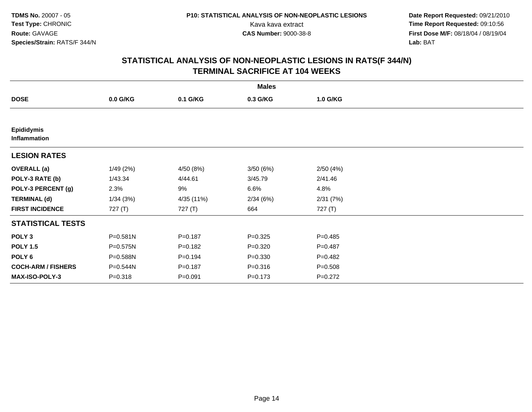**Date Report Requested:** 09/21/2010 Kava kava extract **Time Report Requested:** 09:10:56<br>**CAS Number:** 9000-38-8<br>**Tirst Dose M/F:** 08/18/04 / 08/19/04 **First Dose M/F:** 08/18/04 / 08/19/04 Lab: BAT **Lab:** BAT

| <b>Males</b>                      |             |             |             |             |  |  |
|-----------------------------------|-------------|-------------|-------------|-------------|--|--|
| <b>DOSE</b>                       | $0.0$ G/KG  | 0.1 G/KG    | 0.3 G/KG    | 1.0 G/KG    |  |  |
|                                   |             |             |             |             |  |  |
| <b>Epididymis</b><br>Inflammation |             |             |             |             |  |  |
| <b>LESION RATES</b>               |             |             |             |             |  |  |
| <b>OVERALL</b> (a)                | 1/49(2%)    | 4/50 (8%)   | 3/50(6%)    | 2/50(4%)    |  |  |
| POLY-3 RATE (b)                   | 1/43.34     | 4/44.61     | 3/45.79     | 2/41.46     |  |  |
| POLY-3 PERCENT (g)                | 2.3%        | 9%          | 6.6%        | 4.8%        |  |  |
| <b>TERMINAL (d)</b>               | 1/34(3%)    | 4/35 (11%)  | 2/34(6%)    | 2/31(7%)    |  |  |
| <b>FIRST INCIDENCE</b>            | 727 $(T)$   | 727 (T)     | 664         | 727 (T)     |  |  |
| <b>STATISTICAL TESTS</b>          |             |             |             |             |  |  |
| POLY <sub>3</sub>                 | P=0.581N    | $P = 0.187$ | $P = 0.325$ | $P = 0.485$ |  |  |
| <b>POLY 1.5</b>                   | P=0.575N    | $P = 0.182$ | $P = 0.320$ | $P=0.487$   |  |  |
| POLY 6                            | P=0.588N    | $P = 0.194$ | $P = 0.330$ | $P=0.482$   |  |  |
| <b>COCH-ARM / FISHERS</b>         | P=0.544N    | $P = 0.187$ | $P = 0.316$ | $P = 0.508$ |  |  |
| <b>MAX-ISO-POLY-3</b>             | $P = 0.318$ | $P = 0.091$ | $P = 0.173$ | $P=0.272$   |  |  |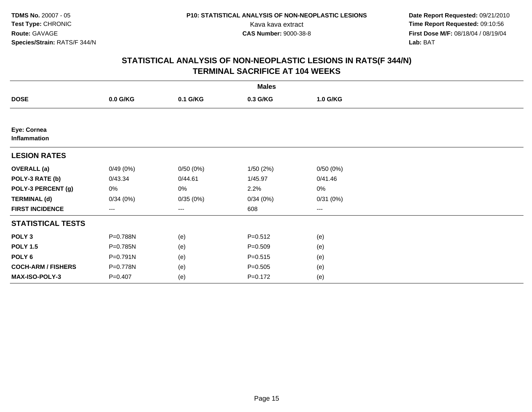**Date Report Requested:** 09/21/2010 Kava kava extract **Time Report Requested:** 09:10:56<br>**CAS Number:** 9000-38-8<br>**Tirst Dose M/F:** 08/18/04 / 08/19/04 **First Dose M/F:** 08/18/04 / 08/19/04 Lab: BAT **Lab:** BAT

|                             |                   |          | <b>Males</b> |          |  |
|-----------------------------|-------------------|----------|--------------|----------|--|
| <b>DOSE</b>                 | 0.0 G/KG          | 0.1 G/KG | 0.3 G/KG     | 1.0 G/KG |  |
|                             |                   |          |              |          |  |
| Eye: Cornea<br>Inflammation |                   |          |              |          |  |
| <b>LESION RATES</b>         |                   |          |              |          |  |
| <b>OVERALL</b> (a)          | 0/49(0%)          | 0/50(0%) | 1/50(2%)     | 0/50(0%) |  |
| POLY-3 RATE (b)             | 0/43.34           | 0/44.61  | 1/45.97      | 0/41.46  |  |
| POLY-3 PERCENT (g)          | 0%                | 0%       | 2.2%         | $0\%$    |  |
| <b>TERMINAL (d)</b>         | 0/34(0%)          | 0/35(0%) | 0/34(0%)     | 0/31(0%) |  |
| <b>FIRST INCIDENCE</b>      | $\qquad \qquad -$ | $---$    | 608          | $\cdots$ |  |
| <b>STATISTICAL TESTS</b>    |                   |          |              |          |  |
| POLY <sub>3</sub>           | P=0.788N          | (e)      | $P = 0.512$  | (e)      |  |
| <b>POLY 1.5</b>             | P=0.785N          | (e)      | $P = 0.509$  | (e)      |  |
| POLY 6                      | P=0.791N          | (e)      | $P = 0.515$  | (e)      |  |
| <b>COCH-ARM / FISHERS</b>   | P=0.778N          | (e)      | $P = 0.505$  | (e)      |  |
| MAX-ISO-POLY-3              | $P = 0.407$       | (e)      | $P = 0.172$  | (e)      |  |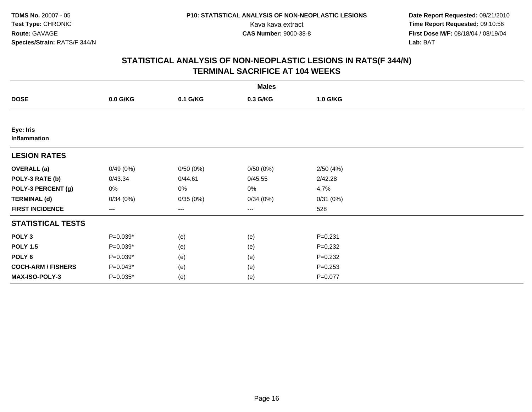**Date Report Requested:** 09/21/2010 Kava kava extract **Time Report Requested:** 09:10:56<br>**CAS Number:** 9000-38-8<br>**Tirst Dose M/F:** 08/18/04 / 08/19/04 **First Dose M/F:** 08/18/04 / 08/19/04 Lab: BAT **Lab:** BAT

|                           |            |          | <b>Males</b> |             |  |
|---------------------------|------------|----------|--------------|-------------|--|
| <b>DOSE</b>               | 0.0 G/KG   | 0.1 G/KG | 0.3 G/KG     | 1.0 G/KG    |  |
|                           |            |          |              |             |  |
| Eye: Iris<br>Inflammation |            |          |              |             |  |
| <b>LESION RATES</b>       |            |          |              |             |  |
| <b>OVERALL (a)</b>        | 0/49(0%)   | 0/50(0%) | 0/50(0%)     | 2/50(4%)    |  |
| POLY-3 RATE (b)           | 0/43.34    | 0/44.61  | 0/45.55      | 2/42.28     |  |
| POLY-3 PERCENT (g)        | 0%         | 0%       | 0%           | 4.7%        |  |
| <b>TERMINAL (d)</b>       | 0/34(0%)   | 0/35(0%) | 0/34(0%)     | 0/31(0%)    |  |
| <b>FIRST INCIDENCE</b>    | $--$       | ---      | $---$        | 528         |  |
| <b>STATISTICAL TESTS</b>  |            |          |              |             |  |
| POLY <sub>3</sub>         | $P=0.039*$ | (e)      | (e)          | $P = 0.231$ |  |
| <b>POLY 1.5</b>           | $P=0.039*$ | (e)      | (e)          | $P=0.232$   |  |
| POLY <sub>6</sub>         | $P=0.039*$ | (e)      | (e)          | $P = 0.232$ |  |
| <b>COCH-ARM / FISHERS</b> | $P=0.043*$ | (e)      | (e)          | $P = 0.253$ |  |
| MAX-ISO-POLY-3            | $P=0.035*$ | (e)      | (e)          | $P = 0.077$ |  |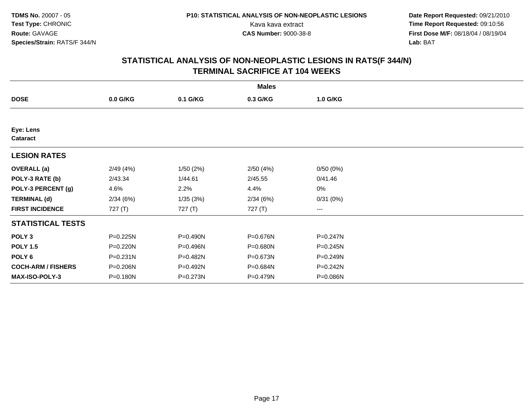**Date Report Requested:** 09/21/2010 Kava kava extract **Time Report Requested:** 09:10:56<br>**CAS Number:** 9000-38-8<br>**Tirst Dose M/F:** 08/18/04 / 08/19/04 **First Dose M/F:** 08/18/04 / 08/19/04 Lab: BAT **Lab:** BAT

|                              | <b>Males</b> |           |          |                        |  |  |  |  |
|------------------------------|--------------|-----------|----------|------------------------|--|--|--|--|
| <b>DOSE</b>                  | $0.0$ G/KG   | 0.1 G/KG  | 0.3 G/KG | 1.0 G/KG               |  |  |  |  |
|                              |              |           |          |                        |  |  |  |  |
| Eye: Lens<br><b>Cataract</b> |              |           |          |                        |  |  |  |  |
| <b>LESION RATES</b>          |              |           |          |                        |  |  |  |  |
| <b>OVERALL</b> (a)           | 2/49(4%)     | 1/50(2%)  | 2/50(4%) | 0/50(0%)               |  |  |  |  |
| POLY-3 RATE (b)              | 2/43.34      | 1/44.61   | 2/45.55  | 0/41.46                |  |  |  |  |
| POLY-3 PERCENT (g)           | 4.6%         | 2.2%      | 4.4%     | 0%                     |  |  |  |  |
| <b>TERMINAL (d)</b>          | 2/34(6%)     | 1/35(3%)  | 2/34(6%) | 0/31(0%)               |  |  |  |  |
| <b>FIRST INCIDENCE</b>       | 727 (T)      | 727 $(T)$ | 727 (T)  | $\qquad \qquad \cdots$ |  |  |  |  |
| <b>STATISTICAL TESTS</b>     |              |           |          |                        |  |  |  |  |
| POLY <sub>3</sub>            | P=0.225N     | P=0.490N  | P=0.676N | P=0.247N               |  |  |  |  |
| <b>POLY 1.5</b>              | P=0.220N     | P=0.496N  | P=0.680N | P=0.245N               |  |  |  |  |
| POLY 6                       | $P = 0.231N$ | P=0.482N  | P=0.673N | $P = 0.249N$           |  |  |  |  |
| <b>COCH-ARM / FISHERS</b>    | P=0.206N     | P=0.492N  | P=0.684N | P=0.242N               |  |  |  |  |
| <b>MAX-ISO-POLY-3</b>        | P=0.180N     | P=0.273N  | P=0.479N | P=0.086N               |  |  |  |  |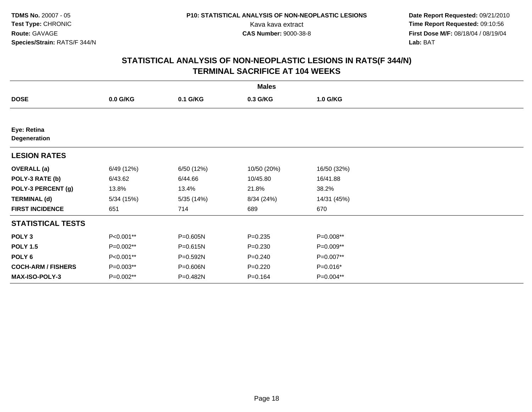**Date Report Requested:** 09/21/2010 Kava kava extract **Time Report Requested:** 09:10:56<br>**CAS Number:** 9000-38-8<br>**Tirst Dose M/F:** 08/18/04 / 08/19/04 **First Dose M/F:** 08/18/04 / 08/19/04 Lab: BAT **Lab:** BAT

| <b>Males</b>                |            |            |             |             |  |  |
|-----------------------------|------------|------------|-------------|-------------|--|--|
| <b>DOSE</b>                 | 0.0 G/KG   | 0.1 G/KG   | 0.3 G/KG    | 1.0 G/KG    |  |  |
|                             |            |            |             |             |  |  |
| Eye: Retina<br>Degeneration |            |            |             |             |  |  |
| <b>LESION RATES</b>         |            |            |             |             |  |  |
| <b>OVERALL (a)</b>          | 6/49 (12%) | 6/50 (12%) | 10/50 (20%) | 16/50 (32%) |  |  |
| POLY-3 RATE (b)             | 6/43.62    | 6/44.66    | 10/45.80    | 16/41.88    |  |  |
| POLY-3 PERCENT (g)          | 13.8%      | 13.4%      | 21.8%       | 38.2%       |  |  |
| <b>TERMINAL (d)</b>         | 5/34(15%)  | 5/35 (14%) | 8/34 (24%)  | 14/31 (45%) |  |  |
| <b>FIRST INCIDENCE</b>      | 651        | 714        | 689         | 670         |  |  |
| <b>STATISTICAL TESTS</b>    |            |            |             |             |  |  |
| POLY <sub>3</sub>           | P<0.001**  | P=0.605N   | $P = 0.235$ | P=0.008**   |  |  |
| <b>POLY 1.5</b>             | P=0.002**  | P=0.615N   | $P = 0.230$ | P=0.009**   |  |  |
| POLY 6                      | P<0.001**  | P=0.592N   | $P = 0.240$ | P=0.007**   |  |  |
| <b>COCH-ARM / FISHERS</b>   | P=0.003**  | P=0.606N   | $P = 0.220$ | P=0.016*    |  |  |
| MAX-ISO-POLY-3              | P=0.002**  | P=0.482N   | $P = 0.164$ | P=0.004**   |  |  |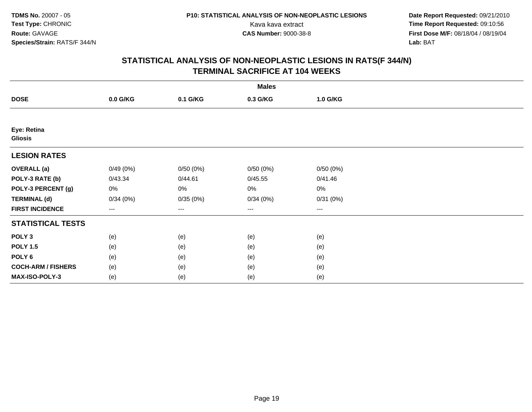**Date Report Requested:** 09/21/2010 Kava kava extract **Time Report Requested:** 09:10:56<br>**CAS Number:** 9000-38-8<br>**Tirst Dose M/F:** 08/18/04 / 08/19/04 **First Dose M/F:** 08/18/04 / 08/19/04 Lab: BAT **Lab:** BAT

| <b>Males</b>                  |          |          |                        |                        |  |  |
|-------------------------------|----------|----------|------------------------|------------------------|--|--|
| <b>DOSE</b>                   | 0.0 G/KG | 0.1 G/KG | 0.3 G/KG               | 1.0 G/KG               |  |  |
|                               |          |          |                        |                        |  |  |
| Eye: Retina<br><b>Gliosis</b> |          |          |                        |                        |  |  |
| <b>LESION RATES</b>           |          |          |                        |                        |  |  |
| <b>OVERALL</b> (a)            | 0/49(0%) | 0/50(0%) | 0/50(0%)               | 0/50(0%)               |  |  |
| POLY-3 RATE (b)               | 0/43.34  | 0/44.61  | 0/45.55                | 0/41.46                |  |  |
| POLY-3 PERCENT (g)            | 0%       | 0%       | 0%                     | $0\%$                  |  |  |
| <b>TERMINAL (d)</b>           | 0/34(0%) | 0/35(0%) | 0/34(0%)               | 0/31(0%)               |  |  |
| <b>FIRST INCIDENCE</b>        | $--$     | $--$     | $\qquad \qquad \cdots$ | $\qquad \qquad \cdots$ |  |  |
| <b>STATISTICAL TESTS</b>      |          |          |                        |                        |  |  |
| POLY <sub>3</sub>             | (e)      | (e)      | (e)                    | (e)                    |  |  |
| <b>POLY 1.5</b>               | (e)      | (e)      | (e)                    | (e)                    |  |  |
| POLY <sub>6</sub>             | (e)      | (e)      | (e)                    | (e)                    |  |  |
| <b>COCH-ARM / FISHERS</b>     | (e)      | (e)      | (e)                    | (e)                    |  |  |
| MAX-ISO-POLY-3                | (e)      | (e)      | (e)                    | (e)                    |  |  |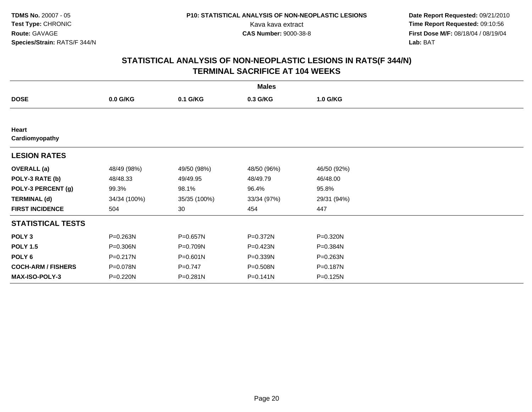**Date Report Requested:** 09/21/2010 Kava kava extract **Time Report Requested:** 09:10:56<br>**CAS Number:** 9000-38-8<br>**Tirst Dose M/F:** 08/18/04 / 08/19/04 **First Dose M/F:** 08/18/04 / 08/19/04 Lab: BAT **Lab:** BAT

| <b>Males</b>              |              |              |              |             |  |  |  |
|---------------------------|--------------|--------------|--------------|-------------|--|--|--|
| <b>DOSE</b>               | 0.0 G/KG     | 0.1 G/KG     | 0.3 G/KG     | 1.0 G/KG    |  |  |  |
|                           |              |              |              |             |  |  |  |
| Heart<br>Cardiomyopathy   |              |              |              |             |  |  |  |
| <b>LESION RATES</b>       |              |              |              |             |  |  |  |
| <b>OVERALL (a)</b>        | 48/49 (98%)  | 49/50 (98%)  | 48/50 (96%)  | 46/50 (92%) |  |  |  |
| POLY-3 RATE (b)           | 48/48.33     | 49/49.95     | 48/49.79     | 46/48.00    |  |  |  |
| POLY-3 PERCENT (g)        | 99.3%        | 98.1%        | 96.4%        | 95.8%       |  |  |  |
| <b>TERMINAL (d)</b>       | 34/34 (100%) | 35/35 (100%) | 33/34 (97%)  | 29/31 (94%) |  |  |  |
| <b>FIRST INCIDENCE</b>    | 504          | 30           | 454          | 447         |  |  |  |
| <b>STATISTICAL TESTS</b>  |              |              |              |             |  |  |  |
| POLY <sub>3</sub>         | P=0.263N     | P=0.657N     | P=0.372N     | P=0.320N    |  |  |  |
| <b>POLY 1.5</b>           | P=0.306N     | P=0.709N     | P=0.423N     | P=0.384N    |  |  |  |
| POLY 6                    | P=0.217N     | $P = 0.601N$ | P=0.339N     | P=0.263N    |  |  |  |
| <b>COCH-ARM / FISHERS</b> | P=0.078N     | $P = 0.747$  | P=0.508N     | P=0.187N    |  |  |  |
| MAX-ISO-POLY-3            | P=0.220N     | P=0.281N     | $P = 0.141N$ | P=0.125N    |  |  |  |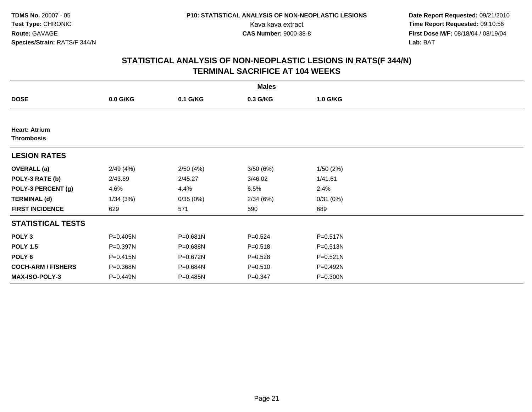**Date Report Requested:** 09/21/2010 Kava kava extract **Time Report Requested:** 09:10:56<br>**CAS Number:** 9000-38-8<br>**Tirst Dose M/F:** 08/18/04 / 08/19/04 **First Dose M/F:** 08/18/04 / 08/19/04 Lab: BAT **Lab:** BAT

| <b>Males</b>                              |              |          |             |              |  |  |  |
|-------------------------------------------|--------------|----------|-------------|--------------|--|--|--|
| <b>DOSE</b>                               | $0.0$ G/KG   | 0.1 G/KG | 0.3 G/KG    | 1.0 G/KG     |  |  |  |
|                                           |              |          |             |              |  |  |  |
| <b>Heart: Atrium</b><br><b>Thrombosis</b> |              |          |             |              |  |  |  |
| <b>LESION RATES</b>                       |              |          |             |              |  |  |  |
| <b>OVERALL</b> (a)                        | 2/49(4%)     | 2/50(4%) | 3/50(6%)    | 1/50(2%)     |  |  |  |
| POLY-3 RATE (b)                           | 2/43.69      | 2/45.27  | 3/46.02     | 1/41.61      |  |  |  |
| POLY-3 PERCENT (g)                        | 4.6%         | 4.4%     | 6.5%        | 2.4%         |  |  |  |
| <b>TERMINAL (d)</b>                       | 1/34(3%)     | 0/35(0%) | 2/34(6%)    | 0/31(0%)     |  |  |  |
| <b>FIRST INCIDENCE</b>                    | 629          | 571      | 590         | 689          |  |  |  |
| <b>STATISTICAL TESTS</b>                  |              |          |             |              |  |  |  |
| POLY <sub>3</sub>                         | P=0.405N     | P=0.681N | $P = 0.524$ | P=0.517N     |  |  |  |
| <b>POLY 1.5</b>                           | P=0.397N     | P=0.688N | $P = 0.518$ | P=0.513N     |  |  |  |
| POLY 6                                    | $P = 0.415N$ | P=0.672N | $P = 0.528$ | $P = 0.521N$ |  |  |  |
| <b>COCH-ARM / FISHERS</b>                 | P=0.368N     | P=0.684N | $P = 0.510$ | P=0.492N     |  |  |  |
| <b>MAX-ISO-POLY-3</b>                     | P=0.449N     | P=0.485N | $P = 0.347$ | P=0.300N     |  |  |  |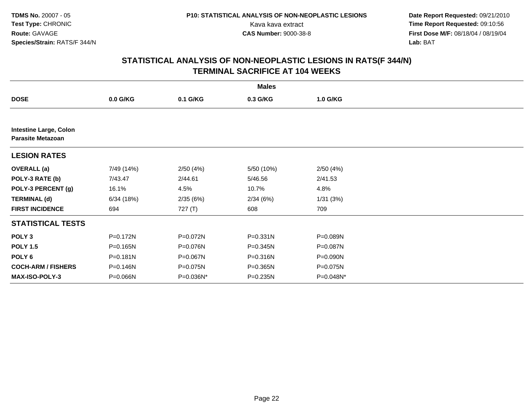**Date Report Requested:** 09/21/2010 Kava kava extract **Time Report Requested:** 09:10:56<br>**CAS Number:** 9000-38-8<br>**Tirst Dose M/F:** 08/18/04 / 08/19/04 **First Dose M/F:** 08/18/04 / 08/19/04 Lab: BAT **Lab:** BAT

|                                                           | <b>Males</b> |           |              |           |  |  |  |
|-----------------------------------------------------------|--------------|-----------|--------------|-----------|--|--|--|
| <b>DOSE</b>                                               | $0.0$ G/KG   | 0.1 G/KG  | 0.3 G/KG     | 1.0 G/KG  |  |  |  |
|                                                           |              |           |              |           |  |  |  |
| <b>Intestine Large, Colon</b><br><b>Parasite Metazoan</b> |              |           |              |           |  |  |  |
| <b>LESION RATES</b>                                       |              |           |              |           |  |  |  |
| <b>OVERALL</b> (a)                                        | 7/49 (14%)   | 2/50(4%)  | 5/50 (10%)   | 2/50(4%)  |  |  |  |
| POLY-3 RATE (b)                                           | 7/43.47      | 2/44.61   | 5/46.56      | 2/41.53   |  |  |  |
| POLY-3 PERCENT (g)                                        | 16.1%        | 4.5%      | 10.7%        | 4.8%      |  |  |  |
| <b>TERMINAL (d)</b>                                       | 6/34(18%)    | 2/35(6%)  | 2/34(6%)     | 1/31(3%)  |  |  |  |
| <b>FIRST INCIDENCE</b>                                    | 694          | 727(T)    | 608          | 709       |  |  |  |
| <b>STATISTICAL TESTS</b>                                  |              |           |              |           |  |  |  |
| POLY <sub>3</sub>                                         | P=0.172N     | P=0.072N  | $P = 0.331N$ | P=0.089N  |  |  |  |
| <b>POLY 1.5</b>                                           | P=0.165N     | P=0.076N  | P=0.345N     | P=0.087N  |  |  |  |
| POLY <sub>6</sub>                                         | P=0.181N     | P=0.067N  | P=0.316N     | P=0.090N  |  |  |  |
| <b>COCH-ARM / FISHERS</b>                                 | P=0.146N     | P=0.075N  | P=0.365N     | P=0.075N  |  |  |  |
| <b>MAX-ISO-POLY-3</b>                                     | P=0.066N     | P=0.036N* | P=0.235N     | P=0.048N* |  |  |  |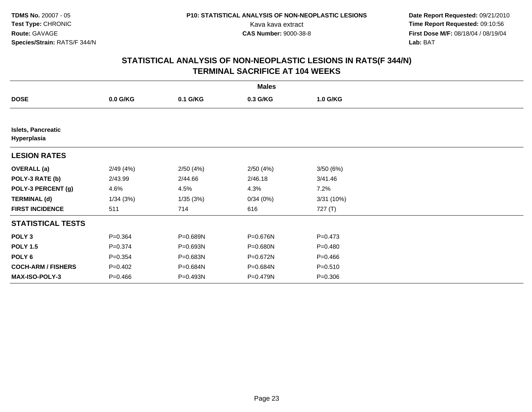**Date Report Requested:** 09/21/2010 Kava kava extract **Time Report Requested:** 09:10:56<br>**CAS Number:** 9000-38-8<br>**Tirst Dose M/F:** 08/18/04 / 08/19/04 **First Dose M/F:** 08/18/04 / 08/19/04 Lab: BAT **Lab:** BAT

|                                          | <b>Males</b> |          |          |             |  |  |  |  |
|------------------------------------------|--------------|----------|----------|-------------|--|--|--|--|
| <b>DOSE</b>                              | $0.0$ G/KG   | 0.1 G/KG | 0.3 G/KG | 1.0 G/KG    |  |  |  |  |
|                                          |              |          |          |             |  |  |  |  |
| <b>Islets, Pancreatic</b><br>Hyperplasia |              |          |          |             |  |  |  |  |
| <b>LESION RATES</b>                      |              |          |          |             |  |  |  |  |
| <b>OVERALL</b> (a)                       | 2/49(4%)     | 2/50(4%) | 2/50(4%) | 3/50(6%)    |  |  |  |  |
| POLY-3 RATE (b)                          | 2/43.99      | 2/44.66  | 2/46.18  | 3/41.46     |  |  |  |  |
| POLY-3 PERCENT (g)                       | 4.6%         | 4.5%     | 4.3%     | 7.2%        |  |  |  |  |
| <b>TERMINAL (d)</b>                      | 1/34(3%)     | 1/35(3%) | 0/34(0%) | 3/31(10%)   |  |  |  |  |
| <b>FIRST INCIDENCE</b>                   | 511          | 714      | 616      | 727 (T)     |  |  |  |  |
| <b>STATISTICAL TESTS</b>                 |              |          |          |             |  |  |  |  |
| POLY <sub>3</sub>                        | $P = 0.364$  | P=0.689N | P=0.676N | $P = 0.473$ |  |  |  |  |
| <b>POLY 1.5</b>                          | $P = 0.374$  | P=0.693N | P=0.680N | $P = 0.480$ |  |  |  |  |
| POLY 6                                   | $P = 0.354$  | P=0.683N | P=0.672N | $P = 0.466$ |  |  |  |  |
| <b>COCH-ARM / FISHERS</b>                | $P=0.402$    | P=0.684N | P=0.684N | $P = 0.510$ |  |  |  |  |
| <b>MAX-ISO-POLY-3</b>                    | $P=0.466$    | P=0.493N | P=0.479N | $P = 0.306$ |  |  |  |  |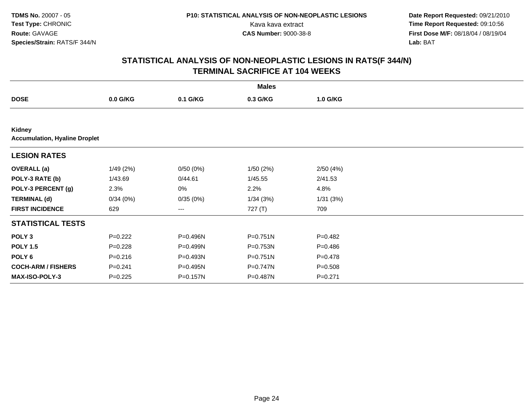**Date Report Requested:** 09/21/2010 Kava kava extract **Time Report Requested:** 09:10:56<br>**CAS Number:** 9000-38-8<br>**Tirst Dose M/F:** 08/18/04 / 08/19/04 **First Dose M/F:** 08/18/04 / 08/19/04 Lab: BAT **Lab:** BAT

|                                                | <b>Males</b> |          |              |             |  |  |  |
|------------------------------------------------|--------------|----------|--------------|-------------|--|--|--|
| <b>DOSE</b>                                    | $0.0$ G/KG   | 0.1 G/KG | 0.3 G/KG     | 1.0 G/KG    |  |  |  |
|                                                |              |          |              |             |  |  |  |
| Kidney<br><b>Accumulation, Hyaline Droplet</b> |              |          |              |             |  |  |  |
| <b>LESION RATES</b>                            |              |          |              |             |  |  |  |
| <b>OVERALL</b> (a)                             | 1/49(2%)     | 0/50(0%) | 1/50(2%)     | 2/50(4%)    |  |  |  |
| POLY-3 RATE (b)                                | 1/43.69      | 0/44.61  | 1/45.55      | 2/41.53     |  |  |  |
| POLY-3 PERCENT (g)                             | 2.3%         | 0%       | 2.2%         | 4.8%        |  |  |  |
| <b>TERMINAL (d)</b>                            | 0/34(0%)     | 0/35(0%) | 1/34(3%)     | 1/31(3%)    |  |  |  |
| <b>FIRST INCIDENCE</b>                         | 629          | ---      | 727 (T)      | 709         |  |  |  |
| <b>STATISTICAL TESTS</b>                       |              |          |              |             |  |  |  |
| POLY <sub>3</sub>                              | $P=0.222$    | P=0.496N | $P = 0.751N$ | $P=0.482$   |  |  |  |
| <b>POLY 1.5</b>                                | $P=0.228$    | P=0.499N | P=0.753N     | $P = 0.486$ |  |  |  |
| POLY <sub>6</sub>                              | $P = 0.216$  | P=0.493N | $P = 0.751N$ | $P=0.478$   |  |  |  |
| <b>COCH-ARM / FISHERS</b>                      | $P = 0.241$  | P=0.495N | P=0.747N     | $P = 0.508$ |  |  |  |
| <b>MAX-ISO-POLY-3</b>                          | $P=0.225$    | P=0.157N | P=0.487N     | $P=0.271$   |  |  |  |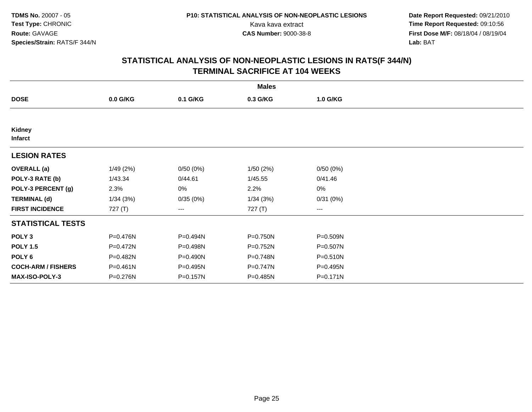**Date Report Requested:** 09/21/2010 Kava kava extract **Time Report Requested:** 09:10:56<br>**CAS Number:** 9000-38-8<br>**Tirst Dose M/F:** 08/18/04 / 08/19/04 **First Dose M/F:** 08/18/04 / 08/19/04 Lab: BAT **Lab:** BAT

|                           | <b>Males</b> |          |          |                        |  |  |  |  |
|---------------------------|--------------|----------|----------|------------------------|--|--|--|--|
| <b>DOSE</b>               | $0.0$ G/KG   | 0.1 G/KG | 0.3 G/KG | 1.0 G/KG               |  |  |  |  |
|                           |              |          |          |                        |  |  |  |  |
| Kidney<br><b>Infarct</b>  |              |          |          |                        |  |  |  |  |
| <b>LESION RATES</b>       |              |          |          |                        |  |  |  |  |
| <b>OVERALL</b> (a)        | 1/49(2%)     | 0/50(0%) | 1/50(2%) | 0/50(0%)               |  |  |  |  |
| POLY-3 RATE (b)           | 1/43.34      | 0/44.61  | 1/45.55  | 0/41.46                |  |  |  |  |
| POLY-3 PERCENT (g)        | 2.3%         | 0%       | 2.2%     | 0%                     |  |  |  |  |
| <b>TERMINAL (d)</b>       | 1/34(3%)     | 0/35(0%) | 1/34(3%) | 0/31(0%)               |  |  |  |  |
| <b>FIRST INCIDENCE</b>    | 727 (T)      | ---      | 727 (T)  | $\qquad \qquad \cdots$ |  |  |  |  |
| <b>STATISTICAL TESTS</b>  |              |          |          |                        |  |  |  |  |
| POLY <sub>3</sub>         | P=0.476N     | P=0.494N | P=0.750N | P=0.509N               |  |  |  |  |
| <b>POLY 1.5</b>           | P=0.472N     | P=0.498N | P=0.752N | P=0.507N               |  |  |  |  |
| POLY <sub>6</sub>         | P=0.482N     | P=0.490N | P=0.748N | $P = 0.510N$           |  |  |  |  |
| <b>COCH-ARM / FISHERS</b> | $P = 0.461N$ | P=0.495N | P=0.747N | P=0.495N               |  |  |  |  |
| <b>MAX-ISO-POLY-3</b>     | P=0.276N     | P=0.157N | P=0.485N | P=0.171N               |  |  |  |  |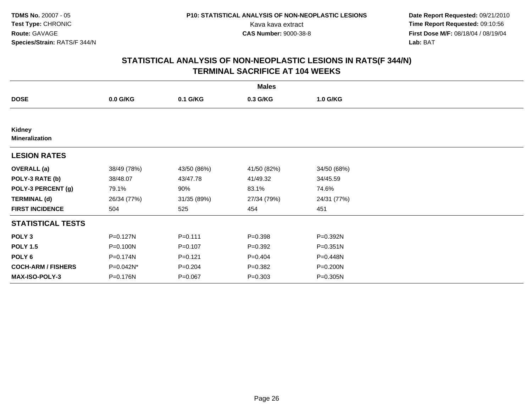**Date Report Requested:** 09/21/2010 Kava kava extract **Time Report Requested:** 09:10:56<br>**CAS Number:** 9000-38-8<br>**Tirst Dose M/F:** 08/18/04 / 08/19/04 **First Dose M/F:** 08/18/04 / 08/19/04 Lab: BAT **Lab:** BAT

| <b>Males</b>                           |             |             |             |              |  |  |  |
|----------------------------------------|-------------|-------------|-------------|--------------|--|--|--|
| <b>DOSE</b>                            | $0.0$ G/KG  | 0.1 G/KG    | 0.3 G/KG    | 1.0 G/KG     |  |  |  |
|                                        |             |             |             |              |  |  |  |
| <b>Kidney</b><br><b>Mineralization</b> |             |             |             |              |  |  |  |
| <b>LESION RATES</b>                    |             |             |             |              |  |  |  |
| <b>OVERALL</b> (a)                     | 38/49 (78%) | 43/50 (86%) | 41/50 (82%) | 34/50 (68%)  |  |  |  |
| POLY-3 RATE (b)                        | 38/48.07    | 43/47.78    | 41/49.32    | 34/45.59     |  |  |  |
| POLY-3 PERCENT (g)                     | 79.1%       | 90%         | 83.1%       | 74.6%        |  |  |  |
| <b>TERMINAL (d)</b>                    | 26/34 (77%) | 31/35 (89%) | 27/34 (79%) | 24/31 (77%)  |  |  |  |
| <b>FIRST INCIDENCE</b>                 | 504         | 525         | 454         | 451          |  |  |  |
| <b>STATISTICAL TESTS</b>               |             |             |             |              |  |  |  |
| POLY <sub>3</sub>                      | P=0.127N    | $P = 0.111$ | $P = 0.398$ | P=0.392N     |  |  |  |
| <b>POLY 1.5</b>                        | P=0.100N    | $P = 0.107$ | $P = 0.392$ | $P = 0.351N$ |  |  |  |
| POLY <sub>6</sub>                      | P=0.174N    | $P = 0.121$ | $P=0.404$   | P=0.448N     |  |  |  |
| <b>COCH-ARM / FISHERS</b>              | P=0.042N*   | $P = 0.204$ | $P = 0.382$ | P=0.200N     |  |  |  |
| MAX-ISO-POLY-3                         | P=0.176N    | $P = 0.067$ | $P = 0.303$ | P=0.305N     |  |  |  |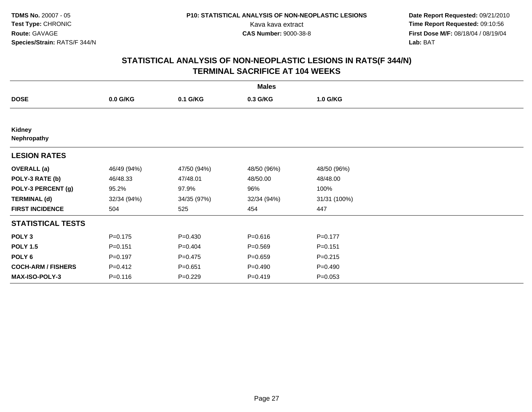**Date Report Requested:** 09/21/2010 Kava kava extract **Time Report Requested:** 09:10:56<br>**CAS Number:** 9000-38-8<br>**Tirst Dose M/F:** 08/18/04 / 08/19/04 **First Dose M/F:** 08/18/04 / 08/19/04 Lab: BAT **Lab:** BAT

| <b>Males</b>              |             |             |             |              |  |  |
|---------------------------|-------------|-------------|-------------|--------------|--|--|
| <b>DOSE</b>               | $0.0$ G/KG  | 0.1 G/KG    | 0.3 G/KG    | 1.0 G/KG     |  |  |
|                           |             |             |             |              |  |  |
| Kidney<br>Nephropathy     |             |             |             |              |  |  |
| <b>LESION RATES</b>       |             |             |             |              |  |  |
| <b>OVERALL</b> (a)        | 46/49 (94%) | 47/50 (94%) | 48/50 (96%) | 48/50 (96%)  |  |  |
| POLY-3 RATE (b)           | 46/48.33    | 47/48.01    | 48/50.00    | 48/48.00     |  |  |
| POLY-3 PERCENT (g)        | 95.2%       | 97.9%       | 96%         | 100%         |  |  |
| <b>TERMINAL (d)</b>       | 32/34 (94%) | 34/35 (97%) | 32/34 (94%) | 31/31 (100%) |  |  |
| <b>FIRST INCIDENCE</b>    | 504         | 525         | 454         | 447          |  |  |
| <b>STATISTICAL TESTS</b>  |             |             |             |              |  |  |
| POLY <sub>3</sub>         | $P = 0.175$ | $P = 0.430$ | $P = 0.616$ | $P = 0.177$  |  |  |
| <b>POLY 1.5</b>           | $P = 0.151$ | $P = 0.404$ | $P = 0.569$ | $P = 0.151$  |  |  |
| POLY <sub>6</sub>         | $P=0.197$   | $P=0.475$   | $P = 0.659$ | $P = 0.215$  |  |  |
| <b>COCH-ARM / FISHERS</b> | $P = 0.412$ | $P = 0.651$ | $P = 0.490$ | $P = 0.490$  |  |  |
| <b>MAX-ISO-POLY-3</b>     | $P = 0.116$ | $P=0.229$   | $P = 0.419$ | $P = 0.053$  |  |  |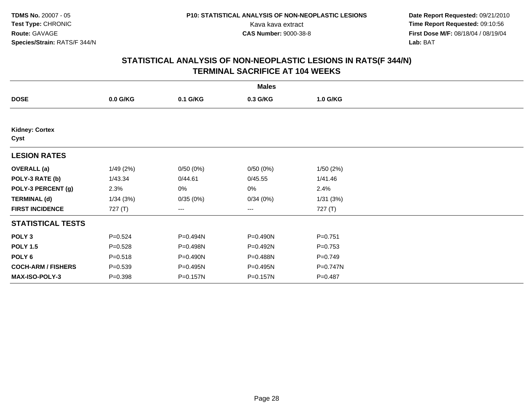**Date Report Requested:** 09/21/2010 Kava kava extract **Time Report Requested:** 09:10:56<br>**CAS Number:** 9000-38-8<br>**Tirst Dose M/F:** 08/18/04 / 08/19/04 **First Dose M/F:** 08/18/04 / 08/19/04 Lab: BAT **Lab:** BAT

| <b>Males</b>                  |             |          |          |             |  |  |
|-------------------------------|-------------|----------|----------|-------------|--|--|
| <b>DOSE</b>                   | $0.0$ G/KG  | 0.1 G/KG | 0.3 G/KG | 1.0 G/KG    |  |  |
|                               |             |          |          |             |  |  |
| <b>Kidney: Cortex</b><br>Cyst |             |          |          |             |  |  |
| <b>LESION RATES</b>           |             |          |          |             |  |  |
| <b>OVERALL</b> (a)            | 1/49(2%)    | 0/50(0%) | 0/50(0%) | 1/50(2%)    |  |  |
| POLY-3 RATE (b)               | 1/43.34     | 0/44.61  | 0/45.55  | 1/41.46     |  |  |
| POLY-3 PERCENT (g)            | 2.3%        | 0%       | 0%       | 2.4%        |  |  |
| <b>TERMINAL (d)</b>           | 1/34(3%)    | 0/35(0%) | 0/34(0%) | 1/31(3%)    |  |  |
| <b>FIRST INCIDENCE</b>        | 727(T)      | ---      | ---      | 727(T)      |  |  |
| <b>STATISTICAL TESTS</b>      |             |          |          |             |  |  |
| POLY <sub>3</sub>             | $P = 0.524$ | P=0.494N | P=0.490N | $P = 0.751$ |  |  |
| <b>POLY 1.5</b>               | $P = 0.528$ | P=0.498N | P=0.492N | $P=0.753$   |  |  |
| POLY <sub>6</sub>             | $P = 0.518$ | P=0.490N | P=0.488N | $P=0.749$   |  |  |
| <b>COCH-ARM / FISHERS</b>     | $P = 0.539$ | P=0.495N | P=0.495N | P=0.747N    |  |  |
| <b>MAX-ISO-POLY-3</b>         | $P = 0.398$ | P=0.157N | P=0.157N | $P = 0.487$ |  |  |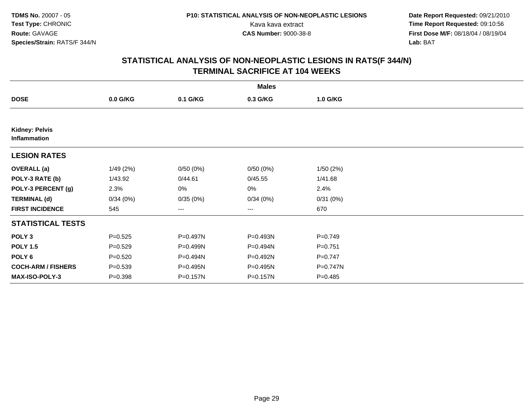**Date Report Requested:** 09/21/2010 Kava kava extract **Time Report Requested:** 09:10:56<br>**CAS Number:** 9000-38-8<br>**Tirst Dose M/F:** 08/18/04 / 08/19/04 **First Dose M/F:** 08/18/04 / 08/19/04 Lab: BAT **Lab:** BAT

| <b>Males</b>                          |             |          |          |             |  |  |
|---------------------------------------|-------------|----------|----------|-------------|--|--|
| <b>DOSE</b>                           | $0.0$ G/KG  | 0.1 G/KG | 0.3 G/KG | 1.0 G/KG    |  |  |
|                                       |             |          |          |             |  |  |
| <b>Kidney: Pelvis</b><br>Inflammation |             |          |          |             |  |  |
| <b>LESION RATES</b>                   |             |          |          |             |  |  |
| <b>OVERALL</b> (a)                    | 1/49(2%)    | 0/50(0%) | 0/50(0%) | 1/50(2%)    |  |  |
| POLY-3 RATE (b)                       | 1/43.92     | 0/44.61  | 0/45.55  | 1/41.68     |  |  |
| POLY-3 PERCENT (g)                    | 2.3%        | 0%       | 0%       | 2.4%        |  |  |
| <b>TERMINAL (d)</b>                   | 0/34(0%)    | 0/35(0%) | 0/34(0%) | 0/31(0%)    |  |  |
| <b>FIRST INCIDENCE</b>                | 545         | ---      | ---      | 670         |  |  |
| <b>STATISTICAL TESTS</b>              |             |          |          |             |  |  |
| POLY <sub>3</sub>                     | $P = 0.525$ | P=0.497N | P=0.493N | $P = 0.749$ |  |  |
| <b>POLY 1.5</b>                       | $P = 0.529$ | P=0.499N | P=0.494N | $P = 0.751$ |  |  |
| POLY <sub>6</sub>                     | $P = 0.520$ | P=0.494N | P=0.492N | $P = 0.747$ |  |  |
| <b>COCH-ARM / FISHERS</b>             | $P = 0.539$ | P=0.495N | P=0.495N | P=0.747N    |  |  |
| MAX-ISO-POLY-3                        | $P = 0.398$ | P=0.157N | P=0.157N | $P = 0.485$ |  |  |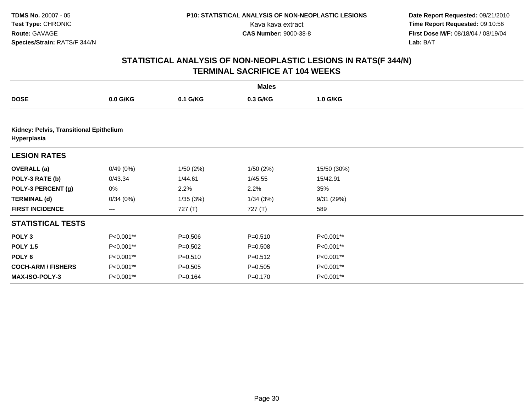**Date Report Requested:** 09/21/2010 Kava kava extract **Time Report Requested:** 09:10:56<br>**CAS Number:** 9000-38-8<br>**Tirst Dose M/F:** 08/18/04 / 08/19/04 **First Dose M/F:** 08/18/04 / 08/19/04 Lab: BAT **Lab:** BAT

| <b>Males</b>                                           |            |             |             |             |  |  |
|--------------------------------------------------------|------------|-------------|-------------|-------------|--|--|
| <b>DOSE</b>                                            | $0.0$ G/KG | 0.1 G/KG    | 0.3 G/KG    | 1.0 G/KG    |  |  |
|                                                        |            |             |             |             |  |  |
| Kidney: Pelvis, Transitional Epithelium<br>Hyperplasia |            |             |             |             |  |  |
| <b>LESION RATES</b>                                    |            |             |             |             |  |  |
| <b>OVERALL</b> (a)                                     | 0/49(0%)   | 1/50(2%)    | 1/50(2%)    | 15/50 (30%) |  |  |
| POLY-3 RATE (b)                                        | 0/43.34    | 1/44.61     | 1/45.55     | 15/42.91    |  |  |
| POLY-3 PERCENT (g)                                     | 0%         | 2.2%        | 2.2%        | 35%         |  |  |
| <b>TERMINAL (d)</b>                                    | 0/34(0%)   | 1/35(3%)    | 1/34(3%)    | 9/31 (29%)  |  |  |
| <b>FIRST INCIDENCE</b>                                 | ---        | 727 (T)     | 727 (T)     | 589         |  |  |
| <b>STATISTICAL TESTS</b>                               |            |             |             |             |  |  |
| POLY <sub>3</sub>                                      | P<0.001**  | $P = 0.506$ | $P = 0.510$ | P<0.001**   |  |  |
| <b>POLY 1.5</b>                                        | P<0.001**  | $P = 0.502$ | $P = 0.508$ | P<0.001**   |  |  |
| POLY <sub>6</sub>                                      | P<0.001**  | $P = 0.510$ | $P = 0.512$ | P<0.001**   |  |  |
| <b>COCH-ARM / FISHERS</b>                              | P<0.001**  | $P = 0.505$ | $P = 0.505$ | P<0.001**   |  |  |
| <b>MAX-ISO-POLY-3</b>                                  | P<0.001**  | $P = 0.164$ | $P = 0.170$ | P<0.001**   |  |  |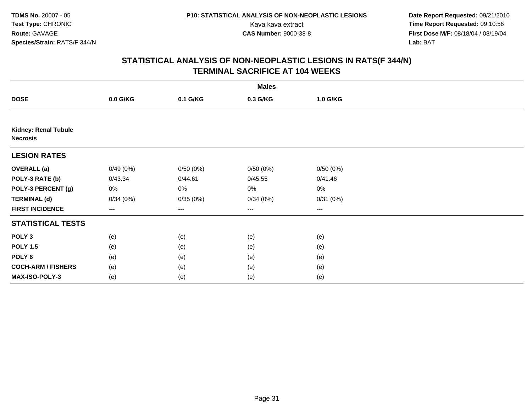**Date Report Requested:** 09/21/2010 Kava kava extract **Time Report Requested:** 09:10:56<br>**CAS Number:** 9000-38-8<br>**Tirst Dose M/F:** 08/18/04 / 08/19/04 **First Dose M/F:** 08/18/04 / 08/19/04 Lab: BAT **Lab:** BAT

| <b>Males</b>                                   |          |          |          |          |  |  |
|------------------------------------------------|----------|----------|----------|----------|--|--|
| <b>DOSE</b>                                    | 0.0 G/KG | 0.1 G/KG | 0.3 G/KG | 1.0 G/KG |  |  |
|                                                |          |          |          |          |  |  |
| <b>Kidney: Renal Tubule</b><br><b>Necrosis</b> |          |          |          |          |  |  |
| <b>LESION RATES</b>                            |          |          |          |          |  |  |
| <b>OVERALL (a)</b>                             | 0/49(0%) | 0/50(0%) | 0/50(0%) | 0/50(0%) |  |  |
| POLY-3 RATE (b)                                | 0/43.34  | 0/44.61  | 0/45.55  | 0/41.46  |  |  |
| POLY-3 PERCENT (g)                             | 0%       | 0%       | 0%       | $0\%$    |  |  |
| <b>TERMINAL (d)</b>                            | 0/34(0%) | 0/35(0%) | 0/34(0%) | 0/31(0%) |  |  |
| <b>FIRST INCIDENCE</b>                         | $--$     | ---      | $---$    | $---$    |  |  |
| <b>STATISTICAL TESTS</b>                       |          |          |          |          |  |  |
| POLY <sub>3</sub>                              | (e)      | (e)      | (e)      | (e)      |  |  |
| <b>POLY 1.5</b>                                | (e)      | (e)      | (e)      | (e)      |  |  |
| POLY <sub>6</sub>                              | (e)      | (e)      | (e)      | (e)      |  |  |
| <b>COCH-ARM / FISHERS</b>                      | (e)      | (e)      | (e)      | (e)      |  |  |
| MAX-ISO-POLY-3                                 | (e)      | (e)      | (e)      | (e)      |  |  |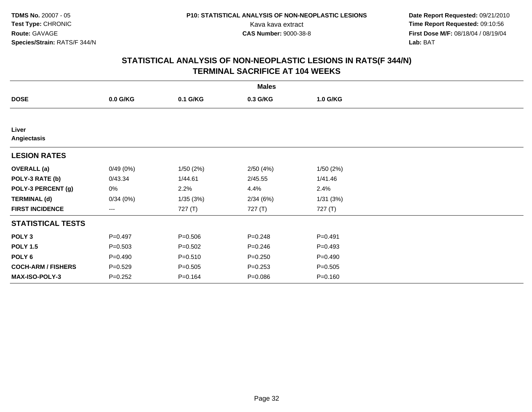**Date Report Requested:** 09/21/2010 Kava kava extract **Time Report Requested:** 09:10:56<br>**CAS Number:** 9000-38-8<br>**Tirst Dose M/F:** 08/18/04 / 08/19/04 **First Dose M/F:** 08/18/04 / 08/19/04 Lab: BAT **Lab:** BAT

| <b>Males</b>              |             |             |             |             |  |  |
|---------------------------|-------------|-------------|-------------|-------------|--|--|
| <b>DOSE</b>               | $0.0$ G/KG  | 0.1 G/KG    | 0.3 G/KG    | 1.0 G/KG    |  |  |
|                           |             |             |             |             |  |  |
| Liver<br>Angiectasis      |             |             |             |             |  |  |
| <b>LESION RATES</b>       |             |             |             |             |  |  |
| <b>OVERALL</b> (a)        | 0/49(0%)    | 1/50(2%)    | 2/50(4%)    | 1/50(2%)    |  |  |
| POLY-3 RATE (b)           | 0/43.34     | 1/44.61     | 2/45.55     | 1/41.46     |  |  |
| POLY-3 PERCENT (g)        | 0%          | 2.2%        | 4.4%        | 2.4%        |  |  |
| <b>TERMINAL (d)</b>       | 0/34(0%)    | 1/35(3%)    | 2/34(6%)    | 1/31(3%)    |  |  |
| <b>FIRST INCIDENCE</b>    | ---         | 727 (T)     | 727 (T)     | 727 (T)     |  |  |
| <b>STATISTICAL TESTS</b>  |             |             |             |             |  |  |
| POLY <sub>3</sub>         | $P=0.497$   | $P = 0.506$ | $P = 0.248$ | $P=0.491$   |  |  |
| <b>POLY 1.5</b>           | $P = 0.503$ | $P = 0.502$ | $P = 0.246$ | $P=0.493$   |  |  |
| POLY 6                    | $P=0.490$   | $P = 0.510$ | $P = 0.250$ | $P=0.490$   |  |  |
| <b>COCH-ARM / FISHERS</b> | $P = 0.529$ | $P = 0.505$ | $P = 0.253$ | $P = 0.505$ |  |  |
| <b>MAX-ISO-POLY-3</b>     | $P=0.252$   | $P = 0.164$ | $P = 0.086$ | $P = 0.160$ |  |  |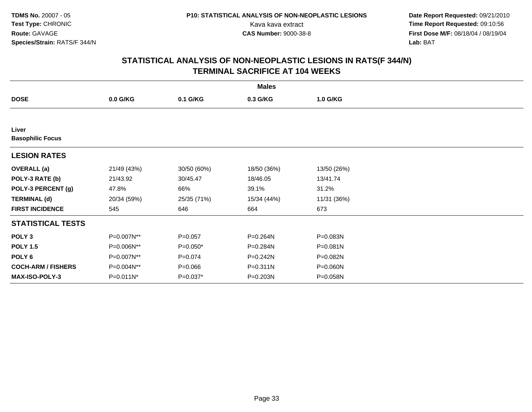**Date Report Requested:** 09/21/2010 Kava kava extract **Time Report Requested:** 09:10:56<br>**CAS Number:** 9000-38-8<br>**Tirst Dose M/F:** 08/18/04 / 08/19/04 **First Dose M/F:** 08/18/04 / 08/19/04 Lab: BAT **Lab:** BAT

| <b>Males</b>                     |             |             |              |             |  |  |
|----------------------------------|-------------|-------------|--------------|-------------|--|--|
| <b>DOSE</b>                      | $0.0$ G/KG  | 0.1 G/KG    | 0.3 G/KG     | 1.0 G/KG    |  |  |
|                                  |             |             |              |             |  |  |
| Liver<br><b>Basophilic Focus</b> |             |             |              |             |  |  |
| <b>LESION RATES</b>              |             |             |              |             |  |  |
| <b>OVERALL</b> (a)               | 21/49 (43%) | 30/50 (60%) | 18/50 (36%)  | 13/50 (26%) |  |  |
| POLY-3 RATE (b)                  | 21/43.92    | 30/45.47    | 18/46.05     | 13/41.74    |  |  |
| POLY-3 PERCENT (g)               | 47.8%       | 66%         | 39.1%        | 31.2%       |  |  |
| <b>TERMINAL (d)</b>              | 20/34 (59%) | 25/35 (71%) | 15/34 (44%)  | 11/31 (36%) |  |  |
| <b>FIRST INCIDENCE</b>           | 545         | 646         | 664          | 673         |  |  |
| <b>STATISTICAL TESTS</b>         |             |             |              |             |  |  |
| POLY <sub>3</sub>                | P=0.007N**  | $P = 0.057$ | P=0.264N     | P=0.083N    |  |  |
| <b>POLY 1.5</b>                  | P=0.006N**  | P=0.050*    | P=0.284N     | P=0.081N    |  |  |
| POLY <sub>6</sub>                | P=0.007N**  | $P = 0.074$ | $P = 0.242N$ | P=0.082N    |  |  |
| <b>COCH-ARM / FISHERS</b>        | P=0.004N**  | $P = 0.066$ | P=0.311N     | P=0.060N    |  |  |
| <b>MAX-ISO-POLY-3</b>            | P=0.011N*   | P=0.037*    | P=0.203N     | P=0.058N    |  |  |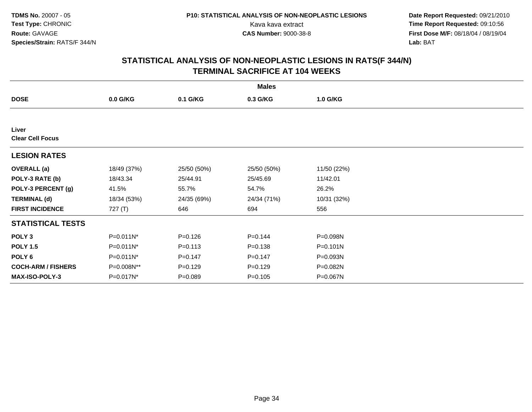**Date Report Requested:** 09/21/2010 Kava kava extract **Time Report Requested:** 09:10:56<br>**CAS Number:** 9000-38-8<br>**Tirst Dose M/F:** 08/18/04 / 08/19/04 **First Dose M/F:** 08/18/04 / 08/19/04 Lab: BAT **Lab:** BAT

| <b>Males</b>                     |             |             |             |              |  |
|----------------------------------|-------------|-------------|-------------|--------------|--|
| <b>DOSE</b>                      | 0.0 G/KG    | 0.1 G/KG    | 0.3 G/KG    | 1.0 G/KG     |  |
|                                  |             |             |             |              |  |
| Liver<br><b>Clear Cell Focus</b> |             |             |             |              |  |
| <b>LESION RATES</b>              |             |             |             |              |  |
| <b>OVERALL (a)</b>               | 18/49 (37%) | 25/50 (50%) | 25/50 (50%) | 11/50 (22%)  |  |
| POLY-3 RATE (b)                  | 18/43.34    | 25/44.91    | 25/45.69    | 11/42.01     |  |
| POLY-3 PERCENT (g)               | 41.5%       | 55.7%       | 54.7%       | 26.2%        |  |
| <b>TERMINAL (d)</b>              | 18/34 (53%) | 24/35 (69%) | 24/34 (71%) | 10/31 (32%)  |  |
| <b>FIRST INCIDENCE</b>           | 727 $(T)$   | 646         | 694         | 556          |  |
| <b>STATISTICAL TESTS</b>         |             |             |             |              |  |
| POLY <sub>3</sub>                | P=0.011N*   | $P = 0.126$ | $P = 0.144$ | P=0.098N     |  |
| <b>POLY 1.5</b>                  | P=0.011N*   | $P = 0.113$ | $P = 0.138$ | $P = 0.101N$ |  |
| POLY 6                           | P=0.011N*   | $P = 0.147$ | $P = 0.147$ | P=0.093N     |  |
| <b>COCH-ARM / FISHERS</b>        | P=0.008N**  | $P=0.129$   | $P = 0.129$ | P=0.082N     |  |
| MAX-ISO-POLY-3                   | P=0.017N*   | $P = 0.089$ | $P = 0.105$ | P=0.067N     |  |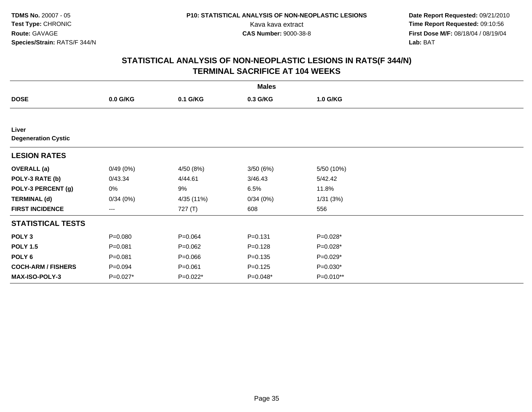**Date Report Requested:** 09/21/2010 Kava kava extract **Time Report Requested:** 09:10:56<br>**CAS Number:** 9000-38-8<br>**Tirst Dose M/F:** 08/18/04 / 08/19/04 **First Dose M/F:** 08/18/04 / 08/19/04 Lab: BAT **Lab:** BAT

| <b>Males</b>                        |             |             |             |            |  |  |
|-------------------------------------|-------------|-------------|-------------|------------|--|--|
| <b>DOSE</b>                         | $0.0$ G/KG  | 0.1 G/KG    | 0.3 G/KG    | 1.0 G/KG   |  |  |
|                                     |             |             |             |            |  |  |
| Liver<br><b>Degeneration Cystic</b> |             |             |             |            |  |  |
| <b>LESION RATES</b>                 |             |             |             |            |  |  |
| <b>OVERALL</b> (a)                  | 0/49(0%)    | 4/50 (8%)   | 3/50(6%)    | 5/50 (10%) |  |  |
| POLY-3 RATE (b)                     | 0/43.34     | 4/44.61     | 3/46.43     | 5/42.42    |  |  |
| POLY-3 PERCENT (g)                  | 0%          | 9%          | 6.5%        | 11.8%      |  |  |
| <b>TERMINAL (d)</b>                 | 0/34(0%)    | 4/35 (11%)  | 0/34(0%)    | 1/31(3%)   |  |  |
| <b>FIRST INCIDENCE</b>              | ---         | 727 (T)     | 608         | 556        |  |  |
| <b>STATISTICAL TESTS</b>            |             |             |             |            |  |  |
| POLY <sub>3</sub>                   | $P = 0.080$ | $P = 0.064$ | $P = 0.131$ | P=0.028*   |  |  |
| <b>POLY 1.5</b>                     | $P = 0.081$ | $P = 0.062$ | $P = 0.128$ | P=0.028*   |  |  |
| POLY <sub>6</sub>                   | $P = 0.081$ | $P = 0.066$ | $P = 0.135$ | $P=0.029*$ |  |  |
| <b>COCH-ARM / FISHERS</b>           | $P = 0.094$ | $P = 0.061$ | $P = 0.125$ | $P=0.030*$ |  |  |
| <b>MAX-ISO-POLY-3</b>               | P=0.027*    | P=0.022*    | P=0.048*    | P=0.010**  |  |  |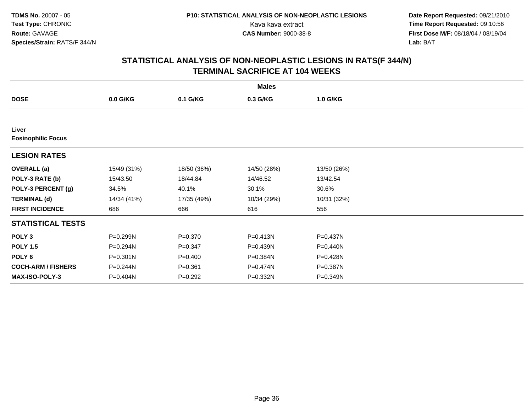**Date Report Requested:** 09/21/2010 Kava kava extract **Time Report Requested:** 09:10:56<br>**CAS Number:** 9000-38-8<br>**Tirst Dose M/F:** 08/18/04 / 08/19/04 **First Dose M/F:** 08/18/04 / 08/19/04 Lab: BAT **Lab:** BAT

| <b>Males</b>                       |              |             |              |             |  |  |
|------------------------------------|--------------|-------------|--------------|-------------|--|--|
| <b>DOSE</b>                        | 0.0 G/KG     | 0.1 G/KG    | 0.3 G/KG     | 1.0 G/KG    |  |  |
|                                    |              |             |              |             |  |  |
| Liver<br><b>Eosinophilic Focus</b> |              |             |              |             |  |  |
| <b>LESION RATES</b>                |              |             |              |             |  |  |
| <b>OVERALL (a)</b>                 | 15/49 (31%)  | 18/50 (36%) | 14/50 (28%)  | 13/50 (26%) |  |  |
| POLY-3 RATE (b)                    | 15/43.50     | 18/44.84    | 14/46.52     | 13/42.54    |  |  |
| POLY-3 PERCENT (g)                 | 34.5%        | 40.1%       | 30.1%        | 30.6%       |  |  |
| <b>TERMINAL (d)</b>                | 14/34 (41%)  | 17/35 (49%) | 10/34 (29%)  | 10/31 (32%) |  |  |
| <b>FIRST INCIDENCE</b>             | 686          | 666         | 616          | 556         |  |  |
| <b>STATISTICAL TESTS</b>           |              |             |              |             |  |  |
| POLY <sub>3</sub>                  | P=0.299N     | $P = 0.370$ | $P = 0.413N$ | P=0.437N    |  |  |
| <b>POLY 1.5</b>                    | P=0.294N     | $P = 0.347$ | P=0.439N     | P=0.440N    |  |  |
| POLY 6                             | $P = 0.301N$ | $P=0.400$   | P=0.384N     | P=0.428N    |  |  |
| <b>COCH-ARM / FISHERS</b>          | P=0.244N     | $P = 0.361$ | P=0.474N     | P=0.387N    |  |  |
| MAX-ISO-POLY-3                     | P=0.404N     | $P=0.292$   | P=0.332N     | P=0.349N    |  |  |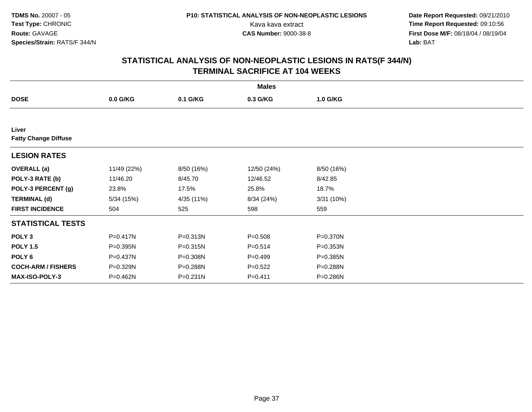**Date Report Requested:** 09/21/2010 Kava kava extract **Time Report Requested:** 09:10:56<br>**CAS Number:** 9000-38-8<br>**Tirst Dose M/F:** 08/18/04 / 08/19/04 **First Dose M/F:** 08/18/04 / 08/19/04 Lab: BAT **Lab:** BAT

|                                      |              |            | <b>Males</b> |            |  |
|--------------------------------------|--------------|------------|--------------|------------|--|
| <b>DOSE</b>                          | 0.0 G/KG     | 0.1 G/KG   | 0.3 G/KG     | 1.0 G/KG   |  |
|                                      |              |            |              |            |  |
| Liver<br><b>Fatty Change Diffuse</b> |              |            |              |            |  |
| <b>LESION RATES</b>                  |              |            |              |            |  |
| <b>OVERALL</b> (a)                   | 11/49 (22%)  | 8/50 (16%) | 12/50 (24%)  | 8/50 (16%) |  |
| POLY-3 RATE (b)                      | 11/46.20     | 8/45.70    | 12/46.52     | 8/42.85    |  |
| POLY-3 PERCENT (g)                   | 23.8%        | 17.5%      | 25.8%        | 18.7%      |  |
| <b>TERMINAL (d)</b>                  | 5/34(15%)    | 4/35 (11%) | 8/34 (24%)   | 3/31(10%)  |  |
| <b>FIRST INCIDENCE</b>               | 504          | 525        | 598          | 559        |  |
| <b>STATISTICAL TESTS</b>             |              |            |              |            |  |
| POLY <sub>3</sub>                    | $P = 0.417N$ | P=0.313N   | $P = 0.508$  | P=0.370N   |  |
| <b>POLY 1.5</b>                      | P=0.395N     | P=0.315N   | $P = 0.514$  | P=0.353N   |  |
| POLY 6                               | P=0.437N     | P=0.308N   | $P=0.499$    | P=0.385N   |  |
| <b>COCH-ARM / FISHERS</b>            | P=0.329N     | P=0.288N   | $P=0.522$    | P=0.288N   |  |
| <b>MAX-ISO-POLY-3</b>                | P=0.462N     | P=0.231N   | $P = 0.411$  | P=0.286N   |  |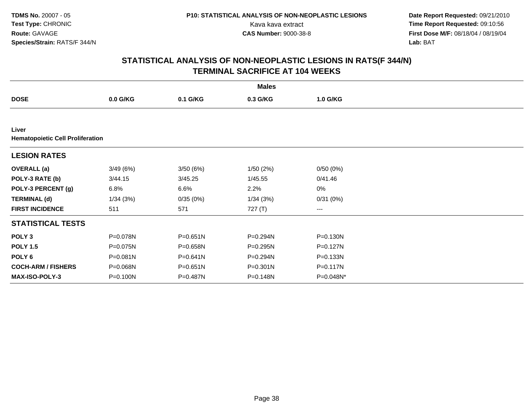**Date Report Requested:** 09/21/2010 Kava kava extract **Time Report Requested:** 09:10:56<br>**CAS Number:** 9000-38-8<br>**Tirst Dose M/F:** 08/18/04 / 08/19/04 **First Dose M/F:** 08/18/04 / 08/19/04 Lab: BAT **Lab:** BAT

|                                                  |            |          | <b>Males</b> |           |  |  |  |  |
|--------------------------------------------------|------------|----------|--------------|-----------|--|--|--|--|
| <b>DOSE</b>                                      | $0.0$ G/KG | 0.1 G/KG | 0.3 G/KG     | 1.0 G/KG  |  |  |  |  |
|                                                  |            |          |              |           |  |  |  |  |
| Liver<br><b>Hematopoietic Cell Proliferation</b> |            |          |              |           |  |  |  |  |
| <b>LESION RATES</b>                              |            |          |              |           |  |  |  |  |
| <b>OVERALL</b> (a)                               | 3/49(6%)   | 3/50(6%) | 1/50(2%)     | 0/50(0%)  |  |  |  |  |
| POLY-3 RATE (b)                                  | 3/44.15    | 3/45.25  | 1/45.55      | 0/41.46   |  |  |  |  |
| POLY-3 PERCENT (g)                               | 6.8%       | 6.6%     | 2.2%         | 0%        |  |  |  |  |
| <b>TERMINAL (d)</b>                              | 1/34(3%)   | 0/35(0%) | 1/34(3%)     | 0/31(0%)  |  |  |  |  |
| <b>FIRST INCIDENCE</b>                           | 511        | 571      | 727 (T)      | ---       |  |  |  |  |
| <b>STATISTICAL TESTS</b>                         |            |          |              |           |  |  |  |  |
| POLY <sub>3</sub>                                | P=0.078N   | P=0.651N | P=0.294N     | P=0.130N  |  |  |  |  |
| <b>POLY 1.5</b>                                  | P=0.075N   | P=0.658N | P=0.295N     | P=0.127N  |  |  |  |  |
| POLY 6                                           | P=0.081N   | P=0.641N | P=0.294N     | P=0.133N  |  |  |  |  |
| <b>COCH-ARM / FISHERS</b>                        | P=0.068N   | P=0.651N | P=0.301N     | P=0.117N  |  |  |  |  |
| <b>MAX-ISO-POLY-3</b>                            | P=0.100N   | P=0.487N | P=0.148N     | P=0.048N* |  |  |  |  |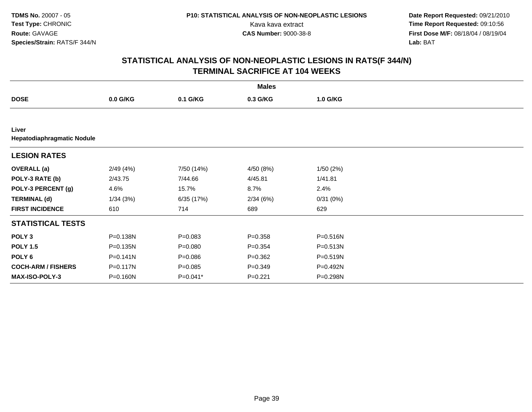**Date Report Requested:** 09/21/2010 Kava kava extract **Time Report Requested:** 09:10:56<br>**CAS Number:** 9000-38-8<br>**Tirst Dose M/F:** 08/18/04 / 08/19/04 **First Dose M/F:** 08/18/04 / 08/19/04 Lab: BAT **Lab:** BAT

|                                            |              |             | <b>Males</b> |          |  |
|--------------------------------------------|--------------|-------------|--------------|----------|--|
| <b>DOSE</b>                                | $0.0$ G/KG   | 0.1 G/KG    | 0.3 G/KG     | 1.0 G/KG |  |
|                                            |              |             |              |          |  |
| Liver<br><b>Hepatodiaphragmatic Nodule</b> |              |             |              |          |  |
| <b>LESION RATES</b>                        |              |             |              |          |  |
| <b>OVERALL</b> (a)                         | 2/49(4%)     | 7/50 (14%)  | 4/50 (8%)    | 1/50(2%) |  |
| POLY-3 RATE (b)                            | 2/43.75      | 7/44.66     | 4/45.81      | 1/41.81  |  |
| POLY-3 PERCENT (g)                         | 4.6%         | 15.7%       | 8.7%         | 2.4%     |  |
| <b>TERMINAL (d)</b>                        | 1/34(3%)     | 6/35 (17%)  | 2/34(6%)     | 0/31(0%) |  |
| <b>FIRST INCIDENCE</b>                     | 610          | 714         | 689          | 629      |  |
| <b>STATISTICAL TESTS</b>                   |              |             |              |          |  |
| POLY <sub>3</sub>                          | P=0.138N     | $P = 0.083$ | $P = 0.358$  | P=0.516N |  |
| <b>POLY 1.5</b>                            | P=0.135N     | $P = 0.080$ | $P = 0.354$  | P=0.513N |  |
| POLY 6                                     | $P = 0.141N$ | $P = 0.086$ | $P = 0.362$  | P=0.519N |  |
| <b>COCH-ARM / FISHERS</b>                  | P=0.117N     | $P = 0.085$ | $P = 0.349$  | P=0.492N |  |
| <b>MAX-ISO-POLY-3</b>                      | P=0.160N     | P=0.041*    | $P=0.221$    | P=0.298N |  |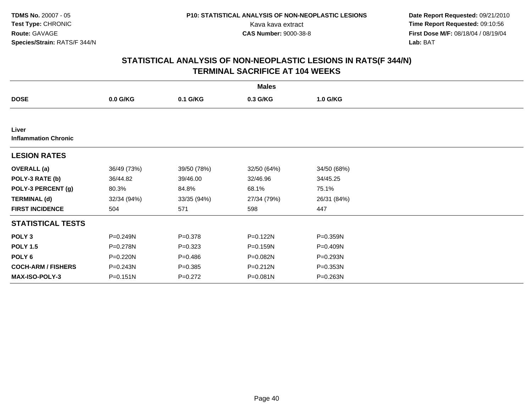**Date Report Requested:** 09/21/2010 Kava kava extract **Time Report Requested:** 09:10:56<br>**CAS Number:** 9000-38-8<br>**Tirst Dose M/F:** 08/18/04 / 08/19/04 **First Dose M/F:** 08/18/04 / 08/19/04 Lab: BAT **Lab:** BAT

|                                      |              |             | <b>Males</b> |             |  |
|--------------------------------------|--------------|-------------|--------------|-------------|--|
| <b>DOSE</b>                          | $0.0$ G/KG   | 0.1 G/KG    | 0.3 G/KG     | 1.0 G/KG    |  |
|                                      |              |             |              |             |  |
| Liver<br><b>Inflammation Chronic</b> |              |             |              |             |  |
| <b>LESION RATES</b>                  |              |             |              |             |  |
| <b>OVERALL</b> (a)                   | 36/49 (73%)  | 39/50 (78%) | 32/50 (64%)  | 34/50 (68%) |  |
| POLY-3 RATE (b)                      | 36/44.82     | 39/46.00    | 32/46.96     | 34/45.25    |  |
| POLY-3 PERCENT (g)                   | 80.3%        | 84.8%       | 68.1%        | 75.1%       |  |
| <b>TERMINAL (d)</b>                  | 32/34 (94%)  | 33/35 (94%) | 27/34 (79%)  | 26/31 (84%) |  |
| <b>FIRST INCIDENCE</b>               | 504          | 571         | 598          | 447         |  |
| <b>STATISTICAL TESTS</b>             |              |             |              |             |  |
| POLY <sub>3</sub>                    | P=0.249N     | $P = 0.378$ | P=0.122N     | P=0.359N    |  |
| <b>POLY 1.5</b>                      | P=0.278N     | $P = 0.323$ | P=0.159N     | P=0.409N    |  |
| POLY 6                               | $P = 0.220N$ | $P = 0.486$ | $P = 0.082N$ | P=0.293N    |  |
| <b>COCH-ARM / FISHERS</b>            | P=0.243N     | $P = 0.385$ | P=0.212N     | P=0.353N    |  |
| <b>MAX-ISO-POLY-3</b>                | $P = 0.151N$ | $P=0.272$   | $P = 0.081N$ | P=0.263N    |  |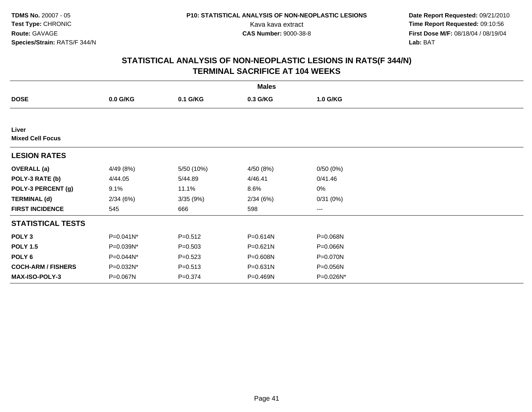**Date Report Requested:** 09/21/2010 Kava kava extract **Time Report Requested:** 09:10:56<br>**CAS Number:** 9000-38-8<br>**Tirst Dose M/F:** 08/18/04 / 08/19/04 **First Dose M/F:** 08/18/04 / 08/19/04 Lab: BAT **Lab:** BAT

|                                  |           |             | <b>Males</b> |           |  |
|----------------------------------|-----------|-------------|--------------|-----------|--|
| <b>DOSE</b>                      | 0.0 G/KG  | 0.1 G/KG    | 0.3 G/KG     | 1.0 G/KG  |  |
|                                  |           |             |              |           |  |
| Liver<br><b>Mixed Cell Focus</b> |           |             |              |           |  |
| <b>LESION RATES</b>              |           |             |              |           |  |
| <b>OVERALL</b> (a)               | 4/49 (8%) | 5/50 (10%)  | 4/50 (8%)    | 0/50(0%)  |  |
| POLY-3 RATE (b)                  | 4/44.05   | 5/44.89     | 4/46.41      | 0/41.46   |  |
| POLY-3 PERCENT (g)               | 9.1%      | 11.1%       | 8.6%         | 0%        |  |
| <b>TERMINAL (d)</b>              | 2/34(6%)  | 3/35(9%)    | 2/34(6%)     | 0/31(0%)  |  |
| <b>FIRST INCIDENCE</b>           | 545       | 666         | 598          | ---       |  |
| <b>STATISTICAL TESTS</b>         |           |             |              |           |  |
| POLY <sub>3</sub>                | P=0.041N* | $P = 0.512$ | P=0.614N     | P=0.068N  |  |
| <b>POLY 1.5</b>                  | P=0.039N* | $P = 0.503$ | P=0.621N     | P=0.066N  |  |
| POLY <sub>6</sub>                | P=0.044N* | $P = 0.523$ | P=0.608N     | P=0.070N  |  |
| <b>COCH-ARM / FISHERS</b>        | P=0.032N* | $P = 0.513$ | P=0.631N     | P=0.056N  |  |
| <b>MAX-ISO-POLY-3</b>            | P=0.067N  | $P = 0.374$ | $P = 0.469N$ | P=0.026N* |  |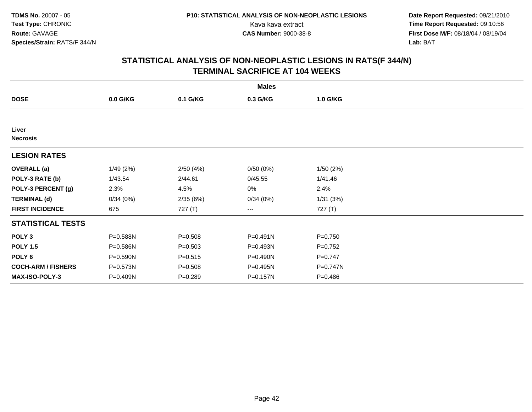**Date Report Requested:** 09/21/2010 Kava kava extract **Time Report Requested:** 09:10:56<br>**CAS Number:** 9000-38-8<br>**Tirst Dose M/F:** 08/18/04 / 08/19/04 **First Dose M/F:** 08/18/04 / 08/19/04 Lab: BAT **Lab:** BAT

|                           |            |             | <b>Males</b> |             |  |
|---------------------------|------------|-------------|--------------|-------------|--|
| <b>DOSE</b>               | $0.0$ G/KG | 0.1 G/KG    | 0.3 G/KG     | 1.0 G/KG    |  |
|                           |            |             |              |             |  |
| Liver<br><b>Necrosis</b>  |            |             |              |             |  |
| <b>LESION RATES</b>       |            |             |              |             |  |
| <b>OVERALL</b> (a)        | 1/49(2%)   | 2/50(4%)    | 0/50(0%)     | 1/50(2%)    |  |
| POLY-3 RATE (b)           | 1/43.54    | 2/44.61     | 0/45.55      | 1/41.46     |  |
| POLY-3 PERCENT (g)        | 2.3%       | 4.5%        | 0%           | 2.4%        |  |
| <b>TERMINAL (d)</b>       | 0/34(0%)   | 2/35(6%)    | 0/34(0%)     | 1/31(3%)    |  |
| <b>FIRST INCIDENCE</b>    | 675        | 727 (T)     | ---          | 727 (T)     |  |
| <b>STATISTICAL TESTS</b>  |            |             |              |             |  |
| POLY <sub>3</sub>         | P=0.588N   | $P = 0.508$ | P=0.491N     | $P = 0.750$ |  |
| <b>POLY 1.5</b>           | P=0.586N   | $P = 0.503$ | P=0.493N     | $P=0.752$   |  |
| POLY 6                    | P=0.590N   | $P = 0.515$ | P=0.490N     | $P=0.747$   |  |
| <b>COCH-ARM / FISHERS</b> | P=0.573N   | $P = 0.508$ | P=0.495N     | P=0.747N    |  |
| <b>MAX-ISO-POLY-3</b>     | P=0.409N   | $P = 0.289$ | P=0.157N     | $P = 0.486$ |  |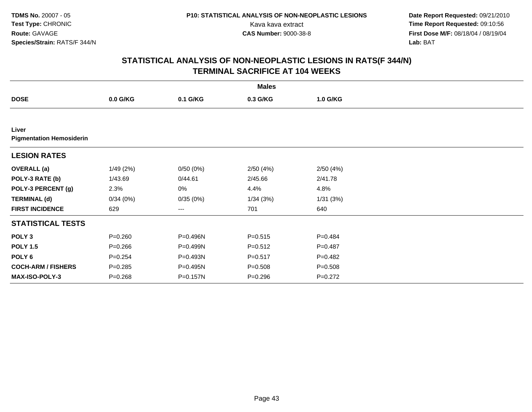**Date Report Requested:** 09/21/2010 Kava kava extract **Time Report Requested:** 09:10:56<br>**CAS Number:** 9000-38-8<br>**Tirst Dose M/F:** 08/18/04 / 08/19/04 **First Dose M/F:** 08/18/04 / 08/19/04 Lab: BAT **Lab:** BAT

|                                          |             |          | <b>Males</b> |             |  |
|------------------------------------------|-------------|----------|--------------|-------------|--|
| <b>DOSE</b>                              | $0.0$ G/KG  | 0.1 G/KG | 0.3 G/KG     | 1.0 G/KG    |  |
|                                          |             |          |              |             |  |
| Liver<br><b>Pigmentation Hemosiderin</b> |             |          |              |             |  |
| <b>LESION RATES</b>                      |             |          |              |             |  |
| <b>OVERALL</b> (a)                       | 1/49(2%)    | 0/50(0%) | 2/50(4%)     | 2/50(4%)    |  |
| POLY-3 RATE (b)                          | 1/43.69     | 0/44.61  | 2/45.66      | 2/41.78     |  |
| POLY-3 PERCENT (g)                       | 2.3%        | 0%       | 4.4%         | 4.8%        |  |
| <b>TERMINAL (d)</b>                      | 0/34(0%)    | 0/35(0%) | 1/34(3%)     | 1/31(3%)    |  |
| <b>FIRST INCIDENCE</b>                   | 629         | ---      | 701          | 640         |  |
| <b>STATISTICAL TESTS</b>                 |             |          |              |             |  |
| POLY <sub>3</sub>                        | $P = 0.260$ | P=0.496N | $P = 0.515$  | $P=0.484$   |  |
| <b>POLY 1.5</b>                          | $P = 0.266$ | P=0.499N | $P = 0.512$  | $P=0.487$   |  |
| POLY <sub>6</sub>                        | $P = 0.254$ | P=0.493N | $P = 0.517$  | $P=0.482$   |  |
| <b>COCH-ARM / FISHERS</b>                | $P = 0.285$ | P=0.495N | $P = 0.508$  | $P = 0.508$ |  |
| <b>MAX-ISO-POLY-3</b>                    | $P = 0.268$ | P=0.157N | $P = 0.296$  | $P=0.272$   |  |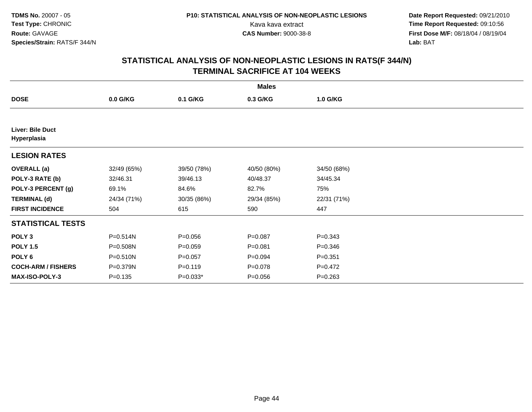**Date Report Requested:** 09/21/2010 Kava kava extract **Time Report Requested:** 09:10:56<br>**CAS Number:** 9000-38-8<br>**Tirst Dose M/F:** 08/18/04 / 08/19/04 **First Dose M/F:** 08/18/04 / 08/19/04 Lab: BAT **Lab:** BAT

|                                        |              |             | <b>Males</b> |             |  |
|----------------------------------------|--------------|-------------|--------------|-------------|--|
| <b>DOSE</b>                            | $0.0$ G/KG   | 0.1 G/KG    | 0.3 G/KG     | 1.0 G/KG    |  |
|                                        |              |             |              |             |  |
| <b>Liver: Bile Duct</b><br>Hyperplasia |              |             |              |             |  |
| <b>LESION RATES</b>                    |              |             |              |             |  |
| <b>OVERALL</b> (a)                     | 32/49 (65%)  | 39/50 (78%) | 40/50 (80%)  | 34/50 (68%) |  |
| POLY-3 RATE (b)                        | 32/46.31     | 39/46.13    | 40/48.37     | 34/45.34    |  |
| POLY-3 PERCENT (g)                     | 69.1%        | 84.6%       | 82.7%        | 75%         |  |
| <b>TERMINAL (d)</b>                    | 24/34 (71%)  | 30/35 (86%) | 29/34 (85%)  | 22/31 (71%) |  |
| <b>FIRST INCIDENCE</b>                 | 504          | 615         | 590          | 447         |  |
| <b>STATISTICAL TESTS</b>               |              |             |              |             |  |
| POLY <sub>3</sub>                      | P=0.514N     | $P = 0.056$ | $P = 0.087$  | $P = 0.343$ |  |
| <b>POLY 1.5</b>                        | P=0.508N     | $P = 0.059$ | $P = 0.081$  | $P = 0.346$ |  |
| POLY 6                                 | $P = 0.510N$ | $P=0.057$   | $P=0.094$    | $P = 0.351$ |  |
| <b>COCH-ARM / FISHERS</b>              | P=0.379N     | $P = 0.119$ | $P = 0.078$  | $P = 0.472$ |  |
| <b>MAX-ISO-POLY-3</b>                  | $P = 0.135$  | $P=0.033*$  | $P = 0.056$  | $P = 0.263$ |  |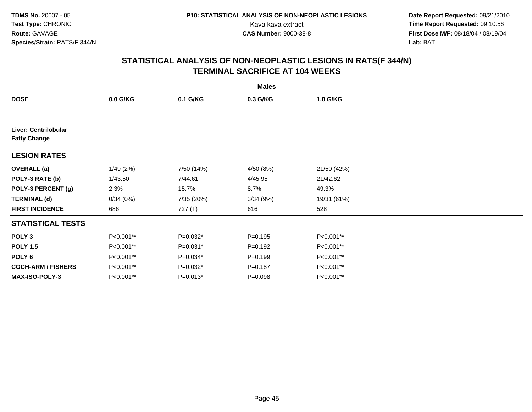**Date Report Requested:** 09/21/2010 Kava kava extract **Time Report Requested:** 09:10:56<br>**CAS Number:** 9000-38-8<br>**Tirst Dose M/F:** 08/18/04 / 08/19/04 **First Dose M/F:** 08/18/04 / 08/19/04 Lab: BAT **Lab:** BAT

|                                                    |            |            | <b>Males</b> |             |  |
|----------------------------------------------------|------------|------------|--------------|-------------|--|
| <b>DOSE</b>                                        | $0.0$ G/KG | 0.1 G/KG   | 0.3 G/KG     | 1.0 G/KG    |  |
|                                                    |            |            |              |             |  |
| <b>Liver: Centrilobular</b><br><b>Fatty Change</b> |            |            |              |             |  |
| <b>LESION RATES</b>                                |            |            |              |             |  |
| <b>OVERALL</b> (a)                                 | 1/49(2%)   | 7/50 (14%) | 4/50 (8%)    | 21/50 (42%) |  |
| POLY-3 RATE (b)                                    | 1/43.50    | 7/44.61    | 4/45.95      | 21/42.62    |  |
| POLY-3 PERCENT (g)                                 | 2.3%       | 15.7%      | 8.7%         | 49.3%       |  |
| <b>TERMINAL (d)</b>                                | 0/34(0%)   | 7/35 (20%) | 3/34(9%)     | 19/31 (61%) |  |
| <b>FIRST INCIDENCE</b>                             | 686        | 727 $(T)$  | 616          | 528         |  |
| <b>STATISTICAL TESTS</b>                           |            |            |              |             |  |
| POLY <sub>3</sub>                                  | P<0.001**  | P=0.032*   | $P = 0.195$  | P<0.001**   |  |
| <b>POLY 1.5</b>                                    | P<0.001**  | $P=0.031*$ | $P = 0.192$  | P<0.001**   |  |
| POLY 6                                             | P<0.001**  | P=0.034*   | $P = 0.199$  | P<0.001**   |  |
| <b>COCH-ARM / FISHERS</b>                          | P<0.001**  | $P=0.032*$ | $P = 0.187$  | P<0.001**   |  |
| MAX-ISO-POLY-3                                     | P<0.001**  | $P=0.013*$ | $P = 0.098$  | P<0.001**   |  |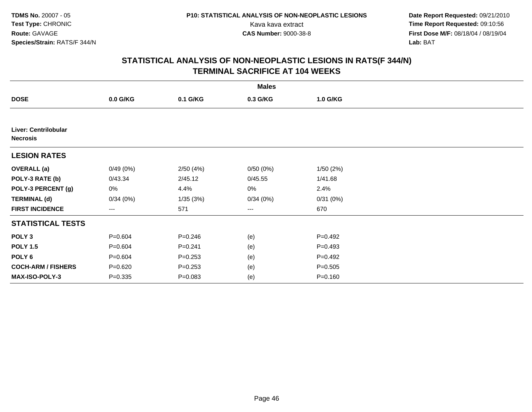**Date Report Requested:** 09/21/2010 Kava kava extract **Time Report Requested:** 09:10:56<br>**CAS Number:** 9000-38-8<br>**Tirst Dose M/F:** 08/18/04 / 08/19/04 **First Dose M/F:** 08/18/04 / 08/19/04 Lab: BAT **Lab:** BAT

|                                                |             |             | <b>Males</b>           |             |  |
|------------------------------------------------|-------------|-------------|------------------------|-------------|--|
| <b>DOSE</b>                                    | $0.0$ G/KG  | 0.1 G/KG    | 0.3 G/KG               | 1.0 G/KG    |  |
|                                                |             |             |                        |             |  |
| <b>Liver: Centrilobular</b><br><b>Necrosis</b> |             |             |                        |             |  |
| <b>LESION RATES</b>                            |             |             |                        |             |  |
| <b>OVERALL</b> (a)                             | 0/49(0%)    | 2/50(4%)    | 0/50(0%)               | 1/50(2%)    |  |
| POLY-3 RATE (b)                                | 0/43.34     | 2/45.12     | 0/45.55                | 1/41.68     |  |
| POLY-3 PERCENT (g)                             | 0%          | 4.4%        | 0%                     | 2.4%        |  |
| <b>TERMINAL (d)</b>                            | 0/34(0%)    | 1/35(3%)    | 0/34(0%)               | 0/31(0%)    |  |
| <b>FIRST INCIDENCE</b>                         | ---         | 571         | $\qquad \qquad \cdots$ | 670         |  |
| <b>STATISTICAL TESTS</b>                       |             |             |                        |             |  |
| POLY <sub>3</sub>                              | $P = 0.604$ | $P = 0.246$ | (e)                    | $P=0.492$   |  |
| <b>POLY 1.5</b>                                | $P = 0.604$ | $P = 0.241$ | (e)                    | $P=0.493$   |  |
| POLY 6                                         | $P = 0.604$ | $P = 0.253$ | (e)                    | $P=0.492$   |  |
| <b>COCH-ARM / FISHERS</b>                      | $P = 0.620$ | $P = 0.253$ | (e)                    | $P = 0.505$ |  |
| MAX-ISO-POLY-3                                 | $P = 0.335$ | $P = 0.083$ | (e)                    | $P = 0.160$ |  |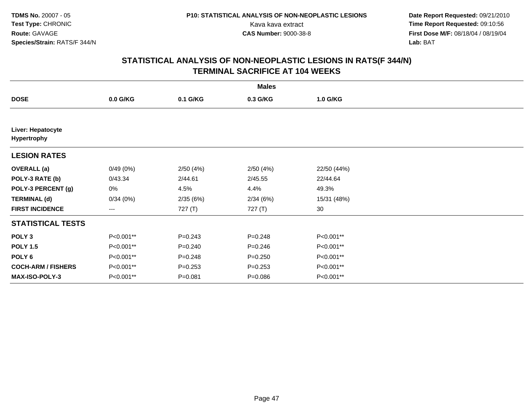**Date Report Requested:** 09/21/2010 Kava kava extract **Time Report Requested:** 09:10:56<br>**CAS Number:** 9000-38-8<br>**Tirst Dose M/F:** 08/18/04 / 08/19/04 **First Dose M/F:** 08/18/04 / 08/19/04 Lab: BAT **Lab:** BAT

|                                  |            |             | <b>Males</b> |             |  |
|----------------------------------|------------|-------------|--------------|-------------|--|
| <b>DOSE</b>                      | $0.0$ G/KG | 0.1 G/KG    | 0.3 G/KG     | 1.0 G/KG    |  |
|                                  |            |             |              |             |  |
| Liver: Hepatocyte<br>Hypertrophy |            |             |              |             |  |
| <b>LESION RATES</b>              |            |             |              |             |  |
| <b>OVERALL</b> (a)               | 0/49(0%)   | 2/50(4%)    | 2/50(4%)     | 22/50 (44%) |  |
| POLY-3 RATE (b)                  | 0/43.34    | 2/44.61     | 2/45.55      | 22/44.64    |  |
| POLY-3 PERCENT (g)               | 0%         | 4.5%        | 4.4%         | 49.3%       |  |
| <b>TERMINAL (d)</b>              | 0/34(0%)   | 2/35(6%)    | 2/34(6%)     | 15/31 (48%) |  |
| <b>FIRST INCIDENCE</b>           | ---        | 727 (T)     | 727 (T)      | 30          |  |
| <b>STATISTICAL TESTS</b>         |            |             |              |             |  |
| POLY <sub>3</sub>                | P<0.001**  | $P = 0.243$ | $P = 0.248$  | P<0.001**   |  |
| <b>POLY 1.5</b>                  | P<0.001**  | $P = 0.240$ | $P = 0.246$  | P<0.001**   |  |
| POLY 6                           | P<0.001**  | $P = 0.248$ | $P = 0.250$  | P<0.001**   |  |
| <b>COCH-ARM / FISHERS</b>        | P<0.001**  | $P = 0.253$ | $P = 0.253$  | P<0.001**   |  |
| MAX-ISO-POLY-3                   | P<0.001**  | $P = 0.081$ | $P = 0.086$  | P<0.001**   |  |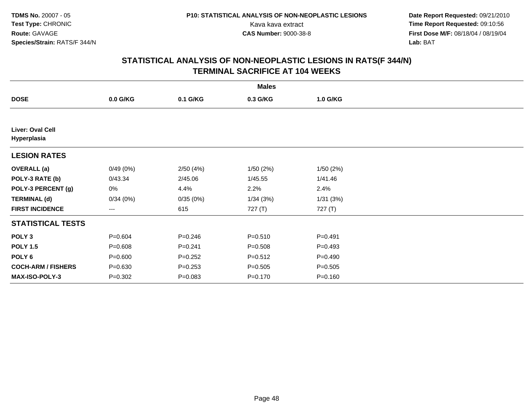**Date Report Requested:** 09/21/2010 Kava kava extract **Time Report Requested:** 09:10:56<br>**CAS Number:** 9000-38-8<br>**Tirst Dose M/F:** 08/18/04 / 08/19/04 **First Dose M/F:** 08/18/04 / 08/19/04 Lab: BAT **Lab:** BAT

|                                        |             |             | <b>Males</b> |             |  |
|----------------------------------------|-------------|-------------|--------------|-------------|--|
| <b>DOSE</b>                            | $0.0$ G/KG  | 0.1 G/KG    | 0.3 G/KG     | 1.0 G/KG    |  |
|                                        |             |             |              |             |  |
| <b>Liver: Oval Cell</b><br>Hyperplasia |             |             |              |             |  |
| <b>LESION RATES</b>                    |             |             |              |             |  |
| <b>OVERALL</b> (a)                     | 0/49(0%)    | 2/50(4%)    | 1/50(2%)     | 1/50(2%)    |  |
| POLY-3 RATE (b)                        | 0/43.34     | 2/45.06     | 1/45.55      | 1/41.46     |  |
| POLY-3 PERCENT (g)                     | 0%          | 4.4%        | 2.2%         | 2.4%        |  |
| <b>TERMINAL (d)</b>                    | 0/34(0%)    | 0/35(0%)    | 1/34(3%)     | 1/31(3%)    |  |
| <b>FIRST INCIDENCE</b>                 | ---         | 615         | 727 (T)      | 727 (T)     |  |
| <b>STATISTICAL TESTS</b>               |             |             |              |             |  |
| POLY <sub>3</sub>                      | $P = 0.604$ | $P = 0.246$ | $P = 0.510$  | $P = 0.491$ |  |
| <b>POLY 1.5</b>                        | $P = 0.608$ | $P = 0.241$ | $P = 0.508$  | $P = 0.493$ |  |
| POLY <sub>6</sub>                      | $P = 0.600$ | $P = 0.252$ | $P = 0.512$  | $P=0.490$   |  |
| <b>COCH-ARM / FISHERS</b>              | $P = 0.630$ | $P = 0.253$ | $P = 0.505$  | $P = 0.505$ |  |
| <b>MAX-ISO-POLY-3</b>                  | $P = 0.302$ | $P = 0.083$ | $P = 0.170$  | $P = 0.160$ |  |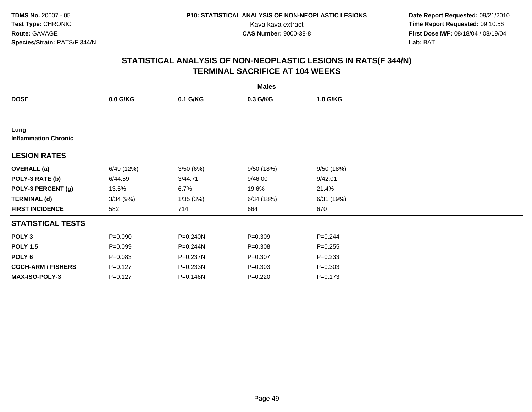**Date Report Requested:** 09/21/2010 Kava kava extract **Time Report Requested:** 09:10:56<br>**CAS Number:** 9000-38-8<br>**Tirst Dose M/F:** 08/18/04 / 08/19/04 **First Dose M/F:** 08/18/04 / 08/19/04 Lab: BAT **Lab:** BAT

| <b>Males</b>                        |             |          |             |             |  |  |  |
|-------------------------------------|-------------|----------|-------------|-------------|--|--|--|
| <b>DOSE</b>                         | $0.0$ G/KG  | 0.1 G/KG | 0.3 G/KG    | 1.0 G/KG    |  |  |  |
|                                     |             |          |             |             |  |  |  |
| Lung<br><b>Inflammation Chronic</b> |             |          |             |             |  |  |  |
| <b>LESION RATES</b>                 |             |          |             |             |  |  |  |
| <b>OVERALL</b> (a)                  | 6/49 (12%)  | 3/50(6%) | 9/50(18%)   | 9/50(18%)   |  |  |  |
| POLY-3 RATE (b)                     | 6/44.59     | 3/44.71  | 9/46.00     | 9/42.01     |  |  |  |
| POLY-3 PERCENT (g)                  | 13.5%       | 6.7%     | 19.6%       | 21.4%       |  |  |  |
| <b>TERMINAL (d)</b>                 | 3/34(9%)    | 1/35(3%) | 6/34(18%)   | 6/31 (19%)  |  |  |  |
| <b>FIRST INCIDENCE</b>              | 582         | 714      | 664         | 670         |  |  |  |
| <b>STATISTICAL TESTS</b>            |             |          |             |             |  |  |  |
| POLY <sub>3</sub>                   | $P = 0.090$ | P=0.240N | $P = 0.309$ | $P = 0.244$ |  |  |  |
| <b>POLY 1.5</b>                     | $P=0.099$   | P=0.244N | $P = 0.308$ | $P = 0.255$ |  |  |  |
| POLY <sub>6</sub>                   | $P = 0.083$ | P=0.237N | $P = 0.307$ | $P = 0.233$ |  |  |  |
| <b>COCH-ARM / FISHERS</b>           | $P = 0.127$ | P=0.233N | $P = 0.303$ | $P = 0.303$ |  |  |  |
| <b>MAX-ISO-POLY-3</b>               | $P=0.127$   | P=0.146N | $P = 0.220$ | $P = 0.173$ |  |  |  |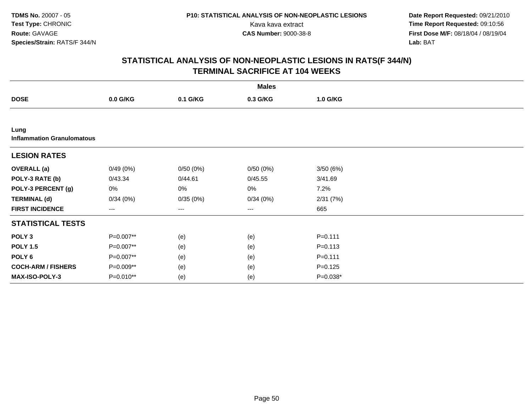**Date Report Requested:** 09/21/2010 Kava kava extract **Time Report Requested:** 09:10:56<br>**CAS Number:** 9000-38-8<br>**Tirst Dose M/F:** 08/18/04 / 08/19/04 **First Dose M/F:** 08/18/04 / 08/19/04 Lab: BAT **Lab:** BAT

|                                           |           |          | <b>Males</b>      |             |  |
|-------------------------------------------|-----------|----------|-------------------|-------------|--|
| <b>DOSE</b>                               | 0.0 G/KG  | 0.1 G/KG | 0.3 G/KG          | 1.0 G/KG    |  |
|                                           |           |          |                   |             |  |
| Lung<br><b>Inflammation Granulomatous</b> |           |          |                   |             |  |
| <b>LESION RATES</b>                       |           |          |                   |             |  |
| <b>OVERALL (a)</b>                        | 0/49(0%)  | 0/50(0%) | 0/50(0%)          | 3/50(6%)    |  |
| POLY-3 RATE (b)                           | 0/43.34   | 0/44.61  | 0/45.55           | 3/41.69     |  |
| POLY-3 PERCENT (g)                        | 0%        | 0%       | 0%                | 7.2%        |  |
| <b>TERMINAL (d)</b>                       | 0/34(0%)  | 0/35(0%) | 0/34(0%)          | 2/31(7%)    |  |
| <b>FIRST INCIDENCE</b>                    | ---       | ---      | $\qquad \qquad -$ | 665         |  |
| <b>STATISTICAL TESTS</b>                  |           |          |                   |             |  |
| POLY <sub>3</sub>                         | P=0.007** | (e)      | (e)               | $P = 0.111$ |  |
| <b>POLY 1.5</b>                           | P=0.007** | (e)      | (e)               | $P = 0.113$ |  |
| POLY 6                                    | P=0.007** | (e)      | (e)               | $P = 0.111$ |  |
| <b>COCH-ARM / FISHERS</b>                 | P=0.009** | (e)      | (e)               | $P = 0.125$ |  |
| MAX-ISO-POLY-3                            | P=0.010** | (e)      | (e)               | P=0.038*    |  |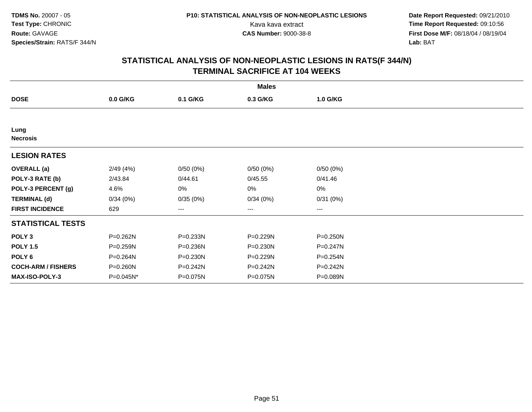**Date Report Requested:** 09/21/2010 Kava kava extract **Time Report Requested:** 09:10:56<br>**CAS Number:** 9000-38-8<br>**Tirst Dose M/F:** 08/18/04 / 08/19/04 **First Dose M/F:** 08/18/04 / 08/19/04 Lab: BAT **Lab:** BAT

| <b>Males</b>              |            |          |          |                        |  |  |  |
|---------------------------|------------|----------|----------|------------------------|--|--|--|
| <b>DOSE</b>               | $0.0$ G/KG | 0.1 G/KG | 0.3 G/KG | 1.0 G/KG               |  |  |  |
|                           |            |          |          |                        |  |  |  |
| Lung<br><b>Necrosis</b>   |            |          |          |                        |  |  |  |
| <b>LESION RATES</b>       |            |          |          |                        |  |  |  |
| <b>OVERALL</b> (a)        | 2/49(4%)   | 0/50(0%) | 0/50(0%) | 0/50(0%)               |  |  |  |
| POLY-3 RATE (b)           | 2/43.84    | 0/44.61  | 0/45.55  | 0/41.46                |  |  |  |
| POLY-3 PERCENT (g)        | 4.6%       | 0%       | 0%       | 0%                     |  |  |  |
| <b>TERMINAL (d)</b>       | 0/34(0%)   | 0/35(0%) | 0/34(0%) | 0/31(0%)               |  |  |  |
| <b>FIRST INCIDENCE</b>    | 629        | ---      | ---      | $\qquad \qquad \cdots$ |  |  |  |
| <b>STATISTICAL TESTS</b>  |            |          |          |                        |  |  |  |
| POLY <sub>3</sub>         | P=0.262N   | P=0.233N | P=0.229N | $P = 0.250N$           |  |  |  |
| <b>POLY 1.5</b>           | P=0.259N   | P=0.236N | P=0.230N | P=0.247N               |  |  |  |
| POLY <sub>6</sub>         | P=0.264N   | P=0.230N | P=0.229N | P=0.254N               |  |  |  |
| <b>COCH-ARM / FISHERS</b> | P=0.260N   | P=0.242N | P=0.242N | P=0.242N               |  |  |  |
| <b>MAX-ISO-POLY-3</b>     | P=0.045N*  | P=0.075N | P=0.075N | P=0.089N               |  |  |  |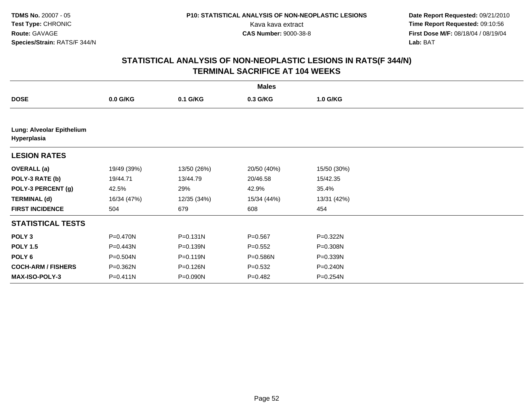**Date Report Requested:** 09/21/2010 Kava kava extract **Time Report Requested:** 09:10:56<br>**CAS Number:** 9000-38-8<br>**Tirst Dose M/F:** 08/18/04 / 08/19/04 **First Dose M/F:** 08/18/04 / 08/19/04 Lab: BAT **Lab:** BAT

| <b>Males</b>                             |              |              |             |             |  |  |  |
|------------------------------------------|--------------|--------------|-------------|-------------|--|--|--|
| <b>DOSE</b>                              | $0.0$ G/KG   | 0.1 G/KG     | 0.3 G/KG    | 1.0 G/KG    |  |  |  |
|                                          |              |              |             |             |  |  |  |
| Lung: Alveolar Epithelium<br>Hyperplasia |              |              |             |             |  |  |  |
| <b>LESION RATES</b>                      |              |              |             |             |  |  |  |
| <b>OVERALL</b> (a)                       | 19/49 (39%)  | 13/50 (26%)  | 20/50 (40%) | 15/50 (30%) |  |  |  |
| POLY-3 RATE (b)                          | 19/44.71     | 13/44.79     | 20/46.58    | 15/42.35    |  |  |  |
| POLY-3 PERCENT (g)                       | 42.5%        | 29%          | 42.9%       | 35.4%       |  |  |  |
| <b>TERMINAL (d)</b>                      | 16/34 (47%)  | 12/35 (34%)  | 15/34 (44%) | 13/31 (42%) |  |  |  |
| <b>FIRST INCIDENCE</b>                   | 504          | 679          | 608         | 454         |  |  |  |
| <b>STATISTICAL TESTS</b>                 |              |              |             |             |  |  |  |
| POLY <sub>3</sub>                        | P=0.470N     | $P = 0.131N$ | $P = 0.567$ | P=0.322N    |  |  |  |
| <b>POLY 1.5</b>                          | P=0.443N     | P=0.139N     | $P = 0.552$ | P=0.308N    |  |  |  |
| POLY <sub>6</sub>                        | $P = 0.504N$ | $P = 0.119N$ | P=0.586N    | P=0.339N    |  |  |  |
| <b>COCH-ARM / FISHERS</b>                | P=0.362N     | P=0.126N     | $P = 0.532$ | P=0.240N    |  |  |  |
| <b>MAX-ISO-POLY-3</b>                    | $P = 0.411N$ | P=0.090N     | $P=0.482$   | P=0.254N    |  |  |  |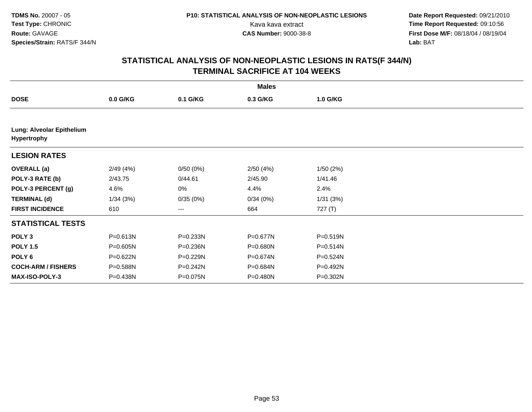**Date Report Requested:** 09/21/2010 Kava kava extract **Time Report Requested:** 09:10:56<br>**CAS Number:** 9000-38-8<br>**Tirst Dose M/F:** 08/18/04 / 08/19/04 **First Dose M/F:** 08/18/04 / 08/19/04 Lab: BAT **Lab:** BAT

| <b>Males</b>                             |              |          |          |              |  |  |  |
|------------------------------------------|--------------|----------|----------|--------------|--|--|--|
| <b>DOSE</b>                              | 0.0 G/KG     | 0.1 G/KG | 0.3 G/KG | 1.0 G/KG     |  |  |  |
|                                          |              |          |          |              |  |  |  |
| Lung: Alveolar Epithelium<br>Hypertrophy |              |          |          |              |  |  |  |
| <b>LESION RATES</b>                      |              |          |          |              |  |  |  |
| <b>OVERALL</b> (a)                       | 2/49(4%)     | 0/50(0%) | 2/50(4%) | 1/50(2%)     |  |  |  |
| POLY-3 RATE (b)                          | 2/43.75      | 0/44.61  | 2/45.90  | 1/41.46      |  |  |  |
| POLY-3 PERCENT (g)                       | 4.6%         | 0%       | 4.4%     | 2.4%         |  |  |  |
| <b>TERMINAL (d)</b>                      | 1/34(3%)     | 0/35(0%) | 0/34(0%) | 1/31(3%)     |  |  |  |
| <b>FIRST INCIDENCE</b>                   | 610          | $---$    | 664      | 727 (T)      |  |  |  |
| <b>STATISTICAL TESTS</b>                 |              |          |          |              |  |  |  |
| POLY <sub>3</sub>                        | P=0.613N     | P=0.233N | P=0.677N | P=0.519N     |  |  |  |
| <b>POLY 1.5</b>                          | $P = 0.605N$ | P=0.236N | P=0.680N | $P = 0.514N$ |  |  |  |
| POLY 6                                   | $P = 0.622N$ | P=0.229N | P=0.674N | P=0.524N     |  |  |  |
| <b>COCH-ARM / FISHERS</b>                | P=0.588N     | P=0.242N | P=0.684N | P=0.492N     |  |  |  |
| <b>MAX-ISO-POLY-3</b>                    | P=0.438N     | P=0.075N | P=0.480N | P=0.302N     |  |  |  |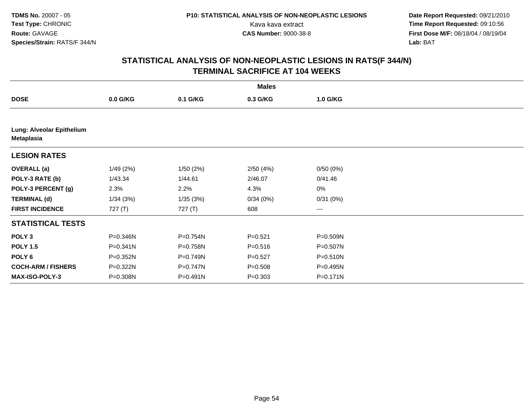**Date Report Requested:** 09/21/2010 Kava kava extract **Time Report Requested:** 09:10:56<br>**CAS Number:** 9000-38-8<br>**Tirst Dose M/F:** 08/18/04 / 08/19/04 **First Dose M/F:** 08/18/04 / 08/19/04 Lab: BAT **Lab:** BAT

| <b>Males</b>                            |              |              |             |          |  |  |  |
|-----------------------------------------|--------------|--------------|-------------|----------|--|--|--|
| <b>DOSE</b>                             | 0.0 G/KG     | 0.1 G/KG     | 0.3 G/KG    | 1.0 G/KG |  |  |  |
|                                         |              |              |             |          |  |  |  |
| Lung: Alveolar Epithelium<br>Metaplasia |              |              |             |          |  |  |  |
| <b>LESION RATES</b>                     |              |              |             |          |  |  |  |
| <b>OVERALL</b> (a)                      | 1/49(2%)     | 1/50(2%)     | 2/50 (4%)   | 0/50(0%) |  |  |  |
| POLY-3 RATE (b)                         | 1/43.34      | 1/44.61      | 2/46.07     | 0/41.46  |  |  |  |
| POLY-3 PERCENT (g)                      | 2.3%         | 2.2%         | 4.3%        | 0%       |  |  |  |
| <b>TERMINAL (d)</b>                     | 1/34(3%)     | 1/35(3%)     | 0/34(0%)    | 0/31(0%) |  |  |  |
| <b>FIRST INCIDENCE</b>                  | 727(T)       | 727 (T)      | 608         | $---$    |  |  |  |
| <b>STATISTICAL TESTS</b>                |              |              |             |          |  |  |  |
| POLY <sub>3</sub>                       | P=0.346N     | P=0.754N     | $P = 0.521$ | P=0.509N |  |  |  |
| <b>POLY 1.5</b>                         | $P = 0.341N$ | P=0.758N     | $P = 0.516$ | P=0.507N |  |  |  |
| POLY 6                                  | P=0.352N     | P=0.749N     | $P=0.527$   | P=0.510N |  |  |  |
| <b>COCH-ARM / FISHERS</b>               | P=0.322N     | $P = 0.747N$ | $P = 0.508$ | P=0.495N |  |  |  |
| <b>MAX-ISO-POLY-3</b>                   | P=0.308N     | P=0.491N     | $P = 0.303$ | P=0.171N |  |  |  |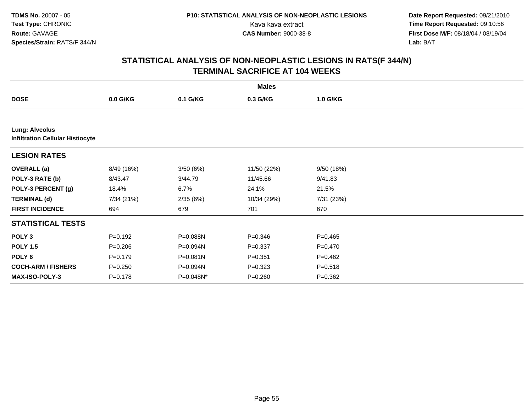**Date Report Requested:** 09/21/2010 Kava kava extract **Time Report Requested:** 09:10:56<br>**CAS Number:** 9000-38-8<br>**Tirst Dose M/F:** 08/18/04 / 08/19/04 **First Dose M/F:** 08/18/04 / 08/19/04 Lab: BAT **Lab:** BAT

| <b>Males</b>                                                     |             |           |             |             |  |  |  |  |
|------------------------------------------------------------------|-------------|-----------|-------------|-------------|--|--|--|--|
| <b>DOSE</b>                                                      | 0.0 G/KG    | 0.1 G/KG  | 0.3 G/KG    | 1.0 G/KG    |  |  |  |  |
|                                                                  |             |           |             |             |  |  |  |  |
| <b>Lung: Alveolus</b><br><b>Infiltration Cellular Histiocyte</b> |             |           |             |             |  |  |  |  |
| <b>LESION RATES</b>                                              |             |           |             |             |  |  |  |  |
| <b>OVERALL</b> (a)                                               | 8/49 (16%)  | 3/50(6%)  | 11/50 (22%) | 9/50 (18%)  |  |  |  |  |
| POLY-3 RATE (b)                                                  | 8/43.47     | 3/44.79   | 11/45.66    | 9/41.83     |  |  |  |  |
| POLY-3 PERCENT (g)                                               | 18.4%       | 6.7%      | 24.1%       | 21.5%       |  |  |  |  |
| <b>TERMINAL (d)</b>                                              | 7/34 (21%)  | 2/35(6%)  | 10/34 (29%) | 7/31 (23%)  |  |  |  |  |
| <b>FIRST INCIDENCE</b>                                           | 694         | 679       | 701         | 670         |  |  |  |  |
| <b>STATISTICAL TESTS</b>                                         |             |           |             |             |  |  |  |  |
| POLY <sub>3</sub>                                                | $P = 0.192$ | P=0.088N  | $P = 0.346$ | $P=0.465$   |  |  |  |  |
| <b>POLY 1.5</b>                                                  | $P = 0.206$ | P=0.094N  | $P = 0.337$ | $P=0.470$   |  |  |  |  |
| POLY <sub>6</sub>                                                | $P=0.179$   | P=0.081N  | $P = 0.351$ | $P=0.462$   |  |  |  |  |
| <b>COCH-ARM / FISHERS</b>                                        | $P = 0.250$ | P=0.094N  | $P=0.323$   | $P = 0.518$ |  |  |  |  |
| <b>MAX-ISO-POLY-3</b>                                            | $P = 0.178$ | P=0.048N* | $P = 0.260$ | $P = 0.362$ |  |  |  |  |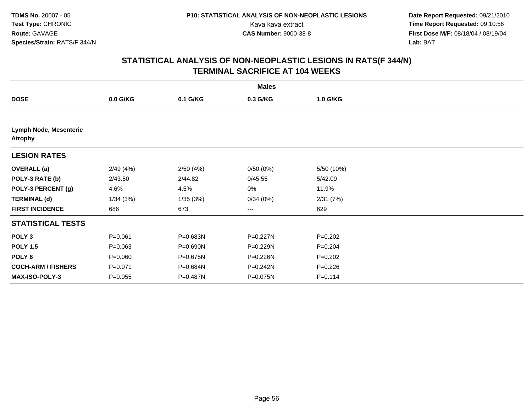**Date Report Requested:** 09/21/2010 Kava kava extract **Time Report Requested:** 09:10:56<br>**CAS Number:** 9000-38-8<br>**Tirst Dose M/F:** 08/18/04 / 08/19/04 **First Dose M/F:** 08/18/04 / 08/19/04 Lab: BAT **Lab:** BAT

| <b>Males</b>                      |             |          |          |             |  |  |  |
|-----------------------------------|-------------|----------|----------|-------------|--|--|--|
| <b>DOSE</b>                       | $0.0$ G/KG  | 0.1 G/KG | 0.3 G/KG | 1.0 G/KG    |  |  |  |
|                                   |             |          |          |             |  |  |  |
| Lymph Node, Mesenteric<br>Atrophy |             |          |          |             |  |  |  |
| <b>LESION RATES</b>               |             |          |          |             |  |  |  |
| <b>OVERALL</b> (a)                | 2/49(4%)    | 2/50(4%) | 0/50(0%) | 5/50 (10%)  |  |  |  |
| POLY-3 RATE (b)                   | 2/43.50     | 2/44.82  | 0/45.55  | 5/42.09     |  |  |  |
| POLY-3 PERCENT (g)                | 4.6%        | 4.5%     | 0%       | 11.9%       |  |  |  |
| <b>TERMINAL (d)</b>               | 1/34(3%)    | 1/35(3%) | 0/34(0%) | 2/31(7%)    |  |  |  |
| <b>FIRST INCIDENCE</b>            | 686         | 673      | ---      | 629         |  |  |  |
| <b>STATISTICAL TESTS</b>          |             |          |          |             |  |  |  |
| POLY <sub>3</sub>                 | $P = 0.061$ | P=0.683N | P=0.227N | $P=0.202$   |  |  |  |
| <b>POLY 1.5</b>                   | $P = 0.063$ | P=0.690N | P=0.229N | $P = 0.204$ |  |  |  |
| POLY <sub>6</sub>                 | $P = 0.060$ | P=0.675N | P=0.226N | $P=0.202$   |  |  |  |
| <b>COCH-ARM / FISHERS</b>         | $P = 0.071$ | P=0.684N | P=0.242N | $P = 0.226$ |  |  |  |
| <b>MAX-ISO-POLY-3</b>             | $P = 0.055$ | P=0.487N | P=0.075N | $P = 0.114$ |  |  |  |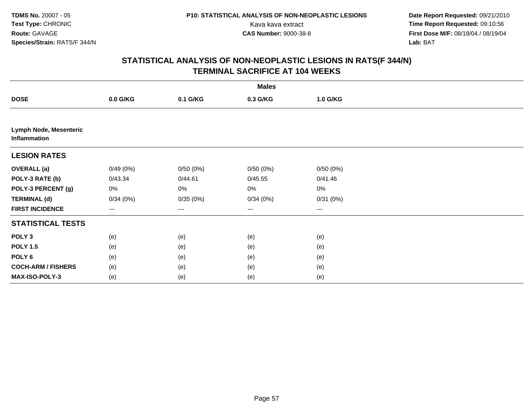**Date Report Requested:** 09/21/2010 Kava kava extract **Time Report Requested:** 09:10:56<br>**CAS Number:** 9000-38-8<br>**Tirst Dose M/F:** 08/18/04 / 08/19/04 **First Dose M/F:** 08/18/04 / 08/19/04 Lab: BAT **Lab:** BAT

| <b>Males</b>                           |          |                        |          |          |  |  |  |
|----------------------------------------|----------|------------------------|----------|----------|--|--|--|
| <b>DOSE</b>                            | 0.0 G/KG | 0.1 G/KG               | 0.3 G/KG | 1.0 G/KG |  |  |  |
|                                        |          |                        |          |          |  |  |  |
| Lymph Node, Mesenteric<br>Inflammation |          |                        |          |          |  |  |  |
| <b>LESION RATES</b>                    |          |                        |          |          |  |  |  |
| <b>OVERALL</b> (a)                     | 0/49(0%) | 0/50(0%)               | 0/50(0%) | 0/50(0%) |  |  |  |
| POLY-3 RATE (b)                        | 0/43.34  | 0/44.61                | 0/45.55  | 0/41.46  |  |  |  |
| POLY-3 PERCENT (g)                     | 0%       | 0%                     | 0%       | 0%       |  |  |  |
| <b>TERMINAL (d)</b>                    | 0/34(0%) | 0/35(0%)               | 0/34(0%) | 0/31(0%) |  |  |  |
| <b>FIRST INCIDENCE</b>                 | $---$    | $\qquad \qquad \cdots$ | ---      | ---      |  |  |  |
| <b>STATISTICAL TESTS</b>               |          |                        |          |          |  |  |  |
| POLY <sub>3</sub>                      | (e)      | (e)                    | (e)      | (e)      |  |  |  |
| <b>POLY 1.5</b>                        | (e)      | (e)                    | (e)      | (e)      |  |  |  |
| POLY <sub>6</sub>                      | (e)      | (e)                    | (e)      | (e)      |  |  |  |
| <b>COCH-ARM / FISHERS</b>              | (e)      | (e)                    | (e)      | (e)      |  |  |  |
| MAX-ISO-POLY-3                         | (e)      | (e)                    | (e)      | (e)      |  |  |  |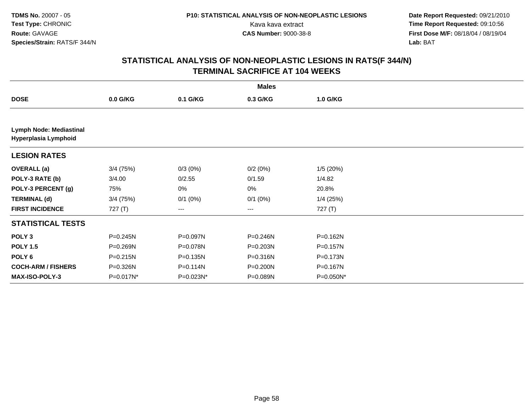**Date Report Requested:** 09/21/2010 Kava kava extract **Time Report Requested:** 09:10:56<br>**CAS Number:** 9000-38-8<br>**Tirst Dose M/F:** 08/18/04 / 08/19/04 **First Dose M/F:** 08/18/04 / 08/19/04 Lab: BAT **Lab:** BAT

| <b>Males</b>                                           |              |                        |              |             |  |  |  |
|--------------------------------------------------------|--------------|------------------------|--------------|-------------|--|--|--|
| <b>DOSE</b>                                            | 0.0 G/KG     | 0.1 G/KG               | 0.3 G/KG     | 1.0 G/KG    |  |  |  |
|                                                        |              |                        |              |             |  |  |  |
| <b>Lymph Node: Mediastinal</b><br>Hyperplasia Lymphoid |              |                        |              |             |  |  |  |
| <b>LESION RATES</b>                                    |              |                        |              |             |  |  |  |
| <b>OVERALL</b> (a)                                     | $3/4$ (75%)  | $0/3(0\%)$             | 0/2(0%)      | 1/5(20%)    |  |  |  |
| POLY-3 RATE (b)                                        | 3/4.00       | 0/2.55                 | 0/1.59       | 1/4.82      |  |  |  |
| POLY-3 PERCENT (g)                                     | 75%          | 0%                     | 0%           | 20.8%       |  |  |  |
| <b>TERMINAL (d)</b>                                    | $3/4$ (75%)  | $0/1$ $(0%)$           | $0/1$ $(0%)$ | $1/4$ (25%) |  |  |  |
| <b>FIRST INCIDENCE</b>                                 | 727(T)       | $\qquad \qquad \cdots$ | ---          | 727(T)      |  |  |  |
| <b>STATISTICAL TESTS</b>                               |              |                        |              |             |  |  |  |
| POLY <sub>3</sub>                                      | $P = 0.245N$ | P=0.097N               | P=0.246N     | P=0.162N    |  |  |  |
| <b>POLY 1.5</b>                                        | P=0.269N     | P=0.078N               | P=0.203N     | P=0.157N    |  |  |  |
| POLY <sub>6</sub>                                      | P=0.215N     | $P = 0.135N$           | P=0.316N     | P=0.173N    |  |  |  |
| <b>COCH-ARM / FISHERS</b>                              | P=0.326N     | P=0.114N               | P=0.200N     | P=0.167N    |  |  |  |
| <b>MAX-ISO-POLY-3</b>                                  | P=0.017N*    | P=0.023N*              | P=0.089N     | P=0.050N*   |  |  |  |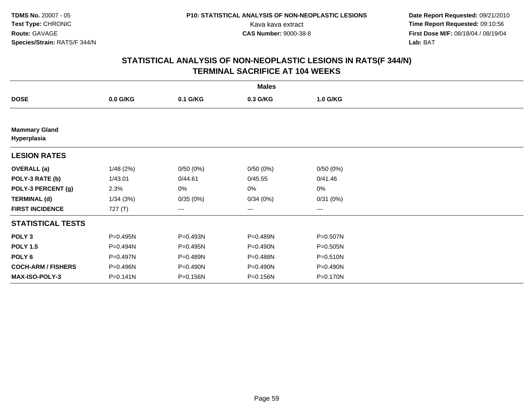**Date Report Requested:** 09/21/2010 Kava kava extract **Time Report Requested:** 09:10:56<br>**CAS Number:** 9000-38-8<br>**Tirst Dose M/F:** 08/18/04 / 08/19/04 **First Dose M/F:** 08/18/04 / 08/19/04 Lab: BAT **Lab:** BAT

|                                     |              |          | <b>Males</b> |                   |  |
|-------------------------------------|--------------|----------|--------------|-------------------|--|
| <b>DOSE</b>                         | $0.0$ G/KG   | 0.1 G/KG | 0.3 G/KG     | 1.0 G/KG          |  |
|                                     |              |          |              |                   |  |
| <b>Mammary Gland</b><br>Hyperplasia |              |          |              |                   |  |
| <b>LESION RATES</b>                 |              |          |              |                   |  |
| <b>OVERALL</b> (a)                  | 1/48(2%)     | 0/50(0%) | 0/50(0%)     | 0/50(0%)          |  |
| POLY-3 RATE (b)                     | 1/43.01      | 0/44.61  | 0/45.55      | 0/41.46           |  |
| POLY-3 PERCENT (g)                  | 2.3%         | 0%       | 0%           | $0\%$             |  |
| <b>TERMINAL (d)</b>                 | 1/34(3%)     | 0/35(0%) | 0/34(0%)     | 0/31(0%)          |  |
| <b>FIRST INCIDENCE</b>              | 727(T)       | ---      | $\cdots$     | $\qquad \qquad -$ |  |
| <b>STATISTICAL TESTS</b>            |              |          |              |                   |  |
| POLY <sub>3</sub>                   | P=0.495N     | P=0.493N | P=0.489N     | P=0.507N          |  |
| <b>POLY 1.5</b>                     | P=0.494N     | P=0.495N | P=0.490N     | P=0.505N          |  |
| POLY 6                              | P=0.497N     | P=0.489N | P=0.488N     | P=0.510N          |  |
| <b>COCH-ARM / FISHERS</b>           | P=0.496N     | P=0.490N | P=0.490N     | P=0.490N          |  |
| <b>MAX-ISO-POLY-3</b>               | $P = 0.141N$ | P=0.156N | P=0.156N     | P=0.170N          |  |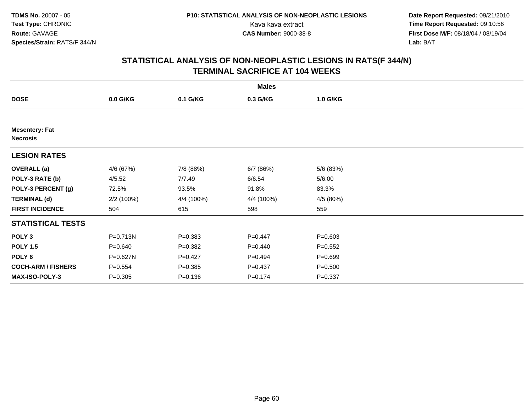**Date Report Requested:** 09/21/2010 Kava kava extract **Time Report Requested:** 09:10:56<br>**CAS Number:** 9000-38-8<br>**Tirst Dose M/F:** 08/18/04 / 08/19/04 **First Dose M/F:** 08/18/04 / 08/19/04 Lab: BAT **Lab:** BAT

| <b>Males</b>                             |             |             |             |             |  |  |  |
|------------------------------------------|-------------|-------------|-------------|-------------|--|--|--|
| <b>DOSE</b>                              | $0.0$ G/KG  | 0.1 G/KG    | 0.3 G/KG    | 1.0 G/KG    |  |  |  |
|                                          |             |             |             |             |  |  |  |
| <b>Mesentery: Fat</b><br><b>Necrosis</b> |             |             |             |             |  |  |  |
| <b>LESION RATES</b>                      |             |             |             |             |  |  |  |
| <b>OVERALL</b> (a)                       | 4/6 (67%)   | 7/8 (88%)   | 6/7(86%)    | 5/6 (83%)   |  |  |  |
| POLY-3 RATE (b)                          | 4/5.52      | 7/7.49      | 6/6.54      | 5/6.00      |  |  |  |
| POLY-3 PERCENT (g)                       | 72.5%       | 93.5%       | 91.8%       | 83.3%       |  |  |  |
| <b>TERMINAL (d)</b>                      | 2/2 (100%)  | 4/4 (100%)  | 4/4 (100%)  | 4/5 (80%)   |  |  |  |
| <b>FIRST INCIDENCE</b>                   | 504         | 615         | 598         | 559         |  |  |  |
| <b>STATISTICAL TESTS</b>                 |             |             |             |             |  |  |  |
| POLY <sub>3</sub>                        | P=0.713N    | $P = 0.383$ | $P=0.447$   | $P = 0.603$ |  |  |  |
| <b>POLY 1.5</b>                          | $P = 0.640$ | $P = 0.382$ | $P = 0.440$ | $P = 0.552$ |  |  |  |
| POLY <sub>6</sub>                        | P=0.627N    | $P=0.427$   | $P = 0.494$ | $P = 0.699$ |  |  |  |
| <b>COCH-ARM / FISHERS</b>                | $P = 0.554$ | $P = 0.385$ | $P = 0.437$ | $P = 0.500$ |  |  |  |
| <b>MAX-ISO-POLY-3</b>                    | $P = 0.305$ | $P = 0.136$ | $P = 0.174$ | $P = 0.337$ |  |  |  |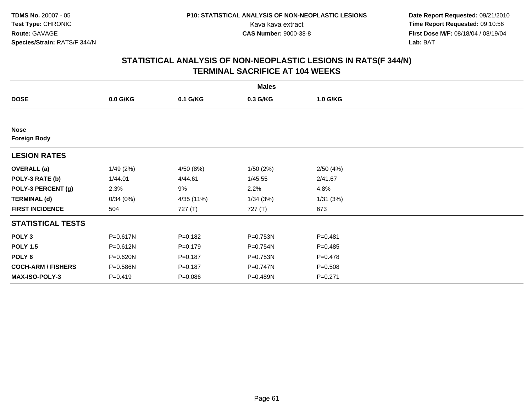**Date Report Requested:** 09/21/2010 Kava kava extract **Time Report Requested:** 09:10:56<br>**CAS Number:** 9000-38-8<br>**Tirst Dose M/F:** 08/18/04 / 08/19/04 **First Dose M/F:** 08/18/04 / 08/19/04 Lab: BAT **Lab:** BAT

|                                    |            |             | <b>Males</b> |             |  |
|------------------------------------|------------|-------------|--------------|-------------|--|
| <b>DOSE</b>                        | $0.0$ G/KG | 0.1 G/KG    | 0.3 G/KG     | 1.0 G/KG    |  |
|                                    |            |             |              |             |  |
| <b>Nose</b><br><b>Foreign Body</b> |            |             |              |             |  |
| <b>LESION RATES</b>                |            |             |              |             |  |
| <b>OVERALL</b> (a)                 | 1/49(2%)   | 4/50 (8%)   | 1/50(2%)     | 2/50(4%)    |  |
| POLY-3 RATE (b)                    | 1/44.01    | 4/44.61     | 1/45.55      | 2/41.67     |  |
| POLY-3 PERCENT (g)                 | 2.3%       | 9%          | 2.2%         | 4.8%        |  |
| <b>TERMINAL (d)</b>                | 0/34(0%)   | 4/35 (11%)  | 1/34(3%)     | 1/31(3%)    |  |
| <b>FIRST INCIDENCE</b>             | 504        | 727 (T)     | 727 (T)      | 673         |  |
| <b>STATISTICAL TESTS</b>           |            |             |              |             |  |
| POLY <sub>3</sub>                  | P=0.617N   | $P = 0.182$ | P=0.753N     | $P = 0.481$ |  |
| <b>POLY 1.5</b>                    | P=0.612N   | $P = 0.179$ | P=0.754N     | $P=0.485$   |  |
| POLY <sub>6</sub>                  | P=0.620N   | $P = 0.187$ | P=0.753N     | $P=0.478$   |  |
| <b>COCH-ARM / FISHERS</b>          | P=0.586N   | $P = 0.187$ | P=0.747N     | $P = 0.508$ |  |
| <b>MAX-ISO-POLY-3</b>              | $P=0.419$  | $P = 0.086$ | P=0.489N     | $P = 0.271$ |  |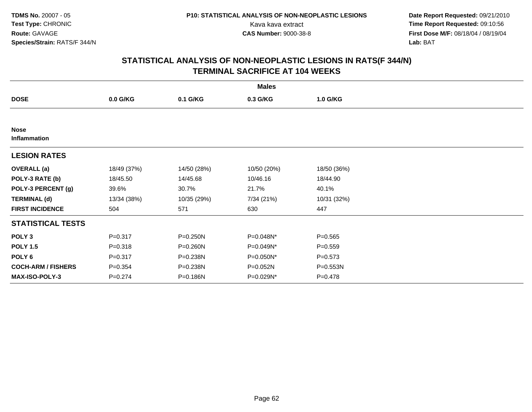**Date Report Requested:** 09/21/2010 Kava kava extract **Time Report Requested:** 09:10:56<br>**CAS Number:** 9000-38-8<br>**Tirst Dose M/F:** 08/18/04 / 08/19/04 **First Dose M/F:** 08/18/04 / 08/19/04 Lab: BAT **Lab:** BAT

|                             |             |             | <b>Males</b> |             |  |
|-----------------------------|-------------|-------------|--------------|-------------|--|
| <b>DOSE</b>                 | 0.0 G/KG    | 0.1 G/KG    | 0.3 G/KG     | 1.0 G/KG    |  |
|                             |             |             |              |             |  |
| <b>Nose</b><br>Inflammation |             |             |              |             |  |
| <b>LESION RATES</b>         |             |             |              |             |  |
| <b>OVERALL (a)</b>          | 18/49 (37%) | 14/50 (28%) | 10/50 (20%)  | 18/50 (36%) |  |
| POLY-3 RATE (b)             | 18/45.50    | 14/45.68    | 10/46.16     | 18/44.90    |  |
| POLY-3 PERCENT (g)          | 39.6%       | 30.7%       | 21.7%        | 40.1%       |  |
| <b>TERMINAL (d)</b>         | 13/34 (38%) | 10/35 (29%) | 7/34 (21%)   | 10/31 (32%) |  |
| <b>FIRST INCIDENCE</b>      | 504         | 571         | 630          | 447         |  |
| <b>STATISTICAL TESTS</b>    |             |             |              |             |  |
| POLY <sub>3</sub>           | $P = 0.317$ | P=0.250N    | P=0.048N*    | $P = 0.565$ |  |
| <b>POLY 1.5</b>             | $P = 0.318$ | P=0.260N    | P=0.049N*    | $P = 0.559$ |  |
| POLY 6                      | $P = 0.317$ | P=0.238N    | P=0.050N*    | $P = 0.573$ |  |
| <b>COCH-ARM / FISHERS</b>   | $P = 0.354$ | P=0.238N    | P=0.052N     | P=0.553N    |  |
| MAX-ISO-POLY-3              | $P = 0.274$ | P=0.186N    | P=0.029N*    | $P = 0.478$ |  |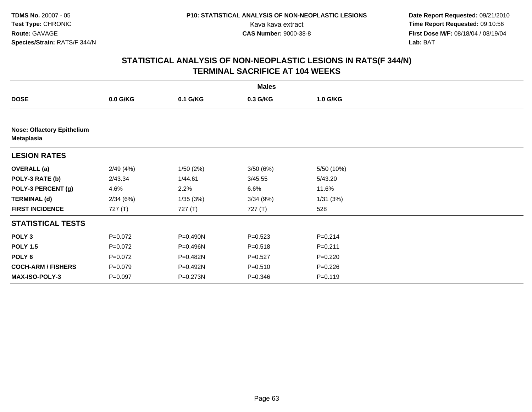**Date Report Requested:** 09/21/2010 Kava kava extract **Time Report Requested:** 09:10:56<br>**CAS Number:** 9000-38-8<br>**Tirst Dose M/F:** 08/18/04 / 08/19/04 **First Dose M/F:** 08/18/04 / 08/19/04 Lab: BAT **Lab:** BAT

|                                                 |             |           | <b>Males</b> |             |  |
|-------------------------------------------------|-------------|-----------|--------------|-------------|--|
| <b>DOSE</b>                                     | 0.0 G/KG    | 0.1 G/KG  | 0.3 G/KG     | 1.0 G/KG    |  |
|                                                 |             |           |              |             |  |
| <b>Nose: Olfactory Epithelium</b><br>Metaplasia |             |           |              |             |  |
| <b>LESION RATES</b>                             |             |           |              |             |  |
| <b>OVERALL</b> (a)                              | 2/49(4%)    | 1/50(2%)  | 3/50(6%)     | 5/50 (10%)  |  |
| POLY-3 RATE (b)                                 | 2/43.34     | 1/44.61   | 3/45.55      | 5/43.20     |  |
| POLY-3 PERCENT (g)                              | 4.6%        | 2.2%      | 6.6%         | 11.6%       |  |
| <b>TERMINAL (d)</b>                             | 2/34(6%)    | 1/35 (3%) | 3/34(9%)     | 1/31(3%)    |  |
| <b>FIRST INCIDENCE</b>                          | 727(T)      | 727(T)    | 727 (T)      | 528         |  |
| <b>STATISTICAL TESTS</b>                        |             |           |              |             |  |
| POLY <sub>3</sub>                               | $P=0.072$   | P=0.490N  | $P = 0.523$  | $P = 0.214$ |  |
| <b>POLY 1.5</b>                                 | $P=0.072$   | P=0.496N  | $P = 0.518$  | $P = 0.211$ |  |
| POLY <sub>6</sub>                               | $P=0.072$   | P=0.482N  | $P = 0.527$  | $P=0.220$   |  |
| <b>COCH-ARM / FISHERS</b>                       | $P = 0.079$ | P=0.492N  | $P = 0.510$  | $P = 0.226$ |  |
| <b>MAX-ISO-POLY-3</b>                           | $P = 0.097$ | P=0.273N  | $P = 0.346$  | $P = 0.119$ |  |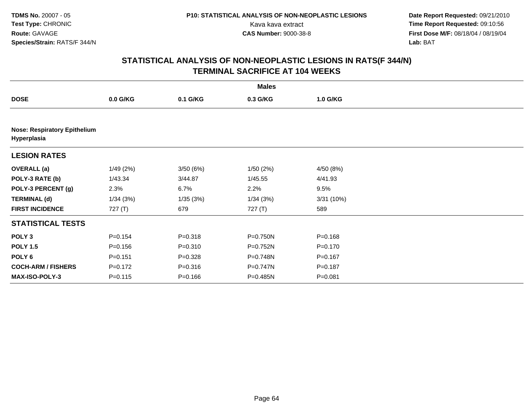**Date Report Requested:** 09/21/2010 Kava kava extract **Time Report Requested:** 09:10:56<br>**CAS Number:** 9000-38-8<br>**Tirst Dose M/F:** 08/18/04 / 08/19/04 **First Dose M/F:** 08/18/04 / 08/19/04 Lab: BAT **Lab:** BAT

|                                                    |             |             | <b>Males</b> |             |  |  |  |  |
|----------------------------------------------------|-------------|-------------|--------------|-------------|--|--|--|--|
| <b>DOSE</b>                                        | $0.0$ G/KG  | 0.1 G/KG    | 0.3 G/KG     | 1.0 G/KG    |  |  |  |  |
|                                                    |             |             |              |             |  |  |  |  |
| <b>Nose: Respiratory Epithelium</b><br>Hyperplasia |             |             |              |             |  |  |  |  |
| <b>LESION RATES</b>                                |             |             |              |             |  |  |  |  |
| <b>OVERALL</b> (a)                                 | 1/49(2%)    | 3/50(6%)    | 1/50(2%)     | 4/50 (8%)   |  |  |  |  |
| POLY-3 RATE (b)                                    | 1/43.34     | 3/44.87     | 1/45.55      | 4/41.93     |  |  |  |  |
| POLY-3 PERCENT (g)                                 | 2.3%        | 6.7%        | 2.2%         | 9.5%        |  |  |  |  |
| <b>TERMINAL (d)</b>                                | 1/34(3%)    | 1/35(3%)    | 1/34(3%)     | 3/31(10%)   |  |  |  |  |
| <b>FIRST INCIDENCE</b>                             | 727 $(T)$   | 679         | 727(T)       | 589         |  |  |  |  |
| <b>STATISTICAL TESTS</b>                           |             |             |              |             |  |  |  |  |
| POLY <sub>3</sub>                                  | $P = 0.154$ | $P = 0.318$ | P=0.750N     | $P = 0.168$ |  |  |  |  |
| <b>POLY 1.5</b>                                    | $P = 0.156$ | $P = 0.310$ | P=0.752N     | $P = 0.170$ |  |  |  |  |
| POLY <sub>6</sub>                                  | $P = 0.151$ | $P=0.328$   | P=0.748N     | $P = 0.167$ |  |  |  |  |
| <b>COCH-ARM / FISHERS</b>                          | $P = 0.172$ | $P = 0.316$ | $P=0.747N$   | $P = 0.187$ |  |  |  |  |
| <b>MAX-ISO-POLY-3</b>                              | $P = 0.115$ | $P = 0.166$ | $P = 0.485N$ | $P = 0.081$ |  |  |  |  |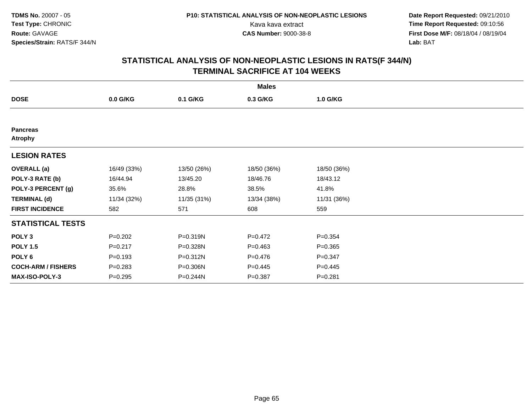**Date Report Requested:** 09/21/2010 Kava kava extract **Time Report Requested:** 09:10:56<br>**CAS Number:** 9000-38-8<br>**Tirst Dose M/F:** 08/18/04 / 08/19/04 **First Dose M/F:** 08/18/04 / 08/19/04 Lab: BAT **Lab:** BAT

|                                   |             |             | <b>Males</b> |             |  |
|-----------------------------------|-------------|-------------|--------------|-------------|--|
| <b>DOSE</b>                       | $0.0$ G/KG  | 0.1 G/KG    | 0.3 G/KG     | 1.0 G/KG    |  |
|                                   |             |             |              |             |  |
| <b>Pancreas</b><br><b>Atrophy</b> |             |             |              |             |  |
| <b>LESION RATES</b>               |             |             |              |             |  |
| <b>OVERALL</b> (a)                | 16/49 (33%) | 13/50 (26%) | 18/50 (36%)  | 18/50 (36%) |  |
| POLY-3 RATE (b)                   | 16/44.94    | 13/45.20    | 18/46.76     | 18/43.12    |  |
| POLY-3 PERCENT (g)                | 35.6%       | 28.8%       | 38.5%        | 41.8%       |  |
| <b>TERMINAL (d)</b>               | 11/34 (32%) | 11/35 (31%) | 13/34 (38%)  | 11/31 (36%) |  |
| <b>FIRST INCIDENCE</b>            | 582         | 571         | 608          | 559         |  |
| <b>STATISTICAL TESTS</b>          |             |             |              |             |  |
| POLY <sub>3</sub>                 | $P = 0.202$ | P=0.319N    | $P=0.472$    | $P = 0.354$ |  |
| <b>POLY 1.5</b>                   | $P = 0.217$ | P=0.328N    | $P=0.463$    | $P = 0.365$ |  |
| POLY 6                            | $P = 0.193$ | P=0.312N    | $P = 0.476$  | $P = 0.347$ |  |
| <b>COCH-ARM / FISHERS</b>         | $P = 0.283$ | P=0.306N    | $P=0.445$    | $P=0.445$   |  |
| <b>MAX-ISO-POLY-3</b>             | $P = 0.295$ | P=0.244N    | $P = 0.387$  | $P = 0.281$ |  |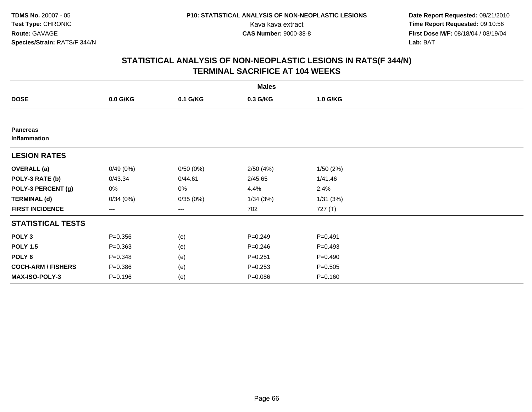**Date Report Requested:** 09/21/2010 Kava kava extract **Time Report Requested:** 09:10:56<br>**CAS Number:** 9000-38-8<br>**Tirst Dose M/F:** 08/18/04 / 08/19/04 **First Dose M/F:** 08/18/04 / 08/19/04 Lab: BAT **Lab:** BAT

|                                 |             |          | <b>Males</b> |             |  |
|---------------------------------|-------------|----------|--------------|-------------|--|
| <b>DOSE</b>                     | 0.0 G/KG    | 0.1 G/KG | 0.3 G/KG     | 1.0 G/KG    |  |
|                                 |             |          |              |             |  |
| <b>Pancreas</b><br>Inflammation |             |          |              |             |  |
| <b>LESION RATES</b>             |             |          |              |             |  |
| <b>OVERALL (a)</b>              | 0/49(0%)    | 0/50(0%) | 2/50(4%)     | 1/50(2%)    |  |
| POLY-3 RATE (b)                 | 0/43.34     | 0/44.61  | 2/45.65      | 1/41.46     |  |
| POLY-3 PERCENT (g)              | 0%          | 0%       | 4.4%         | 2.4%        |  |
| <b>TERMINAL (d)</b>             | 0/34(0%)    | 0/35(0%) | 1/34(3%)     | 1/31(3%)    |  |
| <b>FIRST INCIDENCE</b>          | ---         | ---      | 702          | 727 (T)     |  |
| <b>STATISTICAL TESTS</b>        |             |          |              |             |  |
| POLY <sub>3</sub>               | $P = 0.356$ | (e)      | $P = 0.249$  | $P = 0.491$ |  |
| <b>POLY 1.5</b>                 | $P = 0.363$ | (e)      | $P = 0.246$  | $P = 0.493$ |  |
| POLY 6                          | $P = 0.348$ | (e)      | $P = 0.251$  | $P = 0.490$ |  |
| <b>COCH-ARM / FISHERS</b>       | $P = 0.386$ | (e)      | $P = 0.253$  | $P = 0.505$ |  |
| MAX-ISO-POLY-3                  | $P = 0.196$ | (e)      | $P = 0.086$  | $P = 0.160$ |  |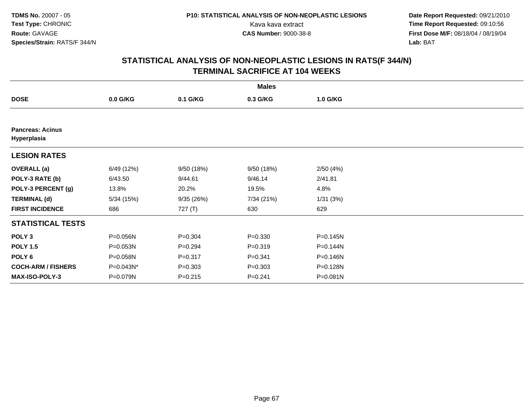**Date Report Requested:** 09/21/2010 Kava kava extract **Time Report Requested:** 09:10:56<br>**CAS Number:** 9000-38-8<br>**Tirst Dose M/F:** 08/18/04 / 08/19/04 **First Dose M/F:** 08/18/04 / 08/19/04 Lab: BAT **Lab:** BAT

|                                        |            |             | <b>Males</b> |              |  |
|----------------------------------------|------------|-------------|--------------|--------------|--|
| <b>DOSE</b>                            | $0.0$ G/KG | 0.1 G/KG    | 0.3 G/KG     | 1.0 G/KG     |  |
|                                        |            |             |              |              |  |
| <b>Pancreas: Acinus</b><br>Hyperplasia |            |             |              |              |  |
| <b>LESION RATES</b>                    |            |             |              |              |  |
| <b>OVERALL</b> (a)                     | 6/49 (12%) | 9/50 (18%)  | 9/50(18%)    | 2/50(4%)     |  |
| POLY-3 RATE (b)                        | 6/43.50    | 9/44.61     | 9/46.14      | 2/41.81      |  |
| POLY-3 PERCENT (g)                     | 13.8%      | 20.2%       | 19.5%        | 4.8%         |  |
| <b>TERMINAL (d)</b>                    | 5/34(15%)  | 9/35(26%)   | 7/34 (21%)   | 1/31(3%)     |  |
| <b>FIRST INCIDENCE</b>                 | 686        | 727 (T)     | 630          | 629          |  |
| <b>STATISTICAL TESTS</b>               |            |             |              |              |  |
| POLY <sub>3</sub>                      | P=0.056N   | $P = 0.304$ | $P = 0.330$  | P=0.145N     |  |
| <b>POLY 1.5</b>                        | P=0.053N   | $P = 0.294$ | $P = 0.319$  | P=0.144N     |  |
| POLY 6                                 | P=0.058N   | $P = 0.317$ | $P = 0.341$  | $P = 0.146N$ |  |
| <b>COCH-ARM / FISHERS</b>              | P=0.043N*  | $P = 0.303$ | $P = 0.303$  | P=0.128N     |  |
| MAX-ISO-POLY-3                         | P=0.079N   | $P = 0.215$ | $P = 0.241$  | P=0.081N     |  |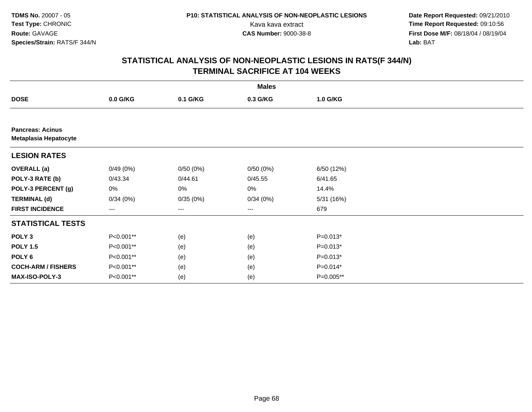**Date Report Requested:** 09/21/2010 Kava kava extract **Time Report Requested:** 09:10:56<br>**CAS Number:** 9000-38-8<br>**Tirst Dose M/F:** 08/18/04 / 08/19/04 **First Dose M/F:** 08/18/04 / 08/19/04 Lab: BAT **Lab:** BAT

|                                                         |            |          | <b>Males</b> |            |  |
|---------------------------------------------------------|------------|----------|--------------|------------|--|
| <b>DOSE</b>                                             | $0.0$ G/KG | 0.1 G/KG | 0.3 G/KG     | 1.0 G/KG   |  |
|                                                         |            |          |              |            |  |
| <b>Pancreas: Acinus</b><br><b>Metaplasia Hepatocyte</b> |            |          |              |            |  |
| <b>LESION RATES</b>                                     |            |          |              |            |  |
| <b>OVERALL</b> (a)                                      | 0/49(0%)   | 0/50(0%) | 0/50(0%)     | 6/50 (12%) |  |
| POLY-3 RATE (b)                                         | 0/43.34    | 0/44.61  | 0/45.55      | 6/41.65    |  |
| POLY-3 PERCENT (g)                                      | 0%         | 0%       | 0%           | 14.4%      |  |
| <b>TERMINAL (d)</b>                                     | 0/34(0%)   | 0/35(0%) | 0/34(0%)     | 5/31 (16%) |  |
| <b>FIRST INCIDENCE</b>                                  | ---        | $--$     | ---          | 679        |  |
| <b>STATISTICAL TESTS</b>                                |            |          |              |            |  |
| POLY <sub>3</sub>                                       | P<0.001**  | (e)      | (e)          | $P=0.013*$ |  |
| <b>POLY 1.5</b>                                         | P<0.001**  | (e)      | (e)          | $P=0.013*$ |  |
| POLY <sub>6</sub>                                       | P<0.001**  | (e)      | (e)          | $P=0.013*$ |  |
| <b>COCH-ARM / FISHERS</b>                               | P<0.001**  | (e)      | (e)          | $P=0.014*$ |  |
| MAX-ISO-POLY-3                                          | P<0.001**  | (e)      | (e)          | P=0.005**  |  |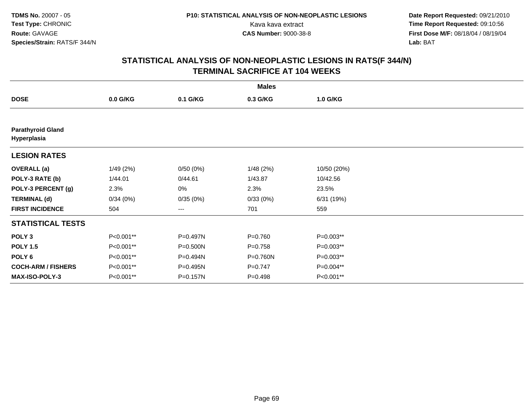**Date Report Requested:** 09/21/2010 Kava kava extract **Time Report Requested:** 09:10:56<br>**CAS Number:** 9000-38-8<br>**Tirst Dose M/F:** 08/18/04 / 08/19/04 **First Dose M/F:** 08/18/04 / 08/19/04 Lab: BAT **Lab:** BAT

|                                         |            |          | <b>Males</b> |             |  |
|-----------------------------------------|------------|----------|--------------|-------------|--|
| <b>DOSE</b>                             | $0.0$ G/KG | 0.1 G/KG | 0.3 G/KG     | 1.0 G/KG    |  |
|                                         |            |          |              |             |  |
| <b>Parathyroid Gland</b><br>Hyperplasia |            |          |              |             |  |
| <b>LESION RATES</b>                     |            |          |              |             |  |
| <b>OVERALL</b> (a)                      | 1/49(2%)   | 0/50(0%) | 1/48(2%)     | 10/50 (20%) |  |
| POLY-3 RATE (b)                         | 1/44.01    | 0/44.61  | 1/43.87      | 10/42.56    |  |
| POLY-3 PERCENT (g)                      | 2.3%       | 0%       | 2.3%         | 23.5%       |  |
| <b>TERMINAL (d)</b>                     | 0/34(0%)   | 0/35(0%) | 0/33(0%)     | 6/31 (19%)  |  |
| <b>FIRST INCIDENCE</b>                  | 504        | ---      | 701          | 559         |  |
| <b>STATISTICAL TESTS</b>                |            |          |              |             |  |
| POLY <sub>3</sub>                       | P<0.001**  | P=0.497N | $P = 0.760$  | P=0.003**   |  |
| <b>POLY 1.5</b>                         | P<0.001**  | P=0.500N | $P = 0.758$  | P=0.003**   |  |
| POLY <sub>6</sub>                       | P<0.001**  | P=0.494N | P=0.760N     | P=0.003**   |  |
| <b>COCH-ARM / FISHERS</b>               | P<0.001**  | P=0.495N | $P=0.747$    | P=0.004**   |  |
| MAX-ISO-POLY-3                          | P<0.001**  | P=0.157N | $P = 0.498$  | P<0.001**   |  |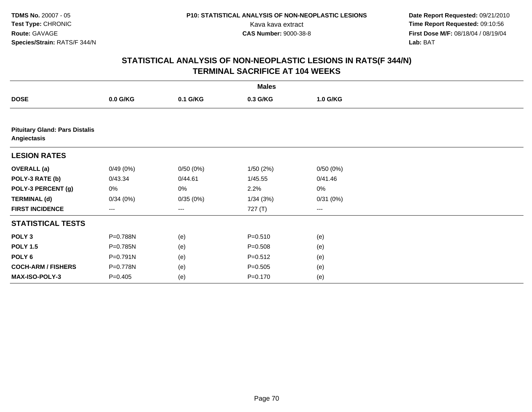**Date Report Requested:** 09/21/2010 Kava kava extract **Time Report Requested:** 09:10:56<br>**CAS Number:** 9000-38-8<br>**Tirst Dose M/F:** 08/18/04 / 08/19/04 **First Dose M/F:** 08/18/04 / 08/19/04 Lab: BAT **Lab:** BAT

|                                                      |           |          | <b>Males</b> |          |  |  |  |  |  |
|------------------------------------------------------|-----------|----------|--------------|----------|--|--|--|--|--|
| <b>DOSE</b>                                          | 0.0 G/KG  | 0.1 G/KG | 0.3 G/KG     | 1.0 G/KG |  |  |  |  |  |
|                                                      |           |          |              |          |  |  |  |  |  |
| <b>Pituitary Gland: Pars Distalis</b><br>Angiectasis |           |          |              |          |  |  |  |  |  |
| <b>LESION RATES</b>                                  |           |          |              |          |  |  |  |  |  |
| <b>OVERALL (a)</b>                                   | 0/49(0%)  | 0/50(0%) | 1/50(2%)     | 0/50(0%) |  |  |  |  |  |
| POLY-3 RATE (b)                                      | 0/43.34   | 0/44.61  | 1/45.55      | 0/41.46  |  |  |  |  |  |
| POLY-3 PERCENT (g)                                   | 0%        | 0%       | 2.2%         | $0\%$    |  |  |  |  |  |
| <b>TERMINAL (d)</b>                                  | 0/34(0%)  | 0/35(0%) | 1/34(3%)     | 0/31(0%) |  |  |  |  |  |
| <b>FIRST INCIDENCE</b>                               | ---       | $\cdots$ | 727 (T)      | $\cdots$ |  |  |  |  |  |
| <b>STATISTICAL TESTS</b>                             |           |          |              |          |  |  |  |  |  |
| POLY <sub>3</sub>                                    | P=0.788N  | (e)      | $P = 0.510$  | (e)      |  |  |  |  |  |
| <b>POLY 1.5</b>                                      | P=0.785N  | (e)      | $P = 0.508$  | (e)      |  |  |  |  |  |
| POLY 6                                               | P=0.791N  | (e)      | $P = 0.512$  | (e)      |  |  |  |  |  |
| <b>COCH-ARM / FISHERS</b>                            | P=0.778N  | (e)      | $P = 0.505$  | (e)      |  |  |  |  |  |
| MAX-ISO-POLY-3                                       | $P=0.405$ | (e)      | $P = 0.170$  | (e)      |  |  |  |  |  |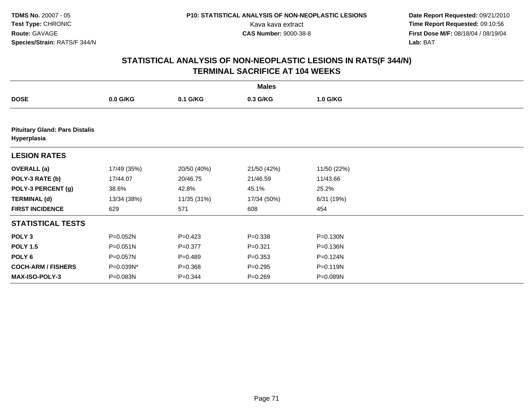**Date Report Requested:** 09/21/2010 Kava kava extract **Time Report Requested:** 09:10:56<br>**CAS Number:** 9000-38-8<br>**Tirst Dose M/F:** 08/18/04 / 08/19/04 **First Dose M/F:** 08/18/04 / 08/19/04 Lab: BAT **Lab:** BAT

|                                                      |              |             | <b>Males</b> |             |  |  |  |  |  |
|------------------------------------------------------|--------------|-------------|--------------|-------------|--|--|--|--|--|
| <b>DOSE</b>                                          | $0.0$ G/KG   | 0.1 G/KG    | 0.3 G/KG     | 1.0 G/KG    |  |  |  |  |  |
|                                                      |              |             |              |             |  |  |  |  |  |
| <b>Pituitary Gland: Pars Distalis</b><br>Hyperplasia |              |             |              |             |  |  |  |  |  |
| <b>LESION RATES</b>                                  |              |             |              |             |  |  |  |  |  |
| <b>OVERALL</b> (a)                                   | 17/49 (35%)  | 20/50 (40%) | 21/50 (42%)  | 11/50 (22%) |  |  |  |  |  |
| POLY-3 RATE (b)                                      | 17/44.07     | 20/46.75    | 21/46.59     | 11/43.66    |  |  |  |  |  |
| POLY-3 PERCENT (g)                                   | 38.6%        | 42.8%       | 45.1%        | 25.2%       |  |  |  |  |  |
| <b>TERMINAL (d)</b>                                  | 13/34 (38%)  | 11/35 (31%) | 17/34 (50%)  | 6/31(19%)   |  |  |  |  |  |
| <b>FIRST INCIDENCE</b>                               | 629          | 571         | 608          | 454         |  |  |  |  |  |
| <b>STATISTICAL TESTS</b>                             |              |             |              |             |  |  |  |  |  |
| POLY <sub>3</sub>                                    | P=0.052N     | $P=0.423$   | $P = 0.338$  | P=0.130N    |  |  |  |  |  |
| <b>POLY 1.5</b>                                      | $P = 0.051N$ | $P = 0.377$ | $P = 0.321$  | P=0.136N    |  |  |  |  |  |
| POLY <sub>6</sub>                                    | P=0.057N     | $P=0.489$   | $P = 0.353$  | P=0.124N    |  |  |  |  |  |
| <b>COCH-ARM / FISHERS</b>                            | P=0.039N*    | $P = 0.368$ | $P = 0.295$  | P=0.119N    |  |  |  |  |  |
| <b>MAX-ISO-POLY-3</b>                                | P=0.083N     | $P = 0.344$ | $P = 0.269$  | P=0.089N    |  |  |  |  |  |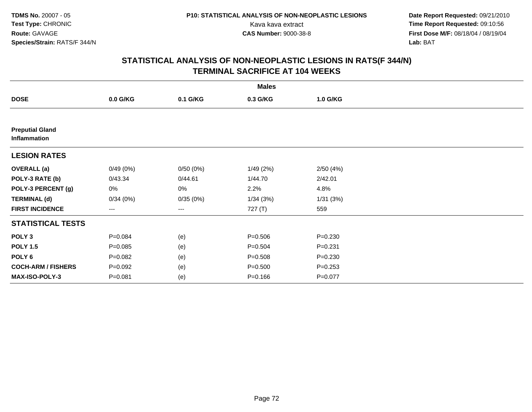**Date Report Requested:** 09/21/2010 Kava kava extract **Time Report Requested:** 09:10:56<br>**CAS Number:** 9000-38-8<br>**Tirst Dose M/F:** 08/18/04 / 08/19/04 **First Dose M/F:** 08/18/04 / 08/19/04 Lab: BAT **Lab:** BAT

|                                        |             |          | <b>Males</b> |             |  |
|----------------------------------------|-------------|----------|--------------|-------------|--|
| <b>DOSE</b>                            | 0.0 G/KG    | 0.1 G/KG | 0.3 G/KG     | 1.0 G/KG    |  |
|                                        |             |          |              |             |  |
| <b>Preputial Gland</b><br>Inflammation |             |          |              |             |  |
| <b>LESION RATES</b>                    |             |          |              |             |  |
| <b>OVERALL</b> (a)                     | 0/49(0%)    | 0/50(0%) | 1/49(2%)     | 2/50(4%)    |  |
| POLY-3 RATE (b)                        | 0/43.34     | 0/44.61  | 1/44.70      | 2/42.01     |  |
| POLY-3 PERCENT (g)                     | 0%          | 0%       | 2.2%         | 4.8%        |  |
| <b>TERMINAL (d)</b>                    | 0/34(0%)    | 0/35(0%) | 1/34(3%)     | 1/31(3%)    |  |
| <b>FIRST INCIDENCE</b>                 | ---         | ---      | 727 (T)      | 559         |  |
| <b>STATISTICAL TESTS</b>               |             |          |              |             |  |
| POLY <sub>3</sub>                      | $P = 0.084$ | (e)      | $P = 0.506$  | $P = 0.230$ |  |
| <b>POLY 1.5</b>                        | $P = 0.085$ | (e)      | $P = 0.504$  | $P = 0.231$ |  |
| POLY <sub>6</sub>                      | $P = 0.082$ | (e)      | $P = 0.508$  | $P = 0.230$ |  |
| <b>COCH-ARM / FISHERS</b>              | $P = 0.092$ | (e)      | $P = 0.500$  | $P = 0.253$ |  |
| MAX-ISO-POLY-3                         | $P = 0.081$ | (e)      | $P = 0.166$  | $P = 0.077$ |  |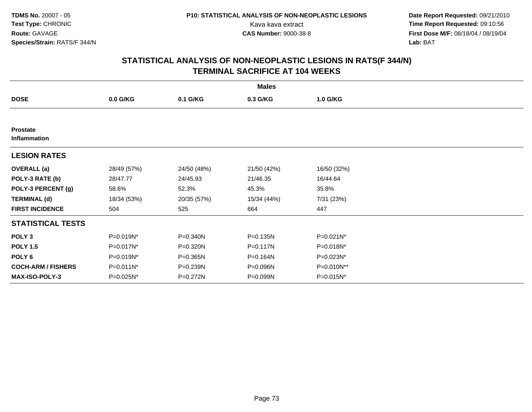**Date Report Requested:** 09/21/2010 Kava kava extract **Time Report Requested:** 09:10:56<br>**CAS Number:** 9000-38-8<br>**Tirst Dose M/F:** 08/18/04 / 08/19/04 **First Dose M/F:** 08/18/04 / 08/19/04 Lab: BAT **Lab:** BAT

|                                 |             |             | <b>Males</b> |             |  |
|---------------------------------|-------------|-------------|--------------|-------------|--|
| <b>DOSE</b>                     | 0.0 G/KG    | 0.1 G/KG    | 0.3 G/KG     | 1.0 G/KG    |  |
|                                 |             |             |              |             |  |
| <b>Prostate</b><br>Inflammation |             |             |              |             |  |
| <b>LESION RATES</b>             |             |             |              |             |  |
| <b>OVERALL (a)</b>              | 28/49 (57%) | 24/50 (48%) | 21/50 (42%)  | 16/50 (32%) |  |
| POLY-3 RATE (b)                 | 28/47.77    | 24/45.93    | 21/46.35     | 16/44.64    |  |
| POLY-3 PERCENT (g)              | 58.6%       | 52.3%       | 45.3%        | 35.8%       |  |
| <b>TERMINAL (d)</b>             | 18/34 (53%) | 20/35 (57%) | 15/34 (44%)  | 7/31 (23%)  |  |
| <b>FIRST INCIDENCE</b>          | 504         | 525         | 664          | 447         |  |
| <b>STATISTICAL TESTS</b>        |             |             |              |             |  |
| POLY <sub>3</sub>               | P=0.019N*   | P=0.340N    | P=0.135N     | P=0.021N*   |  |
| <b>POLY 1.5</b>                 | P=0.017N*   | P=0.320N    | P=0.117N     | P=0.018N*   |  |
| POLY 6                          | P=0.019N*   | P=0.365N    | P=0.164N     | P=0.023N*   |  |
| <b>COCH-ARM / FISHERS</b>       | P=0.011N*   | P=0.239N    | P=0.096N     | P=0.010N**  |  |
| MAX-ISO-POLY-3                  | P=0.025N*   | P=0.272N    | P=0.099N     | P=0.015N*   |  |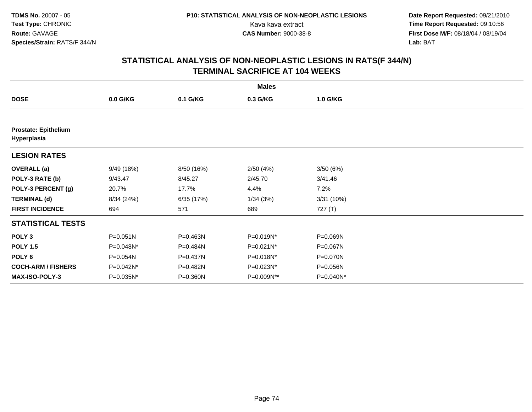**Date Report Requested:** 09/21/2010 Kava kava extract **Time Report Requested:** 09:10:56<br>**CAS Number:** 9000-38-8<br>**Tirst Dose M/F:** 08/18/04 / 08/19/04 **First Dose M/F:** 08/18/04 / 08/19/04 Lab: BAT **Lab:** BAT

|                                            |              |              | <b>Males</b> |           |  |
|--------------------------------------------|--------------|--------------|--------------|-----------|--|
| <b>DOSE</b>                                | $0.0$ G/KG   | 0.1 G/KG     | 0.3 G/KG     | 1.0 G/KG  |  |
|                                            |              |              |              |           |  |
| <b>Prostate: Epithelium</b><br>Hyperplasia |              |              |              |           |  |
| <b>LESION RATES</b>                        |              |              |              |           |  |
| <b>OVERALL</b> (a)                         | 9/49 (18%)   | 8/50 (16%)   | 2/50(4%)     | 3/50(6%)  |  |
| POLY-3 RATE (b)                            | 9/43.47      | 8/45.27      | 2/45.70      | 3/41.46   |  |
| POLY-3 PERCENT (g)                         | 20.7%        | 17.7%        | 4.4%         | 7.2%      |  |
| <b>TERMINAL (d)</b>                        | 8/34 (24%)   | 6/35 (17%)   | 1/34(3%)     | 3/31(10%) |  |
| <b>FIRST INCIDENCE</b>                     | 694          | 571          | 689          | 727 (T)   |  |
| <b>STATISTICAL TESTS</b>                   |              |              |              |           |  |
| POLY <sub>3</sub>                          | $P = 0.051N$ | P=0.463N     | P=0.019N*    | P=0.069N  |  |
| <b>POLY 1.5</b>                            | P=0.048N*    | $P = 0.484N$ | P=0.021N*    | P=0.067N  |  |
| POLY 6                                     | P=0.054N     | P=0.437N     | P=0.018N*    | P=0.070N  |  |
| <b>COCH-ARM / FISHERS</b>                  | P=0.042N*    | P=0.482N     | P=0.023N*    | P=0.056N  |  |
| MAX-ISO-POLY-3                             | P=0.035N*    | P=0.360N     | P=0.009N**   | P=0.040N* |  |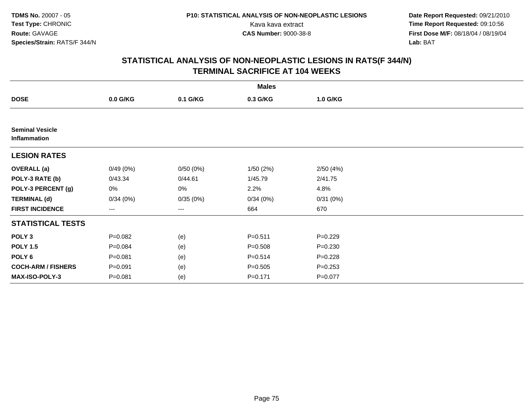**Date Report Requested:** 09/21/2010 Kava kava extract **Time Report Requested:** 09:10:56<br>**CAS Number:** 9000-38-8<br>**Tirst Dose M/F:** 08/18/04 / 08/19/04 **First Dose M/F:** 08/18/04 / 08/19/04 Lab: BAT **Lab:** BAT

|                                        |             |          | <b>Males</b> |             |  |
|----------------------------------------|-------------|----------|--------------|-------------|--|
| <b>DOSE</b>                            | 0.0 G/KG    | 0.1 G/KG | 0.3 G/KG     | 1.0 G/KG    |  |
|                                        |             |          |              |             |  |
| <b>Seminal Vesicle</b><br>Inflammation |             |          |              |             |  |
| <b>LESION RATES</b>                    |             |          |              |             |  |
| <b>OVERALL (a)</b>                     | 0/49(0%)    | 0/50(0%) | 1/50(2%)     | 2/50(4%)    |  |
| POLY-3 RATE (b)                        | 0/43.34     | 0/44.61  | 1/45.79      | 2/41.75     |  |
| POLY-3 PERCENT (g)                     | 0%          | 0%       | 2.2%         | 4.8%        |  |
| <b>TERMINAL (d)</b>                    | 0/34(0%)    | 0/35(0%) | 0/34(0%)     | 0/31(0%)    |  |
| <b>FIRST INCIDENCE</b>                 | ---         | ---      | 664          | 670         |  |
| <b>STATISTICAL TESTS</b>               |             |          |              |             |  |
| POLY <sub>3</sub>                      | $P=0.082$   | (e)      | $P = 0.511$  | $P=0.229$   |  |
| <b>POLY 1.5</b>                        | $P = 0.084$ | (e)      | $P = 0.508$  | $P = 0.230$ |  |
| POLY 6                                 | $P = 0.081$ | (e)      | $P = 0.514$  | $P = 0.228$ |  |
| <b>COCH-ARM / FISHERS</b>              | $P = 0.091$ | (e)      | $P = 0.505$  | $P = 0.253$ |  |
| MAX-ISO-POLY-3                         | $P = 0.081$ | (e)      | $P = 0.171$  | $P = 0.077$ |  |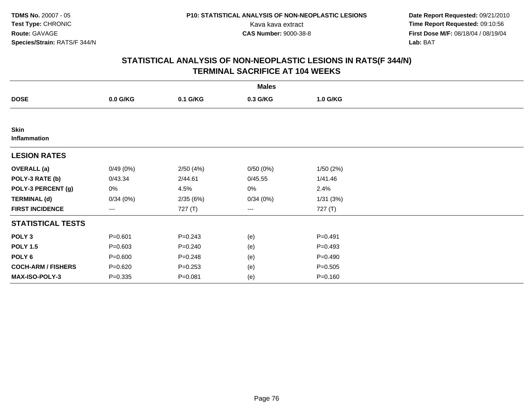**Date Report Requested:** 09/21/2010 Kava kava extract **Time Report Requested:** 09:10:56<br>**CAS Number:** 9000-38-8<br>**Tirst Dose M/F:** 08/18/04 / 08/19/04 **First Dose M/F:** 08/18/04 / 08/19/04 Lab: BAT **Lab:** BAT

|                             |             |             | <b>Males</b>             |             |  |
|-----------------------------|-------------|-------------|--------------------------|-------------|--|
| <b>DOSE</b>                 | $0.0$ G/KG  | 0.1 G/KG    | 0.3 G/KG                 | 1.0 G/KG    |  |
|                             |             |             |                          |             |  |
| <b>Skin</b><br>Inflammation |             |             |                          |             |  |
| <b>LESION RATES</b>         |             |             |                          |             |  |
| <b>OVERALL</b> (a)          | 0/49(0%)    | 2/50(4%)    | 0/50(0%)                 | 1/50(2%)    |  |
| POLY-3 RATE (b)             | 0/43.34     | 2/44.61     | 0/45.55                  | 1/41.46     |  |
| POLY-3 PERCENT (g)          | 0%          | 4.5%        | 0%                       | 2.4%        |  |
| <b>TERMINAL (d)</b>         | 0/34(0%)    | 2/35(6%)    | 0/34(0%)                 | 1/31(3%)    |  |
| <b>FIRST INCIDENCE</b>      | ---         | 727 (T)     | $\hspace{0.05cm} \ldots$ | 727 (T)     |  |
| <b>STATISTICAL TESTS</b>    |             |             |                          |             |  |
| POLY <sub>3</sub>           | $P = 0.601$ | $P = 0.243$ | (e)                      | $P = 0.491$ |  |
| <b>POLY 1.5</b>             | $P = 0.603$ | $P = 0.240$ | (e)                      | $P=0.493$   |  |
| POLY <sub>6</sub>           | $P = 0.600$ | $P = 0.248$ | (e)                      | $P=0.490$   |  |
| <b>COCH-ARM / FISHERS</b>   | $P = 0.620$ | $P = 0.253$ | (e)                      | $P = 0.505$ |  |
| MAX-ISO-POLY-3              | $P = 0.335$ | $P = 0.081$ | (e)                      | $P = 0.160$ |  |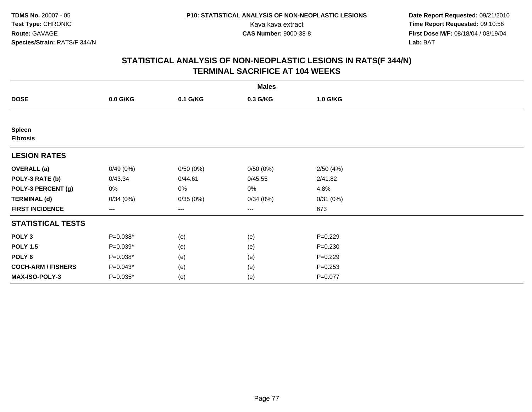**Date Report Requested:** 09/21/2010 Kava kava extract **Time Report Requested:** 09:10:56<br>**CAS Number:** 9000-38-8<br>**Tirst Dose M/F:** 08/18/04 / 08/19/04 **First Dose M/F:** 08/18/04 / 08/19/04 Lab: BAT **Lab:** BAT

|                           |            |          | <b>Males</b> |             |  |
|---------------------------|------------|----------|--------------|-------------|--|
| <b>DOSE</b>               | $0.0$ G/KG | 0.1 G/KG | 0.3 G/KG     | 1.0 G/KG    |  |
|                           |            |          |              |             |  |
| Spleen<br><b>Fibrosis</b> |            |          |              |             |  |
| <b>LESION RATES</b>       |            |          |              |             |  |
| <b>OVERALL</b> (a)        | 0/49(0%)   | 0/50(0%) | 0/50(0%)     | 2/50(4%)    |  |
| POLY-3 RATE (b)           | 0/43.34    | 0/44.61  | 0/45.55      | 2/41.82     |  |
| POLY-3 PERCENT (g)        | 0%         | 0%       | 0%           | 4.8%        |  |
| <b>TERMINAL (d)</b>       | 0/34(0%)   | 0/35(0%) | 0/34(0%)     | 0/31(0%)    |  |
| <b>FIRST INCIDENCE</b>    | ---        | ---      | ---          | 673         |  |
| <b>STATISTICAL TESTS</b>  |            |          |              |             |  |
| POLY <sub>3</sub>         | $P=0.038*$ | (e)      | (e)          | $P=0.229$   |  |
| <b>POLY 1.5</b>           | $P=0.039*$ | (e)      | (e)          | $P = 0.230$ |  |
| POLY 6                    | $P=0.038*$ | (e)      | (e)          | $P=0.229$   |  |
| <b>COCH-ARM / FISHERS</b> | $P=0.043*$ | (e)      | (e)          | $P = 0.253$ |  |
| MAX-ISO-POLY-3            | $P=0.035*$ | (e)      | (e)          | $P = 0.077$ |  |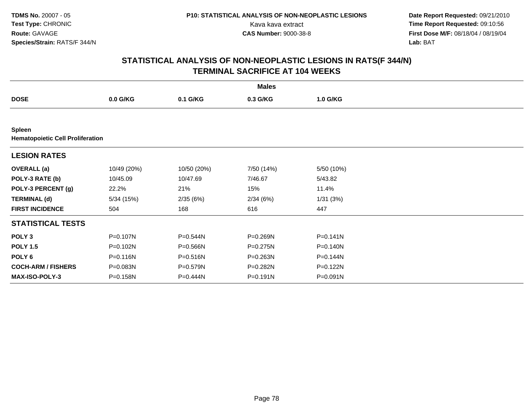**Date Report Requested:** 09/21/2010 Kava kava extract **Time Report Requested:** 09:10:56<br>**CAS Number:** 9000-38-8<br>**Tirst Dose M/F:** 08/18/04 / 08/19/04 **First Dose M/F:** 08/18/04 / 08/19/04 Lab: BAT **Lab:** BAT

|                                                          |             |             | <b>Males</b> |            |  |
|----------------------------------------------------------|-------------|-------------|--------------|------------|--|
| <b>DOSE</b>                                              | $0.0$ G/KG  | 0.1 G/KG    | 0.3 G/KG     | 1.0 G/KG   |  |
|                                                          |             |             |              |            |  |
| <b>Spleen</b><br><b>Hematopoietic Cell Proliferation</b> |             |             |              |            |  |
| <b>LESION RATES</b>                                      |             |             |              |            |  |
| <b>OVERALL</b> (a)                                       | 10/49 (20%) | 10/50 (20%) | 7/50 (14%)   | 5/50 (10%) |  |
| POLY-3 RATE (b)                                          | 10/45.09    | 10/47.69    | 7/46.67      | 5/43.82    |  |
| POLY-3 PERCENT (g)                                       | 22.2%       | 21%         | 15%          | 11.4%      |  |
| <b>TERMINAL (d)</b>                                      | 5/34(15%)   | 2/35(6%)    | 2/34(6%)     | 1/31(3%)   |  |
| <b>FIRST INCIDENCE</b>                                   | 504         | 168         | 616          | 447        |  |
| <b>STATISTICAL TESTS</b>                                 |             |             |              |            |  |
| POLY <sub>3</sub>                                        | P=0.107N    | P=0.544N    | P=0.269N     | P=0.141N   |  |
| <b>POLY 1.5</b>                                          | P=0.102N    | P=0.566N    | P=0.275N     | P=0.140N   |  |
| POLY 6                                                   | P=0.116N    | P=0.516N    | P=0.263N     | P=0.144N   |  |
| <b>COCH-ARM / FISHERS</b>                                | P=0.083N    | P=0.579N    | P=0.282N     | P=0.122N   |  |
| <b>MAX-ISO-POLY-3</b>                                    | P=0.158N    | P=0.444N    | P=0.191N     | P=0.091N   |  |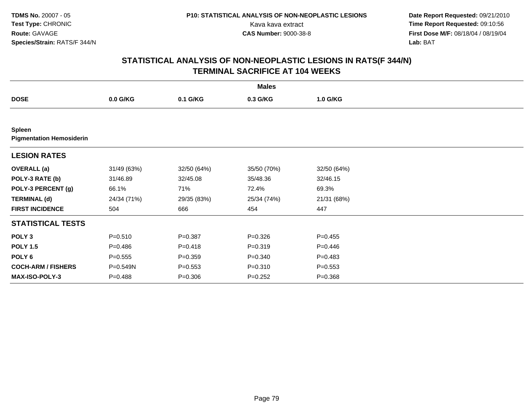**Date Report Requested:** 09/21/2010 Kava kava extract **Time Report Requested:** 09:10:56<br>**CAS Number:** 9000-38-8<br>**Tirst Dose M/F:** 08/18/04 / 08/19/04 **First Dose M/F:** 08/18/04 / 08/19/04 Lab: BAT **Lab:** BAT

|                                                  |             |             | <b>Males</b> |             |
|--------------------------------------------------|-------------|-------------|--------------|-------------|
| <b>DOSE</b>                                      | $0.0$ G/KG  | 0.1 G/KG    | 0.3 G/KG     | 1.0 G/KG    |
|                                                  |             |             |              |             |
| <b>Spleen</b><br><b>Pigmentation Hemosiderin</b> |             |             |              |             |
| <b>LESION RATES</b>                              |             |             |              |             |
| <b>OVERALL</b> (a)                               | 31/49 (63%) | 32/50 (64%) | 35/50 (70%)  | 32/50 (64%) |
| POLY-3 RATE (b)                                  | 31/46.89    | 32/45.08    | 35/48.36     | 32/46.15    |
| POLY-3 PERCENT (g)                               | 66.1%       | 71%         | 72.4%        | 69.3%       |
| <b>TERMINAL (d)</b>                              | 24/34 (71%) | 29/35 (83%) | 25/34 (74%)  | 21/31 (68%) |
| <b>FIRST INCIDENCE</b>                           | 504         | 666         | 454          | 447         |
| <b>STATISTICAL TESTS</b>                         |             |             |              |             |
| POLY <sub>3</sub>                                | $P = 0.510$ | $P = 0.387$ | $P = 0.326$  | $P=0.455$   |
| <b>POLY 1.5</b>                                  | $P = 0.486$ | $P = 0.418$ | $P = 0.319$  | $P=0.446$   |
| POLY <sub>6</sub>                                | $P = 0.555$ | $P = 0.359$ | $P = 0.340$  | $P=0.483$   |
| <b>COCH-ARM / FISHERS</b>                        | P=0.549N    | $P = 0.553$ | $P = 0.310$  | $P = 0.553$ |
| <b>MAX-ISO-POLY-3</b>                            | $P = 0.488$ | $P = 0.306$ | $P=0.252$    | $P = 0.368$ |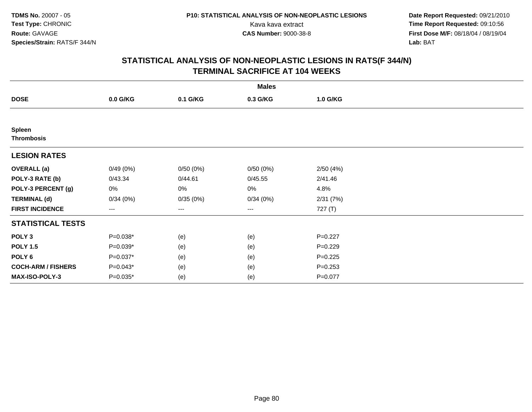**Date Report Requested:** 09/21/2010 Kava kava extract **Time Report Requested:** 09:10:56<br>**CAS Number:** 9000-38-8<br>**Tirst Dose M/F:** 08/18/04 / 08/19/04 **First Dose M/F:** 08/18/04 / 08/19/04 Lab: BAT **Lab:** BAT

|                                    |            |          | <b>Males</b> |             |  |
|------------------------------------|------------|----------|--------------|-------------|--|
| <b>DOSE</b>                        | 0.0 G/KG   | 0.1 G/KG | 0.3 G/KG     | 1.0 G/KG    |  |
|                                    |            |          |              |             |  |
| <b>Spleen</b><br><b>Thrombosis</b> |            |          |              |             |  |
| <b>LESION RATES</b>                |            |          |              |             |  |
| <b>OVERALL (a)</b>                 | 0/49(0%)   | 0/50(0%) | 0/50(0%)     | 2/50(4%)    |  |
| POLY-3 RATE (b)                    | 0/43.34    | 0/44.61  | 0/45.55      | 2/41.46     |  |
| POLY-3 PERCENT (g)                 | 0%         | 0%       | 0%           | 4.8%        |  |
| <b>TERMINAL (d)</b>                | 0/34(0%)   | 0/35(0%) | 0/34(0%)     | 2/31(7%)    |  |
| <b>FIRST INCIDENCE</b>             | ---        | ---      | ---          | 727 (T)     |  |
| <b>STATISTICAL TESTS</b>           |            |          |              |             |  |
| POLY <sub>3</sub>                  | $P=0.038*$ | (e)      | (e)          | $P=0.227$   |  |
| <b>POLY 1.5</b>                    | $P=0.039*$ | (e)      | (e)          | $P=0.229$   |  |
| POLY <sub>6</sub>                  | $P=0.037*$ | (e)      | (e)          | $P = 0.225$ |  |
| <b>COCH-ARM / FISHERS</b>          | $P=0.043*$ | (e)      | (e)          | $P = 0.253$ |  |
| MAX-ISO-POLY-3                     | $P=0.035*$ | (e)      | (e)          | $P = 0.077$ |  |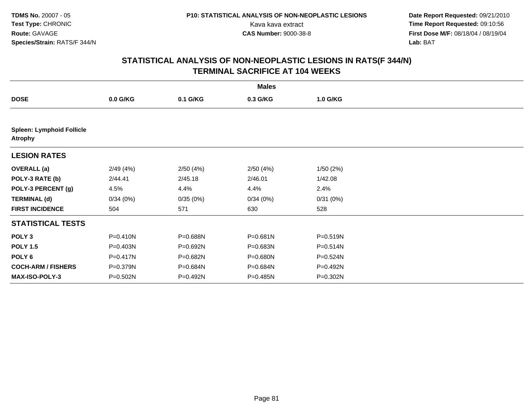**Date Report Requested:** 09/21/2010 Kava kava extract **Time Report Requested:** 09:10:56<br>**CAS Number:** 9000-38-8<br>**Tirst Dose M/F:** 08/18/04 / 08/19/04 **First Dose M/F:** 08/18/04 / 08/19/04 Lab: BAT **Lab:** BAT

|                                                    |              |          | <b>Males</b> |              |  |
|----------------------------------------------------|--------------|----------|--------------|--------------|--|
| <b>DOSE</b>                                        | $0.0$ G/KG   | 0.1 G/KG | 0.3 G/KG     | 1.0 G/KG     |  |
|                                                    |              |          |              |              |  |
| <b>Spleen: Lymphoid Follicle</b><br><b>Atrophy</b> |              |          |              |              |  |
| <b>LESION RATES</b>                                |              |          |              |              |  |
| <b>OVERALL</b> (a)                                 | 2/49(4%)     | 2/50(4%) | 2/50(4%)     | 1/50(2%)     |  |
| POLY-3 RATE (b)                                    | 2/44.41      | 2/45.18  | 2/46.01      | 1/42.08      |  |
| POLY-3 PERCENT (g)                                 | 4.5%         | 4.4%     | 4.4%         | 2.4%         |  |
| <b>TERMINAL (d)</b>                                | 0/34(0%)     | 0/35(0%) | 0/34(0%)     | 0/31(0%)     |  |
| <b>FIRST INCIDENCE</b>                             | 504          | 571      | 630          | 528          |  |
| <b>STATISTICAL TESTS</b>                           |              |          |              |              |  |
| POLY <sub>3</sub>                                  | P=0.410N     | P=0.688N | P=0.681N     | P=0.519N     |  |
| <b>POLY 1.5</b>                                    | P=0.403N     | P=0.692N | P=0.683N     | P=0.514N     |  |
| POLY <sub>6</sub>                                  | $P = 0.417N$ | P=0.682N | P=0.680N     | $P = 0.524N$ |  |
| <b>COCH-ARM / FISHERS</b>                          | P=0.379N     | P=0.684N | P=0.684N     | P=0.492N     |  |
| <b>MAX-ISO-POLY-3</b>                              | P=0.502N     | P=0.492N | $P = 0.485N$ | P=0.302N     |  |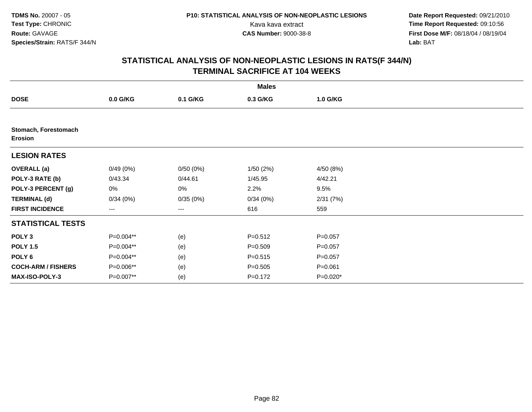**Date Report Requested:** 09/21/2010 Kava kava extract **Time Report Requested:** 09:10:56<br>**CAS Number:** 9000-38-8<br>**Tirst Dose M/F:** 08/18/04 / 08/19/04 **First Dose M/F:** 08/18/04 / 08/19/04 Lab: BAT **Lab:** BAT

|                                        |            |          | <b>Males</b> |             |  |
|----------------------------------------|------------|----------|--------------|-------------|--|
| <b>DOSE</b>                            | $0.0$ G/KG | 0.1 G/KG | 0.3 G/KG     | 1.0 G/KG    |  |
|                                        |            |          |              |             |  |
| Stomach, Forestomach<br><b>Erosion</b> |            |          |              |             |  |
| <b>LESION RATES</b>                    |            |          |              |             |  |
| <b>OVERALL</b> (a)                     | 0/49(0%)   | 0/50(0%) | 1/50(2%)     | 4/50 (8%)   |  |
| POLY-3 RATE (b)                        | 0/43.34    | 0/44.61  | 1/45.95      | 4/42.21     |  |
| POLY-3 PERCENT (g)                     | 0%         | 0%       | 2.2%         | 9.5%        |  |
| <b>TERMINAL (d)</b>                    | 0/34(0%)   | 0/35(0%) | 0/34(0%)     | 2/31(7%)    |  |
| <b>FIRST INCIDENCE</b>                 | ---        | ---      | 616          | 559         |  |
| <b>STATISTICAL TESTS</b>               |            |          |              |             |  |
| POLY <sub>3</sub>                      | P=0.004**  | (e)      | $P = 0.512$  | $P = 0.057$ |  |
| <b>POLY 1.5</b>                        | P=0.004**  | (e)      | $P = 0.509$  | $P = 0.057$ |  |
| POLY <sub>6</sub>                      | P=0.004**  | (e)      | $P = 0.515$  | $P = 0.057$ |  |
| <b>COCH-ARM / FISHERS</b>              | P=0.006**  | (e)      | $P = 0.505$  | $P = 0.061$ |  |
| MAX-ISO-POLY-3                         | P=0.007**  | (e)      | $P = 0.172$  | $P=0.020*$  |  |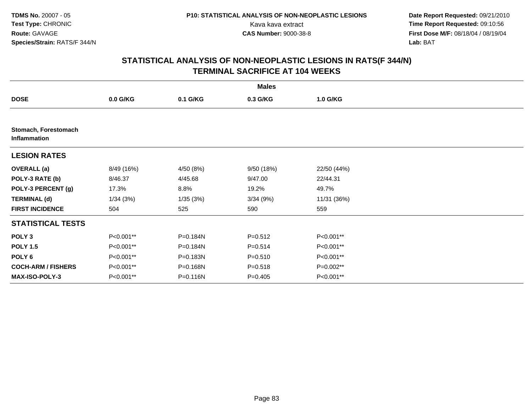**Date Report Requested:** 09/21/2010 Kava kava extract **Time Report Requested:** 09:10:56<br>**CAS Number:** 9000-38-8<br>**Tirst Dose M/F:** 08/18/04 / 08/19/04 **First Dose M/F:** 08/18/04 / 08/19/04 Lab: BAT **Lab:** BAT

|                                      |            |           | <b>Males</b> |             |  |
|--------------------------------------|------------|-----------|--------------|-------------|--|
| <b>DOSE</b>                          | $0.0$ G/KG | 0.1 G/KG  | 0.3 G/KG     | 1.0 G/KG    |  |
|                                      |            |           |              |             |  |
| Stomach, Forestomach<br>Inflammation |            |           |              |             |  |
| <b>LESION RATES</b>                  |            |           |              |             |  |
| <b>OVERALL</b> (a)                   | 8/49 (16%) | 4/50 (8%) | 9/50 (18%)   | 22/50 (44%) |  |
| POLY-3 RATE (b)                      | 8/46.37    | 4/45.68   | 9/47.00      | 22/44.31    |  |
| POLY-3 PERCENT (g)                   | 17.3%      | 8.8%      | 19.2%        | 49.7%       |  |
| <b>TERMINAL (d)</b>                  | 1/34(3%)   | 1/35 (3%) | 3/34(9%)     | 11/31 (36%) |  |
| <b>FIRST INCIDENCE</b>               | 504        | 525       | 590          | 559         |  |
| <b>STATISTICAL TESTS</b>             |            |           |              |             |  |
| POLY <sub>3</sub>                    | P<0.001**  | P=0.184N  | $P = 0.512$  | P<0.001**   |  |
| <b>POLY 1.5</b>                      | P<0.001**  | P=0.184N  | $P = 0.514$  | P<0.001**   |  |
| POLY <sub>6</sub>                    | P<0.001**  | P=0.183N  | $P = 0.510$  | P<0.001**   |  |
| <b>COCH-ARM / FISHERS</b>            | P<0.001**  | P=0.168N  | $P = 0.518$  | $P=0.002**$ |  |
| <b>MAX-ISO-POLY-3</b>                | P<0.001**  | P=0.116N  | $P=0.405$    | P<0.001**   |  |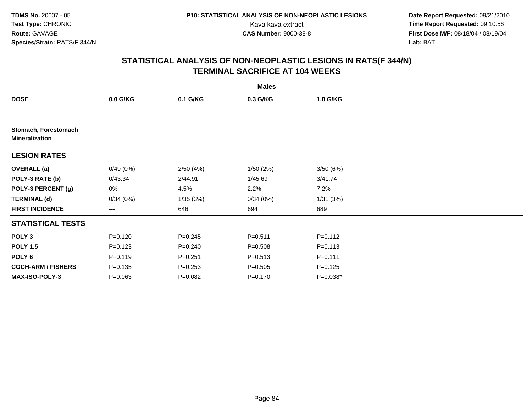**Date Report Requested:** 09/21/2010 Kava kava extract **Time Report Requested:** 09:10:56<br>**CAS Number:** 9000-38-8<br>**Tirst Dose M/F:** 08/18/04 / 08/19/04 **First Dose M/F:** 08/18/04 / 08/19/04 Lab: BAT **Lab:** BAT

|                                               |             |             | <b>Males</b> |             |  |
|-----------------------------------------------|-------------|-------------|--------------|-------------|--|
| <b>DOSE</b>                                   | $0.0$ G/KG  | 0.1 G/KG    | 0.3 G/KG     | 1.0 G/KG    |  |
|                                               |             |             |              |             |  |
| Stomach, Forestomach<br><b>Mineralization</b> |             |             |              |             |  |
| <b>LESION RATES</b>                           |             |             |              |             |  |
| <b>OVERALL (a)</b>                            | 0/49(0%)    | 2/50(4%)    | 1/50(2%)     | 3/50(6%)    |  |
| POLY-3 RATE (b)                               | 0/43.34     | 2/44.91     | 1/45.69      | 3/41.74     |  |
| POLY-3 PERCENT (g)                            | 0%          | 4.5%        | 2.2%         | 7.2%        |  |
| <b>TERMINAL (d)</b>                           | 0/34(0%)    | 1/35(3%)    | 0/34(0%)     | 1/31(3%)    |  |
| <b>FIRST INCIDENCE</b>                        | ---         | 646         | 694          | 689         |  |
| <b>STATISTICAL TESTS</b>                      |             |             |              |             |  |
| POLY <sub>3</sub>                             | $P = 0.120$ | $P = 0.245$ | $P = 0.511$  | $P = 0.112$ |  |
| <b>POLY 1.5</b>                               | $P = 0.123$ | $P = 0.240$ | $P = 0.508$  | $P = 0.113$ |  |
| POLY <sub>6</sub>                             | $P = 0.119$ | $P = 0.251$ | $P = 0.513$  | $P = 0.111$ |  |
| <b>COCH-ARM / FISHERS</b>                     | $P = 0.135$ | $P = 0.253$ | $P = 0.505$  | $P = 0.125$ |  |
| <b>MAX-ISO-POLY-3</b>                         | $P = 0.063$ | $P = 0.082$ | $P = 0.170$  | P=0.038*    |  |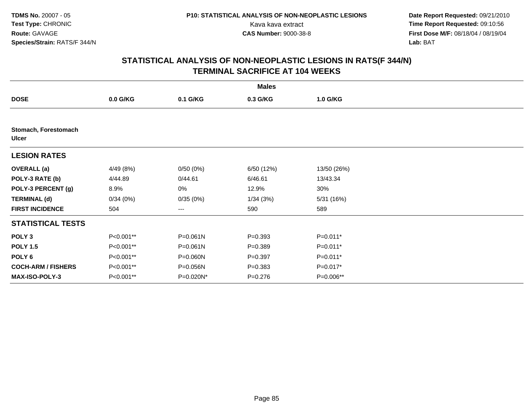**Date Report Requested:** 09/21/2010 Kava kava extract **Time Report Requested:** 09:10:56<br>**CAS Number:** 9000-38-8<br>**Tirst Dose M/F:** 08/18/04 / 08/19/04 **First Dose M/F:** 08/18/04 / 08/19/04 Lab: BAT **Lab:** BAT

|                                      |            |              | <b>Males</b> |             |  |
|--------------------------------------|------------|--------------|--------------|-------------|--|
| <b>DOSE</b>                          | $0.0$ G/KG | 0.1 G/KG     | 0.3 G/KG     | 1.0 G/KG    |  |
|                                      |            |              |              |             |  |
| Stomach, Forestomach<br><b>Ulcer</b> |            |              |              |             |  |
| <b>LESION RATES</b>                  |            |              |              |             |  |
| <b>OVERALL</b> (a)                   | 4/49 (8%)  | 0/50(0%)     | 6/50 (12%)   | 13/50 (26%) |  |
| POLY-3 RATE (b)                      | 4/44.89    | 0/44.61      | 6/46.61      | 13/43.34    |  |
| POLY-3 PERCENT (g)                   | 8.9%       | 0%           | 12.9%        | 30%         |  |
| <b>TERMINAL (d)</b>                  | 0/34(0%)   | 0/35(0%)     | 1/34(3%)     | 5/31 (16%)  |  |
| <b>FIRST INCIDENCE</b>               | 504        | ---          | 590          | 589         |  |
| <b>STATISTICAL TESTS</b>             |            |              |              |             |  |
| POLY <sub>3</sub>                    | P<0.001**  | $P = 0.061N$ | $P = 0.393$  | P=0.011*    |  |
| <b>POLY 1.5</b>                      | P<0.001**  | $P = 0.061N$ | $P = 0.389$  | P=0.011*    |  |
| POLY 6                               | P<0.001**  | P=0.060N     | $P = 0.397$  | P=0.011*    |  |
| <b>COCH-ARM / FISHERS</b>            | P<0.001**  | P=0.056N     | $P = 0.383$  | P=0.017*    |  |
| <b>MAX-ISO-POLY-3</b>                | P<0.001**  | P=0.020N*    | $P = 0.276$  | P=0.006**   |  |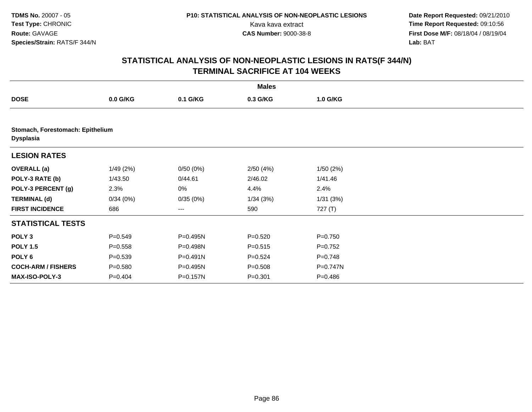**Date Report Requested:** 09/21/2010 Kava kava extract **Time Report Requested:** 09:10:56<br>**CAS Number:** 9000-38-8<br>**Tirst Dose M/F:** 08/18/04 / 08/19/04 **First Dose M/F:** 08/18/04 / 08/19/04 Lab: BAT **Lab:** BAT

|                                                      |             |              | <b>Males</b> |             |  |
|------------------------------------------------------|-------------|--------------|--------------|-------------|--|
| <b>DOSE</b>                                          | $0.0$ G/KG  | 0.1 G/KG     | 0.3 G/KG     | 1.0 G/KG    |  |
|                                                      |             |              |              |             |  |
| Stomach, Forestomach: Epithelium<br><b>Dysplasia</b> |             |              |              |             |  |
| <b>LESION RATES</b>                                  |             |              |              |             |  |
| <b>OVERALL (a)</b>                                   | 1/49(2%)    | 0/50(0%)     | 2/50(4%)     | 1/50(2%)    |  |
| POLY-3 RATE (b)                                      | 1/43.50     | 0/44.61      | 2/46.02      | 1/41.46     |  |
| POLY-3 PERCENT (g)                                   | 2.3%        | 0%           | 4.4%         | 2.4%        |  |
| <b>TERMINAL (d)</b>                                  | 0/34(0%)    | 0/35(0%)     | 1/34(3%)     | 1/31(3%)    |  |
| <b>FIRST INCIDENCE</b>                               | 686         | $--$         | 590          | 727 (T)     |  |
| <b>STATISTICAL TESTS</b>                             |             |              |              |             |  |
| POLY <sub>3</sub>                                    | $P = 0.549$ | P=0.495N     | $P = 0.520$  | $P = 0.750$ |  |
| <b>POLY 1.5</b>                                      | $P = 0.558$ | P=0.498N     | $P = 0.515$  | $P=0.752$   |  |
| POLY <sub>6</sub>                                    | $P = 0.539$ | $P = 0.491N$ | $P=0.524$    | $P = 0.748$ |  |
| <b>COCH-ARM / FISHERS</b>                            | $P = 0.580$ | P=0.495N     | $P = 0.508$  | P=0.747N    |  |
| <b>MAX-ISO-POLY-3</b>                                | $P = 0.404$ | P=0.157N     | $P = 0.301$  | $P = 0.486$ |  |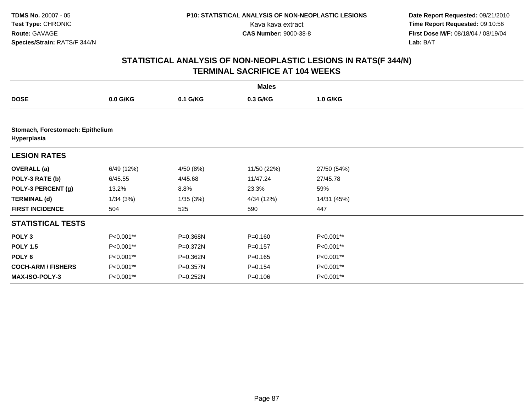**Date Report Requested:** 09/21/2010 Kava kava extract **Time Report Requested:** 09:10:56<br>**CAS Number:** 9000-38-8<br>**Tirst Dose M/F:** 08/18/04 / 08/19/04 **First Dose M/F:** 08/18/04 / 08/19/04 Lab: BAT **Lab:** BAT

|                           |                                  |              | <b>Males</b> |             |  |  |  |  |  |  |
|---------------------------|----------------------------------|--------------|--------------|-------------|--|--|--|--|--|--|
| <b>DOSE</b>               | $0.0$ G/KG                       | 0.1 G/KG     | 0.3 G/KG     | 1.0 G/KG    |  |  |  |  |  |  |
|                           |                                  |              |              |             |  |  |  |  |  |  |
| Hyperplasia               | Stomach, Forestomach: Epithelium |              |              |             |  |  |  |  |  |  |
| <b>LESION RATES</b>       |                                  |              |              |             |  |  |  |  |  |  |
| <b>OVERALL (a)</b>        | 6/49 (12%)                       | 4/50 (8%)    | 11/50 (22%)  | 27/50 (54%) |  |  |  |  |  |  |
| POLY-3 RATE (b)           | 6/45.55                          | 4/45.68      | 11/47.24     | 27/45.78    |  |  |  |  |  |  |
| POLY-3 PERCENT (g)        | 13.2%                            | 8.8%         | 23.3%        | 59%         |  |  |  |  |  |  |
| <b>TERMINAL (d)</b>       | 1/34(3%)                         | 1/35(3%)     | 4/34 (12%)   | 14/31 (45%) |  |  |  |  |  |  |
| <b>FIRST INCIDENCE</b>    | 504                              | 525          | 590          | 447         |  |  |  |  |  |  |
| <b>STATISTICAL TESTS</b>  |                                  |              |              |             |  |  |  |  |  |  |
| POLY <sub>3</sub>         | P<0.001**                        | P=0.368N     | $P = 0.160$  | P<0.001**   |  |  |  |  |  |  |
| <b>POLY 1.5</b>           | P<0.001**                        | P=0.372N     | $P = 0.157$  | P<0.001**   |  |  |  |  |  |  |
| POLY <sub>6</sub>         | P<0.001**                        | P=0.362N     | $P = 0.165$  | P<0.001**   |  |  |  |  |  |  |
| <b>COCH-ARM / FISHERS</b> | P<0.001**                        | $P = 0.357N$ | $P=0.154$    | P<0.001**   |  |  |  |  |  |  |
| <b>MAX-ISO-POLY-3</b>     | P<0.001**                        | P=0.252N     | $P = 0.106$  | P<0.001**   |  |  |  |  |  |  |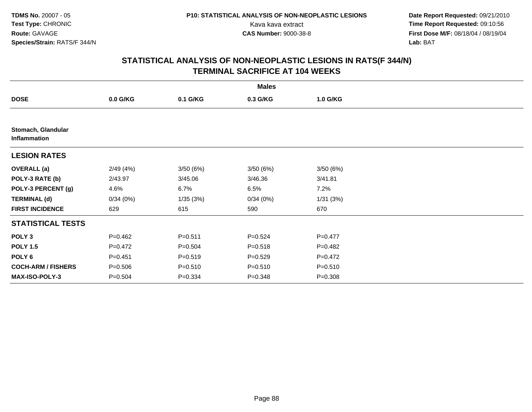**Date Report Requested:** 09/21/2010 Kava kava extract **Time Report Requested:** 09:10:56<br>**CAS Number:** 9000-38-8<br>**Tirst Dose M/F:** 08/18/04 / 08/19/04 **First Dose M/F:** 08/18/04 / 08/19/04 Lab: BAT **Lab:** BAT

|                                    |             |             | <b>Males</b> |             |  |
|------------------------------------|-------------|-------------|--------------|-------------|--|
| <b>DOSE</b>                        | $0.0$ G/KG  | 0.1 G/KG    | 0.3 G/KG     | 1.0 G/KG    |  |
|                                    |             |             |              |             |  |
| Stomach, Glandular<br>Inflammation |             |             |              |             |  |
| <b>LESION RATES</b>                |             |             |              |             |  |
| <b>OVERALL</b> (a)                 | 2/49(4%)    | 3/50(6%)    | 3/50(6%)     | 3/50(6%)    |  |
| POLY-3 RATE (b)                    | 2/43.97     | 3/45.06     | 3/46.36      | 3/41.81     |  |
| POLY-3 PERCENT (g)                 | 4.6%        | 6.7%        | 6.5%         | 7.2%        |  |
| <b>TERMINAL (d)</b>                | 0/34(0%)    | 1/35(3%)    | 0/34(0%)     | 1/31(3%)    |  |
| <b>FIRST INCIDENCE</b>             | 629         | 615         | 590          | 670         |  |
| <b>STATISTICAL TESTS</b>           |             |             |              |             |  |
| POLY <sub>3</sub>                  | $P=0.462$   | $P = 0.511$ | $P = 0.524$  | $P=0.477$   |  |
| <b>POLY 1.5</b>                    | $P=0.472$   | $P = 0.504$ | $P = 0.518$  | $P=0.482$   |  |
| POLY <sub>6</sub>                  | $P = 0.451$ | $P = 0.519$ | $P = 0.529$  | $P=0.472$   |  |
| <b>COCH-ARM / FISHERS</b>          | $P = 0.506$ | $P = 0.510$ | $P = 0.510$  | $P = 0.510$ |  |
| <b>MAX-ISO-POLY-3</b>              | $P = 0.504$ | $P = 0.334$ | $P = 0.348$  | $P = 0.308$ |  |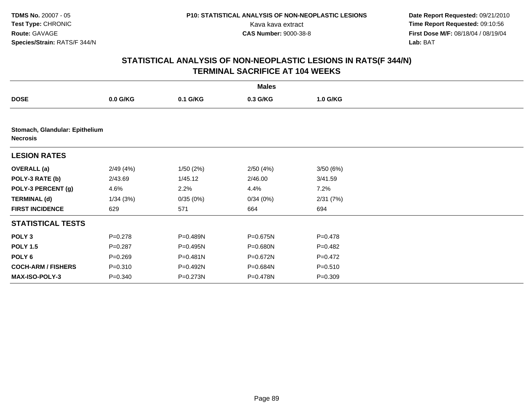**Date Report Requested:** 09/21/2010 Kava kava extract **Time Report Requested:** 09:10:56<br>**CAS Number:** 9000-38-8<br>**Tirst Dose M/F:** 08/18/04 / 08/19/04 **First Dose M/F:** 08/18/04 / 08/19/04 Lab: BAT **Lab:** BAT

|                                                   |             |              | <b>Males</b> |             |  |
|---------------------------------------------------|-------------|--------------|--------------|-------------|--|
| <b>DOSE</b>                                       | $0.0$ G/KG  | 0.1 G/KG     | 0.3 G/KG     | 1.0 G/KG    |  |
|                                                   |             |              |              |             |  |
| Stomach, Glandular: Epithelium<br><b>Necrosis</b> |             |              |              |             |  |
| <b>LESION RATES</b>                               |             |              |              |             |  |
| <b>OVERALL</b> (a)                                | 2/49(4%)    | 1/50(2%)     | 2/50(4%)     | 3/50(6%)    |  |
| POLY-3 RATE (b)                                   | 2/43.69     | 1/45.12      | 2/46.00      | 3/41.59     |  |
| POLY-3 PERCENT (g)                                | 4.6%        | 2.2%         | 4.4%         | 7.2%        |  |
| <b>TERMINAL (d)</b>                               | 1/34(3%)    | 0/35(0%)     | 0/34(0%)     | 2/31(7%)    |  |
| <b>FIRST INCIDENCE</b>                            | 629         | 571          | 664          | 694         |  |
| <b>STATISTICAL TESTS</b>                          |             |              |              |             |  |
| POLY <sub>3</sub>                                 | $P = 0.278$ | P=0.489N     | P=0.675N     | $P = 0.478$ |  |
| <b>POLY 1.5</b>                                   | $P = 0.287$ | P=0.495N     | P=0.680N     | $P=0.482$   |  |
| POLY <sub>6</sub>                                 | $P = 0.269$ | $P = 0.481N$ | P=0.672N     | $P = 0.472$ |  |
| <b>COCH-ARM / FISHERS</b>                         | $P = 0.310$ | P=0.492N     | P=0.684N     | $P = 0.510$ |  |
| <b>MAX-ISO-POLY-3</b>                             | $P = 0.340$ | P=0.273N     | P=0.478N     | $P = 0.309$ |  |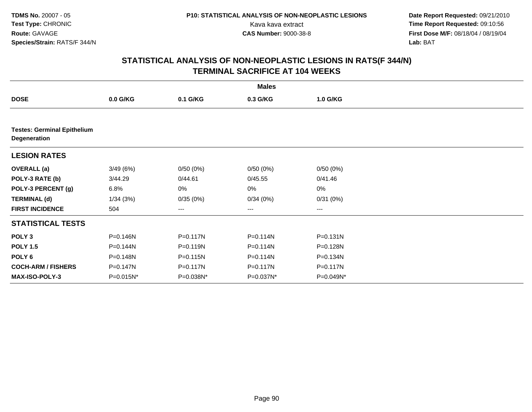**Date Report Requested:** 09/21/2010 Kava kava extract **Time Report Requested:** 09:10:56<br>**CAS Number:** 9000-38-8<br>**Tirst Dose M/F:** 08/18/04 / 08/19/04 **First Dose M/F:** 08/18/04 / 08/19/04 Lab: BAT **Lab:** BAT

|                                                    |           |              | <b>Males</b> |              |  |
|----------------------------------------------------|-----------|--------------|--------------|--------------|--|
| <b>DOSE</b>                                        | 0.0 G/KG  | 0.1 G/KG     | 0.3 G/KG     | 1.0 G/KG     |  |
|                                                    |           |              |              |              |  |
| <b>Testes: Germinal Epithelium</b><br>Degeneration |           |              |              |              |  |
| <b>LESION RATES</b>                                |           |              |              |              |  |
| <b>OVERALL (a)</b>                                 | 3/49(6%)  | 0/50(0%)     | 0/50(0%)     | 0/50(0%)     |  |
| POLY-3 RATE (b)                                    | 3/44.29   | 0/44.61      | 0/45.55      | 0/41.46      |  |
| POLY-3 PERCENT (g)                                 | 6.8%      | 0%           | 0%           | 0%           |  |
| <b>TERMINAL (d)</b>                                | 1/34(3%)  | 0/35(0%)     | 0/34(0%)     | 0/31(0%)     |  |
| <b>FIRST INCIDENCE</b>                             | 504       | $\cdots$     | ---          | ---          |  |
| <b>STATISTICAL TESTS</b>                           |           |              |              |              |  |
| POLY <sub>3</sub>                                  | P=0.146N  | $P = 0.117N$ | P=0.114N     | $P = 0.131N$ |  |
| <b>POLY 1.5</b>                                    | P=0.144N  | P=0.119N     | P=0.114N     | P=0.128N     |  |
| POLY <sub>6</sub>                                  | P=0.148N  | P=0.115N     | P=0.114N     | P=0.134N     |  |
| <b>COCH-ARM / FISHERS</b>                          | P=0.147N  | P=0.117N     | P=0.117N     | P=0.117N     |  |
| <b>MAX-ISO-POLY-3</b>                              | P=0.015N* | P=0.038N*    | P=0.037N*    | P=0.049N*    |  |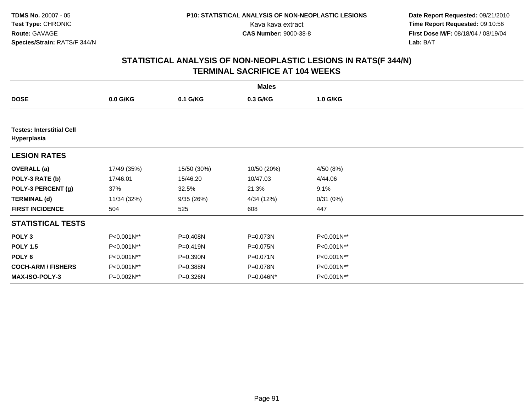**Date Report Requested:** 09/21/2010 Kava kava extract **Time Report Requested:** 09:10:56<br>**CAS Number:** 9000-38-8<br>**Tirst Dose M/F:** 08/18/04 / 08/19/04 **First Dose M/F:** 08/18/04 / 08/19/04 Lab: BAT **Lab:** BAT

|                                                 |             |              | <b>Males</b> |            |  |
|-------------------------------------------------|-------------|--------------|--------------|------------|--|
| <b>DOSE</b>                                     | 0.0 G/KG    | 0.1 G/KG     | 0.3 G/KG     | 1.0 G/KG   |  |
|                                                 |             |              |              |            |  |
| <b>Testes: Interstitial Cell</b><br>Hyperplasia |             |              |              |            |  |
| <b>LESION RATES</b>                             |             |              |              |            |  |
| <b>OVERALL</b> (a)                              | 17/49 (35%) | 15/50 (30%)  | 10/50 (20%)  | 4/50 (8%)  |  |
| POLY-3 RATE (b)                                 | 17/46.01    | 15/46.20     | 10/47.03     | 4/44.06    |  |
| POLY-3 PERCENT (g)                              | 37%         | 32.5%        | 21.3%        | 9.1%       |  |
| <b>TERMINAL (d)</b>                             | 11/34 (32%) | 9/35 (26%)   | 4/34 (12%)   | 0/31(0%)   |  |
| <b>FIRST INCIDENCE</b>                          | 504         | 525          | 608          | 447        |  |
| <b>STATISTICAL TESTS</b>                        |             |              |              |            |  |
| POLY <sub>3</sub>                               | P<0.001N**  | P=0.408N     | P=0.073N     | P<0.001N** |  |
| <b>POLY 1.5</b>                                 | P<0.001N**  | $P = 0.419N$ | P=0.075N     | P<0.001N** |  |
| POLY 6                                          | P<0.001N**  | P=0.390N     | $P = 0.071N$ | P<0.001N** |  |
| <b>COCH-ARM / FISHERS</b>                       | P<0.001N**  | P=0.388N     | P=0.078N     | P<0.001N** |  |
| MAX-ISO-POLY-3                                  | P=0.002N**  | P=0.326N     | P=0.046N*    | P<0.001N** |  |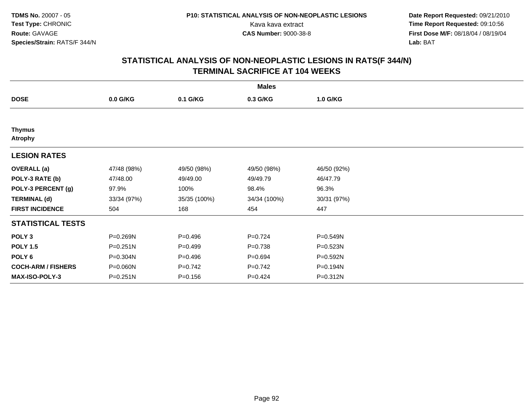**Date Report Requested:** 09/21/2010 Kava kava extract **Time Report Requested:** 09:10:56<br>**CAS Number:** 9000-38-8<br>**Tirst Dose M/F:** 08/18/04 / 08/19/04 **First Dose M/F:** 08/18/04 / 08/19/04 Lab: BAT **Lab:** BAT

|                                 |              |              | <b>Males</b> |              |  |
|---------------------------------|--------------|--------------|--------------|--------------|--|
| <b>DOSE</b>                     | 0.0 G/KG     | 0.1 G/KG     | 0.3 G/KG     | 1.0 G/KG     |  |
|                                 |              |              |              |              |  |
| <b>Thymus</b><br><b>Atrophy</b> |              |              |              |              |  |
| <b>LESION RATES</b>             |              |              |              |              |  |
| <b>OVERALL</b> (a)              | 47/48 (98%)  | 49/50 (98%)  | 49/50 (98%)  | 46/50 (92%)  |  |
| POLY-3 RATE (b)                 | 47/48.00     | 49/49.00     | 49/49.79     | 46/47.79     |  |
| POLY-3 PERCENT (g)              | 97.9%        | 100%         | 98.4%        | 96.3%        |  |
| <b>TERMINAL (d)</b>             | 33/34 (97%)  | 35/35 (100%) | 34/34 (100%) | 30/31 (97%)  |  |
| <b>FIRST INCIDENCE</b>          | 504          | 168          | 454          | 447          |  |
| <b>STATISTICAL TESTS</b>        |              |              |              |              |  |
| POLY <sub>3</sub>               | P=0.269N     | $P = 0.496$  | $P = 0.724$  | $P = 0.549N$ |  |
| <b>POLY 1.5</b>                 | $P = 0.251N$ | $P=0.499$    | $P = 0.738$  | P=0.523N     |  |
| POLY 6                          | P=0.304N     | $P = 0.496$  | $P=0.694$    | P=0.592N     |  |
| <b>COCH-ARM / FISHERS</b>       | P=0.060N     | $P=0.742$    | $P=0.742$    | P=0.194N     |  |
| MAX-ISO-POLY-3                  | $P = 0.251N$ | $P = 0.156$  | $P = 0.424$  | P=0.312N     |  |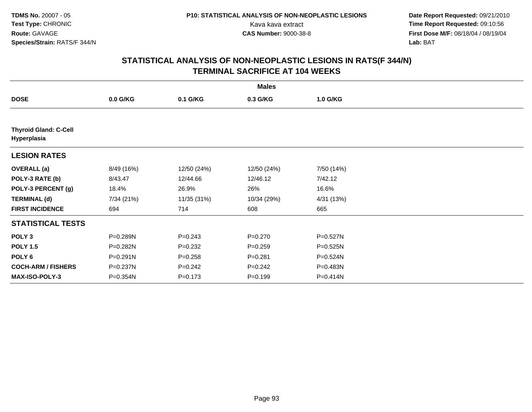**Date Report Requested:** 09/21/2010 Kava kava extract **Time Report Requested:** 09:10:56<br>**CAS Number:** 9000-38-8<br>**Tirst Dose M/F:** 08/18/04 / 08/19/04 **First Dose M/F:** 08/18/04 / 08/19/04 Lab: BAT **Lab:** BAT

|                                             |              |             | <b>Males</b> |              |  |
|---------------------------------------------|--------------|-------------|--------------|--------------|--|
| <b>DOSE</b>                                 | $0.0$ G/KG   | 0.1 G/KG    | 0.3 G/KG     | 1.0 G/KG     |  |
|                                             |              |             |              |              |  |
| <b>Thyroid Gland: C-Cell</b><br>Hyperplasia |              |             |              |              |  |
| <b>LESION RATES</b>                         |              |             |              |              |  |
| <b>OVERALL</b> (a)                          | 8/49 (16%)   | 12/50 (24%) | 12/50 (24%)  | 7/50 (14%)   |  |
| POLY-3 RATE (b)                             | 8/43.47      | 12/44.66    | 12/46.12     | 7/42.12      |  |
| POLY-3 PERCENT (g)                          | 18.4%        | 26.9%       | 26%          | 16.6%        |  |
| <b>TERMINAL (d)</b>                         | 7/34 (21%)   | 11/35 (31%) | 10/34 (29%)  | 4/31 (13%)   |  |
| <b>FIRST INCIDENCE</b>                      | 694          | 714         | 608          | 665          |  |
| <b>STATISTICAL TESTS</b>                    |              |             |              |              |  |
| POLY <sub>3</sub>                           | P=0.289N     | $P = 0.243$ | $P=0.270$    | $P = 0.527N$ |  |
| <b>POLY 1.5</b>                             | P=0.282N     | $P=0.232$   | $P = 0.259$  | P=0.525N     |  |
| POLY <sub>6</sub>                           | $P = 0.291N$ | $P = 0.258$ | $P = 0.281$  | $P = 0.524N$ |  |
| <b>COCH-ARM / FISHERS</b>                   | P=0.237N     | $P = 0.242$ | $P = 0.242$  | P=0.483N     |  |
| <b>MAX-ISO-POLY-3</b>                       | P=0.354N     | $P = 0.173$ | $P = 0.199$  | P=0.414N     |  |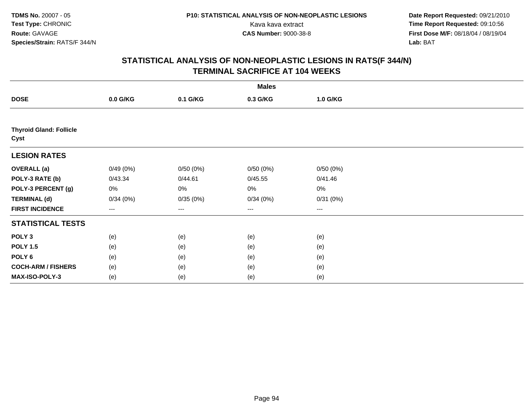**Date Report Requested:** 09/21/2010 Kava kava extract **Time Report Requested:** 09:10:56<br>**CAS Number:** 9000-38-8<br>**Tirst Dose M/F:** 08/18/04 / 08/19/04 **First Dose M/F:** 08/18/04 / 08/19/04 Lab: BAT **Lab:** BAT

|                                        |          |          | <b>Males</b> |          |  |
|----------------------------------------|----------|----------|--------------|----------|--|
| <b>DOSE</b>                            | 0.0 G/KG | 0.1 G/KG | 0.3 G/KG     | 1.0 G/KG |  |
|                                        |          |          |              |          |  |
| <b>Thyroid Gland: Follicle</b><br>Cyst |          |          |              |          |  |
| <b>LESION RATES</b>                    |          |          |              |          |  |
| <b>OVERALL</b> (a)                     | 0/49(0%) | 0/50(0%) | 0/50(0%)     | 0/50(0%) |  |
| POLY-3 RATE (b)                        | 0/43.34  | 0/44.61  | 0/45.55      | 0/41.46  |  |
| POLY-3 PERCENT (g)                     | 0%       | 0%       | 0%           | 0%       |  |
| <b>TERMINAL (d)</b>                    | 0/34(0%) | 0/35(0%) | 0/34(0%)     | 0/31(0%) |  |
| <b>FIRST INCIDENCE</b>                 | ---      | ---      | ---          | $--$     |  |
| <b>STATISTICAL TESTS</b>               |          |          |              |          |  |
| POLY <sub>3</sub>                      | (e)      | (e)      | (e)          | (e)      |  |
| <b>POLY 1.5</b>                        | (e)      | (e)      | (e)          | (e)      |  |
| POLY <sub>6</sub>                      | (e)      | (e)      | (e)          | (e)      |  |
| <b>COCH-ARM / FISHERS</b>              | (e)      | (e)      | (e)          | (e)      |  |
| MAX-ISO-POLY-3                         | (e)      | (e)      | (e)          | (e)      |  |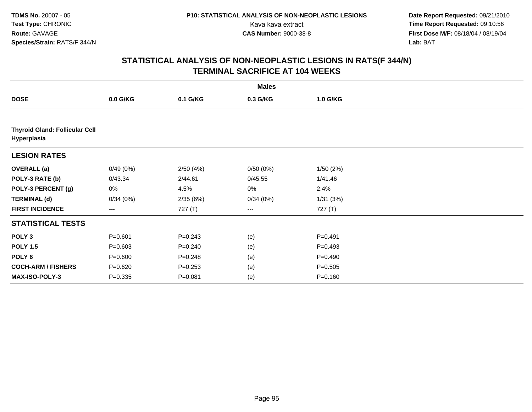**Date Report Requested:** 09/21/2010 Kava kava extract **Time Report Requested:** 09:10:56<br>**CAS Number:** 9000-38-8<br>**Tirst Dose M/F:** 08/18/04 / 08/19/04 **First Dose M/F:** 08/18/04 / 08/19/04 Lab: BAT **Lab:** BAT

|                                                      |             |             | <b>Males</b> |             |  |
|------------------------------------------------------|-------------|-------------|--------------|-------------|--|
| <b>DOSE</b>                                          | $0.0$ G/KG  | 0.1 G/KG    | 0.3 G/KG     | 1.0 G/KG    |  |
|                                                      |             |             |              |             |  |
| <b>Thyroid Gland: Follicular Cell</b><br>Hyperplasia |             |             |              |             |  |
| <b>LESION RATES</b>                                  |             |             |              |             |  |
| <b>OVERALL</b> (a)                                   | 0/49(0%)    | 2/50(4%)    | 0/50(0%)     | 1/50(2%)    |  |
| POLY-3 RATE (b)                                      | 0/43.34     | 2/44.61     | 0/45.55      | 1/41.46     |  |
| POLY-3 PERCENT (g)                                   | 0%          | 4.5%        | 0%           | 2.4%        |  |
| <b>TERMINAL (d)</b>                                  | 0/34(0%)    | 2/35(6%)    | 0/34(0%)     | 1/31(3%)    |  |
| <b>FIRST INCIDENCE</b>                               | ---         | 727 (T)     | ---          | 727 (T)     |  |
| <b>STATISTICAL TESTS</b>                             |             |             |              |             |  |
| POLY <sub>3</sub>                                    | $P = 0.601$ | $P = 0.243$ | (e)          | $P = 0.491$ |  |
| <b>POLY 1.5</b>                                      | $P = 0.603$ | $P = 0.240$ | (e)          | $P = 0.493$ |  |
| POLY <sub>6</sub>                                    | $P = 0.600$ | $P = 0.248$ | (e)          | $P = 0.490$ |  |
| <b>COCH-ARM / FISHERS</b>                            | $P = 0.620$ | $P = 0.253$ | (e)          | $P = 0.505$ |  |
| MAX-ISO-POLY-3                                       | $P = 0.335$ | $P = 0.081$ | (e)          | $P = 0.160$ |  |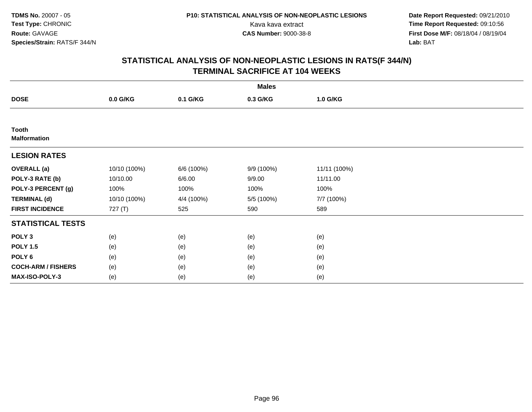**Date Report Requested:** 09/21/2010 Kava kava extract **Time Report Requested:** 09:10:56<br>**CAS Number:** 9000-38-8<br>**Tirst Dose M/F:** 08/18/04 / 08/19/04 **First Dose M/F:** 08/18/04 / 08/19/04 Lab: BAT **Lab:** BAT

|                                     |              |            | <b>Males</b> |              |  |
|-------------------------------------|--------------|------------|--------------|--------------|--|
| <b>DOSE</b>                         | 0.0 G/KG     | 0.1 G/KG   | 0.3 G/KG     | 1.0 G/KG     |  |
|                                     |              |            |              |              |  |
| <b>Tooth</b><br><b>Malformation</b> |              |            |              |              |  |
| <b>LESION RATES</b>                 |              |            |              |              |  |
| <b>OVERALL (a)</b>                  | 10/10 (100%) | 6/6 (100%) | 9/9 (100%)   | 11/11 (100%) |  |
| POLY-3 RATE (b)                     | 10/10.00     | 6/6.00     | 9/9.00       | 11/11.00     |  |
| POLY-3 PERCENT (g)                  | 100%         | 100%       | 100%         | 100%         |  |
| <b>TERMINAL (d)</b>                 | 10/10 (100%) | 4/4 (100%) | 5/5 (100%)   | 7/7 (100%)   |  |
| <b>FIRST INCIDENCE</b>              | 727 (T)      | 525        | 590          | 589          |  |
| <b>STATISTICAL TESTS</b>            |              |            |              |              |  |
| POLY <sub>3</sub>                   | (e)          | (e)        | (e)          | (e)          |  |
| <b>POLY 1.5</b>                     | (e)          | (e)        | (e)          | (e)          |  |
| POLY <sub>6</sub>                   | (e)          | (e)        | (e)          | (e)          |  |
| <b>COCH-ARM / FISHERS</b>           | (e)          | (e)        | (e)          | (e)          |  |
| MAX-ISO-POLY-3                      | (e)          | (e)        | (e)          | (e)          |  |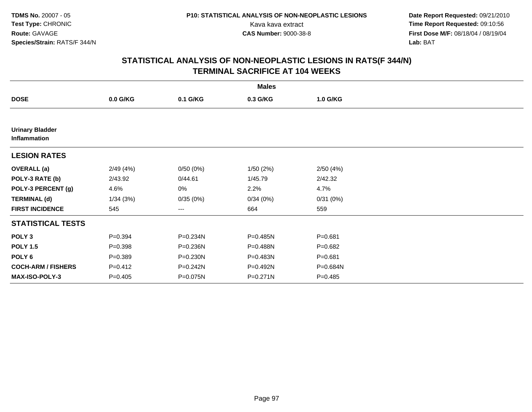**Date Report Requested:** 09/21/2010 Kava kava extract **Time Report Requested:** 09:10:56<br>**CAS Number:** 9000-38-8<br>**Tirst Dose M/F:** 08/18/04 / 08/19/04 **First Dose M/F:** 08/18/04 / 08/19/04 Lab: BAT **Lab:** BAT

| <b>Males</b>                           |             |          |          |             |  |  |  |
|----------------------------------------|-------------|----------|----------|-------------|--|--|--|
| <b>DOSE</b>                            | $0.0$ G/KG  | 0.1 G/KG | 0.3 G/KG | 1.0 G/KG    |  |  |  |
|                                        |             |          |          |             |  |  |  |
| <b>Urinary Bladder</b><br>Inflammation |             |          |          |             |  |  |  |
| <b>LESION RATES</b>                    |             |          |          |             |  |  |  |
| <b>OVERALL</b> (a)                     | 2/49(4%)    | 0/50(0%) | 1/50(2%) | 2/50(4%)    |  |  |  |
| POLY-3 RATE (b)                        | 2/43.92     | 0/44.61  | 1/45.79  | 2/42.32     |  |  |  |
| POLY-3 PERCENT (g)                     | 4.6%        | 0%       | 2.2%     | 4.7%        |  |  |  |
| <b>TERMINAL (d)</b>                    | 1/34(3%)    | 0/35(0%) | 0/34(0%) | 0/31(0%)    |  |  |  |
| <b>FIRST INCIDENCE</b>                 | 545         | ---      | 664      | 559         |  |  |  |
| <b>STATISTICAL TESTS</b>               |             |          |          |             |  |  |  |
| POLY <sub>3</sub>                      | $P = 0.394$ | P=0.234N | P=0.485N | $P = 0.681$ |  |  |  |
| <b>POLY 1.5</b>                        | $P = 0.398$ | P=0.236N | P=0.488N | $P = 0.682$ |  |  |  |
| POLY <sub>6</sub>                      | $P=0.389$   | P=0.230N | P=0.483N | $P = 0.681$ |  |  |  |
| <b>COCH-ARM / FISHERS</b>              | $P=0.412$   | P=0.242N | P=0.492N | P=0.684N    |  |  |  |
| MAX-ISO-POLY-3                         | $P=0.405$   | P=0.075N | P=0.271N | $P=0.485$   |  |  |  |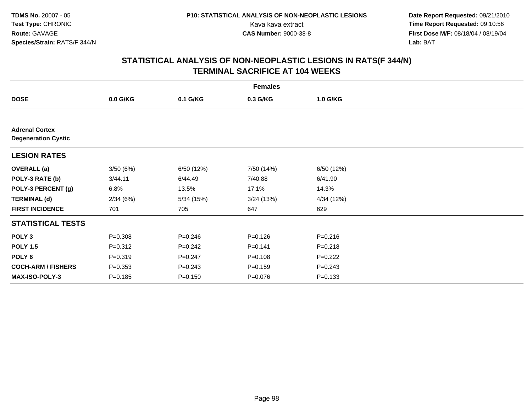**Date Report Requested:** 09/21/2010 Kava kava extract **Time Report Requested:** 09:10:56<br>**CAS Number:** 9000-38-8<br>**Tirst Dose M/F:** 08/18/04 / 08/19/04 **First Dose M/F:** 08/18/04 / 08/19/04 Lab: BAT **Lab:** BAT

|                                                     | <b>Females</b> |             |             |             |  |  |  |  |
|-----------------------------------------------------|----------------|-------------|-------------|-------------|--|--|--|--|
| <b>DOSE</b>                                         | $0.0$ G/KG     | 0.1 G/KG    | 0.3 G/KG    | 1.0 G/KG    |  |  |  |  |
|                                                     |                |             |             |             |  |  |  |  |
| <b>Adrenal Cortex</b><br><b>Degeneration Cystic</b> |                |             |             |             |  |  |  |  |
| <b>LESION RATES</b>                                 |                |             |             |             |  |  |  |  |
| <b>OVERALL</b> (a)                                  | 3/50(6%)       | 6/50 (12%)  | 7/50 (14%)  | 6/50 (12%)  |  |  |  |  |
| POLY-3 RATE (b)                                     | 3/44.11        | 6/44.49     | 7/40.88     | 6/41.90     |  |  |  |  |
| POLY-3 PERCENT (g)                                  | 6.8%           | 13.5%       | 17.1%       | 14.3%       |  |  |  |  |
| <b>TERMINAL (d)</b>                                 | 2/34(6%)       | 5/34(15%)   | 3/24(13%)   | 4/34 (12%)  |  |  |  |  |
| <b>FIRST INCIDENCE</b>                              | 701            | 705         | 647         | 629         |  |  |  |  |
| <b>STATISTICAL TESTS</b>                            |                |             |             |             |  |  |  |  |
| POLY <sub>3</sub>                                   | $P = 0.308$    | $P = 0.246$ | $P = 0.126$ | $P = 0.216$ |  |  |  |  |
| <b>POLY 1.5</b>                                     | $P = 0.312$    | $P = 0.242$ | $P = 0.141$ | $P = 0.218$ |  |  |  |  |
| POLY 6                                              | $P = 0.319$    | $P = 0.247$ | $P = 0.108$ | $P=0.222$   |  |  |  |  |
| <b>COCH-ARM / FISHERS</b>                           | $P = 0.353$    | $P = 0.243$ | $P = 0.159$ | $P = 0.243$ |  |  |  |  |
| <b>MAX-ISO-POLY-3</b>                               | $P = 0.185$    | $P = 0.150$ | $P = 0.076$ | $P = 0.133$ |  |  |  |  |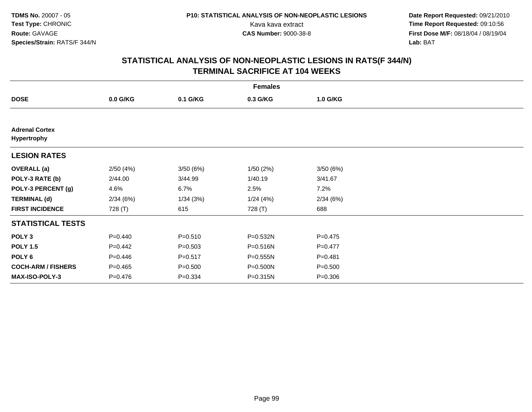**Date Report Requested:** 09/21/2010 Kava kava extract **Time Report Requested:** 09:10:56<br>**CAS Number:** 9000-38-8<br>**Tirst Dose M/F:** 08/18/04 / 08/19/04 **First Dose M/F:** 08/18/04 / 08/19/04 Lab: BAT **Lab:** BAT

| <b>Females</b>                       |             |             |          |             |  |  |  |
|--------------------------------------|-------------|-------------|----------|-------------|--|--|--|
| <b>DOSE</b>                          | 0.0 G/KG    | 0.1 G/KG    | 0.3 G/KG | 1.0 G/KG    |  |  |  |
|                                      |             |             |          |             |  |  |  |
| <b>Adrenal Cortex</b><br>Hypertrophy |             |             |          |             |  |  |  |
| <b>LESION RATES</b>                  |             |             |          |             |  |  |  |
| <b>OVERALL</b> (a)                   | 2/50(4%)    | 3/50(6%)    | 1/50(2%) | 3/50(6%)    |  |  |  |
| POLY-3 RATE (b)                      | 2/44.00     | 3/44.99     | 1/40.19  | 3/41.67     |  |  |  |
| POLY-3 PERCENT (g)                   | 4.6%        | 6.7%        | 2.5%     | 7.2%        |  |  |  |
| <b>TERMINAL (d)</b>                  | 2/34(6%)    | 1/34(3%)    | 1/24(4%) | 2/34(6%)    |  |  |  |
| <b>FIRST INCIDENCE</b>               | 728 (T)     | 615         | 728 (T)  | 688         |  |  |  |
| <b>STATISTICAL TESTS</b>             |             |             |          |             |  |  |  |
| POLY <sub>3</sub>                    | $P = 0.440$ | $P = 0.510$ | P=0.532N | $P = 0.475$ |  |  |  |
| <b>POLY 1.5</b>                      | $P=0.442$   | $P = 0.503$ | P=0.516N | $P=0.477$   |  |  |  |
| POLY 6                               | $P=0.446$   | $P = 0.517$ | P=0.555N | $P = 0.481$ |  |  |  |
| <b>COCH-ARM / FISHERS</b>            | $P = 0.465$ | $P = 0.500$ | P=0.500N | $P = 0.500$ |  |  |  |
| MAX-ISO-POLY-3                       | $P = 0.476$ | $P = 0.334$ | P=0.315N | $P = 0.306$ |  |  |  |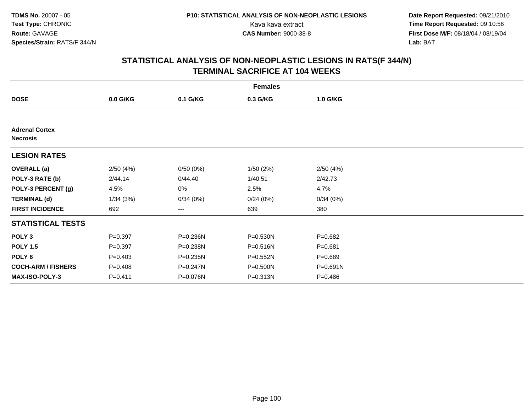**Date Report Requested:** 09/21/2010 Kava kava extract **Time Report Requested:** 09:10:56<br>**CAS Number:** 9000-38-8<br>**Tirst Dose M/F:** 08/18/04 / 08/19/04 **First Dose M/F:** 08/18/04 / 08/19/04 Lab: BAT **Lab:** BAT

| <b>Females</b>                           |             |          |              |              |  |  |  |
|------------------------------------------|-------------|----------|--------------|--------------|--|--|--|
| <b>DOSE</b>                              | $0.0$ G/KG  | 0.1 G/KG | 0.3 G/KG     | 1.0 G/KG     |  |  |  |
|                                          |             |          |              |              |  |  |  |
| <b>Adrenal Cortex</b><br><b>Necrosis</b> |             |          |              |              |  |  |  |
| <b>LESION RATES</b>                      |             |          |              |              |  |  |  |
| <b>OVERALL</b> (a)                       | 2/50(4%)    | 0/50(0%) | 1/50(2%)     | 2/50(4%)     |  |  |  |
| POLY-3 RATE (b)                          | 2/44.14     | 0/44.40  | 1/40.51      | 2/42.73      |  |  |  |
| POLY-3 PERCENT (g)                       | 4.5%        | 0%       | 2.5%         | 4.7%         |  |  |  |
| <b>TERMINAL (d)</b>                      | 1/34(3%)    | 0/34(0%) | 0/24(0%)     | 0/34(0%)     |  |  |  |
| <b>FIRST INCIDENCE</b>                   | 692         | ---      | 639          | 380          |  |  |  |
| <b>STATISTICAL TESTS</b>                 |             |          |              |              |  |  |  |
| POLY <sub>3</sub>                        | $P = 0.397$ | P=0.236N | P=0.530N     | $P = 0.682$  |  |  |  |
| <b>POLY 1.5</b>                          | $P = 0.397$ | P=0.238N | P=0.516N     | $P = 0.681$  |  |  |  |
| POLY 6                                   | $P = 0.403$ | P=0.235N | $P = 0.552N$ | $P = 0.689$  |  |  |  |
| <b>COCH-ARM / FISHERS</b>                | $P = 0.408$ | P=0.247N | P=0.500N     | $P = 0.691N$ |  |  |  |
| <b>MAX-ISO-POLY-3</b>                    | $P = 0.411$ | P=0.076N | $P = 0.313N$ | $P = 0.486$  |  |  |  |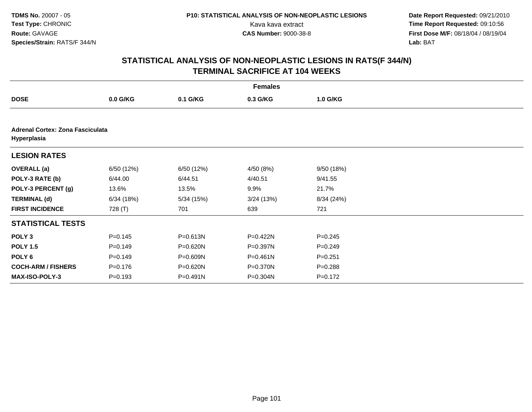**Date Report Requested:** 09/21/2010 Kava kava extract **Time Report Requested:** 09:10:56<br>**CAS Number:** 9000-38-8<br>**Tirst Dose M/F:** 08/18/04 / 08/19/04 **First Dose M/F:** 08/18/04 / 08/19/04 Lab: BAT **Lab:** BAT

| <b>Females</b>                                  |             |              |              |             |  |  |  |
|-------------------------------------------------|-------------|--------------|--------------|-------------|--|--|--|
| <b>DOSE</b>                                     | $0.0$ G/KG  | 0.1 G/KG     | 0.3 G/KG     | 1.0 G/KG    |  |  |  |
|                                                 |             |              |              |             |  |  |  |
| Adrenal Cortex: Zona Fasciculata<br>Hyperplasia |             |              |              |             |  |  |  |
| <b>LESION RATES</b>                             |             |              |              |             |  |  |  |
| <b>OVERALL</b> (a)                              | 6/50 (12%)  | 6/50 (12%)   | 4/50 (8%)    | 9/50 (18%)  |  |  |  |
| POLY-3 RATE (b)                                 | 6/44.00     | 6/44.51      | 4/40.51      | 9/41.55     |  |  |  |
| POLY-3 PERCENT (g)                              | 13.6%       | 13.5%        | 9.9%         | 21.7%       |  |  |  |
| <b>TERMINAL (d)</b>                             | 6/34(18%)   | 5/34(15%)    | 3/24(13%)    | 8/34 (24%)  |  |  |  |
| <b>FIRST INCIDENCE</b>                          | 728 (T)     | 701          | 639          | 721         |  |  |  |
| <b>STATISTICAL TESTS</b>                        |             |              |              |             |  |  |  |
| POLY <sub>3</sub>                               | $P = 0.145$ | $P = 0.613N$ | P=0.422N     | $P=0.245$   |  |  |  |
| <b>POLY 1.5</b>                                 | $P=0.149$   | P=0.620N     | P=0.397N     | $P = 0.249$ |  |  |  |
| POLY <sub>6</sub>                               | $P=0.149$   | P=0.609N     | $P = 0.461N$ | $P = 0.251$ |  |  |  |
| <b>COCH-ARM / FISHERS</b>                       | $P = 0.176$ | $P = 0.620N$ | P=0.370N     | $P = 0.288$ |  |  |  |
| <b>MAX-ISO-POLY-3</b>                           | $P = 0.193$ | P=0.491N     | P=0.304N     | $P = 0.172$ |  |  |  |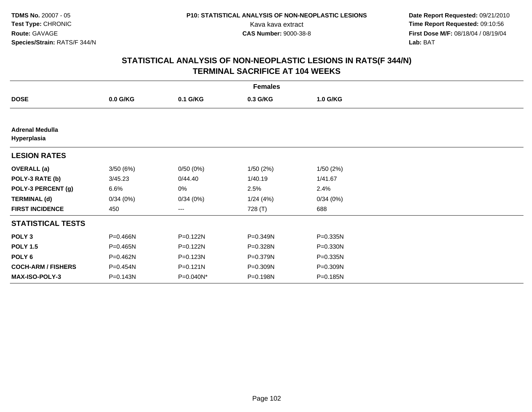**Date Report Requested:** 09/21/2010 Kava kava extract **Time Report Requested:** 09:10:56<br>**CAS Number:** 9000-38-8<br>**Tirst Dose M/F:** 08/18/04 / 08/19/04 **First Dose M/F:** 08/18/04 / 08/19/04 Lab: BAT **Lab:** BAT

| <b>Females</b>                        |              |              |          |              |  |  |  |
|---------------------------------------|--------------|--------------|----------|--------------|--|--|--|
| <b>DOSE</b>                           | $0.0$ G/KG   | 0.1 G/KG     | 0.3 G/KG | 1.0 G/KG     |  |  |  |
|                                       |              |              |          |              |  |  |  |
| <b>Adrenal Medulla</b><br>Hyperplasia |              |              |          |              |  |  |  |
| <b>LESION RATES</b>                   |              |              |          |              |  |  |  |
| <b>OVERALL</b> (a)                    | 3/50(6%)     | 0/50(0%)     | 1/50(2%) | 1/50(2%)     |  |  |  |
| POLY-3 RATE (b)                       | 3/45.23      | 0/44.40      | 1/40.19  | 1/41.67      |  |  |  |
| POLY-3 PERCENT (g)                    | 6.6%         | 0%           | 2.5%     | 2.4%         |  |  |  |
| <b>TERMINAL (d)</b>                   | 0/34(0%)     | 0/34(0%)     | 1/24(4%) | 0/34(0%)     |  |  |  |
| <b>FIRST INCIDENCE</b>                | 450          | ---          | 728 (T)  | 688          |  |  |  |
| <b>STATISTICAL TESTS</b>              |              |              |          |              |  |  |  |
| POLY <sub>3</sub>                     | $P = 0.466N$ | P=0.122N     | P=0.349N | P=0.335N     |  |  |  |
| <b>POLY 1.5</b>                       | P=0.465N     | P=0.122N     | P=0.328N | P=0.330N     |  |  |  |
| POLY 6                                | $P = 0.462N$ | $P = 0.123N$ | P=0.379N | $P = 0.335N$ |  |  |  |
| <b>COCH-ARM / FISHERS</b>             | $P = 0.454N$ | $P = 0.121N$ | P=0.309N | P=0.309N     |  |  |  |
| <b>MAX-ISO-POLY-3</b>                 | P=0.143N     | P=0.040N*    | P=0.198N | P=0.185N     |  |  |  |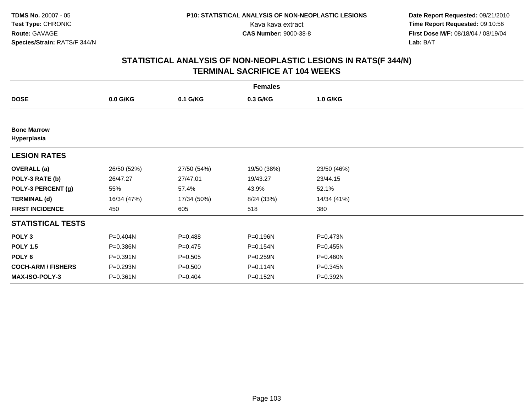**Date Report Requested:** 09/21/2010 Kava kava extract **Time Report Requested:** 09:10:56<br>**CAS Number:** 9000-38-8<br>**Tirst Dose M/F:** 08/18/04 / 08/19/04 **First Dose M/F:** 08/18/04 / 08/19/04 Lab: BAT **Lab:** BAT

| <b>Females</b>                    |             |             |             |             |  |  |  |
|-----------------------------------|-------------|-------------|-------------|-------------|--|--|--|
| <b>DOSE</b>                       | $0.0$ G/KG  | 0.1 G/KG    | 0.3 G/KG    | 1.0 G/KG    |  |  |  |
|                                   |             |             |             |             |  |  |  |
| <b>Bone Marrow</b><br>Hyperplasia |             |             |             |             |  |  |  |
| <b>LESION RATES</b>               |             |             |             |             |  |  |  |
| <b>OVERALL</b> (a)                | 26/50 (52%) | 27/50 (54%) | 19/50 (38%) | 23/50 (46%) |  |  |  |
| POLY-3 RATE (b)                   | 26/47.27    | 27/47.01    | 19/43.27    | 23/44.15    |  |  |  |
| POLY-3 PERCENT (g)                | 55%         | 57.4%       | 43.9%       | 52.1%       |  |  |  |
| <b>TERMINAL (d)</b>               | 16/34 (47%) | 17/34 (50%) | 8/24 (33%)  | 14/34 (41%) |  |  |  |
| <b>FIRST INCIDENCE</b>            | 450         | 605         | 518         | 380         |  |  |  |
| <b>STATISTICAL TESTS</b>          |             |             |             |             |  |  |  |
| POLY <sub>3</sub>                 | P=0.404N    | $P = 0.488$ | P=0.196N    | P=0.473N    |  |  |  |
| <b>POLY 1.5</b>                   | P=0.386N    | $P = 0.475$ | P=0.154N    | P=0.455N    |  |  |  |
| POLY 6                            | P=0.391N    | $P = 0.505$ | P=0.259N    | P=0.460N    |  |  |  |
| <b>COCH-ARM / FISHERS</b>         | P=0.293N    | $P = 0.500$ | P=0.114N    | P=0.345N    |  |  |  |
| <b>MAX-ISO-POLY-3</b>             | P=0.361N    | $P = 0.404$ | P=0.152N    | P=0.392N    |  |  |  |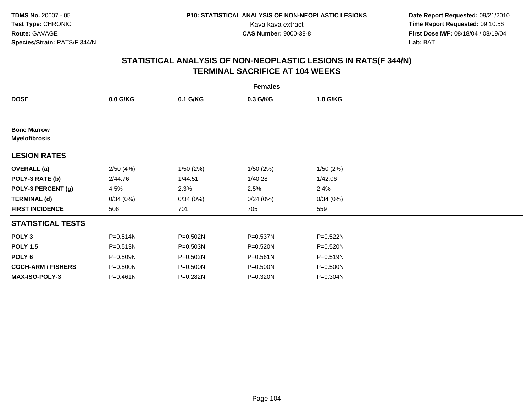**Date Report Requested:** 09/21/2010 Kava kava extract **Time Report Requested:** 09:10:56<br>**CAS Number:** 9000-38-8<br>**Tirst Dose M/F:** 08/18/04 / 08/19/04 **First Dose M/F:** 08/18/04 / 08/19/04 Lab: BAT **Lab:** BAT

| <b>Females</b>                             |          |          |              |              |  |  |  |
|--------------------------------------------|----------|----------|--------------|--------------|--|--|--|
| <b>DOSE</b>                                | 0.0 G/KG | 0.1 G/KG | 0.3 G/KG     | 1.0 G/KG     |  |  |  |
|                                            |          |          |              |              |  |  |  |
| <b>Bone Marrow</b><br><b>Myelofibrosis</b> |          |          |              |              |  |  |  |
| <b>LESION RATES</b>                        |          |          |              |              |  |  |  |
| <b>OVERALL</b> (a)                         | 2/50(4%) | 1/50(2%) | 1/50(2%)     | 1/50(2%)     |  |  |  |
| POLY-3 RATE (b)                            | 2/44.76  | 1/44.51  | 1/40.28      | 1/42.06      |  |  |  |
| POLY-3 PERCENT (g)                         | 4.5%     | 2.3%     | 2.5%         | 2.4%         |  |  |  |
| <b>TERMINAL (d)</b>                        | 0/34(0%) | 0/34(0%) | 0/24(0%)     | 0/34(0%)     |  |  |  |
| <b>FIRST INCIDENCE</b>                     | 506      | 701      | 705          | 559          |  |  |  |
| <b>STATISTICAL TESTS</b>                   |          |          |              |              |  |  |  |
| POLY <sub>3</sub>                          | P=0.514N | P=0.502N | P=0.537N     | $P = 0.522N$ |  |  |  |
| <b>POLY 1.5</b>                            | P=0.513N | P=0.503N | P=0.520N     | P=0.520N     |  |  |  |
| POLY 6                                     | P=0.509N | P=0.502N | $P = 0.561N$ | $P = 0.519N$ |  |  |  |
| <b>COCH-ARM / FISHERS</b>                  | P=0.500N | P=0.500N | P=0.500N     | P=0.500N     |  |  |  |
| <b>MAX-ISO-POLY-3</b>                      | P=0.461N | P=0.282N | P=0.320N     | P=0.304N     |  |  |  |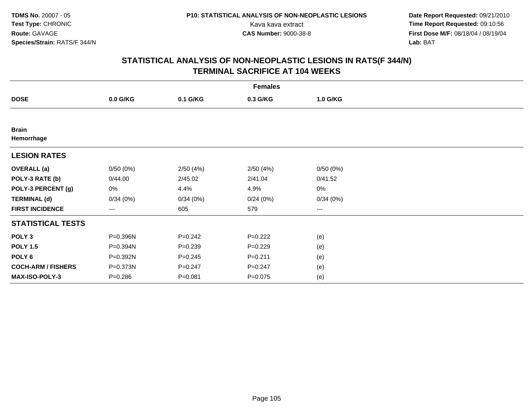**Date Report Requested:** 09/21/2010 Kava kava extract **Time Report Requested:** 09:10:56<br>**CAS Number:** 9000-38-8<br>**Tirst Dose M/F:** 08/18/04 / 08/19/04 **First Dose M/F:** 08/18/04 / 08/19/04 Lab: BAT **Lab:** BAT

| <b>Females</b>             |             |             |             |          |  |  |  |
|----------------------------|-------------|-------------|-------------|----------|--|--|--|
| <b>DOSE</b>                | 0.0 G/KG    | 0.1 G/KG    | 0.3 G/KG    | 1.0 G/KG |  |  |  |
|                            |             |             |             |          |  |  |  |
| <b>Brain</b><br>Hemorrhage |             |             |             |          |  |  |  |
| <b>LESION RATES</b>        |             |             |             |          |  |  |  |
| <b>OVERALL</b> (a)         | 0/50(0%)    | 2/50(4%)    | 2/50(4%)    | 0/50(0%) |  |  |  |
| POLY-3 RATE (b)            | 0/44.00     | 2/45.02     | 2/41.04     | 0/41.52  |  |  |  |
| POLY-3 PERCENT (g)         | 0%          | 4.4%        | 4.9%        | 0%       |  |  |  |
| <b>TERMINAL (d)</b>        | 0/34(0%)    | 0/34(0%)    | 0/24(0%)    | 0/34(0%) |  |  |  |
| <b>FIRST INCIDENCE</b>     | ---         | 605         | 579         | $---$    |  |  |  |
| <b>STATISTICAL TESTS</b>   |             |             |             |          |  |  |  |
| POLY <sub>3</sub>          | P=0.396N    | $P = 0.242$ | $P=0.222$   | (e)      |  |  |  |
| <b>POLY 1.5</b>            | P=0.394N    | $P = 0.239$ | $P=0.229$   | (e)      |  |  |  |
| POLY <sub>6</sub>          | P=0.392N    | $P = 0.245$ | $P = 0.211$ | (e)      |  |  |  |
| <b>COCH-ARM / FISHERS</b>  | P=0.373N    | $P = 0.247$ | $P = 0.247$ | (e)      |  |  |  |
| MAX-ISO-POLY-3             | $P = 0.286$ | $P = 0.081$ | $P=0.075$   | (e)      |  |  |  |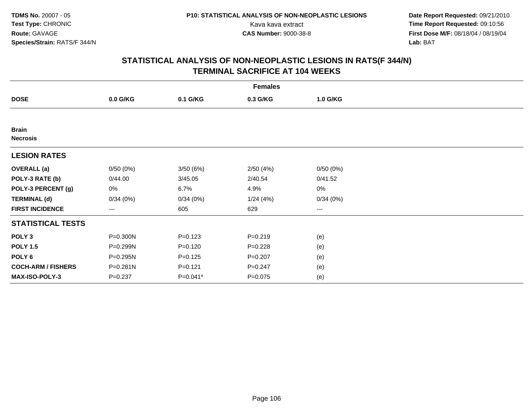**Date Report Requested:** 09/21/2010 Kava kava extract **Time Report Requested:** 09:10:56<br>**CAS Number:** 9000-38-8<br>**Tirst Dose M/F:** 08/18/04 / 08/19/04 **First Dose M/F:** 08/18/04 / 08/19/04 Lab: BAT **Lab:** BAT

| <b>Females</b>                  |             |             |             |          |  |  |  |
|---------------------------------|-------------|-------------|-------------|----------|--|--|--|
| <b>DOSE</b>                     | 0.0 G/KG    | 0.1 G/KG    | 0.3 G/KG    | 1.0 G/KG |  |  |  |
|                                 |             |             |             |          |  |  |  |
| <b>Brain</b><br><b>Necrosis</b> |             |             |             |          |  |  |  |
| <b>LESION RATES</b>             |             |             |             |          |  |  |  |
| <b>OVERALL</b> (a)              | 0/50(0%)    | 3/50 (6%)   | 2/50(4%)    | 0/50(0%) |  |  |  |
| POLY-3 RATE (b)                 | 0/44.00     | 3/45.05     | 2/40.54     | 0/41.52  |  |  |  |
| POLY-3 PERCENT (g)              | 0%          | 6.7%        | 4.9%        | 0%       |  |  |  |
| <b>TERMINAL (d)</b>             | 0/34(0%)    | 0/34(0%)    | 1/24(4%)    | 0/34(0%) |  |  |  |
| <b>FIRST INCIDENCE</b>          | ---         | 605         | 629         | ---      |  |  |  |
| <b>STATISTICAL TESTS</b>        |             |             |             |          |  |  |  |
| POLY <sub>3</sub>               | P=0.300N    | $P = 0.123$ | $P = 0.219$ | (e)      |  |  |  |
| <b>POLY 1.5</b>                 | P=0.299N    | $P = 0.120$ | $P=0.228$   | (e)      |  |  |  |
| POLY 6                          | P=0.295N    | $P = 0.125$ | $P=0.207$   | (e)      |  |  |  |
| <b>COCH-ARM / FISHERS</b>       | P=0.281N    | $P=0.121$   | $P = 0.247$ | (e)      |  |  |  |
| MAX-ISO-POLY-3                  | $P = 0.237$ | P=0.041*    | $P=0.075$   | (e)      |  |  |  |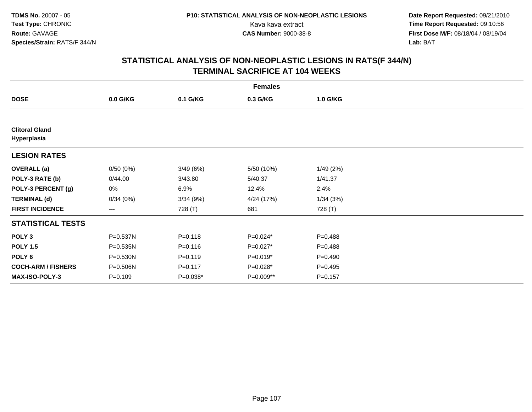**Date Report Requested:** 09/21/2010 Kava kava extract **Time Report Requested:** 09:10:56<br>**CAS Number:** 9000-38-8<br>**Tirst Dose M/F:** 08/18/04 / 08/19/04 **First Dose M/F:** 08/18/04 / 08/19/04 Lab: BAT **Lab:** BAT

| <b>Females</b>                       |                   |             |            |             |  |  |  |
|--------------------------------------|-------------------|-------------|------------|-------------|--|--|--|
| <b>DOSE</b>                          | 0.0 G/KG          | 0.1 G/KG    | 0.3 G/KG   | 1.0 G/KG    |  |  |  |
|                                      |                   |             |            |             |  |  |  |
| <b>Clitoral Gland</b><br>Hyperplasia |                   |             |            |             |  |  |  |
| <b>LESION RATES</b>                  |                   |             |            |             |  |  |  |
| <b>OVERALL</b> (a)                   | 0/50(0%)          | 3/49(6%)    | 5/50 (10%) | 1/49(2%)    |  |  |  |
| POLY-3 RATE (b)                      | 0/44.00           | 3/43.80     | 5/40.37    | 1/41.37     |  |  |  |
| POLY-3 PERCENT (g)                   | 0%                | 6.9%        | 12.4%      | 2.4%        |  |  |  |
| <b>TERMINAL (d)</b>                  | 0/34(0%)          | 3/34(9%)    | 4/24 (17%) | 1/34(3%)    |  |  |  |
| <b>FIRST INCIDENCE</b>               | $\qquad \qquad -$ | 728 (T)     | 681        | 728 (T)     |  |  |  |
| <b>STATISTICAL TESTS</b>             |                   |             |            |             |  |  |  |
| POLY <sub>3</sub>                    | P=0.537N          | $P = 0.118$ | P=0.024*   | $P = 0.488$ |  |  |  |
| <b>POLY 1.5</b>                      | P=0.535N          | $P = 0.116$ | $P=0.027*$ | $P = 0.488$ |  |  |  |
| POLY 6                               | P=0.530N          | $P = 0.119$ | $P=0.019*$ | $P = 0.490$ |  |  |  |
| <b>COCH-ARM / FISHERS</b>            | P=0.506N          | $P = 0.117$ | P=0.028*   | $P = 0.495$ |  |  |  |
| <b>MAX-ISO-POLY-3</b>                | $P = 0.109$       | P=0.038*    | P=0.009**  | $P = 0.157$ |  |  |  |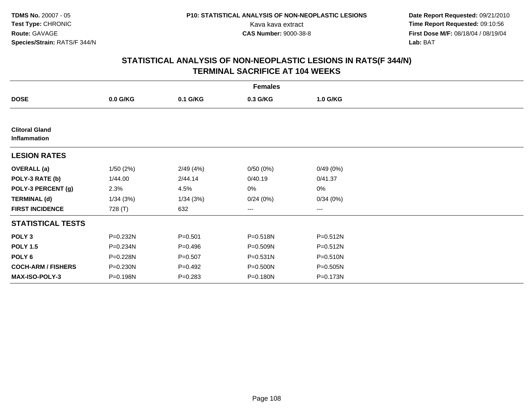**Date Report Requested:** 09/21/2010 Kava kava extract **Time Report Requested:** 09:10:56<br>**CAS Number:** 9000-38-8<br>**Tirst Dose M/F:** 08/18/04 / 08/19/04 **First Dose M/F:** 08/18/04 / 08/19/04 Lab: BAT **Lab:** BAT

| <b>Females</b>                        |            |             |                        |              |  |  |  |
|---------------------------------------|------------|-------------|------------------------|--------------|--|--|--|
| <b>DOSE</b>                           | $0.0$ G/KG | 0.1 G/KG    | 0.3 G/KG               | 1.0 G/KG     |  |  |  |
|                                       |            |             |                        |              |  |  |  |
| <b>Clitoral Gland</b><br>Inflammation |            |             |                        |              |  |  |  |
| <b>LESION RATES</b>                   |            |             |                        |              |  |  |  |
| <b>OVERALL</b> (a)                    | 1/50(2%)   | 2/49(4%)    | 0/50(0%)               | 0/49(0%)     |  |  |  |
| POLY-3 RATE (b)                       | 1/44.00    | 2/44.14     | 0/40.19                | 0/41.37      |  |  |  |
| POLY-3 PERCENT (g)                    | 2.3%       | 4.5%        | 0%                     | 0%           |  |  |  |
| <b>TERMINAL (d)</b>                   | 1/34(3%)   | 1/34(3%)    | 0/24(0%)               | 0/34(0%)     |  |  |  |
| <b>FIRST INCIDENCE</b>                | 728 (T)    | 632         | $\qquad \qquad \cdots$ | ---          |  |  |  |
| <b>STATISTICAL TESTS</b>              |            |             |                        |              |  |  |  |
| POLY <sub>3</sub>                     | P=0.232N   | $P = 0.501$ | P=0.518N               | P=0.512N     |  |  |  |
| <b>POLY 1.5</b>                       | P=0.234N   | $P=0.496$   | P=0.509N               | P=0.512N     |  |  |  |
| POLY 6                                | P=0.228N   | $P = 0.507$ | $P = 0.531N$           | $P = 0.510N$ |  |  |  |
| <b>COCH-ARM / FISHERS</b>             | P=0.230N   | $P=0.492$   | P=0.500N               | $P = 0.505N$ |  |  |  |
| <b>MAX-ISO-POLY-3</b>                 | P=0.198N   | $P = 0.283$ | P=0.180N               | P=0.173N     |  |  |  |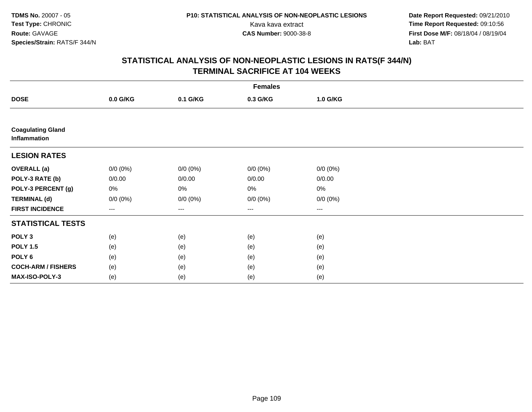**Date Report Requested:** 09/21/2010 Kava kava extract **Time Report Requested:** 09:10:56<br>**CAS Number:** 9000-38-8<br>**Tirst Dose M/F:** 08/18/04 / 08/19/04 **First Dose M/F:** 08/18/04 / 08/19/04 Lab: BAT **Lab:** BAT

| <b>Females</b>                           |             |             |             |             |  |  |  |
|------------------------------------------|-------------|-------------|-------------|-------------|--|--|--|
| <b>DOSE</b>                              | 0.0 G/KG    | 0.1 G/KG    | 0.3 G/KG    | 1.0 G/KG    |  |  |  |
|                                          |             |             |             |             |  |  |  |
| <b>Coagulating Gland</b><br>Inflammation |             |             |             |             |  |  |  |
| <b>LESION RATES</b>                      |             |             |             |             |  |  |  |
| <b>OVERALL</b> (a)                       | $0/0 (0\%)$ | $0/0 (0\%)$ | $0/0 (0\%)$ | $0/0 (0\%)$ |  |  |  |
| POLY-3 RATE (b)                          | 0/0.00      | 0/0.00      | 0/0.00      | 0/0.00      |  |  |  |
| POLY-3 PERCENT (g)                       | 0%          | 0%          | 0%          | $0\%$       |  |  |  |
| <b>TERMINAL (d)</b>                      | $0/0 (0\%)$ | $0/0 (0\%)$ | $0/0 (0\%)$ | $0/0 (0\%)$ |  |  |  |
| <b>FIRST INCIDENCE</b>                   | ---         | ---         | $---$       | ---         |  |  |  |
| <b>STATISTICAL TESTS</b>                 |             |             |             |             |  |  |  |
| POLY <sub>3</sub>                        | (e)         | (e)         | (e)         | (e)         |  |  |  |
| <b>POLY 1.5</b>                          | (e)         | (e)         | (e)         | (e)         |  |  |  |
| POLY <sub>6</sub>                        | (e)         | (e)         | (e)         | (e)         |  |  |  |
| <b>COCH-ARM / FISHERS</b>                | (e)         | (e)         | (e)         | (e)         |  |  |  |
| MAX-ISO-POLY-3                           | (e)         | (e)         | (e)         | (e)         |  |  |  |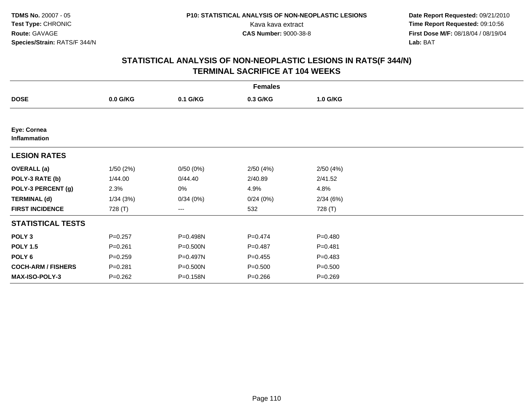**Date Report Requested:** 09/21/2010 Kava kava extract **Time Report Requested:** 09:10:56<br>**CAS Number:** 9000-38-8<br>**Tirst Dose M/F:** 08/18/04 / 08/19/04 **First Dose M/F:** 08/18/04 / 08/19/04 Lab: BAT **Lab:** BAT

|                             | <b>Females</b> |          |             |             |  |  |  |  |
|-----------------------------|----------------|----------|-------------|-------------|--|--|--|--|
| <b>DOSE</b>                 | $0.0$ G/KG     | 0.1 G/KG | 0.3 G/KG    | 1.0 G/KG    |  |  |  |  |
|                             |                |          |             |             |  |  |  |  |
| Eye: Cornea<br>Inflammation |                |          |             |             |  |  |  |  |
| <b>LESION RATES</b>         |                |          |             |             |  |  |  |  |
| <b>OVERALL</b> (a)          | 1/50(2%)       | 0/50(0%) | 2/50(4%)    | 2/50(4%)    |  |  |  |  |
| POLY-3 RATE (b)             | 1/44.00        | 0/44.40  | 2/40.89     | 2/41.52     |  |  |  |  |
| POLY-3 PERCENT (g)          | 2.3%           | 0%       | 4.9%        | 4.8%        |  |  |  |  |
| <b>TERMINAL (d)</b>         | 1/34(3%)       | 0/34(0%) | 0/24(0%)    | 2/34(6%)    |  |  |  |  |
| <b>FIRST INCIDENCE</b>      | 728 (T)        | ---      | 532         | 728 (T)     |  |  |  |  |
| <b>STATISTICAL TESTS</b>    |                |          |             |             |  |  |  |  |
| POLY <sub>3</sub>           | $P = 0.257$    | P=0.498N | $P = 0.474$ | $P = 0.480$ |  |  |  |  |
| <b>POLY 1.5</b>             | $P = 0.261$    | P=0.500N | $P = 0.487$ | $P = 0.481$ |  |  |  |  |
| POLY 6                      | $P = 0.259$    | P=0.497N | $P=0.455$   | $P = 0.483$ |  |  |  |  |
| <b>COCH-ARM / FISHERS</b>   | $P = 0.281$    | P=0.500N | $P = 0.500$ | $P = 0.500$ |  |  |  |  |
| <b>MAX-ISO-POLY-3</b>       | $P = 0.262$    | P=0.158N | $P = 0.266$ | $P = 0.269$ |  |  |  |  |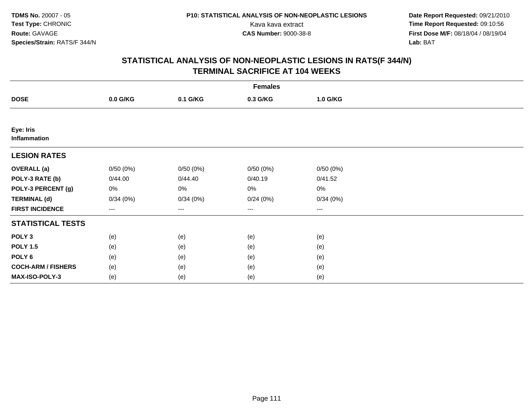**Date Report Requested:** 09/21/2010 Kava kava extract **Time Report Requested:** 09:10:56<br>**CAS Number:** 9000-38-8<br>**Tirst Dose M/F:** 08/18/04 / 08/19/04 **First Dose M/F:** 08/18/04 / 08/19/04 Lab: BAT **Lab:** BAT

|                           | <b>Females</b> |          |                        |          |  |  |  |  |
|---------------------------|----------------|----------|------------------------|----------|--|--|--|--|
| <b>DOSE</b>               | 0.0 G/KG       | 0.1 G/KG | 0.3 G/KG               | 1.0 G/KG |  |  |  |  |
|                           |                |          |                        |          |  |  |  |  |
| Eye: Iris<br>Inflammation |                |          |                        |          |  |  |  |  |
| <b>LESION RATES</b>       |                |          |                        |          |  |  |  |  |
| <b>OVERALL</b> (a)        | 0/50(0%)       | 0/50(0%) | 0/50(0%)               | 0/50(0%) |  |  |  |  |
| POLY-3 RATE (b)           | 0/44.00        | 0/44.40  | 0/40.19                | 0/41.52  |  |  |  |  |
| POLY-3 PERCENT (g)        | 0%             | 0%       | 0%                     | $0\%$    |  |  |  |  |
| <b>TERMINAL (d)</b>       | 0/34(0%)       | 0/34(0%) | 0/24(0%)               | 0/34(0%) |  |  |  |  |
| <b>FIRST INCIDENCE</b>    | ---            | $--$     | $\qquad \qquad \cdots$ | $---$    |  |  |  |  |
| <b>STATISTICAL TESTS</b>  |                |          |                        |          |  |  |  |  |
| POLY <sub>3</sub>         | (e)            | (e)      | (e)                    | (e)      |  |  |  |  |
| <b>POLY 1.5</b>           | (e)            | (e)      | (e)                    | (e)      |  |  |  |  |
| POLY <sub>6</sub>         | (e)            | (e)      | (e)                    | (e)      |  |  |  |  |
| <b>COCH-ARM / FISHERS</b> | (e)            | (e)      | (e)                    | (e)      |  |  |  |  |
| MAX-ISO-POLY-3            | (e)            | (e)      | (e)                    | (e)      |  |  |  |  |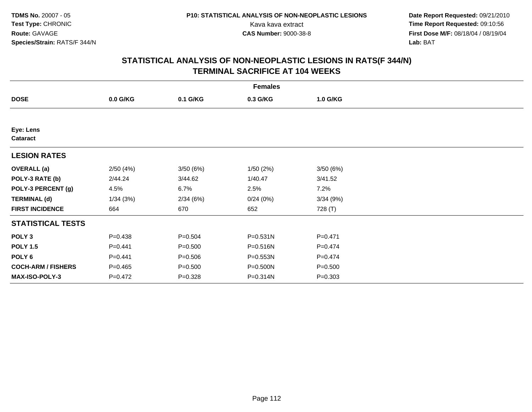**Date Report Requested:** 09/21/2010 Kava kava extract **Time Report Requested:** 09:10:56<br>**CAS Number:** 9000-38-8<br>**Tirst Dose M/F:** 08/18/04 / 08/19/04 **First Dose M/F:** 08/18/04 / 08/19/04 Lab: BAT **Lab:** BAT

|                           | <b>Females</b> |             |              |             |  |  |  |  |
|---------------------------|----------------|-------------|--------------|-------------|--|--|--|--|
| <b>DOSE</b>               | $0.0$ G/KG     | 0.1 G/KG    | 0.3 G/KG     | 1.0 G/KG    |  |  |  |  |
|                           |                |             |              |             |  |  |  |  |
| Eye: Lens<br>Cataract     |                |             |              |             |  |  |  |  |
| <b>LESION RATES</b>       |                |             |              |             |  |  |  |  |
| <b>OVERALL</b> (a)        | 2/50(4%)       | 3/50(6%)    | 1/50(2%)     | 3/50(6%)    |  |  |  |  |
| POLY-3 RATE (b)           | 2/44.24        | 3/44.62     | 1/40.47      | 3/41.52     |  |  |  |  |
| POLY-3 PERCENT (g)        | 4.5%           | 6.7%        | 2.5%         | 7.2%        |  |  |  |  |
| <b>TERMINAL (d)</b>       | 1/34(3%)       | 2/34(6%)    | 0/24(0%)     | 3/34(9%)    |  |  |  |  |
| <b>FIRST INCIDENCE</b>    | 664            | 670         | 652          | 728 (T)     |  |  |  |  |
| <b>STATISTICAL TESTS</b>  |                |             |              |             |  |  |  |  |
| POLY <sub>3</sub>         | $P = 0.438$    | $P = 0.504$ | $P = 0.531N$ | $P = 0.471$ |  |  |  |  |
| <b>POLY 1.5</b>           | $P = 0.441$    | $P = 0.500$ | P=0.516N     | $P = 0.474$ |  |  |  |  |
| POLY 6                    | $P=0.441$      | $P = 0.506$ | P=0.553N     | $P=0.474$   |  |  |  |  |
| <b>COCH-ARM / FISHERS</b> | $P = 0.465$    | $P = 0.500$ | P=0.500N     | $P = 0.500$ |  |  |  |  |
| <b>MAX-ISO-POLY-3</b>     | $P=0.472$      | $P = 0.328$ | P=0.314N     | $P = 0.303$ |  |  |  |  |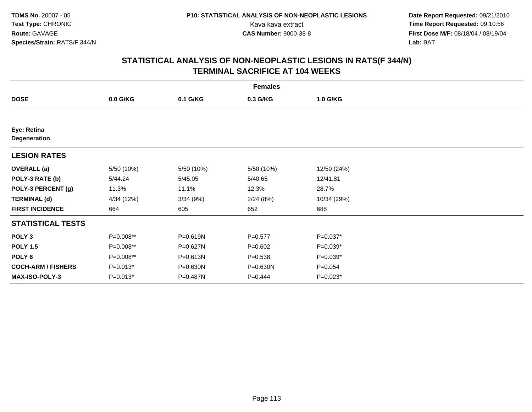**Date Report Requested:** 09/21/2010 Kava kava extract **Time Report Requested:** 09:10:56<br>**CAS Number:** 9000-38-8<br>**Tirst Dose M/F:** 08/18/04 / 08/19/04 **First Dose M/F:** 08/18/04 / 08/19/04 Lab: BAT **Lab:** BAT

|                             | <b>Females</b> |            |             |             |  |  |  |  |
|-----------------------------|----------------|------------|-------------|-------------|--|--|--|--|
| <b>DOSE</b>                 | $0.0$ G/KG     | 0.1 G/KG   | 0.3 G/KG    | 1.0 G/KG    |  |  |  |  |
|                             |                |            |             |             |  |  |  |  |
| Eye: Retina<br>Degeneration |                |            |             |             |  |  |  |  |
| <b>LESION RATES</b>         |                |            |             |             |  |  |  |  |
| <b>OVERALL</b> (a)          | 5/50 (10%)     | 5/50 (10%) | 5/50 (10%)  | 12/50 (24%) |  |  |  |  |
| POLY-3 RATE (b)             | 5/44.24        | 5/45.05    | 5/40.65     | 12/41.81    |  |  |  |  |
| POLY-3 PERCENT (g)          | 11.3%          | 11.1%      | 12.3%       | 28.7%       |  |  |  |  |
| <b>TERMINAL (d)</b>         | 4/34 (12%)     | 3/34(9%)   | 2/24(8%)    | 10/34 (29%) |  |  |  |  |
| <b>FIRST INCIDENCE</b>      | 664            | 605        | 652         | 688         |  |  |  |  |
| <b>STATISTICAL TESTS</b>    |                |            |             |             |  |  |  |  |
| POLY <sub>3</sub>           | P=0.008**      | P=0.619N   | $P = 0.577$ | P=0.037*    |  |  |  |  |
| <b>POLY 1.5</b>             | P=0.008**      | P=0.627N   | $P = 0.602$ | P=0.039*    |  |  |  |  |
| POLY <sub>6</sub>           | P=0.008**      | P=0.613N   | $P = 0.538$ | P=0.039*    |  |  |  |  |
| <b>COCH-ARM / FISHERS</b>   | $P=0.013*$     | P=0.630N   | P=0.630N    | $P = 0.054$ |  |  |  |  |
| <b>MAX-ISO-POLY-3</b>       | $P=0.013*$     | P=0.487N   | $P = 0.444$ | $P=0.023*$  |  |  |  |  |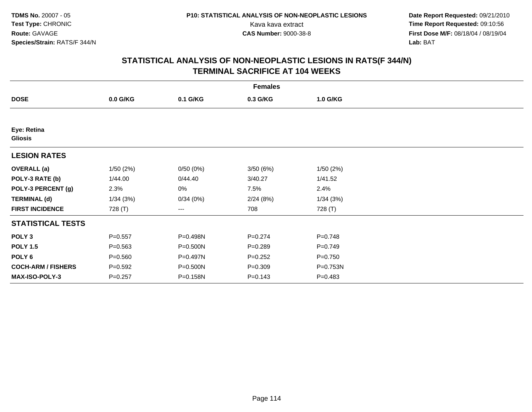**Date Report Requested:** 09/21/2010 Kava kava extract **Time Report Requested:** 09:10:56<br>**CAS Number:** 9000-38-8<br>**Tirst Dose M/F:** 08/18/04 / 08/19/04 **First Dose M/F:** 08/18/04 / 08/19/04 Lab: BAT **Lab:** BAT

|                               |             |          | <b>Females</b> |             |  |
|-------------------------------|-------------|----------|----------------|-------------|--|
| <b>DOSE</b>                   | $0.0$ G/KG  | 0.1 G/KG | 0.3 G/KG       | 1.0 G/KG    |  |
|                               |             |          |                |             |  |
| Eye: Retina<br><b>Gliosis</b> |             |          |                |             |  |
| <b>LESION RATES</b>           |             |          |                |             |  |
| <b>OVERALL</b> (a)            | 1/50(2%)    | 0/50(0%) | 3/50(6%)       | 1/50(2%)    |  |
| POLY-3 RATE (b)               | 1/44.00     | 0/44.40  | 3/40.27        | 1/41.52     |  |
| POLY-3 PERCENT (g)            | 2.3%        | 0%       | 7.5%           | 2.4%        |  |
| <b>TERMINAL (d)</b>           | 1/34(3%)    | 0/34(0%) | 2/24(8%)       | 1/34(3%)    |  |
| <b>FIRST INCIDENCE</b>        | 728 (T)     | ---      | 708            | 728 (T)     |  |
| <b>STATISTICAL TESTS</b>      |             |          |                |             |  |
| POLY <sub>3</sub>             | $P = 0.557$ | P=0.498N | $P = 0.274$    | $P = 0.748$ |  |
| <b>POLY 1.5</b>               | $P = 0.563$ | P=0.500N | $P = 0.289$    | $P = 0.749$ |  |
| POLY <sub>6</sub>             | $P = 0.560$ | P=0.497N | $P=0.252$      | $P=0.750$   |  |
| <b>COCH-ARM / FISHERS</b>     | $P = 0.592$ | P=0.500N | $P = 0.309$    | P=0.753N    |  |
| <b>MAX-ISO-POLY-3</b>         | $P = 0.257$ | P=0.158N | $P = 0.143$    | $P = 0.483$ |  |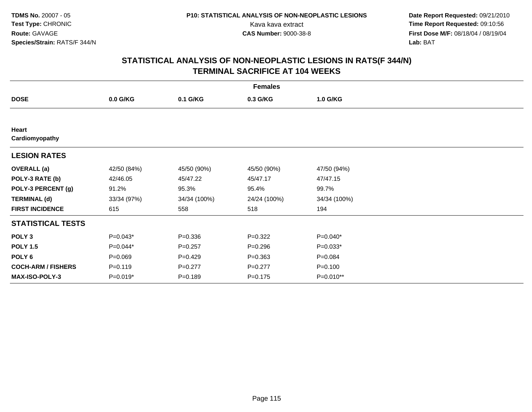**Date Report Requested:** 09/21/2010 Kava kava extract **Time Report Requested:** 09:10:56<br>**CAS Number:** 9000-38-8<br>**Tirst Dose M/F:** 08/18/04 / 08/19/04 **First Dose M/F:** 08/18/04 / 08/19/04 Lab: BAT **Lab:** BAT

| <b>Females</b>            |             |              |              |              |  |  |  |
|---------------------------|-------------|--------------|--------------|--------------|--|--|--|
| <b>DOSE</b>               | 0.0 G/KG    | 0.1 G/KG     | 0.3 G/KG     | 1.0 G/KG     |  |  |  |
|                           |             |              |              |              |  |  |  |
| Heart<br>Cardiomyopathy   |             |              |              |              |  |  |  |
| <b>LESION RATES</b>       |             |              |              |              |  |  |  |
| <b>OVERALL</b> (a)        | 42/50 (84%) | 45/50 (90%)  | 45/50 (90%)  | 47/50 (94%)  |  |  |  |
| POLY-3 RATE (b)           | 42/46.05    | 45/47.22     | 45/47.17     | 47/47.15     |  |  |  |
| POLY-3 PERCENT (g)        | 91.2%       | 95.3%        | 95.4%        | 99.7%        |  |  |  |
| <b>TERMINAL (d)</b>       | 33/34 (97%) | 34/34 (100%) | 24/24 (100%) | 34/34 (100%) |  |  |  |
| <b>FIRST INCIDENCE</b>    | 615         | 558          | 518          | 194          |  |  |  |
| <b>STATISTICAL TESTS</b>  |             |              |              |              |  |  |  |
| POLY <sub>3</sub>         | $P=0.043*$  | $P = 0.336$  | $P = 0.322$  | P=0.040*     |  |  |  |
| <b>POLY 1.5</b>           | P=0.044*    | $P = 0.257$  | $P = 0.296$  | $P=0.033*$   |  |  |  |
| POLY 6                    | $P = 0.069$ | $P=0.429$    | $P = 0.363$  | $P = 0.084$  |  |  |  |
| <b>COCH-ARM / FISHERS</b> | $P = 0.119$ | $P=0.277$    | $P=0.277$    | $P = 0.100$  |  |  |  |
| <b>MAX-ISO-POLY-3</b>     | P=0.019*    | $P = 0.189$  | $P = 0.175$  | P=0.010**    |  |  |  |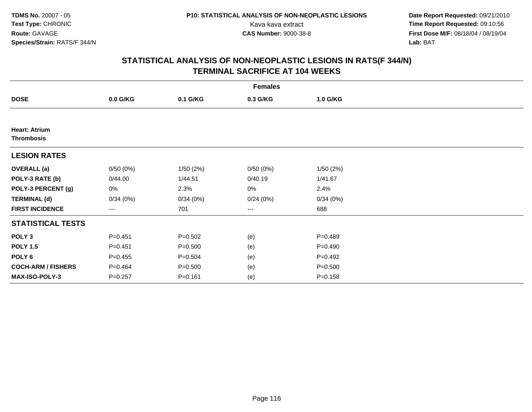**Date Report Requested:** 09/21/2010 Kava kava extract **Time Report Requested:** 09:10:56<br>**CAS Number:** 9000-38-8<br>**Tirst Dose M/F:** 08/18/04 / 08/19/04 **First Dose M/F:** 08/18/04 / 08/19/04 Lab: BAT **Lab:** BAT

|                                           | <b>Females</b>    |             |                   |             |  |  |  |  |
|-------------------------------------------|-------------------|-------------|-------------------|-------------|--|--|--|--|
| <b>DOSE</b>                               | 0.0 G/KG          | 0.1 G/KG    | 0.3 G/KG          | 1.0 G/KG    |  |  |  |  |
|                                           |                   |             |                   |             |  |  |  |  |
| <b>Heart: Atrium</b><br><b>Thrombosis</b> |                   |             |                   |             |  |  |  |  |
| <b>LESION RATES</b>                       |                   |             |                   |             |  |  |  |  |
| <b>OVERALL</b> (a)                        | 0/50(0%)          | 1/50(2%)    | 0/50(0%)          | 1/50(2%)    |  |  |  |  |
| POLY-3 RATE (b)                           | 0/44.00           | 1/44.51     | 0/40.19           | 1/41.67     |  |  |  |  |
| POLY-3 PERCENT (g)                        | 0%                | 2.3%        | 0%                | 2.4%        |  |  |  |  |
| <b>TERMINAL (d)</b>                       | 0/34(0%)          | 0/34(0%)    | 0/24(0%)          | 0/34(0%)    |  |  |  |  |
| <b>FIRST INCIDENCE</b>                    | $\qquad \qquad -$ | 701         | $\qquad \qquad -$ | 688         |  |  |  |  |
| <b>STATISTICAL TESTS</b>                  |                   |             |                   |             |  |  |  |  |
| POLY <sub>3</sub>                         | $P = 0.451$       | $P = 0.502$ | (e)               | $P = 0.489$ |  |  |  |  |
| <b>POLY 1.5</b>                           | $P = 0.451$       | $P = 0.500$ | (e)               | $P = 0.490$ |  |  |  |  |
| POLY 6                                    | $P=0.455$         | $P = 0.504$ | (e)               | $P=0.492$   |  |  |  |  |
| <b>COCH-ARM / FISHERS</b>                 | $P = 0.464$       | $P = 0.500$ | (e)               | $P = 0.500$ |  |  |  |  |
| MAX-ISO-POLY-3                            | $P = 0.257$       | $P = 0.161$ | (e)               | $P = 0.158$ |  |  |  |  |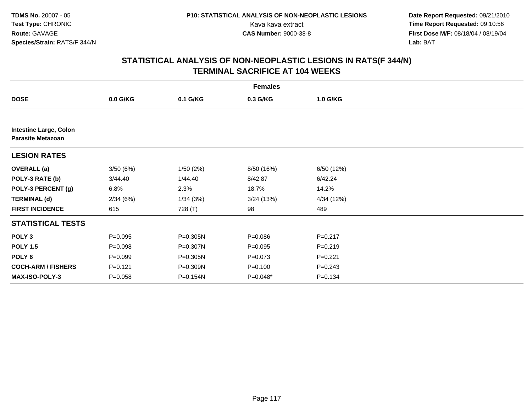**Date Report Requested:** 09/21/2010 Kava kava extract **Time Report Requested:** 09:10:56<br>**CAS Number:** 9000-38-8<br>**Tirst Dose M/F:** 08/18/04 / 08/19/04 **First Dose M/F:** 08/18/04 / 08/19/04 Lab: BAT **Lab:** BAT

|                                                           |             |          | <b>Females</b> |             |  |
|-----------------------------------------------------------|-------------|----------|----------------|-------------|--|
| <b>DOSE</b>                                               | $0.0$ G/KG  | 0.1 G/KG | 0.3 G/KG       | 1.0 G/KG    |  |
|                                                           |             |          |                |             |  |
| <b>Intestine Large, Colon</b><br><b>Parasite Metazoan</b> |             |          |                |             |  |
| <b>LESION RATES</b>                                       |             |          |                |             |  |
| <b>OVERALL</b> (a)                                        | 3/50 (6%)   | 1/50(2%) | 8/50 (16%)     | 6/50 (12%)  |  |
| POLY-3 RATE (b)                                           | 3/44.40     | 1/44.40  | 8/42.87        | 6/42.24     |  |
| POLY-3 PERCENT (g)                                        | 6.8%        | 2.3%     | 18.7%          | 14.2%       |  |
| <b>TERMINAL (d)</b>                                       | 2/34(6%)    | 1/34(3%) | 3/24(13%)      | 4/34 (12%)  |  |
| <b>FIRST INCIDENCE</b>                                    | 615         | 728 (T)  | 98             | 489         |  |
| <b>STATISTICAL TESTS</b>                                  |             |          |                |             |  |
| POLY <sub>3</sub>                                         | $P = 0.095$ | P=0.305N | $P = 0.086$    | $P = 0.217$ |  |
| <b>POLY 1.5</b>                                           | $P = 0.098$ | P=0.307N | $P = 0.095$    | $P = 0.219$ |  |
| POLY <sub>6</sub>                                         | $P = 0.099$ | P=0.305N | $P = 0.073$    | $P = 0.221$ |  |
| <b>COCH-ARM / FISHERS</b>                                 | $P = 0.121$ | P=0.309N | $P = 0.100$    | $P = 0.243$ |  |
| <b>MAX-ISO-POLY-3</b>                                     | $P = 0.058$ | P=0.154N | $P=0.048*$     | $P = 0.134$ |  |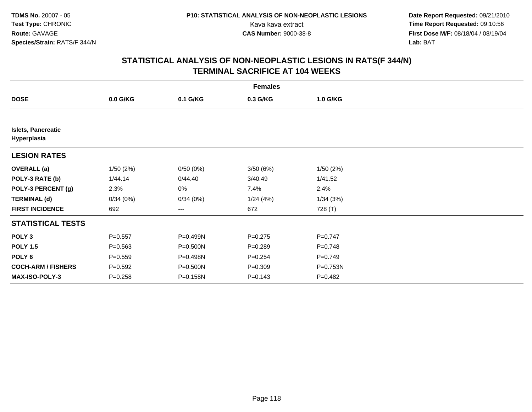**Date Report Requested:** 09/21/2010 Kava kava extract **Time Report Requested:** 09:10:56<br>**CAS Number:** 9000-38-8<br>**Tirst Dose M/F:** 08/18/04 / 08/19/04 **First Dose M/F:** 08/18/04 / 08/19/04 Lab: BAT **Lab:** BAT

|                                          | <b>Females</b> |          |             |             |  |  |  |  |
|------------------------------------------|----------------|----------|-------------|-------------|--|--|--|--|
| <b>DOSE</b>                              | $0.0$ G/KG     | 0.1 G/KG | 0.3 G/KG    | 1.0 G/KG    |  |  |  |  |
|                                          |                |          |             |             |  |  |  |  |
| <b>Islets, Pancreatic</b><br>Hyperplasia |                |          |             |             |  |  |  |  |
| <b>LESION RATES</b>                      |                |          |             |             |  |  |  |  |
| <b>OVERALL</b> (a)                       | 1/50(2%)       | 0/50(0%) | 3/50(6%)    | 1/50(2%)    |  |  |  |  |
| POLY-3 RATE (b)                          | 1/44.14        | 0/44.40  | 3/40.49     | 1/41.52     |  |  |  |  |
| POLY-3 PERCENT (g)                       | 2.3%           | 0%       | 7.4%        | 2.4%        |  |  |  |  |
| <b>TERMINAL (d)</b>                      | 0/34(0%)       | 0/34(0%) | 1/24(4%)    | 1/34(3%)    |  |  |  |  |
| <b>FIRST INCIDENCE</b>                   | 692            | ---      | 672         | 728 (T)     |  |  |  |  |
| <b>STATISTICAL TESTS</b>                 |                |          |             |             |  |  |  |  |
| POLY <sub>3</sub>                        | $P = 0.557$    | P=0.499N | $P = 0.275$ | $P = 0.747$ |  |  |  |  |
| <b>POLY 1.5</b>                          | $P = 0.563$    | P=0.500N | $P = 0.289$ | $P = 0.748$ |  |  |  |  |
| POLY 6                                   | $P = 0.559$    | P=0.498N | $P = 0.254$ | $P = 0.749$ |  |  |  |  |
| <b>COCH-ARM / FISHERS</b>                | $P = 0.592$    | P=0.500N | $P = 0.309$ | P=0.753N    |  |  |  |  |
| <b>MAX-ISO-POLY-3</b>                    | $P = 0.258$    | P=0.158N | $P = 0.143$ | $P = 0.482$ |  |  |  |  |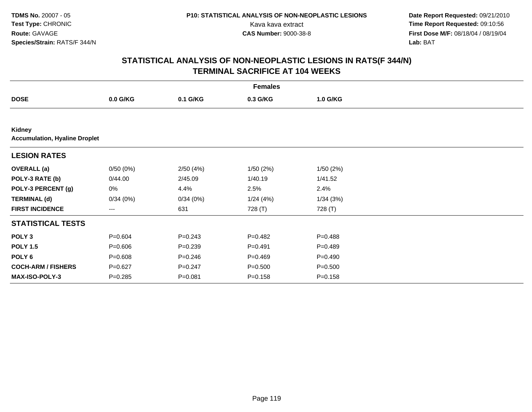**Date Report Requested:** 09/21/2010 Kava kava extract **Time Report Requested:** 09:10:56<br>**CAS Number:** 9000-38-8<br>**Tirst Dose M/F:** 08/18/04 / 08/19/04 **First Dose M/F:** 08/18/04 / 08/19/04 Lab: BAT **Lab:** BAT

| <b>Females</b>                                 |             |             |             |             |  |  |  |
|------------------------------------------------|-------------|-------------|-------------|-------------|--|--|--|
| <b>DOSE</b>                                    | $0.0$ G/KG  | 0.1 G/KG    | 0.3 G/KG    | 1.0 G/KG    |  |  |  |
|                                                |             |             |             |             |  |  |  |
| Kidney<br><b>Accumulation, Hyaline Droplet</b> |             |             |             |             |  |  |  |
| <b>LESION RATES</b>                            |             |             |             |             |  |  |  |
| <b>OVERALL</b> (a)                             | 0/50(0%)    | 2/50(4%)    | 1/50(2%)    | 1/50(2%)    |  |  |  |
| POLY-3 RATE (b)                                | 0/44.00     | 2/45.09     | 1/40.19     | 1/41.52     |  |  |  |
| POLY-3 PERCENT (g)                             | 0%          | 4.4%        | 2.5%        | 2.4%        |  |  |  |
| <b>TERMINAL (d)</b>                            | 0/34(0%)    | 0/34(0%)    | 1/24(4%)    | 1/34(3%)    |  |  |  |
| <b>FIRST INCIDENCE</b>                         | ---         | 631         | 728 (T)     | 728 (T)     |  |  |  |
| <b>STATISTICAL TESTS</b>                       |             |             |             |             |  |  |  |
| POLY <sub>3</sub>                              | $P = 0.604$ | $P = 0.243$ | $P=0.482$   | $P = 0.488$ |  |  |  |
| <b>POLY 1.5</b>                                | $P = 0.606$ | $P = 0.239$ | $P = 0.491$ | $P=0.489$   |  |  |  |
| POLY <sub>6</sub>                              | $P = 0.608$ | $P = 0.246$ | $P=0.469$   | $P = 0.490$ |  |  |  |
| <b>COCH-ARM / FISHERS</b>                      | $P = 0.627$ | $P = 0.247$ | $P = 0.500$ | $P = 0.500$ |  |  |  |
| MAX-ISO-POLY-3                                 | $P = 0.285$ | $P = 0.081$ | $P = 0.158$ | $P = 0.158$ |  |  |  |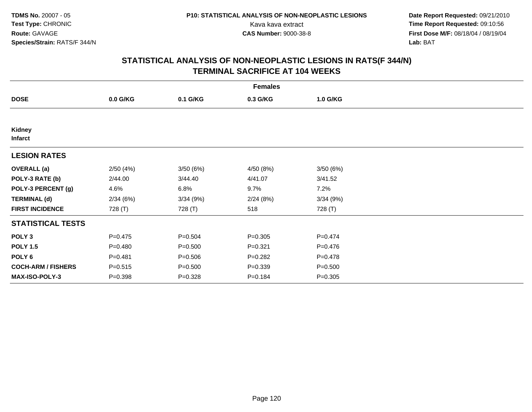**Date Report Requested:** 09/21/2010 Kava kava extract **Time Report Requested:** 09:10:56<br>**CAS Number:** 9000-38-8<br>**Tirst Dose M/F:** 08/18/04 / 08/19/04 **First Dose M/F:** 08/18/04 / 08/19/04 Lab: BAT **Lab:** BAT

|                           |             |             | <b>Females</b> |             |  |
|---------------------------|-------------|-------------|----------------|-------------|--|
| <b>DOSE</b>               | $0.0$ G/KG  | 0.1 G/KG    | 0.3 G/KG       | 1.0 G/KG    |  |
|                           |             |             |                |             |  |
| Kidney<br><b>Infarct</b>  |             |             |                |             |  |
| <b>LESION RATES</b>       |             |             |                |             |  |
| <b>OVERALL</b> (a)        | 2/50(4%)    | 3/50(6%)    | 4/50(8%)       | 3/50(6%)    |  |
| POLY-3 RATE (b)           | 2/44.00     | 3/44.40     | 4/41.07        | 3/41.52     |  |
| POLY-3 PERCENT (g)        | 4.6%        | 6.8%        | 9.7%           | 7.2%        |  |
| <b>TERMINAL (d)</b>       | 2/34(6%)    | 3/34(9%)    | 2/24(8%)       | 3/34(9%)    |  |
| <b>FIRST INCIDENCE</b>    | 728 (T)     | 728 (T)     | 518            | 728 (T)     |  |
| <b>STATISTICAL TESTS</b>  |             |             |                |             |  |
| POLY <sub>3</sub>         | $P=0.475$   | $P = 0.504$ | $P = 0.305$    | $P = 0.474$ |  |
| <b>POLY 1.5</b>           | $P=0.480$   | $P = 0.500$ | $P = 0.321$    | $P = 0.476$ |  |
| POLY <sub>6</sub>         | $P = 0.481$ | $P = 0.506$ | $P = 0.282$    | $P = 0.478$ |  |
| <b>COCH-ARM / FISHERS</b> | $P = 0.515$ | $P = 0.500$ | $P = 0.339$    | $P = 0.500$ |  |
| <b>MAX-ISO-POLY-3</b>     | $P = 0.398$ | $P = 0.328$ | $P = 0.184$    | $P = 0.305$ |  |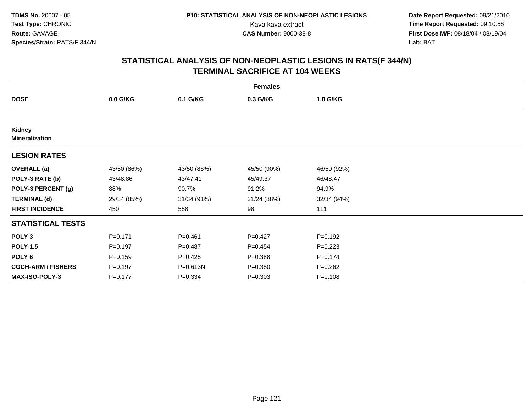**Date Report Requested:** 09/21/2010 Kava kava extract **Time Report Requested:** 09:10:56<br>**CAS Number:** 9000-38-8<br>**Tirst Dose M/F:** 08/18/04 / 08/19/04 **First Dose M/F:** 08/18/04 / 08/19/04 Lab: BAT **Lab:** BAT

| <b>Females</b>                  |             |             |             |             |  |  |  |
|---------------------------------|-------------|-------------|-------------|-------------|--|--|--|
| <b>DOSE</b>                     | 0.0 G/KG    | 0.1 G/KG    | 0.3 G/KG    | 1.0 G/KG    |  |  |  |
|                                 |             |             |             |             |  |  |  |
| Kidney<br><b>Mineralization</b> |             |             |             |             |  |  |  |
| <b>LESION RATES</b>             |             |             |             |             |  |  |  |
| <b>OVERALL (a)</b>              | 43/50 (86%) | 43/50 (86%) | 45/50 (90%) | 46/50 (92%) |  |  |  |
| POLY-3 RATE (b)                 | 43/48.86    | 43/47.41    | 45/49.37    | 46/48.47    |  |  |  |
| POLY-3 PERCENT (g)              | 88%         | 90.7%       | 91.2%       | 94.9%       |  |  |  |
| <b>TERMINAL (d)</b>             | 29/34 (85%) | 31/34 (91%) | 21/24 (88%) | 32/34 (94%) |  |  |  |
| <b>FIRST INCIDENCE</b>          | 450         | 558         | 98          | 111         |  |  |  |
| <b>STATISTICAL TESTS</b>        |             |             |             |             |  |  |  |
| POLY <sub>3</sub>               | $P = 0.171$ | $P = 0.461$ | $P=0.427$   | $P = 0.192$ |  |  |  |
| <b>POLY 1.5</b>                 | $P = 0.197$ | $P = 0.487$ | $P=0.454$   | $P=0.223$   |  |  |  |
| POLY 6                          | $P = 0.159$ | $P=0.425$   | $P = 0.388$ | $P = 0.174$ |  |  |  |
| <b>COCH-ARM / FISHERS</b>       | $P = 0.197$ | P=0.613N    | $P = 0.380$ | $P = 0.262$ |  |  |  |
| MAX-ISO-POLY-3                  | $P = 0.177$ | $P = 0.334$ | $P = 0.303$ | $P = 0.108$ |  |  |  |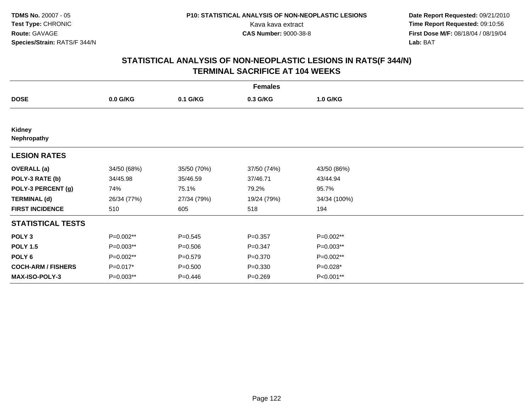**Date Report Requested:** 09/21/2010 Kava kava extract **Time Report Requested:** 09:10:56<br>**CAS Number:** 9000-38-8<br>**Tirst Dose M/F:** 08/18/04 / 08/19/04 **First Dose M/F:** 08/18/04 / 08/19/04 Lab: BAT **Lab:** BAT

| <b>Females</b>            |             |             |             |              |  |  |  |
|---------------------------|-------------|-------------|-------------|--------------|--|--|--|
| <b>DOSE</b>               | 0.0 G/KG    | 0.1 G/KG    | 0.3 G/KG    | 1.0 G/KG     |  |  |  |
|                           |             |             |             |              |  |  |  |
| Kidney<br>Nephropathy     |             |             |             |              |  |  |  |
| <b>LESION RATES</b>       |             |             |             |              |  |  |  |
| <b>OVERALL</b> (a)        | 34/50 (68%) | 35/50 (70%) | 37/50 (74%) | 43/50 (86%)  |  |  |  |
| POLY-3 RATE (b)           | 34/45.98    | 35/46.59    | 37/46.71    | 43/44.94     |  |  |  |
| POLY-3 PERCENT (g)        | 74%         | 75.1%       | 79.2%       | 95.7%        |  |  |  |
| <b>TERMINAL (d)</b>       | 26/34 (77%) | 27/34 (79%) | 19/24 (79%) | 34/34 (100%) |  |  |  |
| <b>FIRST INCIDENCE</b>    | 510         | 605         | 518         | 194          |  |  |  |
| <b>STATISTICAL TESTS</b>  |             |             |             |              |  |  |  |
| POLY <sub>3</sub>         | P=0.002**   | $P = 0.545$ | $P = 0.357$ | P=0.002**    |  |  |  |
| <b>POLY 1.5</b>           | P=0.003**   | $P = 0.506$ | $P = 0.347$ | P=0.003**    |  |  |  |
| POLY 6                    | P=0.002**   | $P = 0.579$ | $P = 0.370$ | P=0.002**    |  |  |  |
| <b>COCH-ARM / FISHERS</b> | P=0.017*    | $P = 0.500$ | $P = 0.330$ | P=0.028*     |  |  |  |
| <b>MAX-ISO-POLY-3</b>     | P=0.003**   | $P = 0.446$ | $P = 0.269$ | P<0.001**    |  |  |  |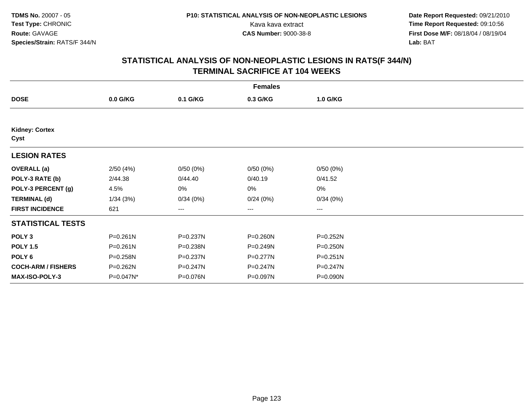**Date Report Requested:** 09/21/2010 Kava kava extract **Time Report Requested:** 09:10:56<br>**CAS Number:** 9000-38-8<br>**Tirst Dose M/F:** 08/18/04 / 08/19/04 **First Dose M/F:** 08/18/04 / 08/19/04 Lab: BAT **Lab:** BAT

|                               | <b>Females</b> |          |                        |          |  |  |  |  |
|-------------------------------|----------------|----------|------------------------|----------|--|--|--|--|
| <b>DOSE</b>                   | $0.0$ G/KG     | 0.1 G/KG | 0.3 G/KG               | 1.0 G/KG |  |  |  |  |
|                               |                |          |                        |          |  |  |  |  |
| <b>Kidney: Cortex</b><br>Cyst |                |          |                        |          |  |  |  |  |
| <b>LESION RATES</b>           |                |          |                        |          |  |  |  |  |
| <b>OVERALL</b> (a)            | 2/50(4%)       | 0/50(0%) | 0/50(0%)               | 0/50(0%) |  |  |  |  |
| POLY-3 RATE (b)               | 2/44.38        | 0/44.40  | 0/40.19                | 0/41.52  |  |  |  |  |
| POLY-3 PERCENT (g)            | 4.5%           | 0%       | 0%                     | $0\%$    |  |  |  |  |
| <b>TERMINAL (d)</b>           | 1/34(3%)       | 0/34(0%) | 0/24(0%)               | 0/34(0%) |  |  |  |  |
| <b>FIRST INCIDENCE</b>        | 621            | ---      | $\qquad \qquad \cdots$ | ---      |  |  |  |  |
| <b>STATISTICAL TESTS</b>      |                |          |                        |          |  |  |  |  |
| POLY <sub>3</sub>             | $P = 0.261N$   | P=0.237N | P=0.260N               | P=0.252N |  |  |  |  |
| <b>POLY 1.5</b>               | $P = 0.261N$   | P=0.238N | P=0.249N               | P=0.250N |  |  |  |  |
| POLY 6                        | P=0.258N       | P=0.237N | P=0.277N               | P=0.251N |  |  |  |  |
| <b>COCH-ARM / FISHERS</b>     | P=0.262N       | P=0.247N | P=0.247N               | P=0.247N |  |  |  |  |
| <b>MAX-ISO-POLY-3</b>         | P=0.047N*      | P=0.076N | P=0.097N               | P=0.090N |  |  |  |  |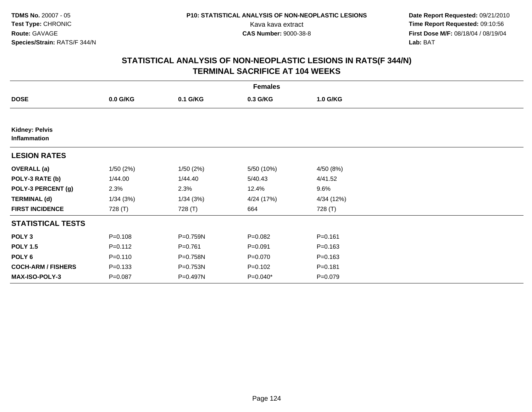**Date Report Requested:** 09/21/2010 Kava kava extract **Time Report Requested:** 09:10:56<br>**CAS Number:** 9000-38-8<br>**Tirst Dose M/F:** 08/18/04 / 08/19/04 **First Dose M/F:** 08/18/04 / 08/19/04 Lab: BAT **Lab:** BAT

| <b>Females</b>                        |             |             |             |             |  |  |  |
|---------------------------------------|-------------|-------------|-------------|-------------|--|--|--|
| <b>DOSE</b>                           | $0.0$ G/KG  | 0.1 G/KG    | 0.3 G/KG    | 1.0 G/KG    |  |  |  |
|                                       |             |             |             |             |  |  |  |
| <b>Kidney: Pelvis</b><br>Inflammation |             |             |             |             |  |  |  |
| <b>LESION RATES</b>                   |             |             |             |             |  |  |  |
| <b>OVERALL</b> (a)                    | 1/50(2%)    | 1/50(2%)    | 5/50 (10%)  | 4/50 (8%)   |  |  |  |
| POLY-3 RATE (b)                       | 1/44.00     | 1/44.40     | 5/40.43     | 4/41.52     |  |  |  |
| POLY-3 PERCENT (g)                    | 2.3%        | 2.3%        | 12.4%       | 9.6%        |  |  |  |
| <b>TERMINAL (d)</b>                   | 1/34(3%)    | 1/34(3%)    | 4/24 (17%)  | 4/34 (12%)  |  |  |  |
| <b>FIRST INCIDENCE</b>                | 728 (T)     | 728 (T)     | 664         | 728 (T)     |  |  |  |
| <b>STATISTICAL TESTS</b>              |             |             |             |             |  |  |  |
| POLY <sub>3</sub>                     | $P = 0.108$ | P=0.759N    | $P = 0.082$ | $P = 0.161$ |  |  |  |
| <b>POLY 1.5</b>                       | $P = 0.112$ | $P = 0.761$ | $P = 0.091$ | $P = 0.163$ |  |  |  |
| POLY <sub>6</sub>                     | $P = 0.110$ | P=0.758N    | $P = 0.070$ | $P = 0.163$ |  |  |  |
| <b>COCH-ARM / FISHERS</b>             | $P = 0.133$ | P=0.753N    | $P = 0.102$ | $P = 0.181$ |  |  |  |
| <b>MAX-ISO-POLY-3</b>                 | $P = 0.087$ | P=0.497N    | P=0.040*    | $P = 0.079$ |  |  |  |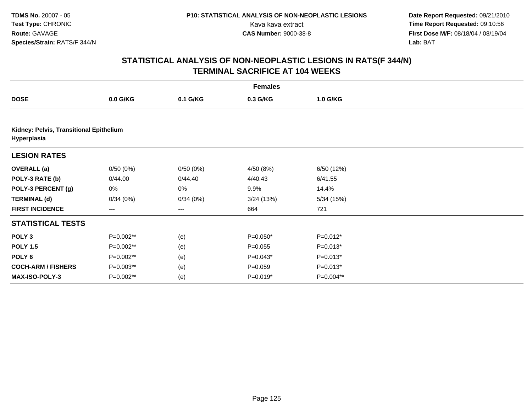**Date Report Requested:** 09/21/2010 Kava kava extract **Time Report Requested:** 09:10:56<br>**CAS Number:** 9000-38-8<br>**Tirst Dose M/F:** 08/18/04 / 08/19/04 **First Dose M/F:** 08/18/04 / 08/19/04 Lab: BAT **Lab:** BAT

| <b>Females</b>            |                                         |                   |             |            |  |  |  |  |  |
|---------------------------|-----------------------------------------|-------------------|-------------|------------|--|--|--|--|--|
| <b>DOSE</b>               | $0.0$ G/KG                              | 0.1 G/KG          | 0.3 G/KG    | 1.0 G/KG   |  |  |  |  |  |
|                           |                                         |                   |             |            |  |  |  |  |  |
| Hyperplasia               | Kidney: Pelvis, Transitional Epithelium |                   |             |            |  |  |  |  |  |
| <b>LESION RATES</b>       |                                         |                   |             |            |  |  |  |  |  |
| <b>OVERALL</b> (a)        | 0/50(0%)                                | 0/50(0%)          | 4/50 (8%)   | 6/50 (12%) |  |  |  |  |  |
| POLY-3 RATE (b)           | 0/44.00                                 | 0/44.40           | 4/40.43     | 6/41.55    |  |  |  |  |  |
| POLY-3 PERCENT (g)        | 0%                                      | 0%                | 9.9%        | 14.4%      |  |  |  |  |  |
| <b>TERMINAL (d)</b>       | 0/34(0%)                                | 0/34(0%)          | 3/24(13%)   | 5/34(15%)  |  |  |  |  |  |
| <b>FIRST INCIDENCE</b>    | $---$                                   | $\qquad \qquad -$ | 664         | 721        |  |  |  |  |  |
| <b>STATISTICAL TESTS</b>  |                                         |                   |             |            |  |  |  |  |  |
| POLY <sub>3</sub>         | P=0.002**                               | (e)               | $P=0.050*$  | $P=0.012*$ |  |  |  |  |  |
| <b>POLY 1.5</b>           | P=0.002**                               | (e)               | $P = 0.055$ | $P=0.013*$ |  |  |  |  |  |
| POLY <sub>6</sub>         | P=0.002**                               | (e)               | $P=0.043*$  | $P=0.013*$ |  |  |  |  |  |
| <b>COCH-ARM / FISHERS</b> | P=0.003**                               | (e)               | $P = 0.059$ | $P=0.013*$ |  |  |  |  |  |
| <b>MAX-ISO-POLY-3</b>     | P=0.002**                               | (e)               | $P=0.019*$  | P=0.004**  |  |  |  |  |  |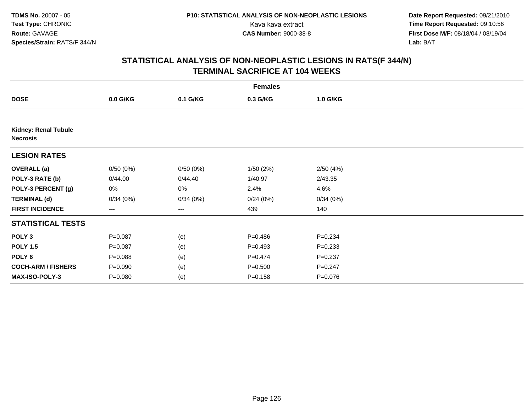**Date Report Requested:** 09/21/2010 Kava kava extract **Time Report Requested:** 09:10:56<br>**CAS Number:** 9000-38-8<br>**Tirst Dose M/F:** 08/18/04 / 08/19/04 **First Dose M/F:** 08/18/04 / 08/19/04 Lab: BAT **Lab:** BAT

| <b>Females</b>                                 |             |          |             |             |  |  |  |
|------------------------------------------------|-------------|----------|-------------|-------------|--|--|--|
| <b>DOSE</b>                                    | $0.0$ G/KG  | 0.1 G/KG | 0.3 G/KG    | 1.0 G/KG    |  |  |  |
|                                                |             |          |             |             |  |  |  |
| <b>Kidney: Renal Tubule</b><br><b>Necrosis</b> |             |          |             |             |  |  |  |
| <b>LESION RATES</b>                            |             |          |             |             |  |  |  |
| <b>OVERALL (a)</b>                             | 0/50(0%)    | 0/50(0%) | 1/50(2%)    | 2/50(4%)    |  |  |  |
| POLY-3 RATE (b)                                | 0/44.00     | 0/44.40  | 1/40.97     | 2/43.35     |  |  |  |
| POLY-3 PERCENT (g)                             | 0%          | 0%       | 2.4%        | 4.6%        |  |  |  |
| <b>TERMINAL (d)</b>                            | 0/34(0%)    | 0/34(0%) | 0/24(0%)    | 0/34(0%)    |  |  |  |
| <b>FIRST INCIDENCE</b>                         | ---         | $\cdots$ | 439         | 140         |  |  |  |
| <b>STATISTICAL TESTS</b>                       |             |          |             |             |  |  |  |
| POLY <sub>3</sub>                              | $P = 0.087$ | (e)      | $P=0.486$   | $P = 0.234$ |  |  |  |
| <b>POLY 1.5</b>                                | $P = 0.087$ | (e)      | $P=0.493$   | $P = 0.233$ |  |  |  |
| POLY <sub>6</sub>                              | $P = 0.088$ | (e)      | $P=0.474$   | $P = 0.237$ |  |  |  |
| <b>COCH-ARM / FISHERS</b>                      | $P = 0.090$ | (e)      | $P = 0.500$ | $P = 0.247$ |  |  |  |
| MAX-ISO-POLY-3                                 | $P = 0.080$ | (e)      | $P = 0.158$ | $P = 0.076$ |  |  |  |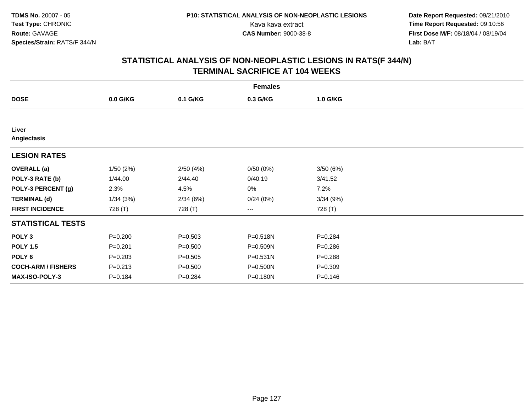**Date Report Requested:** 09/21/2010 Kava kava extract **Time Report Requested:** 09:10:56<br>**CAS Number:** 9000-38-8<br>**Tirst Dose M/F:** 08/18/04 / 08/19/04 **First Dose M/F:** 08/18/04 / 08/19/04 Lab: BAT **Lab:** BAT

| <b>Females</b>            |             |             |                        |             |  |  |  |
|---------------------------|-------------|-------------|------------------------|-------------|--|--|--|
| <b>DOSE</b>               | $0.0$ G/KG  | 0.1 G/KG    | 0.3 G/KG               | 1.0 G/KG    |  |  |  |
|                           |             |             |                        |             |  |  |  |
| Liver<br>Angiectasis      |             |             |                        |             |  |  |  |
| <b>LESION RATES</b>       |             |             |                        |             |  |  |  |
| <b>OVERALL</b> (a)        | 1/50(2%)    | 2/50(4%)    | 0/50(0%)               | 3/50(6%)    |  |  |  |
| POLY-3 RATE (b)           | 1/44.00     | 2/44.40     | 0/40.19                | 3/41.52     |  |  |  |
| POLY-3 PERCENT (g)        | 2.3%        | 4.5%        | 0%                     | 7.2%        |  |  |  |
| <b>TERMINAL (d)</b>       | 1/34(3%)    | 2/34(6%)    | 0/24(0%)               | 3/34(9%)    |  |  |  |
| <b>FIRST INCIDENCE</b>    | 728 (T)     | 728 (T)     | $\qquad \qquad \cdots$ | 728 (T)     |  |  |  |
| <b>STATISTICAL TESTS</b>  |             |             |                        |             |  |  |  |
| POLY <sub>3</sub>         | $P = 0.200$ | $P = 0.503$ | P=0.518N               | $P = 0.284$ |  |  |  |
| <b>POLY 1.5</b>           | $P = 0.201$ | $P = 0.500$ | P=0.509N               | $P = 0.286$ |  |  |  |
| POLY <sub>6</sub>         | $P = 0.203$ | $P = 0.505$ | $P = 0.531N$           | $P = 0.288$ |  |  |  |
| <b>COCH-ARM / FISHERS</b> | $P = 0.213$ | $P = 0.500$ | P=0.500N               | $P = 0.309$ |  |  |  |
| <b>MAX-ISO-POLY-3</b>     | $P = 0.184$ | $P = 0.284$ | P=0.180N               | $P = 0.146$ |  |  |  |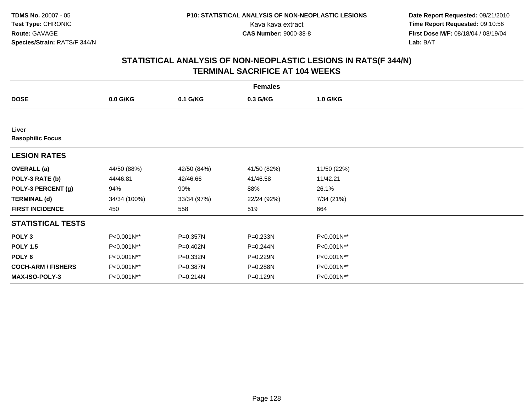**Date Report Requested:** 09/21/2010 Kava kava extract **Time Report Requested:** 09:10:56<br>**CAS Number:** 9000-38-8<br>**Tirst Dose M/F:** 08/18/04 / 08/19/04 **First Dose M/F:** 08/18/04 / 08/19/04 Lab: BAT **Lab:** BAT

| <b>Females</b>                   |              |             |             |             |  |  |  |
|----------------------------------|--------------|-------------|-------------|-------------|--|--|--|
| <b>DOSE</b>                      | 0.0 G/KG     | 0.1 G/KG    | 0.3 G/KG    | 1.0 G/KG    |  |  |  |
|                                  |              |             |             |             |  |  |  |
| Liver<br><b>Basophilic Focus</b> |              |             |             |             |  |  |  |
| <b>LESION RATES</b>              |              |             |             |             |  |  |  |
| <b>OVERALL</b> (a)               | 44/50 (88%)  | 42/50 (84%) | 41/50 (82%) | 11/50 (22%) |  |  |  |
| POLY-3 RATE (b)                  | 44/46.81     | 42/46.66    | 41/46.58    | 11/42.21    |  |  |  |
| POLY-3 PERCENT (g)               | 94%          | 90%         | 88%         | 26.1%       |  |  |  |
| <b>TERMINAL (d)</b>              | 34/34 (100%) | 33/34 (97%) | 22/24 (92%) | 7/34 (21%)  |  |  |  |
| <b>FIRST INCIDENCE</b>           | 450          | 558         | 519         | 664         |  |  |  |
| <b>STATISTICAL TESTS</b>         |              |             |             |             |  |  |  |
| POLY <sub>3</sub>                | P<0.001N**   | P=0.357N    | P=0.233N    | P<0.001N**  |  |  |  |
| <b>POLY 1.5</b>                  | P<0.001N**   | P=0.402N    | P=0.244N    | P<0.001N**  |  |  |  |
| POLY <sub>6</sub>                | P<0.001N**   | P=0.332N    | P=0.229N    | P<0.001N**  |  |  |  |
| <b>COCH-ARM / FISHERS</b>        | P<0.001N**   | P=0.387N    | P=0.288N    | P<0.001N**  |  |  |  |
| <b>MAX-ISO-POLY-3</b>            | P<0.001N**   | P=0.214N    | P=0.129N    | P<0.001N**  |  |  |  |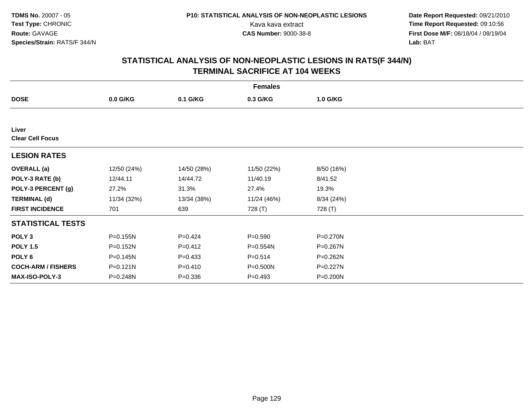**Date Report Requested:** 09/21/2010 Kava kava extract **Time Report Requested:** 09:10:56<br>**CAS Number:** 9000-38-8<br>**Tirst Dose M/F:** 08/18/04 / 08/19/04 **First Dose M/F:** 08/18/04 / 08/19/04 Lab: BAT **Lab:** BAT

| <b>Females</b>                   |              |             |             |            |  |  |  |
|----------------------------------|--------------|-------------|-------------|------------|--|--|--|
| <b>DOSE</b>                      | 0.0 G/KG     | 0.1 G/KG    | 0.3 G/KG    | 1.0 G/KG   |  |  |  |
|                                  |              |             |             |            |  |  |  |
| Liver<br><b>Clear Cell Focus</b> |              |             |             |            |  |  |  |
| <b>LESION RATES</b>              |              |             |             |            |  |  |  |
| <b>OVERALL (a)</b>               | 12/50 (24%)  | 14/50 (28%) | 11/50 (22%) | 8/50 (16%) |  |  |  |
| POLY-3 RATE (b)                  | 12/44.11     | 14/44.72    | 11/40.19    | 8/41.52    |  |  |  |
| POLY-3 PERCENT (g)               | 27.2%        | 31.3%       | 27.4%       | 19.3%      |  |  |  |
| <b>TERMINAL (d)</b>              | 11/34 (32%)  | 13/34 (38%) | 11/24 (46%) | 8/34 (24%) |  |  |  |
| <b>FIRST INCIDENCE</b>           | 701          | 639         | 728 (T)     | 728 (T)    |  |  |  |
| <b>STATISTICAL TESTS</b>         |              |             |             |            |  |  |  |
| POLY <sub>3</sub>                | P=0.155N     | $P=0.424$   | $P = 0.590$ | P=0.270N   |  |  |  |
| <b>POLY 1.5</b>                  | P=0.152N     | $P = 0.412$ | P=0.554N    | P=0.267N   |  |  |  |
| POLY 6                           | P=0.145N     | $P=0.433$   | $P = 0.514$ | P=0.262N   |  |  |  |
| <b>COCH-ARM / FISHERS</b>        | $P = 0.121N$ | $P = 0.410$ | P=0.500N    | P=0.227N   |  |  |  |
| MAX-ISO-POLY-3                   | P=0.248N     | $P = 0.336$ | $P = 0.493$ | P=0.200N   |  |  |  |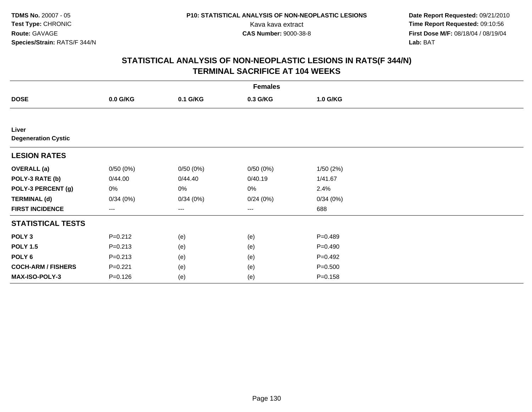**Date Report Requested:** 09/21/2010 Kava kava extract **Time Report Requested:** 09:10:56<br>**CAS Number:** 9000-38-8<br>**Tirst Dose M/F:** 08/18/04 / 08/19/04 **First Dose M/F:** 08/18/04 / 08/19/04 Lab: BAT **Lab:** BAT

|                                     | <b>Females</b> |          |          |             |  |  |  |  |
|-------------------------------------|----------------|----------|----------|-------------|--|--|--|--|
| <b>DOSE</b>                         | 0.0 G/KG       | 0.1 G/KG | 0.3 G/KG | 1.0 G/KG    |  |  |  |  |
|                                     |                |          |          |             |  |  |  |  |
| Liver<br><b>Degeneration Cystic</b> |                |          |          |             |  |  |  |  |
| <b>LESION RATES</b>                 |                |          |          |             |  |  |  |  |
| <b>OVERALL</b> (a)                  | 0/50(0%)       | 0/50(0%) | 0/50(0%) | 1/50(2%)    |  |  |  |  |
| POLY-3 RATE (b)                     | 0/44.00        | 0/44.40  | 0/40.19  | 1/41.67     |  |  |  |  |
| POLY-3 PERCENT (g)                  | 0%             | 0%       | 0%       | 2.4%        |  |  |  |  |
| <b>TERMINAL (d)</b>                 | 0/34(0%)       | 0/34(0%) | 0/24(0%) | 0/34(0%)    |  |  |  |  |
| <b>FIRST INCIDENCE</b>              | $--$           | ---      | $--$     | 688         |  |  |  |  |
| <b>STATISTICAL TESTS</b>            |                |          |          |             |  |  |  |  |
| POLY <sub>3</sub>                   | $P = 0.212$    | (e)      | (e)      | $P = 0.489$ |  |  |  |  |
| <b>POLY 1.5</b>                     | $P = 0.213$    | (e)      | (e)      | $P = 0.490$ |  |  |  |  |
| POLY <sub>6</sub>                   | $P = 0.213$    | (e)      | (e)      | $P=0.492$   |  |  |  |  |
| <b>COCH-ARM / FISHERS</b>           | $P = 0.221$    | (e)      | (e)      | $P = 0.500$ |  |  |  |  |
| MAX-ISO-POLY-3                      | $P = 0.126$    | (e)      | (e)      | $P = 0.158$ |  |  |  |  |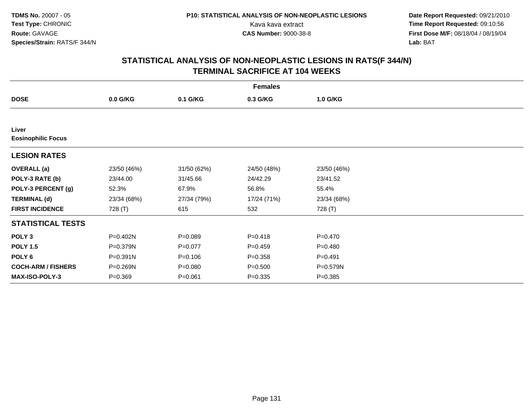**Date Report Requested:** 09/21/2010 Kava kava extract **Time Report Requested:** 09:10:56<br>**CAS Number:** 9000-38-8<br>**Tirst Dose M/F:** 08/18/04 / 08/19/04 **First Dose M/F:** 08/18/04 / 08/19/04 Lab: BAT **Lab:** BAT

| <b>Females</b>                     |             |             |             |             |  |  |  |
|------------------------------------|-------------|-------------|-------------|-------------|--|--|--|
| <b>DOSE</b>                        | 0.0 G/KG    | 0.1 G/KG    | 0.3 G/KG    | 1.0 G/KG    |  |  |  |
|                                    |             |             |             |             |  |  |  |
| Liver<br><b>Eosinophilic Focus</b> |             |             |             |             |  |  |  |
| <b>LESION RATES</b>                |             |             |             |             |  |  |  |
| <b>OVERALL</b> (a)                 | 23/50 (46%) | 31/50 (62%) | 24/50 (48%) | 23/50 (46%) |  |  |  |
| POLY-3 RATE (b)                    | 23/44.00    | 31/45.66    | 24/42.29    | 23/41.52    |  |  |  |
| POLY-3 PERCENT (g)                 | 52.3%       | 67.9%       | 56.8%       | 55.4%       |  |  |  |
| <b>TERMINAL (d)</b>                | 23/34 (68%) | 27/34 (79%) | 17/24 (71%) | 23/34 (68%) |  |  |  |
| <b>FIRST INCIDENCE</b>             | 728 (T)     | 615         | 532         | 728 (T)     |  |  |  |
| <b>STATISTICAL TESTS</b>           |             |             |             |             |  |  |  |
| POLY <sub>3</sub>                  | P=0.402N    | $P = 0.089$ | $P = 0.418$ | $P = 0.470$ |  |  |  |
| <b>POLY 1.5</b>                    | P=0.379N    | $P = 0.077$ | $P = 0.459$ | $P=0.480$   |  |  |  |
| POLY 6                             | P=0.391N    | $P = 0.106$ | $P = 0.358$ | $P=0.491$   |  |  |  |
| <b>COCH-ARM / FISHERS</b>          | P=0.269N    | $P = 0.080$ | $P = 0.500$ | P=0.579N    |  |  |  |
| <b>MAX-ISO-POLY-3</b>              | $P = 0.369$ | $P = 0.061$ | $P = 0.335$ | $P = 0.385$ |  |  |  |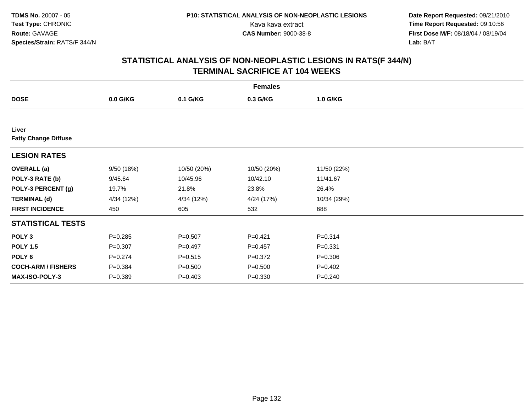**Date Report Requested:** 09/21/2010 Kava kava extract **Time Report Requested:** 09:10:56<br>**CAS Number:** 9000-38-8<br>**Tirst Dose M/F:** 08/18/04 / 08/19/04 **First Dose M/F:** 08/18/04 / 08/19/04 Lab: BAT **Lab:** BAT

| <b>Females</b>                       |             |             |             |             |  |  |  |
|--------------------------------------|-------------|-------------|-------------|-------------|--|--|--|
| <b>DOSE</b>                          | $0.0$ G/KG  | 0.1 G/KG    | 0.3 G/KG    | 1.0 G/KG    |  |  |  |
|                                      |             |             |             |             |  |  |  |
| Liver<br><b>Fatty Change Diffuse</b> |             |             |             |             |  |  |  |
| <b>LESION RATES</b>                  |             |             |             |             |  |  |  |
| <b>OVERALL</b> (a)                   | 9/50 (18%)  | 10/50 (20%) | 10/50 (20%) | 11/50 (22%) |  |  |  |
| POLY-3 RATE (b)                      | 9/45.64     | 10/45.96    | 10/42.10    | 11/41.67    |  |  |  |
| POLY-3 PERCENT (g)                   | 19.7%       | 21.8%       | 23.8%       | 26.4%       |  |  |  |
| <b>TERMINAL (d)</b>                  | 4/34 (12%)  | 4/34 (12%)  | 4/24 (17%)  | 10/34 (29%) |  |  |  |
| <b>FIRST INCIDENCE</b>               | 450         | 605         | 532         | 688         |  |  |  |
| <b>STATISTICAL TESTS</b>             |             |             |             |             |  |  |  |
| POLY <sub>3</sub>                    | $P = 0.285$ | $P = 0.507$ | $P = 0.421$ | $P = 0.314$ |  |  |  |
| <b>POLY 1.5</b>                      | $P = 0.307$ | $P=0.497$   | $P=0.457$   | $P = 0.331$ |  |  |  |
| POLY 6                               | $P = 0.274$ | $P = 0.515$ | $P = 0.372$ | $P = 0.306$ |  |  |  |
| <b>COCH-ARM / FISHERS</b>            | $P = 0.384$ | $P = 0.500$ | $P = 0.500$ | $P = 0.402$ |  |  |  |
| <b>MAX-ISO-POLY-3</b>                | $P = 0.389$ | $P = 0.403$ | $P = 0.330$ | $P = 0.240$ |  |  |  |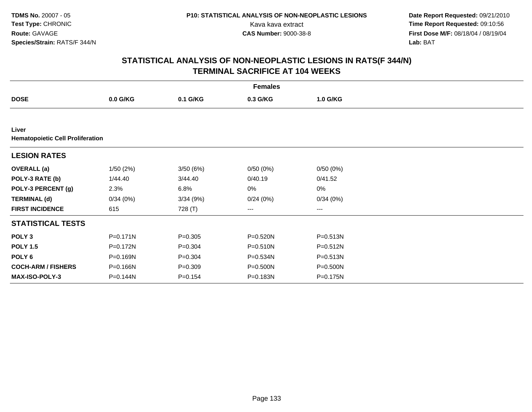**Date Report Requested:** 09/21/2010 Kava kava extract **Time Report Requested:** 09:10:56<br>**CAS Number:** 9000-38-8<br>**Tirst Dose M/F:** 08/18/04 / 08/19/04 **First Dose M/F:** 08/18/04 / 08/19/04 Lab: BAT **Lab:** BAT

|                                                  |              |             | <b>Females</b> |          |  |
|--------------------------------------------------|--------------|-------------|----------------|----------|--|
| <b>DOSE</b>                                      | $0.0$ G/KG   | 0.1 G/KG    | 0.3 G/KG       | 1.0 G/KG |  |
|                                                  |              |             |                |          |  |
| Liver<br><b>Hematopoietic Cell Proliferation</b> |              |             |                |          |  |
| <b>LESION RATES</b>                              |              |             |                |          |  |
| <b>OVERALL</b> (a)                               | 1/50(2%)     | 3/50(6%)    | 0/50(0%)       | 0/50(0%) |  |
| POLY-3 RATE (b)                                  | 1/44.40      | 3/44.40     | 0/40.19        | 0/41.52  |  |
| POLY-3 PERCENT (g)                               | 2.3%         | 6.8%        | 0%             | 0%       |  |
| <b>TERMINAL (d)</b>                              | 0/34(0%)     | 3/34(9%)    | 0/24(0%)       | 0/34(0%) |  |
| <b>FIRST INCIDENCE</b>                           | 615          | 728 (T)     | ---            | ---      |  |
| <b>STATISTICAL TESTS</b>                         |              |             |                |          |  |
| POLY <sub>3</sub>                                | $P = 0.171N$ | $P = 0.305$ | P=0.520N       | P=0.513N |  |
| <b>POLY 1.5</b>                                  | P=0.172N     | $P = 0.304$ | P=0.510N       | P=0.512N |  |
| POLY 6                                           | P=0.169N     | $P = 0.304$ | $P = 0.534N$   | P=0.513N |  |
| <b>COCH-ARM / FISHERS</b>                        | P=0.166N     | $P = 0.309$ | P=0.500N       | P=0.500N |  |
| <b>MAX-ISO-POLY-3</b>                            | P=0.144N     | $P = 0.154$ | P=0.183N       | P=0.175N |  |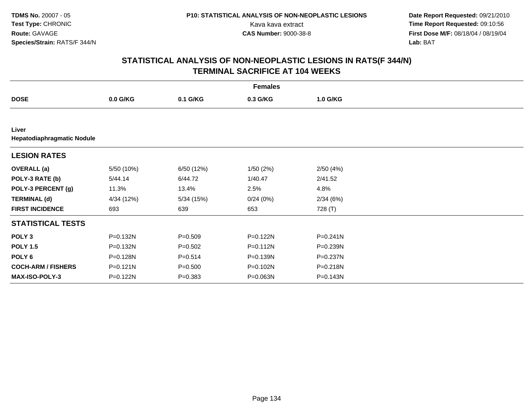**Date Report Requested:** 09/21/2010 Kava kava extract **Time Report Requested:** 09:10:56<br>**CAS Number:** 9000-38-8<br>**Tirst Dose M/F:** 08/18/04 / 08/19/04 **First Dose M/F:** 08/18/04 / 08/19/04 Lab: BAT **Lab:** BAT

| <b>Females</b>                      |              |             |              |              |  |  |
|-------------------------------------|--------------|-------------|--------------|--------------|--|--|
| <b>DOSE</b>                         | 0.0 G/KG     | 0.1 G/KG    | 0.3 G/KG     | 1.0 G/KG     |  |  |
|                                     |              |             |              |              |  |  |
| Liver<br>Hepatodiaphragmatic Nodule |              |             |              |              |  |  |
| <b>LESION RATES</b>                 |              |             |              |              |  |  |
| <b>OVERALL</b> (a)                  | 5/50 (10%)   | 6/50 (12%)  | 1/50(2%)     | 2/50(4%)     |  |  |
| POLY-3 RATE (b)                     | 5/44.14      | 6/44.72     | 1/40.47      | 2/41.52      |  |  |
| POLY-3 PERCENT (g)                  | 11.3%        | 13.4%       | 2.5%         | 4.8%         |  |  |
| <b>TERMINAL (d)</b>                 | 4/34 (12%)   | 5/34(15%)   | 0/24(0%)     | 2/34(6%)     |  |  |
| <b>FIRST INCIDENCE</b>              | 693          | 639         | 653          | 728 (T)      |  |  |
| <b>STATISTICAL TESTS</b>            |              |             |              |              |  |  |
| POLY <sub>3</sub>                   | P=0.132N     | $P = 0.509$ | P=0.122N     | $P = 0.241N$ |  |  |
| <b>POLY 1.5</b>                     | P=0.132N     | $P = 0.502$ | P=0.112N     | P=0.239N     |  |  |
| POLY 6                              | P=0.128N     | $P = 0.514$ | $P = 0.139N$ | P=0.237N     |  |  |
| <b>COCH-ARM / FISHERS</b>           | $P = 0.121N$ | $P = 0.500$ | P=0.102N     | P=0.218N     |  |  |
| MAX-ISO-POLY-3                      | P=0.122N     | $P = 0.383$ | P=0.063N     | P=0.143N     |  |  |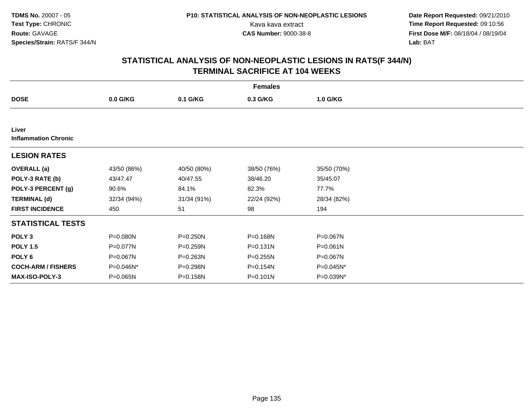**Date Report Requested:** 09/21/2010 Kava kava extract **Time Report Requested:** 09:10:56<br>**CAS Number:** 9000-38-8<br>**Tirst Dose M/F:** 08/18/04 / 08/19/04 **First Dose M/F:** 08/18/04 / 08/19/04 Lab: BAT **Lab:** BAT

|                                      | <b>Females</b> |              |              |              |  |  |  |  |
|--------------------------------------|----------------|--------------|--------------|--------------|--|--|--|--|
| <b>DOSE</b>                          | $0.0$ G/KG     | 0.1 G/KG     | 0.3 G/KG     | 1.0 G/KG     |  |  |  |  |
|                                      |                |              |              |              |  |  |  |  |
| Liver<br><b>Inflammation Chronic</b> |                |              |              |              |  |  |  |  |
| <b>LESION RATES</b>                  |                |              |              |              |  |  |  |  |
| <b>OVERALL</b> (a)                   | 43/50 (86%)    | 40/50 (80%)  | 38/50 (76%)  | 35/50 (70%)  |  |  |  |  |
| POLY-3 RATE (b)                      | 43/47.47       | 40/47.55     | 38/46.20     | 35/45.07     |  |  |  |  |
| POLY-3 PERCENT (g)                   | 90.6%          | 84.1%        | 82.3%        | 77.7%        |  |  |  |  |
| <b>TERMINAL (d)</b>                  | 32/34 (94%)    | 31/34 (91%)  | 22/24 (92%)  | 28/34 (82%)  |  |  |  |  |
| <b>FIRST INCIDENCE</b>               | 450            | 51           | 98           | 194          |  |  |  |  |
| <b>STATISTICAL TESTS</b>             |                |              |              |              |  |  |  |  |
| POLY <sub>3</sub>                    | P=0.080N       | P=0.250N     | P=0.168N     | P=0.067N     |  |  |  |  |
| <b>POLY 1.5</b>                      | P=0.077N       | $P = 0.259N$ | $P = 0.131N$ | $P = 0.061N$ |  |  |  |  |
| POLY 6                               | P=0.067N       | $P = 0.263N$ | $P = 0.255N$ | $P = 0.067N$ |  |  |  |  |
| <b>COCH-ARM / FISHERS</b>            | P=0.046N*      | P=0.298N     | P=0.154N     | P=0.045N*    |  |  |  |  |
| MAX-ISO-POLY-3                       | $P = 0.065N$   | P=0.158N     | $P = 0.101N$ | P=0.039N*    |  |  |  |  |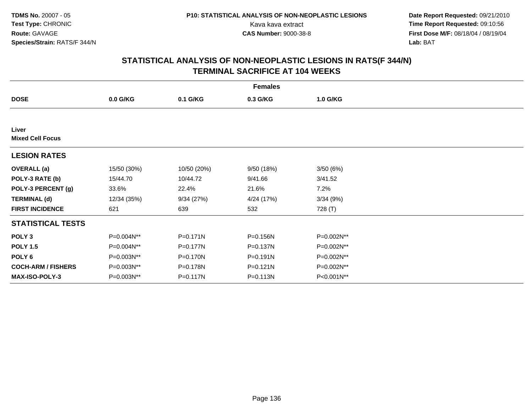**Date Report Requested:** 09/21/2010 Kava kava extract **Time Report Requested:** 09:10:56<br>**CAS Number:** 9000-38-8<br>**Tirst Dose M/F:** 08/18/04 / 08/19/04 **First Dose M/F:** 08/18/04 / 08/19/04 Lab: BAT **Lab:** BAT

| <b>Females</b>                   |             |              |              |            |  |  |  |
|----------------------------------|-------------|--------------|--------------|------------|--|--|--|
| <b>DOSE</b>                      | 0.0 G/KG    | 0.1 G/KG     | 0.3 G/KG     | 1.0 G/KG   |  |  |  |
|                                  |             |              |              |            |  |  |  |
| Liver<br><b>Mixed Cell Focus</b> |             |              |              |            |  |  |  |
| <b>LESION RATES</b>              |             |              |              |            |  |  |  |
| <b>OVERALL</b> (a)               | 15/50 (30%) | 10/50 (20%)  | 9/50(18%)    | 3/50(6%)   |  |  |  |
| POLY-3 RATE (b)                  | 15/44.70    | 10/44.72     | 9/41.66      | 3/41.52    |  |  |  |
| POLY-3 PERCENT (g)               | 33.6%       | 22.4%        | 21.6%        | 7.2%       |  |  |  |
| <b>TERMINAL (d)</b>              | 12/34 (35%) | 9/34(27%)    | 4/24 (17%)   | 3/34(9%)   |  |  |  |
| <b>FIRST INCIDENCE</b>           | 621         | 639          | 532          | 728 (T)    |  |  |  |
| <b>STATISTICAL TESTS</b>         |             |              |              |            |  |  |  |
| POLY <sub>3</sub>                | P=0.004N**  | $P = 0.171N$ | P=0.156N     | P=0.002N** |  |  |  |
| <b>POLY 1.5</b>                  | P=0.004N**  | P=0.177N     | $P = 0.137N$ | P=0.002N** |  |  |  |
| POLY 6                           | P=0.003N**  | P=0.170N     | $P = 0.191N$ | P=0.002N** |  |  |  |
| <b>COCH-ARM / FISHERS</b>        | P=0.003N**  | P=0.178N     | $P = 0.121N$ | P=0.002N** |  |  |  |
| <b>MAX-ISO-POLY-3</b>            | P=0.003N**  | P=0.117N     | P=0.113N     | P<0.001N** |  |  |  |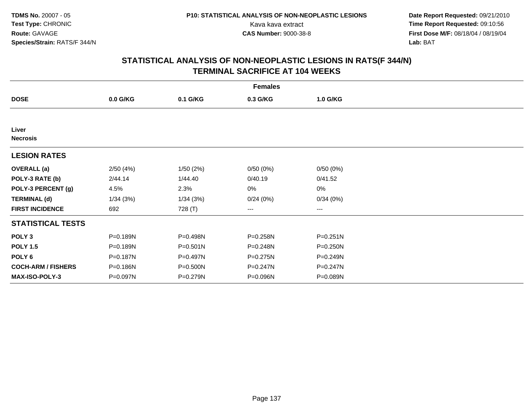**Date Report Requested:** 09/21/2010 Kava kava extract **Time Report Requested:** 09:10:56<br>**CAS Number:** 9000-38-8<br>**Tirst Dose M/F:** 08/18/04 / 08/19/04 **First Dose M/F:** 08/18/04 / 08/19/04 Lab: BAT **Lab:** BAT

| <b>Females</b>            |            |          |              |              |  |  |  |
|---------------------------|------------|----------|--------------|--------------|--|--|--|
| <b>DOSE</b>               | $0.0$ G/KG | 0.1 G/KG | 0.3 G/KG     | 1.0 G/KG     |  |  |  |
|                           |            |          |              |              |  |  |  |
| Liver<br><b>Necrosis</b>  |            |          |              |              |  |  |  |
| <b>LESION RATES</b>       |            |          |              |              |  |  |  |
| <b>OVERALL</b> (a)        | 2/50(4%)   | 1/50(2%) | 0/50(0%)     | 0/50(0%)     |  |  |  |
| POLY-3 RATE (b)           | 2/44.14    | 1/44.40  | 0/40.19      | 0/41.52      |  |  |  |
| POLY-3 PERCENT (g)        | 4.5%       | 2.3%     | 0%           | 0%           |  |  |  |
| <b>TERMINAL (d)</b>       | 1/34(3%)   | 1/34(3%) | 0/24(0%)     | 0/34(0%)     |  |  |  |
| <b>FIRST INCIDENCE</b>    | 692        | 728 (T)  | ---          | ---          |  |  |  |
| <b>STATISTICAL TESTS</b>  |            |          |              |              |  |  |  |
| POLY <sub>3</sub>         | P=0.189N   | P=0.498N | P=0.258N     | $P = 0.251N$ |  |  |  |
| <b>POLY 1.5</b>           | P=0.189N   | P=0.501N | P=0.248N     | P=0.250N     |  |  |  |
| POLY 6                    | P=0.187N   | P=0.497N | $P = 0.275N$ | P=0.249N     |  |  |  |
| <b>COCH-ARM / FISHERS</b> | P=0.186N   | P=0.500N | P=0.247N     | P=0.247N     |  |  |  |
| <b>MAX-ISO-POLY-3</b>     | P=0.097N   | P=0.279N | P=0.096N     | P=0.089N     |  |  |  |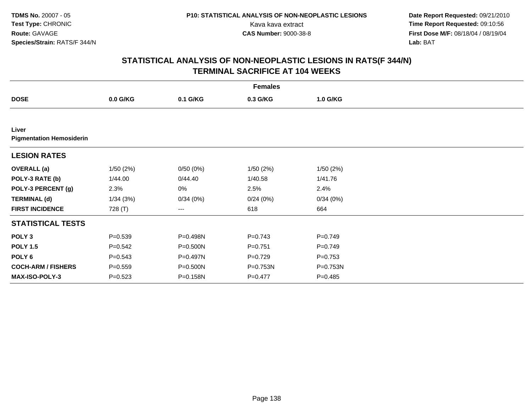**Date Report Requested:** 09/21/2010 Kava kava extract **Time Report Requested:** 09:10:56<br>**CAS Number:** 9000-38-8<br>**Tirst Dose M/F:** 08/18/04 / 08/19/04 **First Dose M/F:** 08/18/04 / 08/19/04 Lab: BAT **Lab:** BAT

| <b>Females</b>                           |             |          |             |             |  |  |
|------------------------------------------|-------------|----------|-------------|-------------|--|--|
| <b>DOSE</b>                              | $0.0$ G/KG  | 0.1 G/KG | 0.3 G/KG    | 1.0 G/KG    |  |  |
|                                          |             |          |             |             |  |  |
| Liver<br><b>Pigmentation Hemosiderin</b> |             |          |             |             |  |  |
| <b>LESION RATES</b>                      |             |          |             |             |  |  |
| <b>OVERALL</b> (a)                       | 1/50(2%)    | 0/50(0%) | 1/50(2%)    | 1/50(2%)    |  |  |
| POLY-3 RATE (b)                          | 1/44.00     | 0/44.40  | 1/40.58     | 1/41.76     |  |  |
| POLY-3 PERCENT (g)                       | 2.3%        | 0%       | 2.5%        | 2.4%        |  |  |
| <b>TERMINAL (d)</b>                      | 1/34(3%)    | 0/34(0%) | 0/24(0%)    | 0/34(0%)    |  |  |
| <b>FIRST INCIDENCE</b>                   | 728 (T)     | ---      | 618         | 664         |  |  |
| <b>STATISTICAL TESTS</b>                 |             |          |             |             |  |  |
| POLY <sub>3</sub>                        | $P = 0.539$ | P=0.498N | $P = 0.743$ | $P = 0.749$ |  |  |
| <b>POLY 1.5</b>                          | $P = 0.542$ | P=0.500N | $P = 0.751$ | $P=0.749$   |  |  |
| POLY 6                                   | $P = 0.543$ | P=0.497N | $P=0.729$   | $P = 0.753$ |  |  |
| <b>COCH-ARM / FISHERS</b>                | $P = 0.559$ | P=0.500N | P=0.753N    | P=0.753N    |  |  |
| MAX-ISO-POLY-3                           | $P = 0.523$ | P=0.158N | $P=0.477$   | $P = 0.485$ |  |  |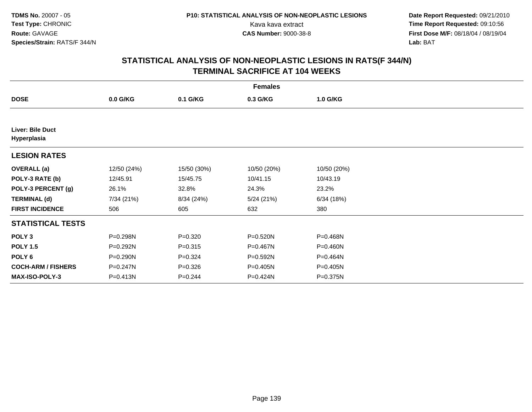**Date Report Requested:** 09/21/2010 Kava kava extract **Time Report Requested:** 09:10:56<br>**CAS Number:** 9000-38-8<br>**Tirst Dose M/F:** 08/18/04 / 08/19/04 **First Dose M/F:** 08/18/04 / 08/19/04 Lab: BAT **Lab:** BAT

| <b>Females</b>                  |             |             |             |             |  |  |
|---------------------------------|-------------|-------------|-------------|-------------|--|--|
| <b>DOSE</b>                     | $0.0$ G/KG  | 0.1 G/KG    | 0.3 G/KG    | 1.0 G/KG    |  |  |
|                                 |             |             |             |             |  |  |
| Liver: Bile Duct<br>Hyperplasia |             |             |             |             |  |  |
| <b>LESION RATES</b>             |             |             |             |             |  |  |
| <b>OVERALL</b> (a)              | 12/50 (24%) | 15/50 (30%) | 10/50 (20%) | 10/50 (20%) |  |  |
| POLY-3 RATE (b)                 | 12/45.91    | 15/45.75    | 10/41.15    | 10/43.19    |  |  |
| POLY-3 PERCENT (g)              | 26.1%       | 32.8%       | 24.3%       | 23.2%       |  |  |
| <b>TERMINAL (d)</b>             | 7/34 (21%)  | 8/34 (24%)  | 5/24(21%)   | 6/34(18%)   |  |  |
| <b>FIRST INCIDENCE</b>          | 506         | 605         | 632         | 380         |  |  |
| <b>STATISTICAL TESTS</b>        |             |             |             |             |  |  |
| POLY <sub>3</sub>               | P=0.298N    | $P = 0.320$ | P=0.520N    | P=0.468N    |  |  |
| <b>POLY 1.5</b>                 | P=0.292N    | $P = 0.315$ | P=0.467N    | P=0.460N    |  |  |
| POLY <sub>6</sub>               | P=0.290N    | $P = 0.324$ | P=0.592N    | P=0.464N    |  |  |
| <b>COCH-ARM / FISHERS</b>       | P=0.247N    | $P = 0.326$ | P=0.405N    | P=0.405N    |  |  |
| <b>MAX-ISO-POLY-3</b>           | P=0.413N    | $P = 0.244$ | P=0.424N    | P=0.375N    |  |  |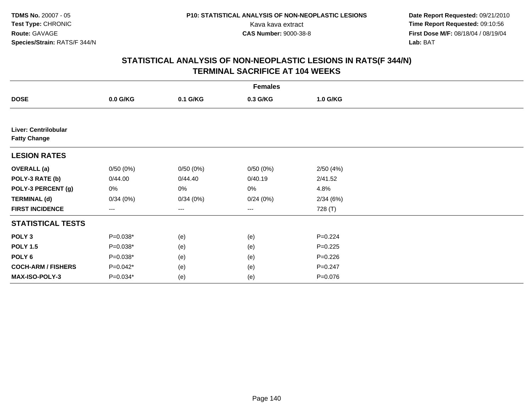**Date Report Requested:** 09/21/2010 Kava kava extract **Time Report Requested:** 09:10:56<br>**CAS Number:** 9000-38-8<br>**Tirst Dose M/F:** 08/18/04 / 08/19/04 **First Dose M/F:** 08/18/04 / 08/19/04 Lab: BAT **Lab:** BAT

| <b>Females</b>                              |            |          |          |             |  |  |
|---------------------------------------------|------------|----------|----------|-------------|--|--|
| <b>DOSE</b>                                 | 0.0 G/KG   | 0.1 G/KG | 0.3 G/KG | 1.0 G/KG    |  |  |
|                                             |            |          |          |             |  |  |
| Liver: Centrilobular<br><b>Fatty Change</b> |            |          |          |             |  |  |
| <b>LESION RATES</b>                         |            |          |          |             |  |  |
| <b>OVERALL</b> (a)                          | 0/50(0%)   | 0/50(0%) | 0/50(0%) | 2/50(4%)    |  |  |
| POLY-3 RATE (b)                             | 0/44.00    | 0/44.40  | 0/40.19  | 2/41.52     |  |  |
| POLY-3 PERCENT (g)                          | 0%         | 0%       | 0%       | 4.8%        |  |  |
| <b>TERMINAL (d)</b>                         | 0/34(0%)   | 0/34(0%) | 0/24(0%) | 2/34(6%)    |  |  |
| <b>FIRST INCIDENCE</b>                      | ---        | ---      | ---      | 728 (T)     |  |  |
| <b>STATISTICAL TESTS</b>                    |            |          |          |             |  |  |
| POLY <sub>3</sub>                           | $P=0.038*$ | (e)      | (e)      | $P=0.224$   |  |  |
| <b>POLY 1.5</b>                             | $P=0.038*$ | (e)      | (e)      | $P=0.225$   |  |  |
| POLY 6                                      | $P=0.038*$ | (e)      | (e)      | $P = 0.226$ |  |  |
| <b>COCH-ARM / FISHERS</b>                   | $P=0.042*$ | (e)      | (e)      | $P = 0.247$ |  |  |
| MAX-ISO-POLY-3                              | $P=0.034*$ | (e)      | (e)      | $P = 0.076$ |  |  |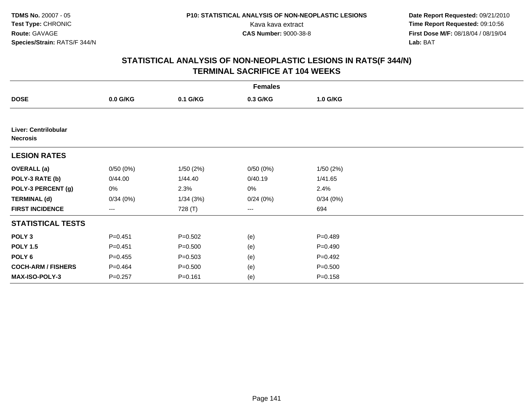**Date Report Requested:** 09/21/2010 Kava kava extract **Time Report Requested:** 09:10:56<br>**CAS Number:** 9000-38-8<br>**Tirst Dose M/F:** 08/18/04 / 08/19/04 **First Dose M/F:** 08/18/04 / 08/19/04 Lab: BAT **Lab:** BAT

| <b>Females</b>                          |             |             |          |             |  |  |
|-----------------------------------------|-------------|-------------|----------|-------------|--|--|
| <b>DOSE</b>                             | 0.0 G/KG    | 0.1 G/KG    | 0.3 G/KG | 1.0 G/KG    |  |  |
|                                         |             |             |          |             |  |  |
| Liver: Centrilobular<br><b>Necrosis</b> |             |             |          |             |  |  |
| <b>LESION RATES</b>                     |             |             |          |             |  |  |
| <b>OVERALL</b> (a)                      | 0/50(0%)    | 1/50(2%)    | 0/50(0%) | 1/50(2%)    |  |  |
| POLY-3 RATE (b)                         | 0/44.00     | 1/44.40     | 0/40.19  | 1/41.65     |  |  |
| POLY-3 PERCENT (g)                      | 0%          | 2.3%        | 0%       | 2.4%        |  |  |
| <b>TERMINAL (d)</b>                     | 0/34(0%)    | 1/34(3%)    | 0/24(0%) | 0/34(0%)    |  |  |
| <b>FIRST INCIDENCE</b>                  | ---         | 728 (T)     | ---      | 694         |  |  |
| <b>STATISTICAL TESTS</b>                |             |             |          |             |  |  |
| POLY <sub>3</sub>                       | $P = 0.451$ | $P = 0.502$ | (e)      | $P = 0.489$ |  |  |
| <b>POLY 1.5</b>                         | $P = 0.451$ | $P = 0.500$ | (e)      | $P=0.490$   |  |  |
| POLY 6                                  | $P=0.455$   | $P = 0.503$ | (e)      | $P = 0.492$ |  |  |
| <b>COCH-ARM / FISHERS</b>               | $P=0.464$   | $P = 0.500$ | (e)      | $P = 0.500$ |  |  |
| MAX-ISO-POLY-3                          | $P = 0.257$ | $P = 0.161$ | (e)      | $P = 0.158$ |  |  |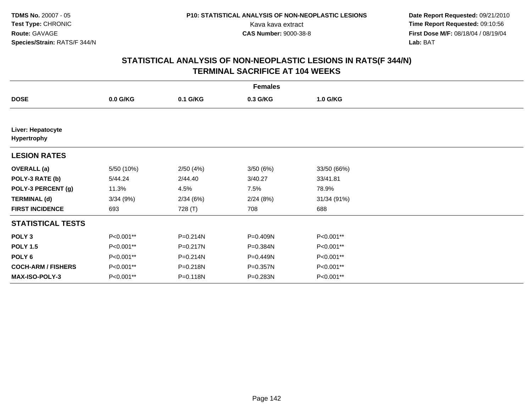**Date Report Requested:** 09/21/2010 Kava kava extract **Time Report Requested:** 09:10:56<br>**CAS Number:** 9000-38-8<br>**Tirst Dose M/F:** 08/18/04 / 08/19/04 **First Dose M/F:** 08/18/04 / 08/19/04 Lab: BAT **Lab:** BAT

|                                         | <b>Females</b> |              |          |             |  |  |  |
|-----------------------------------------|----------------|--------------|----------|-------------|--|--|--|
| <b>DOSE</b>                             | 0.0 G/KG       | 0.1 G/KG     | 0.3 G/KG | 1.0 G/KG    |  |  |  |
|                                         |                |              |          |             |  |  |  |
| Liver: Hepatocyte<br><b>Hypertrophy</b> |                |              |          |             |  |  |  |
| <b>LESION RATES</b>                     |                |              |          |             |  |  |  |
| <b>OVERALL</b> (a)                      | 5/50 (10%)     | 2/50(4%)     | 3/50(6%) | 33/50 (66%) |  |  |  |
| POLY-3 RATE (b)                         | 5/44.24        | 2/44.40      | 3/40.27  | 33/41.81    |  |  |  |
| POLY-3 PERCENT (g)                      | 11.3%          | 4.5%         | 7.5%     | 78.9%       |  |  |  |
| <b>TERMINAL (d)</b>                     | 3/34(9%)       | 2/34(6%)     | 2/24(8%) | 31/34 (91%) |  |  |  |
| <b>FIRST INCIDENCE</b>                  | 693            | 728 (T)      | 708      | 688         |  |  |  |
| <b>STATISTICAL TESTS</b>                |                |              |          |             |  |  |  |
| POLY <sub>3</sub>                       | P<0.001**      | $P = 0.214N$ | P=0.409N | P<0.001**   |  |  |  |
| <b>POLY 1.5</b>                         | P<0.001**      | $P = 0.217N$ | P=0.384N | P<0.001**   |  |  |  |
| POLY 6                                  | P<0.001**      | P=0.214N     | P=0.449N | P<0.001**   |  |  |  |
| <b>COCH-ARM / FISHERS</b>               | P<0.001**      | P=0.218N     | P=0.357N | P<0.001**   |  |  |  |
| <b>MAX-ISO-POLY-3</b>                   | P<0.001**      | P=0.118N     | P=0.283N | P<0.001**   |  |  |  |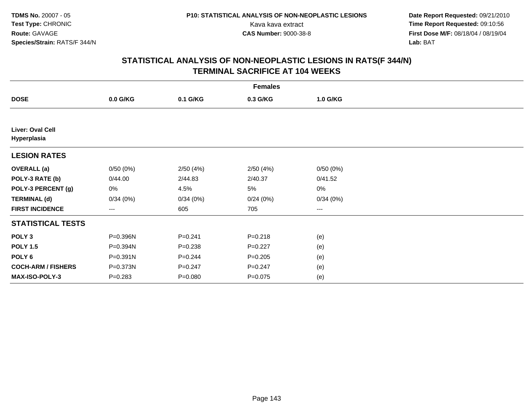**Date Report Requested:** 09/21/2010 Kava kava extract **Time Report Requested:** 09:10:56<br>**CAS Number:** 9000-38-8<br>**Tirst Dose M/F:** 08/18/04 / 08/19/04 **First Dose M/F:** 08/18/04 / 08/19/04 Lab: BAT **Lab:** BAT

| <b>Females</b>                  |             |             |             |          |  |  |
|---------------------------------|-------------|-------------|-------------|----------|--|--|
| <b>DOSE</b>                     | $0.0$ G/KG  | 0.1 G/KG    | 0.3 G/KG    | 1.0 G/KG |  |  |
|                                 |             |             |             |          |  |  |
| Liver: Oval Cell<br>Hyperplasia |             |             |             |          |  |  |
| <b>LESION RATES</b>             |             |             |             |          |  |  |
| <b>OVERALL</b> (a)              | 0/50(0%)    | 2/50(4%)    | 2/50(4%)    | 0/50(0%) |  |  |
| POLY-3 RATE (b)                 | 0/44.00     | 2/44.83     | 2/40.37     | 0/41.52  |  |  |
| POLY-3 PERCENT (g)              | 0%          | 4.5%        | 5%          | 0%       |  |  |
| <b>TERMINAL (d)</b>             | 0/34(0%)    | 0/34(0%)    | 0/24(0%)    | 0/34(0%) |  |  |
| <b>FIRST INCIDENCE</b>          | ---         | 605         | 705         | ---      |  |  |
| <b>STATISTICAL TESTS</b>        |             |             |             |          |  |  |
| POLY <sub>3</sub>               | P=0.396N    | $P = 0.241$ | $P = 0.218$ | (e)      |  |  |
| <b>POLY 1.5</b>                 | P=0.394N    | $P = 0.238$ | $P=0.227$   | (e)      |  |  |
| POLY 6                          | P=0.391N    | $P = 0.244$ | $P = 0.205$ | (e)      |  |  |
| <b>COCH-ARM / FISHERS</b>       | P=0.373N    | $P = 0.247$ | $P = 0.247$ | (e)      |  |  |
| MAX-ISO-POLY-3                  | $P = 0.283$ | $P = 0.080$ | $P = 0.075$ | (e)      |  |  |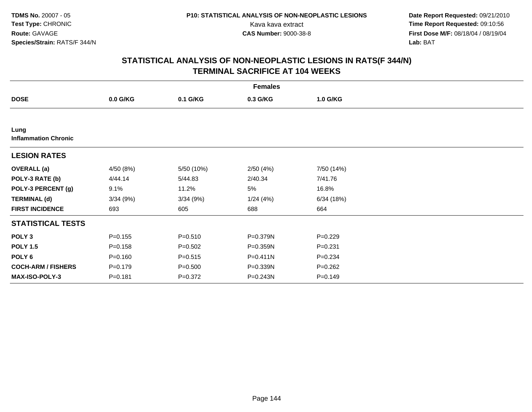**Date Report Requested:** 09/21/2010 Kava kava extract **Time Report Requested:** 09:10:56<br>**CAS Number:** 9000-38-8<br>**Tirst Dose M/F:** 08/18/04 / 08/19/04 **First Dose M/F:** 08/18/04 / 08/19/04 Lab: BAT **Lab:** BAT

| <b>Females</b>                      |             |             |          |             |  |  |
|-------------------------------------|-------------|-------------|----------|-------------|--|--|
| <b>DOSE</b>                         | 0.0 G/KG    | 0.1 G/KG    | 0.3 G/KG | 1.0 G/KG    |  |  |
|                                     |             |             |          |             |  |  |
| Lung<br><b>Inflammation Chronic</b> |             |             |          |             |  |  |
| <b>LESION RATES</b>                 |             |             |          |             |  |  |
| <b>OVERALL</b> (a)                  | 4/50 (8%)   | 5/50 (10%)  | 2/50(4%) | 7/50 (14%)  |  |  |
| POLY-3 RATE (b)                     | 4/44.14     | 5/44.83     | 2/40.34  | 7/41.76     |  |  |
| POLY-3 PERCENT (g)                  | 9.1%        | 11.2%       | 5%       | 16.8%       |  |  |
| <b>TERMINAL (d)</b>                 | 3/34(9%)    | 3/34(9%)    | 1/24(4%) | 6/34(18%)   |  |  |
| <b>FIRST INCIDENCE</b>              | 693         | 605         | 688      | 664         |  |  |
| <b>STATISTICAL TESTS</b>            |             |             |          |             |  |  |
| POLY <sub>3</sub>                   | $P = 0.155$ | $P = 0.510$ | P=0.379N | $P=0.229$   |  |  |
| <b>POLY 1.5</b>                     | $P = 0.158$ | $P = 0.502$ | P=0.359N | $P = 0.231$ |  |  |
| POLY 6                              | $P = 0.160$ | $P = 0.515$ | P=0.411N | $P = 0.234$ |  |  |
| <b>COCH-ARM / FISHERS</b>           | $P = 0.179$ | $P = 0.500$ | P=0.339N | $P = 0.262$ |  |  |
| <b>MAX-ISO-POLY-3</b>               | $P = 0.181$ | $P = 0.372$ | P=0.243N | $P = 0.149$ |  |  |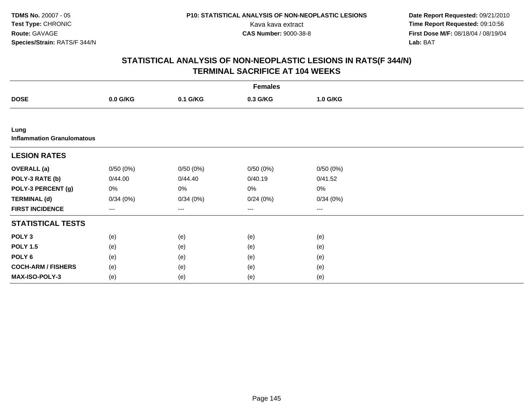**Date Report Requested:** 09/21/2010 Kava kava extract **Time Report Requested:** 09:10:56<br>**CAS Number:** 9000-38-8<br>**Tirst Dose M/F:** 08/18/04 / 08/19/04 **First Dose M/F:** 08/18/04 / 08/19/04 Lab: BAT **Lab:** BAT

|                                           | <b>Females</b> |          |          |          |  |  |  |  |
|-------------------------------------------|----------------|----------|----------|----------|--|--|--|--|
| <b>DOSE</b>                               | 0.0 G/KG       | 0.1 G/KG | 0.3 G/KG | 1.0 G/KG |  |  |  |  |
|                                           |                |          |          |          |  |  |  |  |
| Lung<br><b>Inflammation Granulomatous</b> |                |          |          |          |  |  |  |  |
| <b>LESION RATES</b>                       |                |          |          |          |  |  |  |  |
| <b>OVERALL</b> (a)                        | 0/50(0%)       | 0/50(0%) | 0/50(0%) | 0/50(0%) |  |  |  |  |
| POLY-3 RATE (b)                           | 0/44.00        | 0/44.40  | 0/40.19  | 0/41.52  |  |  |  |  |
| POLY-3 PERCENT (g)                        | 0%             | 0%       | 0%       | 0%       |  |  |  |  |
| <b>TERMINAL (d)</b>                       | 0/34(0%)       | 0/34(0%) | 0/24(0%) | 0/34(0%) |  |  |  |  |
| <b>FIRST INCIDENCE</b>                    | ---            | ---      | $--$     | ---      |  |  |  |  |
| <b>STATISTICAL TESTS</b>                  |                |          |          |          |  |  |  |  |
| POLY <sub>3</sub>                         | (e)            | (e)      | (e)      | (e)      |  |  |  |  |
| <b>POLY 1.5</b>                           | (e)            | (e)      | (e)      | (e)      |  |  |  |  |
| POLY <sub>6</sub>                         | (e)            | (e)      | (e)      | (e)      |  |  |  |  |
| <b>COCH-ARM / FISHERS</b>                 | (e)            | (e)      | (e)      | (e)      |  |  |  |  |
| MAX-ISO-POLY-3                            | (e)            | (e)      | (e)      | (e)      |  |  |  |  |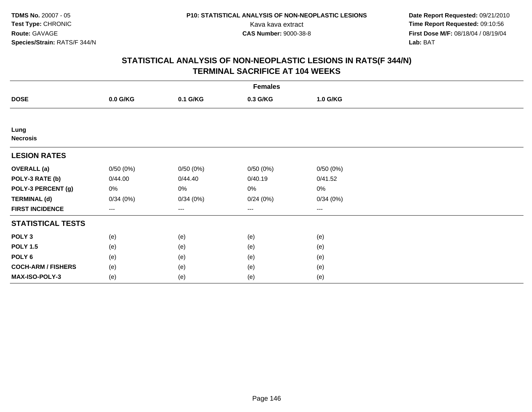**Date Report Requested:** 09/21/2010 Kava kava extract **Time Report Requested:** 09:10:56<br>**CAS Number:** 9000-38-8<br>**Tirst Dose M/F:** 08/18/04 / 08/19/04 **First Dose M/F:** 08/18/04 / 08/19/04 Lab: BAT **Lab:** BAT

|                           | <b>Females</b>    |          |                        |                        |  |  |  |  |
|---------------------------|-------------------|----------|------------------------|------------------------|--|--|--|--|
| <b>DOSE</b>               | 0.0 G/KG          | 0.1 G/KG | 0.3 G/KG               | 1.0 G/KG               |  |  |  |  |
|                           |                   |          |                        |                        |  |  |  |  |
| Lung<br><b>Necrosis</b>   |                   |          |                        |                        |  |  |  |  |
| <b>LESION RATES</b>       |                   |          |                        |                        |  |  |  |  |
| <b>OVERALL</b> (a)        | 0/50(0%)          | 0/50(0%) | 0/50(0%)               | 0/50(0%)               |  |  |  |  |
| POLY-3 RATE (b)           | 0/44.00           | 0/44.40  | 0/40.19                | 0/41.52                |  |  |  |  |
| POLY-3 PERCENT (g)        | 0%                | 0%       | 0%                     | $0\%$                  |  |  |  |  |
| <b>TERMINAL (d)</b>       | 0/34(0%)          | 0/34(0%) | 0/24(0%)               | 0/34(0%)               |  |  |  |  |
| <b>FIRST INCIDENCE</b>    | $\qquad \qquad -$ | $--$     | $\qquad \qquad \cdots$ | $\qquad \qquad \cdots$ |  |  |  |  |
| <b>STATISTICAL TESTS</b>  |                   |          |                        |                        |  |  |  |  |
| POLY <sub>3</sub>         | (e)               | (e)      | (e)                    | (e)                    |  |  |  |  |
| <b>POLY 1.5</b>           | (e)               | (e)      | (e)                    | (e)                    |  |  |  |  |
| POLY <sub>6</sub>         | (e)               | (e)      | (e)                    | (e)                    |  |  |  |  |
| <b>COCH-ARM / FISHERS</b> | (e)               | (e)      | (e)                    | (e)                    |  |  |  |  |
| MAX-ISO-POLY-3            | (e)               | (e)      | (e)                    | (e)                    |  |  |  |  |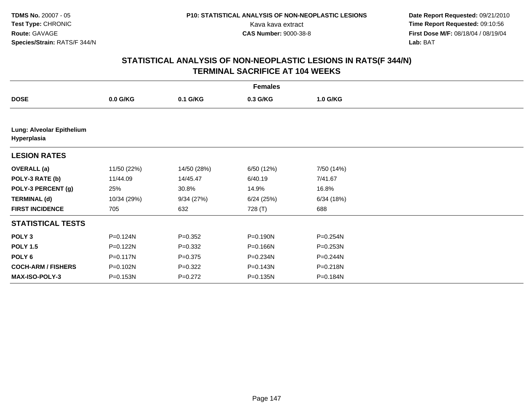| <b>Females</b>                           |              |             |            |              |  |  |  |
|------------------------------------------|--------------|-------------|------------|--------------|--|--|--|
| <b>DOSE</b>                              | 0.0 G/KG     | 0.1 G/KG    | 0.3 G/KG   | 1.0 G/KG     |  |  |  |
|                                          |              |             |            |              |  |  |  |
| Lung: Alveolar Epithelium<br>Hyperplasia |              |             |            |              |  |  |  |
| <b>LESION RATES</b>                      |              |             |            |              |  |  |  |
| <b>OVERALL</b> (a)                       | 11/50 (22%)  | 14/50 (28%) | 6/50 (12%) | 7/50 (14%)   |  |  |  |
| POLY-3 RATE (b)                          | 11/44.09     | 14/45.47    | 6/40.19    | 7/41.67      |  |  |  |
| POLY-3 PERCENT (g)                       | 25%          | 30.8%       | 14.9%      | 16.8%        |  |  |  |
| <b>TERMINAL (d)</b>                      | 10/34 (29%)  | 9/34(27%)   | 6/24(25%)  | 6/34(18%)    |  |  |  |
| <b>FIRST INCIDENCE</b>                   | 705          | 632         | 728 (T)    | 688          |  |  |  |
| <b>STATISTICAL TESTS</b>                 |              |             |            |              |  |  |  |
| POLY <sub>3</sub>                        | P=0.124N     | $P = 0.352$ | P=0.190N   | P=0.254N     |  |  |  |
| <b>POLY 1.5</b>                          | P=0.122N     | $P = 0.332$ | P=0.166N   | P=0.253N     |  |  |  |
| POLY <sub>6</sub>                        | $P = 0.117N$ | $P = 0.375$ | P=0.234N   | $P = 0.244N$ |  |  |  |
| <b>COCH-ARM / FISHERS</b>                | P=0.102N     | $P=0.322$   | P=0.143N   | P=0.218N     |  |  |  |
| <b>MAX-ISO-POLY-3</b>                    | P=0.153N     | $P=0.272$   | P=0.135N   | P=0.184N     |  |  |  |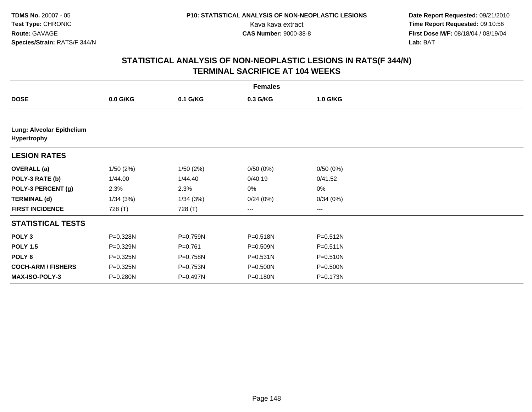| <b>Females</b>                           |            |              |              |              |  |  |  |  |
|------------------------------------------|------------|--------------|--------------|--------------|--|--|--|--|
| <b>DOSE</b>                              | $0.0$ G/KG | 0.1 G/KG     | 0.3 G/KG     | 1.0 G/KG     |  |  |  |  |
|                                          |            |              |              |              |  |  |  |  |
| Lung: Alveolar Epithelium<br>Hypertrophy |            |              |              |              |  |  |  |  |
| <b>LESION RATES</b>                      |            |              |              |              |  |  |  |  |
| <b>OVERALL</b> (a)                       | 1/50(2%)   | 1/50(2%)     | 0/50(0%)     | 0/50(0%)     |  |  |  |  |
| POLY-3 RATE (b)                          | 1/44.00    | 1/44.40      | 0/40.19      | 0/41.52      |  |  |  |  |
| POLY-3 PERCENT (g)                       | 2.3%       | 2.3%         | 0%           | 0%           |  |  |  |  |
| <b>TERMINAL (d)</b>                      | 1/34(3%)   | 1/34(3%)     | 0/24(0%)     | 0/34(0%)     |  |  |  |  |
| <b>FIRST INCIDENCE</b>                   | 728 (T)    | 728 (T)      | ---          | ---          |  |  |  |  |
| <b>STATISTICAL TESTS</b>                 |            |              |              |              |  |  |  |  |
| POLY <sub>3</sub>                        | P=0.328N   | $P = 0.759N$ | P=0.518N     | $P = 0.512N$ |  |  |  |  |
| <b>POLY 1.5</b>                          | P=0.329N   | $P = 0.761$  | P=0.509N     | $P = 0.511N$ |  |  |  |  |
| POLY <sub>6</sub>                        | P=0.325N   | P=0.758N     | $P = 0.531N$ | $P = 0.510N$ |  |  |  |  |
| <b>COCH-ARM / FISHERS</b>                | P=0.325N   | $P = 0.753N$ | $P = 0.500N$ | $P = 0.500N$ |  |  |  |  |
| <b>MAX-ISO-POLY-3</b>                    | P=0.280N   | P=0.497N     | P=0.180N     | P=0.173N     |  |  |  |  |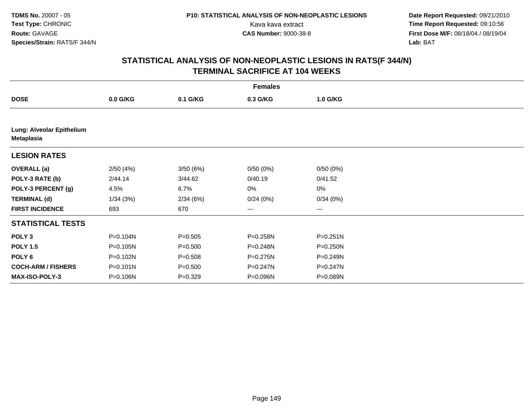| <b>Females</b>                          |            |             |              |              |  |  |  |  |
|-----------------------------------------|------------|-------------|--------------|--------------|--|--|--|--|
| <b>DOSE</b>                             | $0.0$ G/KG | 0.1 G/KG    | 0.3 G/KG     | 1.0 G/KG     |  |  |  |  |
|                                         |            |             |              |              |  |  |  |  |
| Lung: Alveolar Epithelium<br>Metaplasia |            |             |              |              |  |  |  |  |
| <b>LESION RATES</b>                     |            |             |              |              |  |  |  |  |
| <b>OVERALL</b> (a)                      | 2/50(4%)   | 3/50(6%)    | 0/50(0%)     | 0/50(0%)     |  |  |  |  |
| POLY-3 RATE (b)                         | 2/44.14    | 3/44.62     | 0/40.19      | 0/41.52      |  |  |  |  |
| POLY-3 PERCENT (g)                      | 4.5%       | 6.7%        | 0%           | 0%           |  |  |  |  |
| <b>TERMINAL (d)</b>                     | 1/34(3%)   | 2/34(6%)    | 0/24(0%)     | 0/34(0%)     |  |  |  |  |
| <b>FIRST INCIDENCE</b>                  | 693        | 670         | ---          | ---          |  |  |  |  |
| <b>STATISTICAL TESTS</b>                |            |             |              |              |  |  |  |  |
| POLY <sub>3</sub>                       | P=0.104N   | $P = 0.505$ | P=0.258N     | $P = 0.251N$ |  |  |  |  |
| <b>POLY 1.5</b>                         | P=0.105N   | $P = 0.500$ | P=0.248N     | P=0.250N     |  |  |  |  |
| POLY <sub>6</sub>                       | P=0.102N   | $P = 0.508$ | $P = 0.275N$ | $P = 0.249N$ |  |  |  |  |
| <b>COCH-ARM / FISHERS</b>               | P=0.101N   | $P = 0.500$ | P=0.247N     | P=0.247N     |  |  |  |  |
| <b>MAX-ISO-POLY-3</b>                   | P=0.106N   | $P = 0.329$ | P=0.096N     | P=0.089N     |  |  |  |  |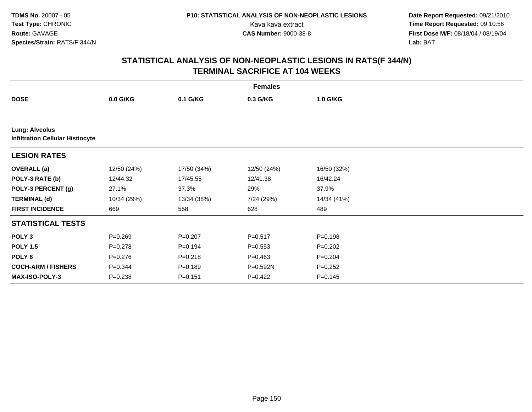**Date Report Requested:** 09/21/2010 Kava kava extract **Time Report Requested:** 09:10:56<br>**CAS Number:** 9000-38-8<br>**Tirst Dose M/F:** 08/18/04 / 08/19/04 **First Dose M/F:** 08/18/04 / 08/19/04 Lab: BAT **Lab:** BAT

| <b>Females</b>                                                   |             |             |             |             |  |  |  |  |
|------------------------------------------------------------------|-------------|-------------|-------------|-------------|--|--|--|--|
| <b>DOSE</b>                                                      | 0.0 G/KG    | 0.1 G/KG    | 0.3 G/KG    | 1.0 G/KG    |  |  |  |  |
|                                                                  |             |             |             |             |  |  |  |  |
| <b>Lung: Alveolus</b><br><b>Infiltration Cellular Histiocyte</b> |             |             |             |             |  |  |  |  |
| <b>LESION RATES</b>                                              |             |             |             |             |  |  |  |  |
| <b>OVERALL</b> (a)                                               | 12/50 (24%) | 17/50 (34%) | 12/50 (24%) | 16/50 (32%) |  |  |  |  |
| POLY-3 RATE (b)                                                  | 12/44.32    | 17/45.55    | 12/41.38    | 16/42.24    |  |  |  |  |
| POLY-3 PERCENT (g)                                               | 27.1%       | 37.3%       | 29%         | 37.9%       |  |  |  |  |
| <b>TERMINAL (d)</b>                                              | 10/34 (29%) | 13/34 (38%) | 7/24 (29%)  | 14/34 (41%) |  |  |  |  |
| <b>FIRST INCIDENCE</b>                                           | 669         | 558         | 628         | 489         |  |  |  |  |
| <b>STATISTICAL TESTS</b>                                         |             |             |             |             |  |  |  |  |
| POLY <sub>3</sub>                                                | $P = 0.269$ | $P = 0.207$ | $P = 0.517$ | $P = 0.198$ |  |  |  |  |
| <b>POLY 1.5</b>                                                  | $P=0.278$   | $P = 0.194$ | $P = 0.553$ | $P=0.202$   |  |  |  |  |
| POLY <sub>6</sub>                                                | $P = 0.276$ | $P = 0.218$ | $P = 0.463$ | $P = 0.204$ |  |  |  |  |
| <b>COCH-ARM / FISHERS</b>                                        | $P = 0.344$ | $P = 0.189$ | P=0.592N    | $P=0.252$   |  |  |  |  |
| <b>MAX-ISO-POLY-3</b>                                            | $P = 0.238$ | $P = 0.151$ | $P=0.422$   | $P = 0.145$ |  |  |  |  |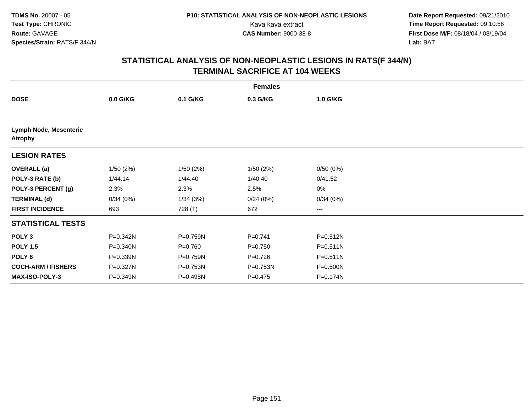| <b>Females</b>                           |            |             |             |              |  |  |  |
|------------------------------------------|------------|-------------|-------------|--------------|--|--|--|
| <b>DOSE</b>                              | $0.0$ G/KG | 0.1 G/KG    | 0.3 G/KG    | 1.0 G/KG     |  |  |  |
|                                          |            |             |             |              |  |  |  |
| Lymph Node, Mesenteric<br><b>Atrophy</b> |            |             |             |              |  |  |  |
| <b>LESION RATES</b>                      |            |             |             |              |  |  |  |
| <b>OVERALL</b> (a)                       | 1/50(2%)   | 1/50(2%)    | 1/50(2%)    | 0/50(0%)     |  |  |  |
| POLY-3 RATE (b)                          | 1/44.14    | 1/44.40     | 1/40.40     | 0/41.52      |  |  |  |
| POLY-3 PERCENT (g)                       | 2.3%       | 2.3%        | 2.5%        | $0\%$        |  |  |  |
| <b>TERMINAL (d)</b>                      | 0/34(0%)   | 1/34(3%)    | 0/24(0%)    | 0/34(0%)     |  |  |  |
| <b>FIRST INCIDENCE</b>                   | 693        | 728 (T)     | 672         | ---          |  |  |  |
| <b>STATISTICAL TESTS</b>                 |            |             |             |              |  |  |  |
| POLY <sub>3</sub>                        | P=0.342N   | P=0.759N    | $P=0.741$   | P=0.512N     |  |  |  |
| <b>POLY 1.5</b>                          | P=0.340N   | $P = 0.760$ | $P = 0.750$ | $P = 0.511N$ |  |  |  |
| POLY 6                                   | P=0.339N   | P=0.759N    | $P=0.726$   | $P = 0.511N$ |  |  |  |
| <b>COCH-ARM / FISHERS</b>                | P=0.327N   | P=0.753N    | P=0.753N    | P=0.500N     |  |  |  |
| <b>MAX-ISO-POLY-3</b>                    | P=0.349N   | P=0.498N    | $P = 0.475$ | P=0.174N     |  |  |  |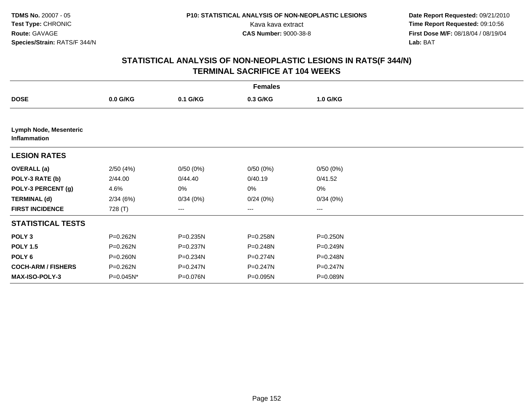| <b>Females</b>                                |            |              |              |              |  |  |  |  |
|-----------------------------------------------|------------|--------------|--------------|--------------|--|--|--|--|
| <b>DOSE</b>                                   | $0.0$ G/KG | 0.1 G/KG     | 0.3 G/KG     | 1.0 G/KG     |  |  |  |  |
|                                               |            |              |              |              |  |  |  |  |
| <b>Lymph Node, Mesenteric</b><br>Inflammation |            |              |              |              |  |  |  |  |
| <b>LESION RATES</b>                           |            |              |              |              |  |  |  |  |
| <b>OVERALL</b> (a)                            | 2/50(4%)   | 0/50(0%)     | 0/50(0%)     | 0/50(0%)     |  |  |  |  |
| POLY-3 RATE (b)                               | 2/44.00    | 0/44.40      | 0/40.19      | 0/41.52      |  |  |  |  |
| POLY-3 PERCENT (g)                            | 4.6%       | 0%           | 0%           | 0%           |  |  |  |  |
| <b>TERMINAL (d)</b>                           | 2/34(6%)   | 0/34(0%)     | 0/24(0%)     | 0/34(0%)     |  |  |  |  |
| <b>FIRST INCIDENCE</b>                        | 728 (T)    | $--$         | ---          | ---          |  |  |  |  |
| <b>STATISTICAL TESTS</b>                      |            |              |              |              |  |  |  |  |
| POLY <sub>3</sub>                             | P=0.262N   | $P = 0.235N$ | P=0.258N     | $P = 0.250N$ |  |  |  |  |
| <b>POLY 1.5</b>                               | P=0.262N   | P=0.237N     | P=0.248N     | $P = 0.249N$ |  |  |  |  |
| POLY <sub>6</sub>                             | P=0.260N   | P=0.234N     | $P = 0.274N$ | P=0.248N     |  |  |  |  |
| <b>COCH-ARM / FISHERS</b>                     | P=0.262N   | $P = 0.247N$ | $P = 0.247N$ | $P = 0.247N$ |  |  |  |  |
| <b>MAX-ISO-POLY-3</b>                         | P=0.045N*  | P=0.076N     | P=0.095N     | P=0.089N     |  |  |  |  |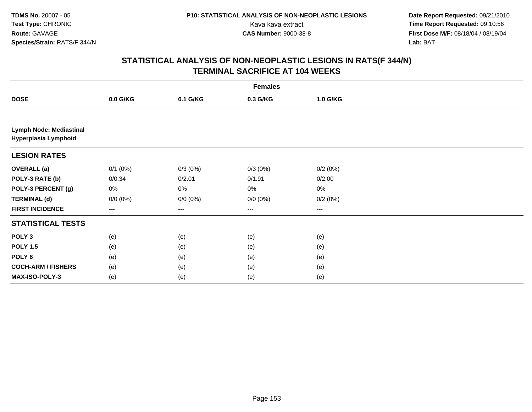**Date Report Requested:** 09/21/2010 Kava kava extract **Time Report Requested:** 09:10:56<br>**CAS Number:** 9000-38-8<br>**Tirst Dose M/F:** 08/18/04 / 08/19/04 **First Dose M/F:** 08/18/04 / 08/19/04 Lab: BAT **Lab:** BAT

| <b>Females</b>                                         |              |                   |             |          |  |  |  |  |  |
|--------------------------------------------------------|--------------|-------------------|-------------|----------|--|--|--|--|--|
| <b>DOSE</b>                                            | $0.0$ G/KG   | 0.1 G/KG          | 0.3 G/KG    | 1.0 G/KG |  |  |  |  |  |
|                                                        |              |                   |             |          |  |  |  |  |  |
| <b>Lymph Node: Mediastinal</b><br>Hyperplasia Lymphoid |              |                   |             |          |  |  |  |  |  |
| <b>LESION RATES</b>                                    |              |                   |             |          |  |  |  |  |  |
| <b>OVERALL</b> (a)                                     | $0/1$ $(0%)$ | $0/3(0\%)$        | $0/3(0\%)$  | 0/2(0%)  |  |  |  |  |  |
| POLY-3 RATE (b)                                        | 0/0.34       | 0/2.01            | 0/1.91      | 0/2.00   |  |  |  |  |  |
| POLY-3 PERCENT (g)                                     | 0%           | 0%                | 0%          | 0%       |  |  |  |  |  |
| <b>TERMINAL (d)</b>                                    | $0/0 (0\%)$  | $0/0 (0\%)$       | $0/0 (0\%)$ | 0/2(0%)  |  |  |  |  |  |
| <b>FIRST INCIDENCE</b>                                 | ---          | $\qquad \qquad -$ | ---         | ---      |  |  |  |  |  |
| <b>STATISTICAL TESTS</b>                               |              |                   |             |          |  |  |  |  |  |
| POLY <sub>3</sub>                                      | (e)          | (e)               | (e)         | (e)      |  |  |  |  |  |
| <b>POLY 1.5</b>                                        | (e)          | (e)               | (e)         | (e)      |  |  |  |  |  |
| POLY <sub>6</sub>                                      | (e)          | (e)               | (e)         | (e)      |  |  |  |  |  |
| <b>COCH-ARM / FISHERS</b>                              | (e)          | (e)               | (e)         | (e)      |  |  |  |  |  |
| MAX-ISO-POLY-3                                         | (e)          | (e)               | (e)         | (e)      |  |  |  |  |  |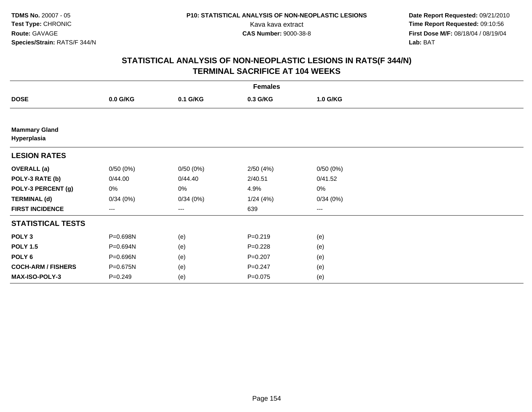**Date Report Requested:** 09/21/2010 Kava kava extract **Time Report Requested:** 09:10:56<br>**CAS Number:** 9000-38-8<br>**Tirst Dose M/F:** 08/18/04 / 08/19/04 **First Dose M/F:** 08/18/04 / 08/19/04 Lab: BAT **Lab:** BAT

| <b>Females</b>                      |                   |          |             |          |  |  |  |
|-------------------------------------|-------------------|----------|-------------|----------|--|--|--|
| <b>DOSE</b>                         | $0.0$ G/KG        | 0.1 G/KG | 0.3 G/KG    | 1.0 G/KG |  |  |  |
|                                     |                   |          |             |          |  |  |  |
| <b>Mammary Gland</b><br>Hyperplasia |                   |          |             |          |  |  |  |
| <b>LESION RATES</b>                 |                   |          |             |          |  |  |  |
| <b>OVERALL (a)</b>                  | 0/50(0%)          | 0/50(0%) | 2/50(4%)    | 0/50(0%) |  |  |  |
| POLY-3 RATE (b)                     | 0/44.00           | 0/44.40  | 2/40.51     | 0/41.52  |  |  |  |
| POLY-3 PERCENT (g)                  | 0%                | 0%       | 4.9%        | 0%       |  |  |  |
| <b>TERMINAL (d)</b>                 | 0/34(0%)          | 0/34(0%) | 1/24(4%)    | 0/34(0%) |  |  |  |
| <b>FIRST INCIDENCE</b>              | $\qquad \qquad -$ | ---      | 639         | ---      |  |  |  |
| <b>STATISTICAL TESTS</b>            |                   |          |             |          |  |  |  |
| POLY <sub>3</sub>                   | P=0.698N          | (e)      | $P = 0.219$ | (e)      |  |  |  |
| <b>POLY 1.5</b>                     | P=0.694N          | (e)      | $P = 0.228$ | (e)      |  |  |  |
| POLY 6                              | P=0.696N          | (e)      | $P = 0.207$ | (e)      |  |  |  |
| <b>COCH-ARM / FISHERS</b>           | P=0.675N          | (e)      | $P = 0.247$ | (e)      |  |  |  |
| MAX-ISO-POLY-3                      | $P = 0.249$       | (e)      | $P=0.075$   | (e)      |  |  |  |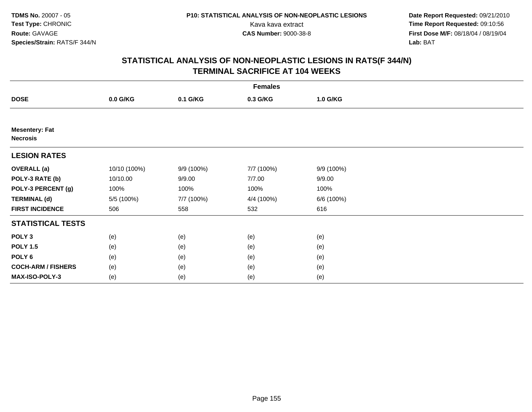**Date Report Requested:** 09/21/2010 Kava kava extract **Time Report Requested:** 09:10:56<br>**CAS Number:** 9000-38-8<br>**Tirst Dose M/F:** 08/18/04 / 08/19/04 **First Dose M/F:** 08/18/04 / 08/19/04 Lab: BAT **Lab:** BAT

|                                          | <b>Females</b> |            |            |            |  |  |  |  |
|------------------------------------------|----------------|------------|------------|------------|--|--|--|--|
| <b>DOSE</b>                              | 0.0 G/KG       | 0.1 G/KG   | 0.3 G/KG   | 1.0 G/KG   |  |  |  |  |
|                                          |                |            |            |            |  |  |  |  |
| <b>Mesentery: Fat</b><br><b>Necrosis</b> |                |            |            |            |  |  |  |  |
| <b>LESION RATES</b>                      |                |            |            |            |  |  |  |  |
| <b>OVERALL</b> (a)                       | 10/10 (100%)   | 9/9 (100%) | 7/7 (100%) | 9/9 (100%) |  |  |  |  |
| POLY-3 RATE (b)                          | 10/10.00       | 9/9.00     | 7/7.00     | 9/9.00     |  |  |  |  |
| POLY-3 PERCENT (g)                       | 100%           | 100%       | 100%       | 100%       |  |  |  |  |
| <b>TERMINAL (d)</b>                      | 5/5 (100%)     | 7/7 (100%) | 4/4 (100%) | 6/6 (100%) |  |  |  |  |
| <b>FIRST INCIDENCE</b>                   | 506            | 558        | 532        | 616        |  |  |  |  |
| <b>STATISTICAL TESTS</b>                 |                |            |            |            |  |  |  |  |
| POLY <sub>3</sub>                        | (e)            | (e)        | (e)        | (e)        |  |  |  |  |
| <b>POLY 1.5</b>                          | (e)            | (e)        | (e)        | (e)        |  |  |  |  |
| POLY 6                                   | (e)            | (e)        | (e)        | (e)        |  |  |  |  |
| <b>COCH-ARM / FISHERS</b>                | (e)            | (e)        | (e)        | (e)        |  |  |  |  |
| <b>MAX-ISO-POLY-3</b>                    | (e)            | (e)        | (e)        | (e)        |  |  |  |  |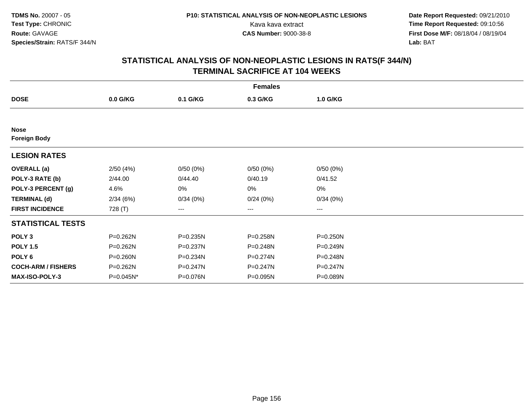**Date Report Requested:** 09/21/2010 Kava kava extract **Time Report Requested:** 09:10:56<br>**CAS Number:** 9000-38-8<br>**Tirst Dose M/F:** 08/18/04 / 08/19/04 **First Dose M/F:** 08/18/04 / 08/19/04 Lab: BAT **Lab:** BAT

|                                    | <b>Females</b> |          |          |          |  |  |  |  |
|------------------------------------|----------------|----------|----------|----------|--|--|--|--|
| <b>DOSE</b>                        | $0.0$ G/KG     | 0.1 G/KG | 0.3 G/KG | 1.0 G/KG |  |  |  |  |
|                                    |                |          |          |          |  |  |  |  |
| <b>Nose</b><br><b>Foreign Body</b> |                |          |          |          |  |  |  |  |
| <b>LESION RATES</b>                |                |          |          |          |  |  |  |  |
| <b>OVERALL</b> (a)                 | 2/50(4%)       | 0/50(0%) | 0/50(0%) | 0/50(0%) |  |  |  |  |
| POLY-3 RATE (b)                    | 2/44.00        | 0/44.40  | 0/40.19  | 0/41.52  |  |  |  |  |
| POLY-3 PERCENT (g)                 | 4.6%           | 0%       | 0%       | 0%       |  |  |  |  |
| <b>TERMINAL (d)</b>                | 2/34(6%)       | 0/34(0%) | 0/24(0%) | 0/34(0%) |  |  |  |  |
| <b>FIRST INCIDENCE</b>             | 728 (T)        | ---      | ---      | ---      |  |  |  |  |
| <b>STATISTICAL TESTS</b>           |                |          |          |          |  |  |  |  |
| POLY <sub>3</sub>                  | P=0.262N       | P=0.235N | P=0.258N | P=0.250N |  |  |  |  |
| <b>POLY 1.5</b>                    | P=0.262N       | P=0.237N | P=0.248N | P=0.249N |  |  |  |  |
| POLY <sub>6</sub>                  | $P = 0.260N$   | P=0.234N | P=0.274N | P=0.248N |  |  |  |  |
| <b>COCH-ARM / FISHERS</b>          | P=0.262N       | P=0.247N | P=0.247N | P=0.247N |  |  |  |  |
| <b>MAX-ISO-POLY-3</b>              | P=0.045N*      | P=0.076N | P=0.095N | P=0.089N |  |  |  |  |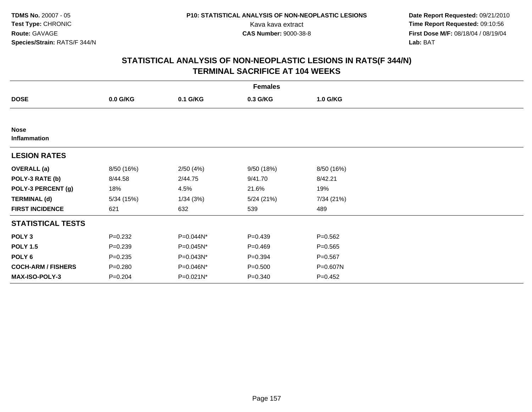**Date Report Requested:** 09/21/2010 Kava kava extract **Time Report Requested:** 09:10:56<br>**CAS Number:** 9000-38-8<br>**Tirst Dose M/F:** 08/18/04 / 08/19/04 **First Dose M/F:** 08/18/04 / 08/19/04 Lab: BAT **Lab:** BAT

| <b>Females</b>              |             |           |             |             |  |  |  |
|-----------------------------|-------------|-----------|-------------|-------------|--|--|--|
| <b>DOSE</b>                 | 0.0 G/KG    | 0.1 G/KG  | 0.3 G/KG    | 1.0 G/KG    |  |  |  |
|                             |             |           |             |             |  |  |  |
| <b>Nose</b><br>Inflammation |             |           |             |             |  |  |  |
| <b>LESION RATES</b>         |             |           |             |             |  |  |  |
| <b>OVERALL (a)</b>          | 8/50 (16%)  | 2/50(4%)  | 9/50 (18%)  | 8/50 (16%)  |  |  |  |
| POLY-3 RATE (b)             | 8/44.58     | 2/44.75   | 9/41.70     | 8/42.21     |  |  |  |
| POLY-3 PERCENT (g)          | 18%         | 4.5%      | 21.6%       | 19%         |  |  |  |
| <b>TERMINAL (d)</b>         | 5/34(15%)   | 1/34(3%)  | 5/24(21%)   | 7/34 (21%)  |  |  |  |
| <b>FIRST INCIDENCE</b>      | 621         | 632       | 539         | 489         |  |  |  |
| <b>STATISTICAL TESTS</b>    |             |           |             |             |  |  |  |
| POLY <sub>3</sub>           | $P=0.232$   | P=0.044N* | $P = 0.439$ | $P = 0.562$ |  |  |  |
| <b>POLY 1.5</b>             | $P = 0.239$ | P=0.045N* | $P = 0.469$ | $P = 0.565$ |  |  |  |
| POLY 6                      | $P = 0.235$ | P=0.043N* | $P = 0.394$ | $P = 0.567$ |  |  |  |
| <b>COCH-ARM / FISHERS</b>   | $P = 0.280$ | P=0.046N* | $P = 0.500$ | P=0.607N    |  |  |  |
| MAX-ISO-POLY-3              | $P = 0.204$ | P=0.021N* | $P = 0.340$ | $P = 0.452$ |  |  |  |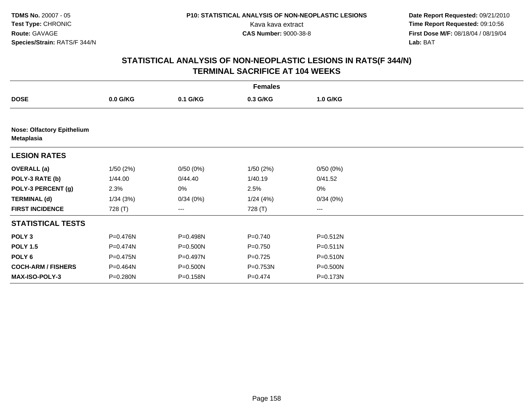| <b>Females</b>                                  |            |                        |             |              |  |  |  |  |
|-------------------------------------------------|------------|------------------------|-------------|--------------|--|--|--|--|
| <b>DOSE</b>                                     | $0.0$ G/KG | 0.1 G/KG               | 0.3 G/KG    | 1.0 G/KG     |  |  |  |  |
|                                                 |            |                        |             |              |  |  |  |  |
| <b>Nose: Olfactory Epithelium</b><br>Metaplasia |            |                        |             |              |  |  |  |  |
| <b>LESION RATES</b>                             |            |                        |             |              |  |  |  |  |
| <b>OVERALL</b> (a)                              | 1/50(2%)   | 0/50(0%)               | 1/50(2%)    | 0/50(0%)     |  |  |  |  |
| POLY-3 RATE (b)                                 | 1/44.00    | 0/44.40                | 1/40.19     | 0/41.52      |  |  |  |  |
| POLY-3 PERCENT (g)                              | 2.3%       | 0%                     | 2.5%        | 0%           |  |  |  |  |
| <b>TERMINAL (d)</b>                             | 1/34(3%)   | 0/34(0%)               | 1/24(4%)    | 0/34(0%)     |  |  |  |  |
| <b>FIRST INCIDENCE</b>                          | 728 (T)    | $\qquad \qquad \cdots$ | 728 (T)     | ---          |  |  |  |  |
| <b>STATISTICAL TESTS</b>                        |            |                        |             |              |  |  |  |  |
| POLY <sub>3</sub>                               | P=0.476N   | P=0.498N               | $P = 0.740$ | $P = 0.512N$ |  |  |  |  |
| <b>POLY 1.5</b>                                 | P=0.474N   | P=0.500N               | $P = 0.750$ | $P = 0.511N$ |  |  |  |  |
| POLY <sub>6</sub>                               | P=0.475N   | P=0.497N               | $P=0.725$   | P=0.510N     |  |  |  |  |
| <b>COCH-ARM / FISHERS</b>                       | P=0.464N   | P=0.500N               | P=0.753N    | $P = 0.500N$ |  |  |  |  |
| <b>MAX-ISO-POLY-3</b>                           | P=0.280N   | P=0.158N               | $P = 0.474$ | P=0.173N     |  |  |  |  |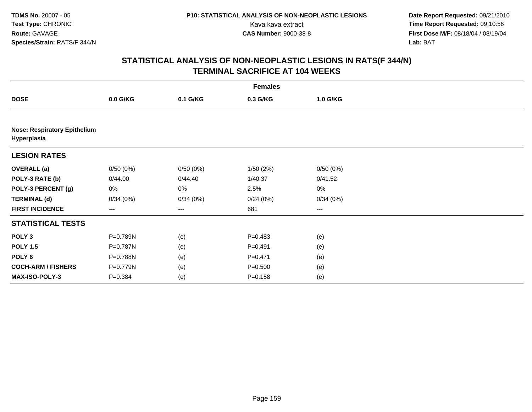| <b>Females</b>            |                                     |                   |             |          |  |  |  |  |  |
|---------------------------|-------------------------------------|-------------------|-------------|----------|--|--|--|--|--|
| <b>DOSE</b>               | $0.0$ G/KG                          | 0.1 G/KG          | 0.3 G/KG    | 1.0 G/KG |  |  |  |  |  |
|                           |                                     |                   |             |          |  |  |  |  |  |
| Hyperplasia               | <b>Nose: Respiratory Epithelium</b> |                   |             |          |  |  |  |  |  |
| <b>LESION RATES</b>       |                                     |                   |             |          |  |  |  |  |  |
| <b>OVERALL</b> (a)        | 0/50(0%)                            | 0/50(0%)          | 1/50(2%)    | 0/50(0%) |  |  |  |  |  |
| POLY-3 RATE (b)           | 0/44.00                             | 0/44.40           | 1/40.37     | 0/41.52  |  |  |  |  |  |
| POLY-3 PERCENT (g)        | 0%                                  | 0%                | 2.5%        | 0%       |  |  |  |  |  |
| <b>TERMINAL (d)</b>       | 0/34(0%)                            | 0/34(0%)          | 0/24(0%)    | 0/34(0%) |  |  |  |  |  |
| <b>FIRST INCIDENCE</b>    | ---                                 | $\qquad \qquad -$ | 681         | ---      |  |  |  |  |  |
| <b>STATISTICAL TESTS</b>  |                                     |                   |             |          |  |  |  |  |  |
| POLY <sub>3</sub>         | P=0.789N                            | (e)               | $P=0.483$   | (e)      |  |  |  |  |  |
| <b>POLY 1.5</b>           | P=0.787N                            | (e)               | $P = 0.491$ | (e)      |  |  |  |  |  |
| POLY <sub>6</sub>         | P=0.788N                            | (e)               | $P = 0.471$ | (e)      |  |  |  |  |  |
| <b>COCH-ARM / FISHERS</b> | P=0.779N                            | (e)               | $P = 0.500$ | (e)      |  |  |  |  |  |
| MAX-ISO-POLY-3            | $P = 0.384$                         | (e)               | $P = 0.158$ | (e)      |  |  |  |  |  |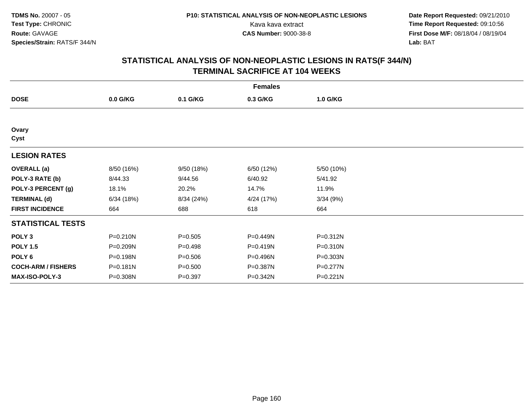**Date Report Requested:** 09/21/2010 Kava kava extract **Time Report Requested:** 09:10:56<br>**CAS Number:** 9000-38-8<br>**Tirst Dose M/F:** 08/18/04 / 08/19/04 **First Dose M/F:** 08/18/04 / 08/19/04 Lab: BAT **Lab:** BAT

| <b>Females</b>            |              |             |            |            |  |  |  |
|---------------------------|--------------|-------------|------------|------------|--|--|--|
| <b>DOSE</b>               | 0.0 G/KG     | 0.1 G/KG    | 0.3 G/KG   | 1.0 G/KG   |  |  |  |
|                           |              |             |            |            |  |  |  |
| Ovary<br>Cyst             |              |             |            |            |  |  |  |
| <b>LESION RATES</b>       |              |             |            |            |  |  |  |
| <b>OVERALL</b> (a)        | 8/50 (16%)   | 9/50 (18%)  | 6/50 (12%) | 5/50 (10%) |  |  |  |
| POLY-3 RATE (b)           | 8/44.33      | 9/44.56     | 6/40.92    | 5/41.92    |  |  |  |
| POLY-3 PERCENT (g)        | 18.1%        | 20.2%       | 14.7%      | 11.9%      |  |  |  |
| <b>TERMINAL (d)</b>       | 6/34(18%)    | 8/34 (24%)  | 4/24 (17%) | 3/34(9%)   |  |  |  |
| <b>FIRST INCIDENCE</b>    | 664          | 688         | 618        | 664        |  |  |  |
| <b>STATISTICAL TESTS</b>  |              |             |            |            |  |  |  |
| POLY <sub>3</sub>         | $P = 0.210N$ | $P = 0.505$ | P=0.449N   | P=0.312N   |  |  |  |
| <b>POLY 1.5</b>           | P=0.209N     | $P = 0.498$ | P=0.419N   | P=0.310N   |  |  |  |
| POLY 6                    | P=0.198N     | $P = 0.506$ | P=0.496N   | P=0.303N   |  |  |  |
| <b>COCH-ARM / FISHERS</b> | P=0.181N     | $P = 0.500$ | P=0.387N   | P=0.277N   |  |  |  |
| MAX-ISO-POLY-3            | P=0.308N     | $P = 0.397$ | P=0.342N   | P=0.221N   |  |  |  |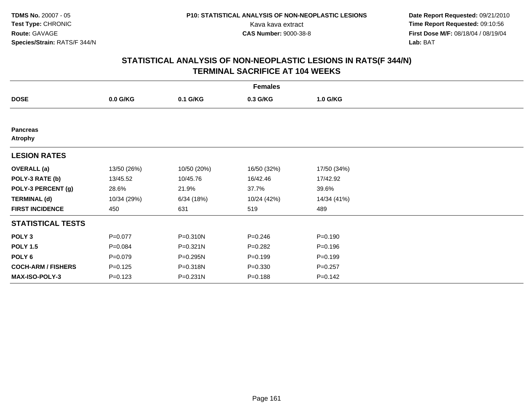**Date Report Requested:** 09/21/2010 Kava kava extract **Time Report Requested:** 09:10:56<br>**CAS Number:** 9000-38-8<br>**Tirst Dose M/F:** 08/18/04 / 08/19/04 **First Dose M/F:** 08/18/04 / 08/19/04 Lab: BAT **Lab:** BAT

| <b>Females</b>                    |             |             |             |             |  |  |  |
|-----------------------------------|-------------|-------------|-------------|-------------|--|--|--|
| <b>DOSE</b>                       | 0.0 G/KG    | 0.1 G/KG    | 0.3 G/KG    | 1.0 G/KG    |  |  |  |
|                                   |             |             |             |             |  |  |  |
| <b>Pancreas</b><br><b>Atrophy</b> |             |             |             |             |  |  |  |
| <b>LESION RATES</b>               |             |             |             |             |  |  |  |
| <b>OVERALL</b> (a)                | 13/50 (26%) | 10/50 (20%) | 16/50 (32%) | 17/50 (34%) |  |  |  |
| POLY-3 RATE (b)                   | 13/45.52    | 10/45.76    | 16/42.46    | 17/42.92    |  |  |  |
| POLY-3 PERCENT (g)                | 28.6%       | 21.9%       | 37.7%       | 39.6%       |  |  |  |
| <b>TERMINAL (d)</b>               | 10/34 (29%) | 6/34(18%)   | 10/24 (42%) | 14/34 (41%) |  |  |  |
| <b>FIRST INCIDENCE</b>            | 450         | 631         | 519         | 489         |  |  |  |
| <b>STATISTICAL TESTS</b>          |             |             |             |             |  |  |  |
| POLY <sub>3</sub>                 | $P = 0.077$ | P=0.310N    | $P = 0.246$ | $P = 0.190$ |  |  |  |
| <b>POLY 1.5</b>                   | $P = 0.084$ | P=0.321N    | $P = 0.282$ | $P = 0.196$ |  |  |  |
| POLY 6                            | $P = 0.079$ | P=0.295N    | $P = 0.199$ | $P = 0.199$ |  |  |  |
| <b>COCH-ARM / FISHERS</b>         | $P = 0.125$ | P=0.318N    | $P = 0.330$ | $P = 0.257$ |  |  |  |
| <b>MAX-ISO-POLY-3</b>             | $P = 0.123$ | P=0.231N    | $P = 0.188$ | $P = 0.142$ |  |  |  |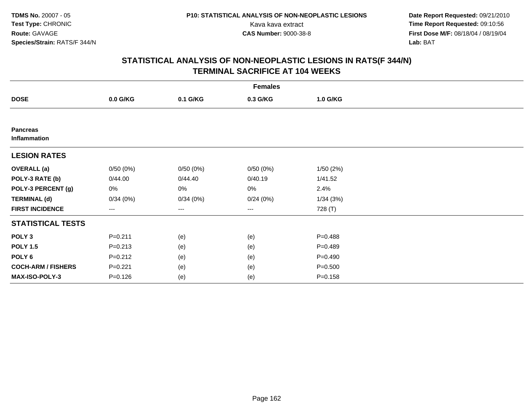**Date Report Requested:** 09/21/2010 Kava kava extract **Time Report Requested:** 09:10:56<br>**CAS Number:** 9000-38-8<br>**Tirst Dose M/F:** 08/18/04 / 08/19/04 **First Dose M/F:** 08/18/04 / 08/19/04 Lab: BAT **Lab:** BAT

| <b>Females</b>                  |                   |          |          |             |  |  |  |
|---------------------------------|-------------------|----------|----------|-------------|--|--|--|
| <b>DOSE</b>                     | 0.0 G/KG          | 0.1 G/KG | 0.3 G/KG | 1.0 G/KG    |  |  |  |
|                                 |                   |          |          |             |  |  |  |
| <b>Pancreas</b><br>Inflammation |                   |          |          |             |  |  |  |
| <b>LESION RATES</b>             |                   |          |          |             |  |  |  |
| <b>OVERALL</b> (a)              | 0/50(0%)          | 0/50(0%) | 0/50(0%) | 1/50(2%)    |  |  |  |
| POLY-3 RATE (b)                 | 0/44.00           | 0/44.40  | 0/40.19  | 1/41.52     |  |  |  |
| POLY-3 PERCENT (g)              | 0%                | 0%       | 0%       | 2.4%        |  |  |  |
| <b>TERMINAL (d)</b>             | 0/34(0%)          | 0/34(0%) | 0/24(0%) | 1/34(3%)    |  |  |  |
| <b>FIRST INCIDENCE</b>          | $\qquad \qquad -$ | ---      | $\cdots$ | 728 (T)     |  |  |  |
| <b>STATISTICAL TESTS</b>        |                   |          |          |             |  |  |  |
| POLY <sub>3</sub>               | $P = 0.211$       | (e)      | (e)      | $P = 0.488$ |  |  |  |
| <b>POLY 1.5</b>                 | $P = 0.213$       | (e)      | (e)      | $P=0.489$   |  |  |  |
| POLY 6                          | $P = 0.212$       | (e)      | (e)      | $P = 0.490$ |  |  |  |
| <b>COCH-ARM / FISHERS</b>       | $P = 0.221$       | (e)      | (e)      | $P = 0.500$ |  |  |  |
| MAX-ISO-POLY-3                  | $P = 0.126$       | (e)      | (e)      | $P = 0.158$ |  |  |  |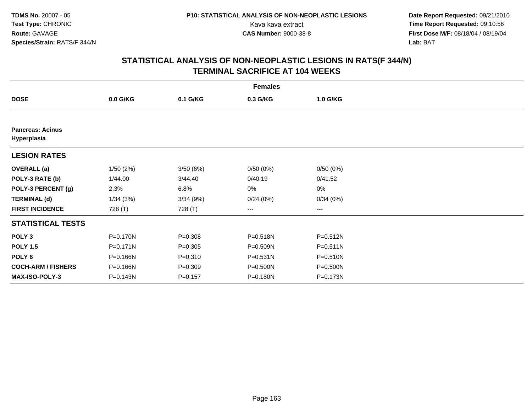**Date Report Requested:** 09/21/2010 Kava kava extract **Time Report Requested:** 09:10:56<br>**CAS Number:** 9000-38-8<br>**Tirst Dose M/F:** 08/18/04 / 08/19/04 **First Dose M/F:** 08/18/04 / 08/19/04 Lab: BAT **Lab:** BAT

| <b>Females</b>                         |            |             |                        |          |  |  |  |
|----------------------------------------|------------|-------------|------------------------|----------|--|--|--|
| <b>DOSE</b>                            | $0.0$ G/KG | 0.1 G/KG    | 0.3 G/KG               | 1.0 G/KG |  |  |  |
|                                        |            |             |                        |          |  |  |  |
| <b>Pancreas: Acinus</b><br>Hyperplasia |            |             |                        |          |  |  |  |
| <b>LESION RATES</b>                    |            |             |                        |          |  |  |  |
| <b>OVERALL</b> (a)                     | 1/50(2%)   | 3/50(6%)    | 0/50(0%)               | 0/50(0%) |  |  |  |
| POLY-3 RATE (b)                        | 1/44.00    | 3/44.40     | 0/40.19                | 0/41.52  |  |  |  |
| POLY-3 PERCENT (g)                     | 2.3%       | 6.8%        | 0%                     | 0%       |  |  |  |
| <b>TERMINAL (d)</b>                    | 1/34(3%)   | 3/34(9%)    | 0/24(0%)               | 0/34(0%) |  |  |  |
| <b>FIRST INCIDENCE</b>                 | 728 (T)    | 728 (T)     | $\qquad \qquad \cdots$ | ---      |  |  |  |
| <b>STATISTICAL TESTS</b>               |            |             |                        |          |  |  |  |
| POLY <sub>3</sub>                      | P=0.170N   | $P = 0.308$ | P=0.518N               | P=0.512N |  |  |  |
| <b>POLY 1.5</b>                        | P=0.171N   | $P = 0.305$ | P=0.509N               | P=0.511N |  |  |  |
| POLY 6                                 | P=0.166N   | $P = 0.310$ | $P = 0.531N$           | P=0.510N |  |  |  |
| <b>COCH-ARM / FISHERS</b>              | P=0.166N   | $P = 0.309$ | P=0.500N               | P=0.500N |  |  |  |
| <b>MAX-ISO-POLY-3</b>                  | P=0.143N   | $P = 0.157$ | P=0.180N               | P=0.173N |  |  |  |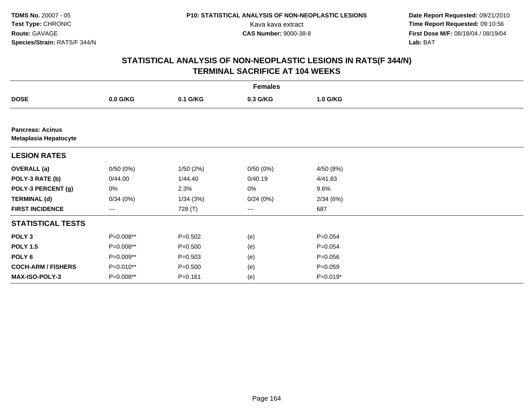**Date Report Requested:** 09/21/2010 Kava kava extract **Time Report Requested:** 09:10:56<br>**CAS Number:** 9000-38-8<br>**Tirst Dose M/F:** 08/18/04 / 08/19/04 **First Dose M/F:** 08/18/04 / 08/19/04 Lab: BAT **Lab:** BAT

| <b>Females</b>                                   |            |             |          |             |  |  |  |
|--------------------------------------------------|------------|-------------|----------|-------------|--|--|--|
| <b>DOSE</b>                                      | $0.0$ G/KG | 0.1 G/KG    | 0.3 G/KG | 1.0 G/KG    |  |  |  |
|                                                  |            |             |          |             |  |  |  |
| <b>Pancreas: Acinus</b><br>Metaplasia Hepatocyte |            |             |          |             |  |  |  |
| <b>LESION RATES</b>                              |            |             |          |             |  |  |  |
| <b>OVERALL</b> (a)                               | 0/50(0%)   | 1/50(2%)    | 0/50(0%) | 4/50 (8%)   |  |  |  |
| POLY-3 RATE (b)                                  | 0/44.00    | 1/44.40     | 0/40.19  | 4/41.83     |  |  |  |
| POLY-3 PERCENT (g)                               | 0%         | 2.3%        | 0%       | 9.6%        |  |  |  |
| <b>TERMINAL (d)</b>                              | 0/34(0%)   | 1/34(3%)    | 0/24(0%) | 2/34(6%)    |  |  |  |
| <b>FIRST INCIDENCE</b>                           | ---        | 728 (T)     | ---      | 687         |  |  |  |
| <b>STATISTICAL TESTS</b>                         |            |             |          |             |  |  |  |
| POLY <sub>3</sub>                                | P=0.008**  | $P = 0.502$ | (e)      | $P = 0.054$ |  |  |  |
| <b>POLY 1.5</b>                                  | P=0.008**  | $P = 0.500$ | (e)      | $P = 0.054$ |  |  |  |
| POLY <sub>6</sub>                                | P=0.009**  | $P = 0.503$ | (e)      | $P = 0.056$ |  |  |  |
| <b>COCH-ARM / FISHERS</b>                        | P=0.010**  | $P = 0.500$ | (e)      | $P = 0.059$ |  |  |  |
| <b>MAX-ISO-POLY-3</b>                            | P=0.008**  | $P = 0.161$ | (e)      | $P=0.019*$  |  |  |  |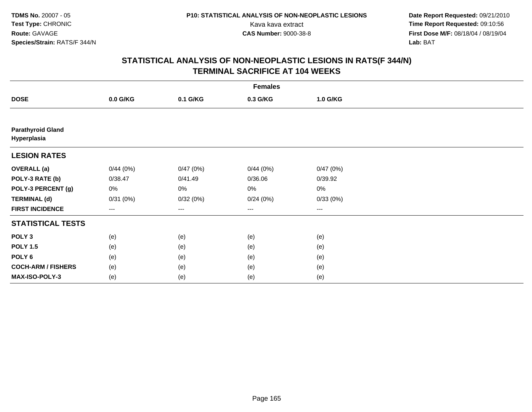**Date Report Requested:** 09/21/2010 Kava kava extract **Time Report Requested:** 09:10:56<br>**CAS Number:** 9000-38-8<br>**Tirst Dose M/F:** 08/18/04 / 08/19/04 **First Dose M/F:** 08/18/04 / 08/19/04 Lab: BAT **Lab:** BAT

| <b>Females</b>                          |          |          |                        |          |  |  |  |
|-----------------------------------------|----------|----------|------------------------|----------|--|--|--|
| <b>DOSE</b>                             | 0.0 G/KG | 0.1 G/KG | 0.3 G/KG               | 1.0 G/KG |  |  |  |
|                                         |          |          |                        |          |  |  |  |
| <b>Parathyroid Gland</b><br>Hyperplasia |          |          |                        |          |  |  |  |
| <b>LESION RATES</b>                     |          |          |                        |          |  |  |  |
| <b>OVERALL</b> (a)                      | 0/44(0%) | 0/47(0%) | 0/44(0%)               | 0/47(0%) |  |  |  |
| POLY-3 RATE (b)                         | 0/38.47  | 0/41.49  | 0/36.06                | 0/39.92  |  |  |  |
| POLY-3 PERCENT (g)                      | 0%       | 0%       | 0%                     | $0\%$    |  |  |  |
| <b>TERMINAL (d)</b>                     | 0/31(0%) | 0/32(0%) | 0/24(0%)               | 0/33(0%) |  |  |  |
| <b>FIRST INCIDENCE</b>                  | ---      | ---      | $\qquad \qquad \cdots$ | $---$    |  |  |  |
| <b>STATISTICAL TESTS</b>                |          |          |                        |          |  |  |  |
| POLY <sub>3</sub>                       | (e)      | (e)      | (e)                    | (e)      |  |  |  |
| <b>POLY 1.5</b>                         | (e)      | (e)      | (e)                    | (e)      |  |  |  |
| POLY <sub>6</sub>                       | (e)      | (e)      | (e)                    | (e)      |  |  |  |
| <b>COCH-ARM / FISHERS</b>               | (e)      | (e)      | (e)                    | (e)      |  |  |  |
| MAX-ISO-POLY-3                          | (e)      | (e)      | (e)                    | (e)      |  |  |  |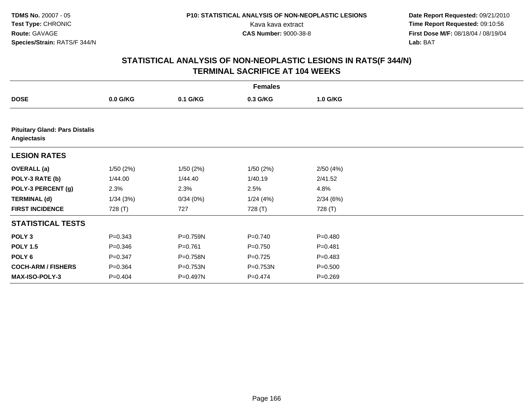| <b>Females</b>                                       |             |             |             |             |  |  |  |  |
|------------------------------------------------------|-------------|-------------|-------------|-------------|--|--|--|--|
| <b>DOSE</b>                                          | 0.0 G/KG    | 0.1 G/KG    | 0.3 G/KG    | 1.0 G/KG    |  |  |  |  |
|                                                      |             |             |             |             |  |  |  |  |
| <b>Pituitary Gland: Pars Distalis</b><br>Angiectasis |             |             |             |             |  |  |  |  |
| <b>LESION RATES</b>                                  |             |             |             |             |  |  |  |  |
| <b>OVERALL</b> (a)                                   | 1/50(2%)    | 1/50(2%)    | 1/50(2%)    | 2/50(4%)    |  |  |  |  |
| POLY-3 RATE (b)                                      | 1/44.00     | 1/44.40     | 1/40.19     | 2/41.52     |  |  |  |  |
| POLY-3 PERCENT (g)                                   | 2.3%        | 2.3%        | 2.5%        | 4.8%        |  |  |  |  |
| <b>TERMINAL (d)</b>                                  | 1/34(3%)    | 0/34(0%)    | 1/24(4%)    | 2/34(6%)    |  |  |  |  |
| <b>FIRST INCIDENCE</b>                               | 728 (T)     | 727         | 728 (T)     | 728 (T)     |  |  |  |  |
| <b>STATISTICAL TESTS</b>                             |             |             |             |             |  |  |  |  |
| POLY <sub>3</sub>                                    | $P = 0.343$ | P=0.759N    | $P = 0.740$ | $P=0.480$   |  |  |  |  |
| <b>POLY 1.5</b>                                      | $P = 0.346$ | $P = 0.761$ | $P = 0.750$ | $P = 0.481$ |  |  |  |  |
| POLY <sub>6</sub>                                    | $P = 0.347$ | P=0.758N    | $P=0.725$   | $P=0.483$   |  |  |  |  |
| <b>COCH-ARM / FISHERS</b>                            | $P = 0.364$ | P=0.753N    | P=0.753N    | $P = 0.500$ |  |  |  |  |
| <b>MAX-ISO-POLY-3</b>                                | $P=0.404$   | P=0.497N    | $P = 0.474$ | $P = 0.269$ |  |  |  |  |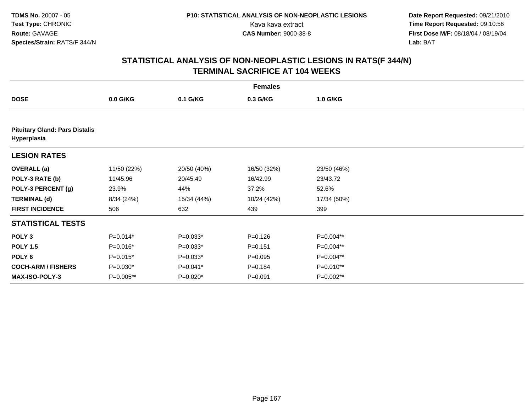| <b>Females</b>                                       |             |             |             |             |  |  |  |  |
|------------------------------------------------------|-------------|-------------|-------------|-------------|--|--|--|--|
| <b>DOSE</b>                                          | $0.0$ G/KG  | 0.1 G/KG    | 0.3 G/KG    | 1.0 G/KG    |  |  |  |  |
|                                                      |             |             |             |             |  |  |  |  |
| <b>Pituitary Gland: Pars Distalis</b><br>Hyperplasia |             |             |             |             |  |  |  |  |
| <b>LESION RATES</b>                                  |             |             |             |             |  |  |  |  |
| <b>OVERALL</b> (a)                                   | 11/50 (22%) | 20/50 (40%) | 16/50 (32%) | 23/50 (46%) |  |  |  |  |
| POLY-3 RATE (b)                                      | 11/45.96    | 20/45.49    | 16/42.99    | 23/43.72    |  |  |  |  |
| POLY-3 PERCENT (g)                                   | 23.9%       | 44%         | 37.2%       | 52.6%       |  |  |  |  |
| <b>TERMINAL (d)</b>                                  | 8/34 (24%)  | 15/34 (44%) | 10/24 (42%) | 17/34 (50%) |  |  |  |  |
| <b>FIRST INCIDENCE</b>                               | 506         | 632         | 439         | 399         |  |  |  |  |
| <b>STATISTICAL TESTS</b>                             |             |             |             |             |  |  |  |  |
| POLY <sub>3</sub>                                    | $P=0.014*$  | $P=0.033*$  | $P = 0.126$ | P=0.004**   |  |  |  |  |
| <b>POLY 1.5</b>                                      | P=0.016*    | $P=0.033*$  | $P = 0.151$ | P=0.004**   |  |  |  |  |
| POLY <sub>6</sub>                                    | $P=0.015*$  | $P=0.033*$  | $P = 0.095$ | P=0.004**   |  |  |  |  |
| <b>COCH-ARM / FISHERS</b>                            | $P=0.030*$  | $P=0.041*$  | $P = 0.184$ | P=0.010**   |  |  |  |  |
| <b>MAX-ISO-POLY-3</b>                                | P=0.005**   | P=0.020*    | $P = 0.091$ | P=0.002**   |  |  |  |  |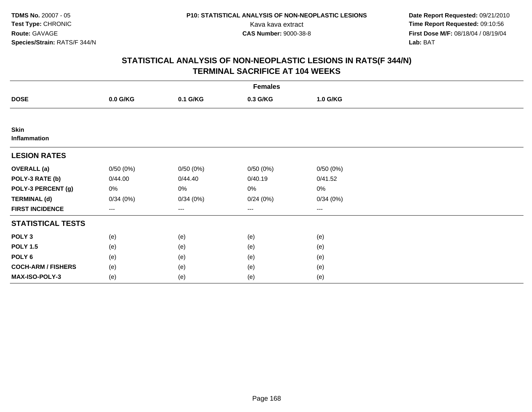**Date Report Requested:** 09/21/2010 Kava kava extract **Time Report Requested:** 09:10:56<br>**CAS Number:** 9000-38-8<br>**Tirst Dose M/F:** 08/18/04 / 08/19/04 **First Dose M/F:** 08/18/04 / 08/19/04 Lab: BAT **Lab:** BAT

| <b>Females</b>              |          |          |                        |                        |  |  |  |
|-----------------------------|----------|----------|------------------------|------------------------|--|--|--|
| <b>DOSE</b>                 | 0.0 G/KG | 0.1 G/KG | 0.3 G/KG               | 1.0 G/KG               |  |  |  |
|                             |          |          |                        |                        |  |  |  |
| <b>Skin</b><br>Inflammation |          |          |                        |                        |  |  |  |
| <b>LESION RATES</b>         |          |          |                        |                        |  |  |  |
| <b>OVERALL</b> (a)          | 0/50(0%) | 0/50(0%) | 0/50(0%)               | 0/50(0%)               |  |  |  |
| POLY-3 RATE (b)             | 0/44.00  | 0/44.40  | 0/40.19                | 0/41.52                |  |  |  |
| POLY-3 PERCENT (g)          | 0%       | 0%       | 0%                     | $0\%$                  |  |  |  |
| <b>TERMINAL (d)</b>         | 0/34(0%) | 0/34(0%) | 0/24(0%)               | 0/34(0%)               |  |  |  |
| <b>FIRST INCIDENCE</b>      | $---$    | $--$     | $\qquad \qquad \cdots$ | $\qquad \qquad \cdots$ |  |  |  |
| <b>STATISTICAL TESTS</b>    |          |          |                        |                        |  |  |  |
| POLY <sub>3</sub>           | (e)      | (e)      | (e)                    | (e)                    |  |  |  |
| <b>POLY 1.5</b>             | (e)      | (e)      | (e)                    | (e)                    |  |  |  |
| POLY <sub>6</sub>           | (e)      | (e)      | (e)                    | (e)                    |  |  |  |
| <b>COCH-ARM / FISHERS</b>   | (e)      | (e)      | (e)                    | (e)                    |  |  |  |
| MAX-ISO-POLY-3              | (e)      | (e)      | (e)                    | (e)                    |  |  |  |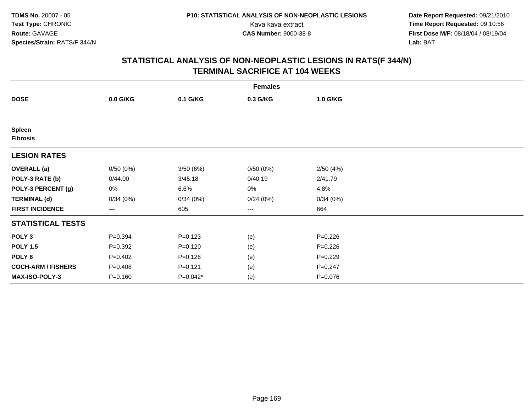**Date Report Requested:** 09/21/2010 Kava kava extract **Time Report Requested:** 09:10:56<br>**CAS Number:** 9000-38-8<br>**Tirst Dose M/F:** 08/18/04 / 08/19/04 **First Dose M/F:** 08/18/04 / 08/19/04 Lab: BAT **Lab:** BAT

| <b>Females</b>                   |             |             |                        |             |  |  |  |
|----------------------------------|-------------|-------------|------------------------|-------------|--|--|--|
| <b>DOSE</b>                      | 0.0 G/KG    | 0.1 G/KG    | 0.3 G/KG               | 1.0 G/KG    |  |  |  |
|                                  |             |             |                        |             |  |  |  |
| <b>Spleen</b><br><b>Fibrosis</b> |             |             |                        |             |  |  |  |
| <b>LESION RATES</b>              |             |             |                        |             |  |  |  |
| <b>OVERALL</b> (a)               | 0/50(0%)    | 3/50 (6%)   | 0/50(0%)               | 2/50(4%)    |  |  |  |
| POLY-3 RATE (b)                  | 0/44.00     | 3/45.18     | 0/40.19                | 2/41.79     |  |  |  |
| POLY-3 PERCENT (g)               | 0%          | 6.6%        | 0%                     | 4.8%        |  |  |  |
| <b>TERMINAL (d)</b>              | 0/34(0%)    | 0/34(0%)    | 0/24(0%)               | 0/34(0%)    |  |  |  |
| <b>FIRST INCIDENCE</b>           | ---         | 605         | $\qquad \qquad \cdots$ | 664         |  |  |  |
| <b>STATISTICAL TESTS</b>         |             |             |                        |             |  |  |  |
| POLY <sub>3</sub>                | $P = 0.394$ | $P = 0.123$ | (e)                    | $P = 0.226$ |  |  |  |
| <b>POLY 1.5</b>                  | $P = 0.392$ | $P = 0.120$ | (e)                    | $P = 0.226$ |  |  |  |
| POLY <sub>6</sub>                | $P = 0.402$ | $P = 0.126$ | (e)                    | $P=0.229$   |  |  |  |
| <b>COCH-ARM / FISHERS</b>        | $P = 0.408$ | $P = 0.121$ | (e)                    | $P = 0.247$ |  |  |  |
| MAX-ISO-POLY-3                   | $P = 0.160$ | P=0.042*    | (e)                    | $P = 0.076$ |  |  |  |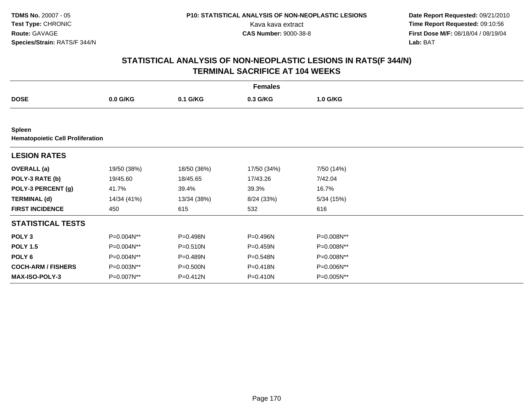**Date Report Requested:** 09/21/2010 Kava kava extract **Time Report Requested:** 09:10:56<br>**CAS Number:** 9000-38-8<br>**Tirst Dose M/F:** 08/18/04 / 08/19/04 **First Dose M/F:** 08/18/04 / 08/19/04 Lab: BAT **Lab:** BAT

|                                                          | <b>Females</b> |              |             |            |  |  |  |  |
|----------------------------------------------------------|----------------|--------------|-------------|------------|--|--|--|--|
| <b>DOSE</b>                                              | $0.0$ G/KG     | 0.1 G/KG     | 0.3 G/KG    | 1.0 G/KG   |  |  |  |  |
|                                                          |                |              |             |            |  |  |  |  |
| <b>Spleen</b><br><b>Hematopoietic Cell Proliferation</b> |                |              |             |            |  |  |  |  |
| <b>LESION RATES</b>                                      |                |              |             |            |  |  |  |  |
| <b>OVERALL</b> (a)                                       | 19/50 (38%)    | 18/50 (36%)  | 17/50 (34%) | 7/50 (14%) |  |  |  |  |
| POLY-3 RATE (b)                                          | 19/45.60       | 18/45.65     | 17/43.26    | 7/42.04    |  |  |  |  |
| POLY-3 PERCENT (g)                                       | 41.7%          | 39.4%        | 39.3%       | 16.7%      |  |  |  |  |
| <b>TERMINAL (d)</b>                                      | 14/34 (41%)    | 13/34 (38%)  | 8/24 (33%)  | 5/34 (15%) |  |  |  |  |
| <b>FIRST INCIDENCE</b>                                   | 450            | 615          | 532         | 616        |  |  |  |  |
| <b>STATISTICAL TESTS</b>                                 |                |              |             |            |  |  |  |  |
| POLY <sub>3</sub>                                        | P=0.004N**     | P=0.498N     | P=0.496N    | P=0.008N** |  |  |  |  |
| <b>POLY 1.5</b>                                          | P=0.004N**     | $P = 0.510N$ | P=0.459N    | P=0.008N** |  |  |  |  |
| POLY <sub>6</sub>                                        | P=0.004N**     | P=0.489N     | P=0.548N    | P=0.008N** |  |  |  |  |
| <b>COCH-ARM / FISHERS</b>                                | P=0.003N**     | $P = 0.500N$ | P=0.418N    | P=0.006N** |  |  |  |  |
| <b>MAX-ISO-POLY-3</b>                                    | P=0.007N**     | P=0.412N     | P=0.410N    | P=0.005N** |  |  |  |  |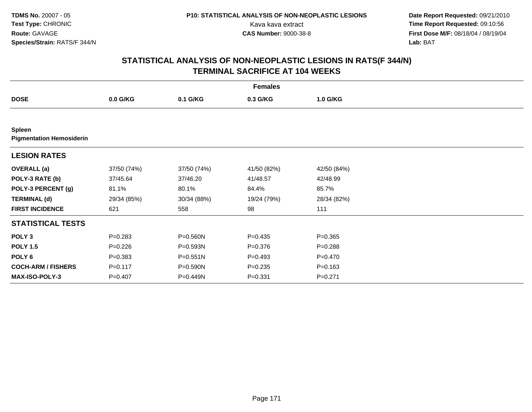**Date Report Requested:** 09/21/2010 Kava kava extract **Time Report Requested:** 09:10:56<br>**CAS Number:** 9000-38-8<br>**Tirst Dose M/F:** 08/18/04 / 08/19/04 **First Dose M/F:** 08/18/04 / 08/19/04 Lab: BAT **Lab:** BAT

| <b>Females</b>                                   |             |              |             |             |  |  |  |  |
|--------------------------------------------------|-------------|--------------|-------------|-------------|--|--|--|--|
| <b>DOSE</b>                                      | $0.0$ G/KG  | 0.1 G/KG     | 0.3 G/KG    | 1.0 G/KG    |  |  |  |  |
|                                                  |             |              |             |             |  |  |  |  |
| <b>Spleen</b><br><b>Pigmentation Hemosiderin</b> |             |              |             |             |  |  |  |  |
| <b>LESION RATES</b>                              |             |              |             |             |  |  |  |  |
| <b>OVERALL</b> (a)                               | 37/50 (74%) | 37/50 (74%)  | 41/50 (82%) | 42/50 (84%) |  |  |  |  |
| POLY-3 RATE (b)                                  | 37/45.64    | 37/46.20     | 41/48.57    | 42/48.99    |  |  |  |  |
| POLY-3 PERCENT (g)                               | 81.1%       | 80.1%        | 84.4%       | 85.7%       |  |  |  |  |
| <b>TERMINAL (d)</b>                              | 29/34 (85%) | 30/34 (88%)  | 19/24 (79%) | 28/34 (82%) |  |  |  |  |
| <b>FIRST INCIDENCE</b>                           | 621         | 558          | 98          | 111         |  |  |  |  |
| <b>STATISTICAL TESTS</b>                         |             |              |             |             |  |  |  |  |
| POLY <sub>3</sub>                                | $P = 0.283$ | P=0.560N     | $P=0.435$   | $P = 0.365$ |  |  |  |  |
| <b>POLY 1.5</b>                                  | $P = 0.226$ | $P = 0.593N$ | $P = 0.376$ | $P = 0.288$ |  |  |  |  |
| POLY 6                                           | $P = 0.383$ | $P = 0.551N$ | $P=0.493$   | $P=0.470$   |  |  |  |  |
| <b>COCH-ARM / FISHERS</b>                        | $P = 0.117$ | $P = 0.590N$ | $P = 0.235$ | $P = 0.163$ |  |  |  |  |
| MAX-ISO-POLY-3                                   | $P = 0.407$ | P=0.449N     | $P = 0.331$ | $P = 0.271$ |  |  |  |  |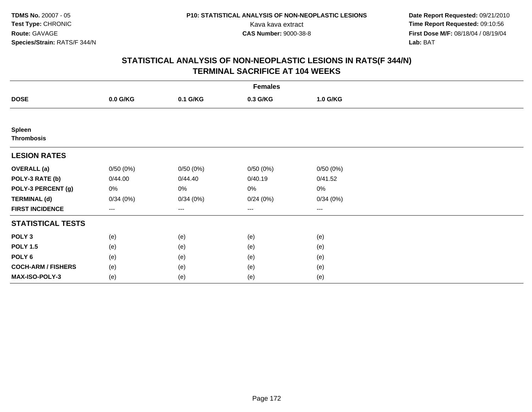**Date Report Requested:** 09/21/2010 Kava kava extract **Time Report Requested:** 09:10:56<br>**CAS Number:** 9000-38-8<br>**Tirst Dose M/F:** 08/18/04 / 08/19/04 **First Dose M/F:** 08/18/04 / 08/19/04 Lab: BAT **Lab:** BAT

|                                    | <b>Females</b> |          |                        |          |  |  |  |  |
|------------------------------------|----------------|----------|------------------------|----------|--|--|--|--|
| <b>DOSE</b>                        | 0.0 G/KG       | 0.1 G/KG | 0.3 G/KG               | 1.0 G/KG |  |  |  |  |
|                                    |                |          |                        |          |  |  |  |  |
| <b>Spleen</b><br><b>Thrombosis</b> |                |          |                        |          |  |  |  |  |
| <b>LESION RATES</b>                |                |          |                        |          |  |  |  |  |
| <b>OVERALL</b> (a)                 | 0/50(0%)       | 0/50(0%) | 0/50(0%)               | 0/50(0%) |  |  |  |  |
| POLY-3 RATE (b)                    | 0/44.00        | 0/44.40  | 0/40.19                | 0/41.52  |  |  |  |  |
| POLY-3 PERCENT (g)                 | 0%             | 0%       | 0%                     | $0\%$    |  |  |  |  |
| <b>TERMINAL (d)</b>                | 0/34(0%)       | 0/34(0%) | 0/24(0%)               | 0/34(0%) |  |  |  |  |
| <b>FIRST INCIDENCE</b>             | ---            | $--$     | $\qquad \qquad \cdots$ | $---$    |  |  |  |  |
| <b>STATISTICAL TESTS</b>           |                |          |                        |          |  |  |  |  |
| POLY <sub>3</sub>                  | (e)            | (e)      | (e)                    | (e)      |  |  |  |  |
| <b>POLY 1.5</b>                    | (e)            | (e)      | (e)                    | (e)      |  |  |  |  |
| POLY <sub>6</sub>                  | (e)            | (e)      | (e)                    | (e)      |  |  |  |  |
| <b>COCH-ARM / FISHERS</b>          | (e)            | (e)      | (e)                    | (e)      |  |  |  |  |
| MAX-ISO-POLY-3                     | (e)            | (e)      | (e)                    | (e)      |  |  |  |  |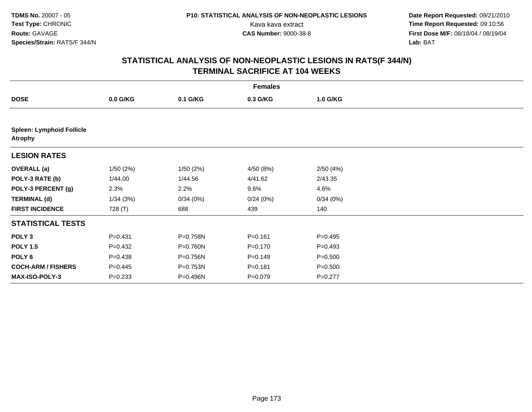|                                                    | <b>Females</b> |           |             |             |  |  |  |  |
|----------------------------------------------------|----------------|-----------|-------------|-------------|--|--|--|--|
| <b>DOSE</b>                                        | $0.0$ G/KG     | 0.1 G/KG  | 0.3 G/KG    | 1.0 G/KG    |  |  |  |  |
|                                                    |                |           |             |             |  |  |  |  |
| <b>Spleen: Lymphoid Follicle</b><br><b>Atrophy</b> |                |           |             |             |  |  |  |  |
| <b>LESION RATES</b>                                |                |           |             |             |  |  |  |  |
| <b>OVERALL</b> (a)                                 | 1/50(2%)       | 1/50 (2%) | 4/50 (8%)   | 2/50(4%)    |  |  |  |  |
| POLY-3 RATE (b)                                    | 1/44.00        | 1/44.56   | 4/41.62     | 2/43.35     |  |  |  |  |
| POLY-3 PERCENT (g)                                 | 2.3%           | 2.2%      | 9.6%        | 4.6%        |  |  |  |  |
| <b>TERMINAL (d)</b>                                | 1/34(3%)       | 0/34(0%)  | 0/24(0%)    | 0/34(0%)    |  |  |  |  |
| <b>FIRST INCIDENCE</b>                             | 728 (T)        | 688       | 439         | 140         |  |  |  |  |
| <b>STATISTICAL TESTS</b>                           |                |           |             |             |  |  |  |  |
| POLY <sub>3</sub>                                  | $P = 0.431$    | P=0.758N  | $P = 0.161$ | $P = 0.495$ |  |  |  |  |
| <b>POLY 1.5</b>                                    | $P = 0.432$    | P=0.760N  | $P = 0.170$ | $P = 0.493$ |  |  |  |  |
| POLY <sub>6</sub>                                  | $P = 0.438$    | P=0.756N  | $P=0.149$   | $P = 0.500$ |  |  |  |  |
| <b>COCH-ARM / FISHERS</b>                          | $P = 0.445$    | P=0.753N  | $P = 0.181$ | $P = 0.500$ |  |  |  |  |
| <b>MAX-ISO-POLY-3</b>                              | $P = 0.233$    | P=0.496N  | $P = 0.079$ | $P=0.277$   |  |  |  |  |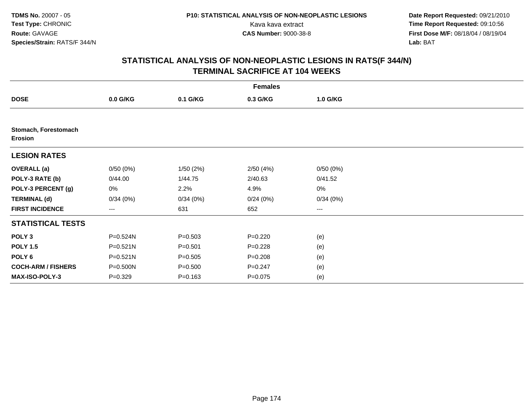| <b>Females</b>                  |              |             |             |          |  |  |  |
|---------------------------------|--------------|-------------|-------------|----------|--|--|--|
| <b>DOSE</b>                     | $0.0$ G/KG   | 0.1 G/KG    | 0.3 G/KG    | 1.0 G/KG |  |  |  |
|                                 |              |             |             |          |  |  |  |
| Stomach, Forestomach<br>Erosion |              |             |             |          |  |  |  |
| <b>LESION RATES</b>             |              |             |             |          |  |  |  |
| <b>OVERALL</b> (a)              | 0/50(0%)     | 1/50(2%)    | 2/50(4%)    | 0/50(0%) |  |  |  |
| POLY-3 RATE (b)                 | 0/44.00      | 1/44.75     | 2/40.63     | 0/41.52  |  |  |  |
| POLY-3 PERCENT (g)              | 0%           | 2.2%        | 4.9%        | 0%       |  |  |  |
| <b>TERMINAL (d)</b>             | 0/34(0%)     | 0/34(0%)    | 0/24(0%)    | 0/34(0%) |  |  |  |
| <b>FIRST INCIDENCE</b>          | ---          | 631         | 652         | ---      |  |  |  |
| <b>STATISTICAL TESTS</b>        |              |             |             |          |  |  |  |
| POLY <sub>3</sub>               | P=0.524N     | $P = 0.503$ | $P = 0.220$ | (e)      |  |  |  |
| <b>POLY 1.5</b>                 | P=0.521N     | $P = 0.501$ | $P=0.228$   | (e)      |  |  |  |
| POLY 6                          | $P = 0.521N$ | $P = 0.505$ | $P = 0.208$ | (e)      |  |  |  |
| <b>COCH-ARM / FISHERS</b>       | P=0.500N     | $P = 0.500$ | $P=0.247$   | (e)      |  |  |  |
| MAX-ISO-POLY-3                  | $P = 0.329$  | $P = 0.163$ | $P=0.075$   | (e)      |  |  |  |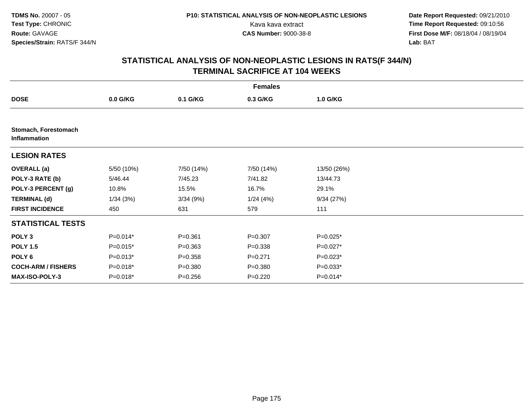**Date Report Requested:** 09/21/2010 Kava kava extract **Time Report Requested:** 09:10:56<br>**CAS Number:** 9000-38-8<br>**Tirst Dose M/F:** 08/18/04 / 08/19/04 **First Dose M/F:** 08/18/04 / 08/19/04 Lab: BAT **Lab:** BAT

|                                      | <b>Females</b> |             |             |             |  |  |  |  |
|--------------------------------------|----------------|-------------|-------------|-------------|--|--|--|--|
| <b>DOSE</b>                          | $0.0$ G/KG     | 0.1 G/KG    | 0.3 G/KG    | 1.0 G/KG    |  |  |  |  |
|                                      |                |             |             |             |  |  |  |  |
| Stomach, Forestomach<br>Inflammation |                |             |             |             |  |  |  |  |
| <b>LESION RATES</b>                  |                |             |             |             |  |  |  |  |
| <b>OVERALL</b> (a)                   | 5/50 (10%)     | 7/50 (14%)  | 7/50 (14%)  | 13/50 (26%) |  |  |  |  |
| POLY-3 RATE (b)                      | 5/46.44        | 7/45.23     | 7/41.82     | 13/44.73    |  |  |  |  |
| POLY-3 PERCENT (g)                   | 10.8%          | 15.5%       | 16.7%       | 29.1%       |  |  |  |  |
| <b>TERMINAL (d)</b>                  | 1/34(3%)       | 3/34(9%)    | 1/24(4%)    | 9/34(27%)   |  |  |  |  |
| <b>FIRST INCIDENCE</b>               | 450            | 631         | 579         | 111         |  |  |  |  |
| <b>STATISTICAL TESTS</b>             |                |             |             |             |  |  |  |  |
| POLY <sub>3</sub>                    | $P=0.014*$     | $P = 0.361$ | $P = 0.307$ | $P=0.025*$  |  |  |  |  |
| <b>POLY 1.5</b>                      | $P=0.015*$     | $P = 0.363$ | $P = 0.338$ | P=0.027*    |  |  |  |  |
| POLY <sub>6</sub>                    | $P=0.013*$     | $P = 0.358$ | $P = 0.271$ | $P=0.023*$  |  |  |  |  |
| <b>COCH-ARM / FISHERS</b>            | $P=0.018*$     | $P = 0.380$ | $P = 0.380$ | $P=0.033*$  |  |  |  |  |
| <b>MAX-ISO-POLY-3</b>                | P=0.018*       | $P = 0.256$ | $P = 0.220$ | $P=0.014*$  |  |  |  |  |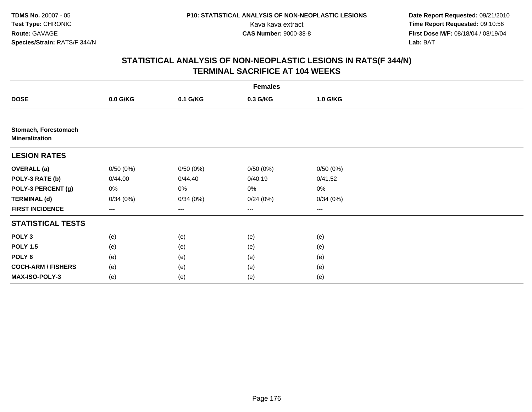**Date Report Requested:** 09/21/2010 Kava kava extract **Time Report Requested:** 09:10:56<br>**CAS Number:** 9000-38-8<br>**Tirst Dose M/F:** 08/18/04 / 08/19/04 **First Dose M/F:** 08/18/04 / 08/19/04 Lab: BAT **Lab:** BAT

| <b>Females</b>                                |          |          |          |          |  |  |  |
|-----------------------------------------------|----------|----------|----------|----------|--|--|--|
| <b>DOSE</b>                                   | 0.0 G/KG | 0.1 G/KG | 0.3 G/KG | 1.0 G/KG |  |  |  |
|                                               |          |          |          |          |  |  |  |
| Stomach, Forestomach<br><b>Mineralization</b> |          |          |          |          |  |  |  |
| <b>LESION RATES</b>                           |          |          |          |          |  |  |  |
| <b>OVERALL (a)</b>                            | 0/50(0%) | 0/50(0%) | 0/50(0%) | 0/50(0%) |  |  |  |
| POLY-3 RATE (b)                               | 0/44.00  | 0/44.40  | 0/40.19  | 0/41.52  |  |  |  |
| POLY-3 PERCENT (g)                            | 0%       | 0%       | 0%       | $0\%$    |  |  |  |
| <b>TERMINAL (d)</b>                           | 0/34(0%) | 0/34(0%) | 0/24(0%) | 0/34(0%) |  |  |  |
| <b>FIRST INCIDENCE</b>                        | ---      | ---      | $---$    | $---$    |  |  |  |
| <b>STATISTICAL TESTS</b>                      |          |          |          |          |  |  |  |
| POLY <sub>3</sub>                             | (e)      | (e)      | (e)      | (e)      |  |  |  |
| <b>POLY 1.5</b>                               | (e)      | (e)      | (e)      | (e)      |  |  |  |
| POLY <sub>6</sub>                             | (e)      | (e)      | (e)      | (e)      |  |  |  |
| <b>COCH-ARM / FISHERS</b>                     | (e)      | (e)      | (e)      | (e)      |  |  |  |
| MAX-ISO-POLY-3                                | (e)      | (e)      | (e)      | (e)      |  |  |  |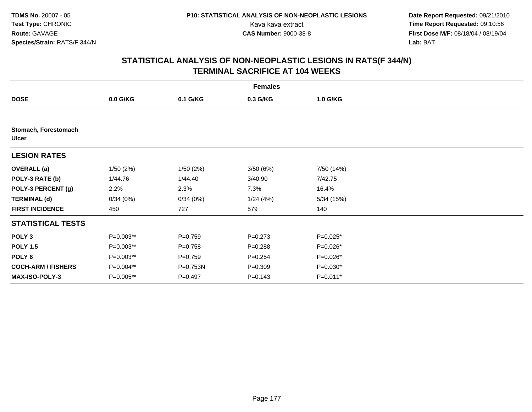|                                      | <b>Females</b> |             |             |            |  |  |  |  |
|--------------------------------------|----------------|-------------|-------------|------------|--|--|--|--|
| <b>DOSE</b>                          | 0.0 G/KG       | 0.1 G/KG    | 0.3 G/KG    | 1.0 G/KG   |  |  |  |  |
|                                      |                |             |             |            |  |  |  |  |
| Stomach, Forestomach<br><b>Ulcer</b> |                |             |             |            |  |  |  |  |
| <b>LESION RATES</b>                  |                |             |             |            |  |  |  |  |
| <b>OVERALL</b> (a)                   | 1/50(2%)       | 1/50(2%)    | 3/50(6%)    | 7/50 (14%) |  |  |  |  |
| POLY-3 RATE (b)                      | 1/44.76        | 1/44.40     | 3/40.90     | 7/42.75    |  |  |  |  |
| POLY-3 PERCENT (g)                   | 2.2%           | 2.3%        | 7.3%        | 16.4%      |  |  |  |  |
| <b>TERMINAL (d)</b>                  | 0/34(0%)       | 0/34(0%)    | 1/24(4%)    | 5/34(15%)  |  |  |  |  |
| <b>FIRST INCIDENCE</b>               | 450            | 727         | 579         | 140        |  |  |  |  |
| <b>STATISTICAL TESTS</b>             |                |             |             |            |  |  |  |  |
| POLY <sub>3</sub>                    | P=0.003**      | $P = 0.759$ | $P = 0.273$ | P=0.025*   |  |  |  |  |
| <b>POLY 1.5</b>                      | P=0.003**      | $P = 0.758$ | $P = 0.288$ | P=0.026*   |  |  |  |  |
| POLY 6                               | P=0.003**      | $P = 0.759$ | $P = 0.254$ | P=0.026*   |  |  |  |  |
| <b>COCH-ARM / FISHERS</b>            | P=0.004**      | P=0.753N    | $P = 0.309$ | $P=0.030*$ |  |  |  |  |
| <b>MAX-ISO-POLY-3</b>                | P=0.005**      | $P = 0.497$ | $P = 0.143$ | P=0.011*   |  |  |  |  |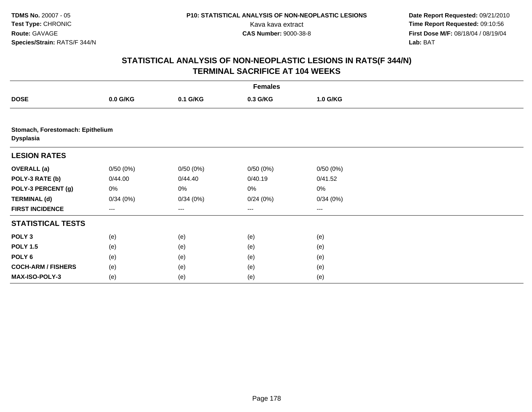**Date Report Requested:** 09/21/2010 Kava kava extract **Time Report Requested:** 09:10:56<br>**CAS Number:** 9000-38-8<br>**Tirst Dose M/F:** 08/18/04 / 08/19/04 **First Dose M/F:** 08/18/04 / 08/19/04 Lab: BAT **Lab:** BAT

|                                                      | <b>Females</b> |          |          |          |  |  |  |  |
|------------------------------------------------------|----------------|----------|----------|----------|--|--|--|--|
| <b>DOSE</b>                                          | 0.0 G/KG       | 0.1 G/KG | 0.3 G/KG | 1.0 G/KG |  |  |  |  |
|                                                      |                |          |          |          |  |  |  |  |
| Stomach, Forestomach: Epithelium<br><b>Dysplasia</b> |                |          |          |          |  |  |  |  |
| <b>LESION RATES</b>                                  |                |          |          |          |  |  |  |  |
| <b>OVERALL (a)</b>                                   | 0/50(0%)       | 0/50(0%) | 0/50(0%) | 0/50(0%) |  |  |  |  |
| POLY-3 RATE (b)                                      | 0/44.00        | 0/44.40  | 0/40.19  | 0/41.52  |  |  |  |  |
| POLY-3 PERCENT (g)                                   | 0%             | 0%       | 0%       | 0%       |  |  |  |  |
| <b>TERMINAL (d)</b>                                  | 0/34(0%)       | 0/34(0%) | 0/24(0%) | 0/34(0%) |  |  |  |  |
| <b>FIRST INCIDENCE</b>                               | ---            | ---      | $--$     | ---      |  |  |  |  |
| <b>STATISTICAL TESTS</b>                             |                |          |          |          |  |  |  |  |
| POLY <sub>3</sub>                                    | (e)            | (e)      | (e)      | (e)      |  |  |  |  |
| <b>POLY 1.5</b>                                      | (e)            | (e)      | (e)      | (e)      |  |  |  |  |
| POLY <sub>6</sub>                                    | (e)            | (e)      | (e)      | (e)      |  |  |  |  |
| <b>COCH-ARM / FISHERS</b>                            | (e)            | (e)      | (e)      | (e)      |  |  |  |  |
| MAX-ISO-POLY-3                                       | (e)            | (e)      | (e)      | (e)      |  |  |  |  |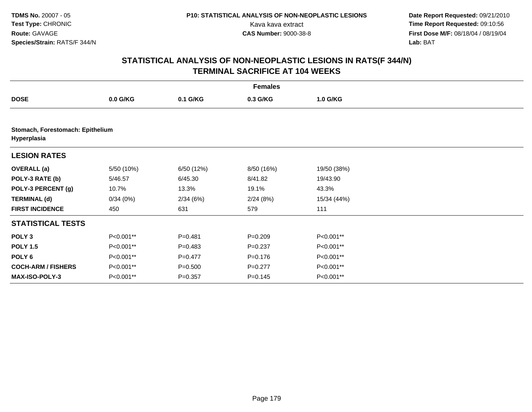**Date Report Requested:** 09/21/2010 Kava kava extract **Time Report Requested:** 09:10:56<br>**CAS Number:** 9000-38-8<br>**Tirst Dose M/F:** 08/18/04 / 08/19/04 **First Dose M/F:** 08/18/04 / 08/19/04 Lab: BAT **Lab:** BAT

|                                                 | <b>Females</b> |             |             |             |  |  |  |  |
|-------------------------------------------------|----------------|-------------|-------------|-------------|--|--|--|--|
| <b>DOSE</b>                                     | $0.0$ G/KG     | 0.1 G/KG    | 0.3 G/KG    | 1.0 G/KG    |  |  |  |  |
|                                                 |                |             |             |             |  |  |  |  |
| Stomach, Forestomach: Epithelium<br>Hyperplasia |                |             |             |             |  |  |  |  |
| <b>LESION RATES</b>                             |                |             |             |             |  |  |  |  |
| <b>OVERALL</b> (a)                              | 5/50 (10%)     | 6/50 (12%)  | 8/50 (16%)  | 19/50 (38%) |  |  |  |  |
| POLY-3 RATE (b)                                 | 5/46.57        | 6/45.30     | 8/41.82     | 19/43.90    |  |  |  |  |
| POLY-3 PERCENT (g)                              | 10.7%          | 13.3%       | 19.1%       | 43.3%       |  |  |  |  |
| <b>TERMINAL (d)</b>                             | 0/34(0%)       | 2/34(6%)    | 2/24(8%)    | 15/34 (44%) |  |  |  |  |
| <b>FIRST INCIDENCE</b>                          | 450            | 631         | 579         | 111         |  |  |  |  |
| <b>STATISTICAL TESTS</b>                        |                |             |             |             |  |  |  |  |
| POLY <sub>3</sub>                               | P<0.001**      | $P = 0.481$ | $P = 0.209$ | P<0.001**   |  |  |  |  |
| <b>POLY 1.5</b>                                 | P<0.001**      | $P=0.483$   | $P = 0.237$ | P<0.001**   |  |  |  |  |
| POLY <sub>6</sub>                               | P<0.001**      | $P=0.477$   | $P = 0.176$ | P<0.001**   |  |  |  |  |
| <b>COCH-ARM / FISHERS</b>                       | P<0.001**      | $P = 0.500$ | $P=0.277$   | P<0.001**   |  |  |  |  |
| MAX-ISO-POLY-3                                  | P<0.001**      | $P = 0.357$ | $P = 0.145$ | P<0.001**   |  |  |  |  |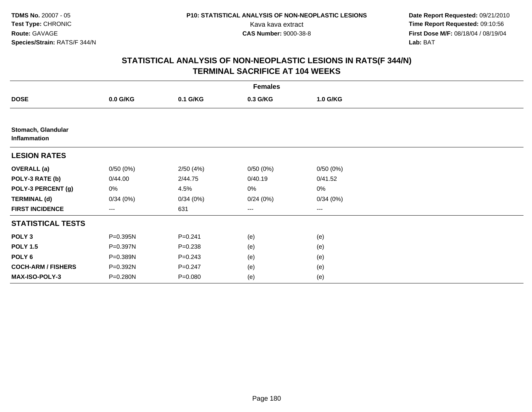**Date Report Requested:** 09/21/2010 Kava kava extract **Time Report Requested:** 09:10:56<br>**CAS Number:** 9000-38-8<br>**Tirst Dose M/F:** 08/18/04 / 08/19/04 **First Dose M/F:** 08/18/04 / 08/19/04 Lab: BAT **Lab:** BAT

| <b>Females</b>                     |          |             |          |          |  |  |  |
|------------------------------------|----------|-------------|----------|----------|--|--|--|
| <b>DOSE</b>                        | 0.0 G/KG | 0.1 G/KG    | 0.3 G/KG | 1.0 G/KG |  |  |  |
|                                    |          |             |          |          |  |  |  |
| Stomach, Glandular<br>Inflammation |          |             |          |          |  |  |  |
| <b>LESION RATES</b>                |          |             |          |          |  |  |  |
| <b>OVERALL</b> (a)                 | 0/50(0%) | 2/50(4%)    | 0/50(0%) | 0/50(0%) |  |  |  |
| POLY-3 RATE (b)                    | 0/44.00  | 2/44.75     | 0/40.19  | 0/41.52  |  |  |  |
| POLY-3 PERCENT (g)                 | 0%       | 4.5%        | 0%       | 0%       |  |  |  |
| <b>TERMINAL (d)</b>                | 0/34(0%) | 0/34(0%)    | 0/24(0%) | 0/34(0%) |  |  |  |
| <b>FIRST INCIDENCE</b>             | ---      | 631         | ---      | ---      |  |  |  |
| <b>STATISTICAL TESTS</b>           |          |             |          |          |  |  |  |
| POLY <sub>3</sub>                  | P=0.395N | $P = 0.241$ | (e)      | (e)      |  |  |  |
| <b>POLY 1.5</b>                    | P=0.397N | $P = 0.238$ | (e)      | (e)      |  |  |  |
| POLY 6                             | P=0.389N | $P = 0.243$ | (e)      | (e)      |  |  |  |
| <b>COCH-ARM / FISHERS</b>          | P=0.392N | $P = 0.247$ | (e)      | (e)      |  |  |  |
| MAX-ISO-POLY-3                     | P=0.280N | $P = 0.080$ | (e)      | (e)      |  |  |  |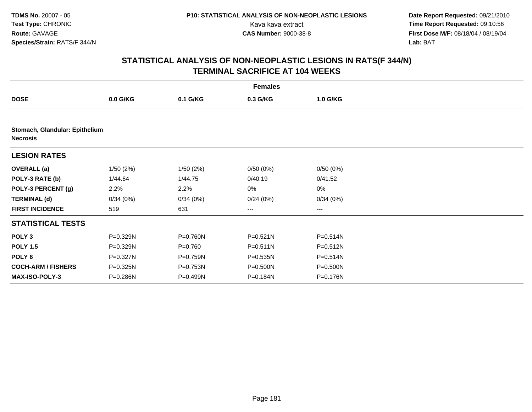|                                                   |            |             | <b>Females</b> |              |  |
|---------------------------------------------------|------------|-------------|----------------|--------------|--|
| <b>DOSE</b>                                       | $0.0$ G/KG | 0.1 G/KG    | 0.3 G/KG       | 1.0 G/KG     |  |
|                                                   |            |             |                |              |  |
| Stomach, Glandular: Epithelium<br><b>Necrosis</b> |            |             |                |              |  |
| <b>LESION RATES</b>                               |            |             |                |              |  |
| <b>OVERALL</b> (a)                                | 1/50(2%)   | 1/50(2%)    | 0/50(0%)       | 0/50(0%)     |  |
| POLY-3 RATE (b)                                   | 1/44.64    | 1/44.75     | 0/40.19        | 0/41.52      |  |
| POLY-3 PERCENT (g)                                | 2.2%       | 2.2%        | 0%             | 0%           |  |
| <b>TERMINAL (d)</b>                               | 0/34(0%)   | 0/34(0%)    | 0/24(0%)       | 0/34(0%)     |  |
| <b>FIRST INCIDENCE</b>                            | 519        | 631         | ---            | ---          |  |
| <b>STATISTICAL TESTS</b>                          |            |             |                |              |  |
| POLY <sub>3</sub>                                 | P=0.329N   | P=0.760N    | $P = 0.521N$   | $P = 0.514N$ |  |
| <b>POLY 1.5</b>                                   | P=0.329N   | $P = 0.760$ | $P = 0.511N$   | $P = 0.512N$ |  |
| POLY 6                                            | P=0.327N   | P=0.759N    | $P = 0.535N$   | $P = 0.514N$ |  |
| <b>COCH-ARM / FISHERS</b>                         | P=0.325N   | P=0.753N    | P=0.500N       | P=0.500N     |  |
| MAX-ISO-POLY-3                                    | P=0.286N   | P=0.499N    | P=0.184N       | P=0.176N     |  |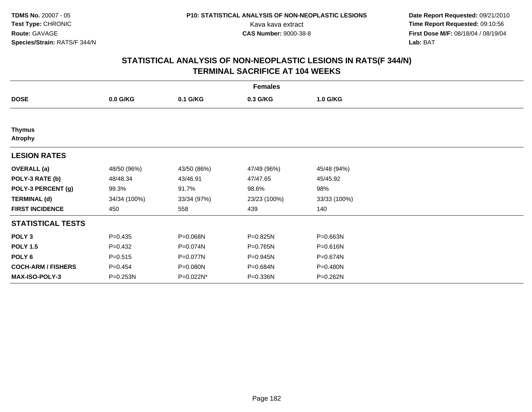**Date Report Requested:** 09/21/2010 Kava kava extract **Time Report Requested:** 09:10:56<br>**CAS Number:** 9000-38-8<br>**Tirst Dose M/F:** 08/18/04 / 08/19/04 **First Dose M/F:** 08/18/04 / 08/19/04 Lab: BAT **Lab:** BAT

|                                 |              |             | <b>Females</b> |              |  |
|---------------------------------|--------------|-------------|----------------|--------------|--|
| <b>DOSE</b>                     | $0.0$ G/KG   | 0.1 G/KG    | 0.3 G/KG       | 1.0 G/KG     |  |
|                                 |              |             |                |              |  |
| <b>Thymus</b><br><b>Atrophy</b> |              |             |                |              |  |
| <b>LESION RATES</b>             |              |             |                |              |  |
| <b>OVERALL</b> (a)              | 48/50 (96%)  | 43/50 (86%) | 47/49 (96%)    | 45/48 (94%)  |  |
| POLY-3 RATE (b)                 | 48/48.34     | 43/46.91    | 47/47.65       | 45/45.92     |  |
| POLY-3 PERCENT (g)              | 99.3%        | 91.7%       | 98.6%          | 98%          |  |
| <b>TERMINAL (d)</b>             | 34/34 (100%) | 33/34 (97%) | 23/23 (100%)   | 33/33 (100%) |  |
| <b>FIRST INCIDENCE</b>          | 450          | 558         | 439            | 140          |  |
| <b>STATISTICAL TESTS</b>        |              |             |                |              |  |
| POLY <sub>3</sub>               | $P = 0.435$  | P=0.068N    | P=0.825N       | P=0.663N     |  |
| <b>POLY 1.5</b>                 | $P=0.432$    | P=0.074N    | P=0.765N       | P=0.616N     |  |
| POLY 6                          | $P = 0.515$  | P=0.077N    | P=0.945N       | P=0.674N     |  |
| <b>COCH-ARM / FISHERS</b>       | $P = 0.454$  | P=0.080N    | P=0.684N       | P=0.480N     |  |
| <b>MAX-ISO-POLY-3</b>           | P=0.253N     | P=0.022N*   | P=0.336N       | P=0.262N     |  |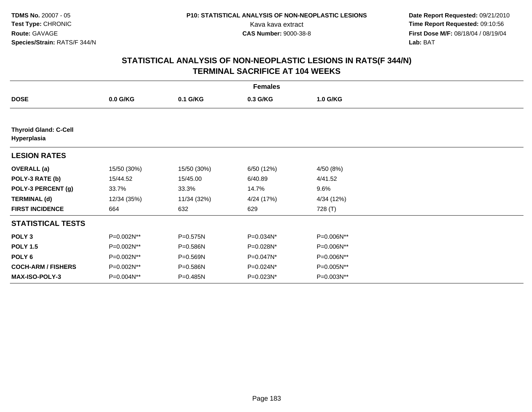|                                             |             |             | <b>Females</b> |            |  |
|---------------------------------------------|-------------|-------------|----------------|------------|--|
| <b>DOSE</b>                                 | $0.0$ G/KG  | 0.1 G/KG    | 0.3 G/KG       | 1.0 G/KG   |  |
|                                             |             |             |                |            |  |
| <b>Thyroid Gland: C-Cell</b><br>Hyperplasia |             |             |                |            |  |
| <b>LESION RATES</b>                         |             |             |                |            |  |
| <b>OVERALL</b> (a)                          | 15/50 (30%) | 15/50 (30%) | 6/50 (12%)     | 4/50 (8%)  |  |
| POLY-3 RATE (b)                             | 15/44.52    | 15/45.00    | 6/40.89        | 4/41.52    |  |
| POLY-3 PERCENT (g)                          | 33.7%       | 33.3%       | 14.7%          | 9.6%       |  |
| <b>TERMINAL (d)</b>                         | 12/34 (35%) | 11/34 (32%) | 4/24 (17%)     | 4/34 (12%) |  |
| <b>FIRST INCIDENCE</b>                      | 664         | 632         | 629            | 728 (T)    |  |
| <b>STATISTICAL TESTS</b>                    |             |             |                |            |  |
| POLY <sub>3</sub>                           | P=0.002N**  | P=0.575N    | P=0.034N*      | P=0.006N** |  |
| <b>POLY 1.5</b>                             | P=0.002N**  | P=0.586N    | P=0.028N*      | P=0.006N** |  |
| POLY 6                                      | P=0.002N**  | P=0.569N    | P=0.047N*      | P=0.006N** |  |
| <b>COCH-ARM / FISHERS</b>                   | P=0.002N**  | P=0.586N    | P=0.024N*      | P=0.005N** |  |
| MAX-ISO-POLY-3                              | P=0.004N**  | P=0.485N    | P=0.023N*      | P=0.003N** |  |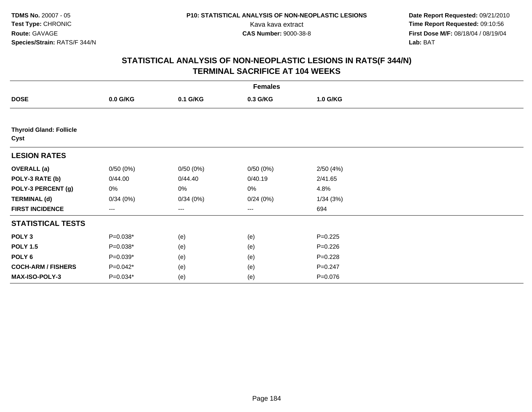|                                        |                   |          | <b>Females</b> |             |  |
|----------------------------------------|-------------------|----------|----------------|-------------|--|
| <b>DOSE</b>                            | 0.0 G/KG          | 0.1 G/KG | 0.3 G/KG       | 1.0 G/KG    |  |
|                                        |                   |          |                |             |  |
| <b>Thyroid Gland: Follicle</b><br>Cyst |                   |          |                |             |  |
| <b>LESION RATES</b>                    |                   |          |                |             |  |
| <b>OVERALL</b> (a)                     | 0/50(0%)          | 0/50(0%) | 0/50(0%)       | 2/50(4%)    |  |
| POLY-3 RATE (b)                        | 0/44.00           | 0/44.40  | 0/40.19        | 2/41.65     |  |
| POLY-3 PERCENT (g)                     | 0%                | 0%       | 0%             | 4.8%        |  |
| <b>TERMINAL (d)</b>                    | 0/34(0%)          | 0/34(0%) | 0/24(0%)       | 1/34(3%)    |  |
| <b>FIRST INCIDENCE</b>                 | $\qquad \qquad -$ | ---      | $\cdots$       | 694         |  |
| <b>STATISTICAL TESTS</b>               |                   |          |                |             |  |
| POLY <sub>3</sub>                      | P=0.038*          | (e)      | (e)            | $P=0.225$   |  |
| <b>POLY 1.5</b>                        | P=0.038*          | (e)      | (e)            | $P = 0.226$ |  |
| POLY 6                                 | P=0.039*          | (e)      | (e)            | $P = 0.228$ |  |
| <b>COCH-ARM / FISHERS</b>              | P=0.042*          | (e)      | (e)            | $P = 0.247$ |  |
| MAX-ISO-POLY-3                         | P=0.034*          | (e)      | (e)            | $P = 0.076$ |  |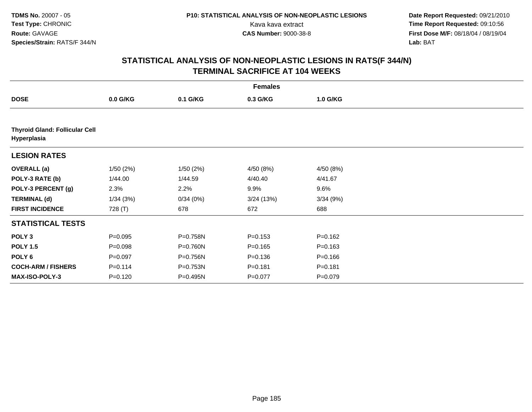|                                                      |             |          | <b>Females</b> |             |  |
|------------------------------------------------------|-------------|----------|----------------|-------------|--|
| <b>DOSE</b>                                          | $0.0$ G/KG  | 0.1 G/KG | 0.3 G/KG       | 1.0 G/KG    |  |
|                                                      |             |          |                |             |  |
| <b>Thyroid Gland: Follicular Cell</b><br>Hyperplasia |             |          |                |             |  |
| <b>LESION RATES</b>                                  |             |          |                |             |  |
| <b>OVERALL</b> (a)                                   | 1/50(2%)    | 1/50(2%) | 4/50 (8%)      | 4/50 (8%)   |  |
| POLY-3 RATE (b)                                      | 1/44.00     | 1/44.59  | 4/40.40        | 4/41.67     |  |
| POLY-3 PERCENT (g)                                   | 2.3%        | 2.2%     | 9.9%           | 9.6%        |  |
| <b>TERMINAL (d)</b>                                  | 1/34(3%)    | 0/34(0%) | 3/24(13%)      | 3/34(9%)    |  |
| <b>FIRST INCIDENCE</b>                               | 728 (T)     | 678      | 672            | 688         |  |
| <b>STATISTICAL TESTS</b>                             |             |          |                |             |  |
| POLY <sub>3</sub>                                    | $P = 0.095$ | P=0.758N | $P = 0.153$    | $P = 0.162$ |  |
| <b>POLY 1.5</b>                                      | $P = 0.098$ | P=0.760N | $P = 0.165$    | $P = 0.163$ |  |
| POLY <sub>6</sub>                                    | $P = 0.097$ | P=0.756N | $P = 0.136$    | $P = 0.166$ |  |
| <b>COCH-ARM / FISHERS</b>                            | $P = 0.114$ | P=0.753N | $P = 0.181$    | $P = 0.181$ |  |
| <b>MAX-ISO-POLY-3</b>                                | $P = 0.120$ | P=0.495N | $P=0.077$      | $P = 0.079$ |  |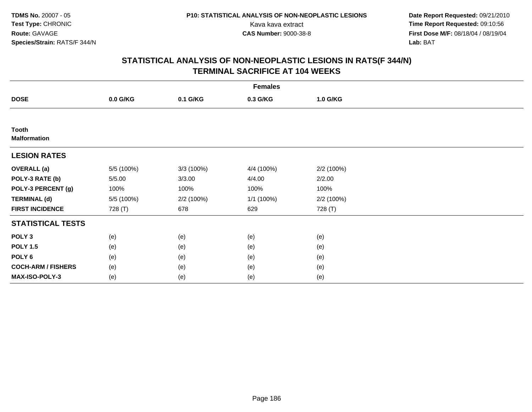**Date Report Requested:** 09/21/2010 Kava kava extract **Time Report Requested:** 09:10:56<br>**CAS Number:** 9000-38-8<br>**Tirst Dose M/F:** 08/18/04 / 08/19/04 **First Dose M/F:** 08/18/04 / 08/19/04 Lab: BAT **Lab:** BAT

|                              |            |            | <b>Females</b> |            |  |
|------------------------------|------------|------------|----------------|------------|--|
| <b>DOSE</b>                  | 0.0 G/KG   | 0.1 G/KG   | 0.3 G/KG       | 1.0 G/KG   |  |
|                              |            |            |                |            |  |
| Tooth<br><b>Malformation</b> |            |            |                |            |  |
| <b>LESION RATES</b>          |            |            |                |            |  |
| <b>OVERALL</b> (a)           | 5/5 (100%) | 3/3 (100%) | 4/4 (100%)     | 2/2 (100%) |  |
| POLY-3 RATE (b)              | 5/5.00     | 3/3.00     | 4/4.00         | 2/2.00     |  |
| POLY-3 PERCENT (g)           | 100%       | 100%       | 100%           | 100%       |  |
| <b>TERMINAL (d)</b>          | 5/5 (100%) | 2/2 (100%) | 1/1 (100%)     | 2/2 (100%) |  |
| <b>FIRST INCIDENCE</b>       | 728 (T)    | 678        | 629            | 728 (T)    |  |
| <b>STATISTICAL TESTS</b>     |            |            |                |            |  |
| POLY <sub>3</sub>            | (e)        | (e)        | (e)            | (e)        |  |
| <b>POLY 1.5</b>              | (e)        | (e)        | (e)            | (e)        |  |
| POLY <sub>6</sub>            | (e)        | (e)        | (e)            | (e)        |  |
| <b>COCH-ARM / FISHERS</b>    | (e)        | (e)        | (e)            | (e)        |  |
| MAX-ISO-POLY-3               | (e)        | (e)        | (e)            | (e)        |  |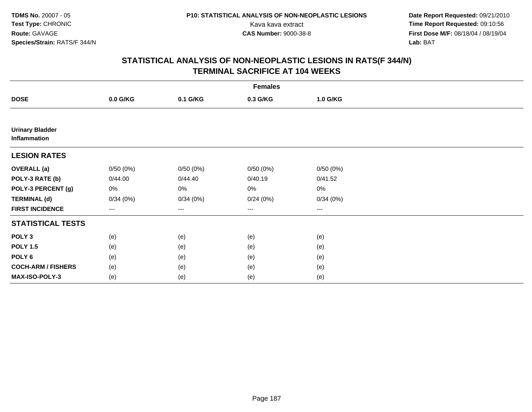**Date Report Requested:** 09/21/2010 Kava kava extract **Time Report Requested:** 09:10:56<br>**CAS Number:** 9000-38-8<br>**Tirst Dose M/F:** 08/18/04 / 08/19/04 **First Dose M/F:** 08/18/04 / 08/19/04 Lab: BAT **Lab:** BAT

|                                               |          |          | <b>Females</b>         |                        |  |
|-----------------------------------------------|----------|----------|------------------------|------------------------|--|
| <b>DOSE</b>                                   | 0.0 G/KG | 0.1 G/KG | 0.3 G/KG               | 1.0 G/KG               |  |
|                                               |          |          |                        |                        |  |
| <b>Urinary Bladder</b><br><b>Inflammation</b> |          |          |                        |                        |  |
| <b>LESION RATES</b>                           |          |          |                        |                        |  |
| <b>OVERALL</b> (a)                            | 0/50(0%) | 0/50(0%) | 0/50(0%)               | 0/50(0%)               |  |
| POLY-3 RATE (b)                               | 0/44.00  | 0/44.40  | 0/40.19                | 0/41.52                |  |
| POLY-3 PERCENT (g)                            | 0%       | 0%       | 0%                     | $0\%$                  |  |
| <b>TERMINAL (d)</b>                           | 0/34(0%) | 0/34(0%) | 0/24(0%)               | 0/34(0%)               |  |
| <b>FIRST INCIDENCE</b>                        | ---      | $--$     | $\qquad \qquad \cdots$ | $\qquad \qquad \cdots$ |  |
| <b>STATISTICAL TESTS</b>                      |          |          |                        |                        |  |
| POLY <sub>3</sub>                             | (e)      | (e)      | (e)                    | (e)                    |  |
| <b>POLY 1.5</b>                               | (e)      | (e)      | (e)                    | (e)                    |  |
| POLY <sub>6</sub>                             | (e)      | (e)      | (e)                    | (e)                    |  |
| <b>COCH-ARM / FISHERS</b>                     | (e)      | (e)      | (e)                    | (e)                    |  |
| MAX-ISO-POLY-3                                | (e)      | (e)      | (e)                    | (e)                    |  |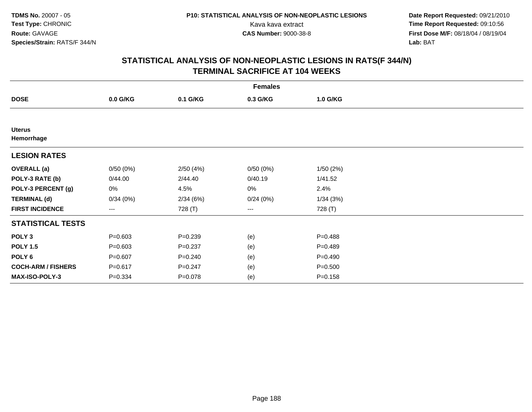**Date Report Requested:** 09/21/2010 Kava kava extract **Time Report Requested:** 09:10:56<br>**CAS Number:** 9000-38-8<br>**Tirst Dose M/F:** 08/18/04 / 08/19/04 **First Dose M/F:** 08/18/04 / 08/19/04 Lab: BAT **Lab:** BAT

|                             |             |             | <b>Females</b>         |             |  |
|-----------------------------|-------------|-------------|------------------------|-------------|--|
| <b>DOSE</b>                 | $0.0$ G/KG  | 0.1 G/KG    | 0.3 G/KG               | 1.0 G/KG    |  |
|                             |             |             |                        |             |  |
| <b>Uterus</b><br>Hemorrhage |             |             |                        |             |  |
| <b>LESION RATES</b>         |             |             |                        |             |  |
| <b>OVERALL</b> (a)          | 0/50(0%)    | 2/50(4%)    | 0/50(0%)               | 1/50(2%)    |  |
| POLY-3 RATE (b)             | 0/44.00     | 2/44.40     | 0/40.19                | 1/41.52     |  |
| POLY-3 PERCENT (g)          | 0%          | 4.5%        | 0%                     | 2.4%        |  |
| <b>TERMINAL (d)</b>         | 0/34(0%)    | 2/34(6%)    | 0/24(0%)               | 1/34(3%)    |  |
| <b>FIRST INCIDENCE</b>      | ---         | 728 (T)     | $\qquad \qquad \cdots$ | 728 (T)     |  |
| <b>STATISTICAL TESTS</b>    |             |             |                        |             |  |
| POLY <sub>3</sub>           | $P = 0.603$ | $P = 0.239$ | (e)                    | $P = 0.488$ |  |
| <b>POLY 1.5</b>             | $P = 0.603$ | $P = 0.237$ | (e)                    | $P = 0.489$ |  |
| POLY 6                      | $P = 0.607$ | $P = 0.240$ | (e)                    | $P=0.490$   |  |
| <b>COCH-ARM / FISHERS</b>   | $P = 0.617$ | $P = 0.247$ | (e)                    | $P = 0.500$ |  |
| MAX-ISO-POLY-3              | $P = 0.334$ | $P = 0.078$ | (e)                    | $P = 0.158$ |  |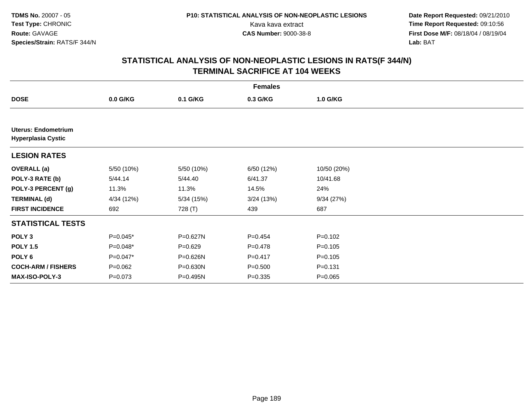**Date Report Requested:** 09/21/2010 Kava kava extract **Time Report Requested:** 09:10:56<br>**CAS Number:** 9000-38-8<br>**Tirst Dose M/F:** 08/18/04 / 08/19/04 **First Dose M/F:** 08/18/04 / 08/19/04 Lab: BAT **Lab:** BAT

|                                                         |             |              | <b>Females</b> |             |  |
|---------------------------------------------------------|-------------|--------------|----------------|-------------|--|
| <b>DOSE</b>                                             | $0.0$ G/KG  | 0.1 G/KG     | 0.3 G/KG       | 1.0 G/KG    |  |
|                                                         |             |              |                |             |  |
| <b>Uterus: Endometrium</b><br><b>Hyperplasia Cystic</b> |             |              |                |             |  |
| <b>LESION RATES</b>                                     |             |              |                |             |  |
| <b>OVERALL</b> (a)                                      | 5/50 (10%)  | 5/50 (10%)   | 6/50 (12%)     | 10/50 (20%) |  |
| POLY-3 RATE (b)                                         | 5/44.14     | 5/44.40      | 6/41.37        | 10/41.68    |  |
| POLY-3 PERCENT (g)                                      | 11.3%       | 11.3%        | 14.5%          | 24%         |  |
| <b>TERMINAL (d)</b>                                     | 4/34 (12%)  | 5/34(15%)    | 3/24(13%)      | 9/34(27%)   |  |
| <b>FIRST INCIDENCE</b>                                  | 692         | 728 (T)      | 439            | 687         |  |
| <b>STATISTICAL TESTS</b>                                |             |              |                |             |  |
| POLY <sub>3</sub>                                       | $P=0.045*$  | P=0.627N     | $P=0.454$      | $P = 0.102$ |  |
| <b>POLY 1.5</b>                                         | P=0.048*    | $P = 0.629$  | $P = 0.478$    | $P = 0.105$ |  |
| POLY 6                                                  | $P=0.047*$  | P=0.626N     | $P = 0.417$    | $P = 0.105$ |  |
| <b>COCH-ARM / FISHERS</b>                               | $P=0.062$   | $P = 0.630N$ | $P = 0.500$    | $P = 0.131$ |  |
| <b>MAX-ISO-POLY-3</b>                                   | $P = 0.073$ | P=0.495N     | $P = 0.335$    | $P = 0.065$ |  |